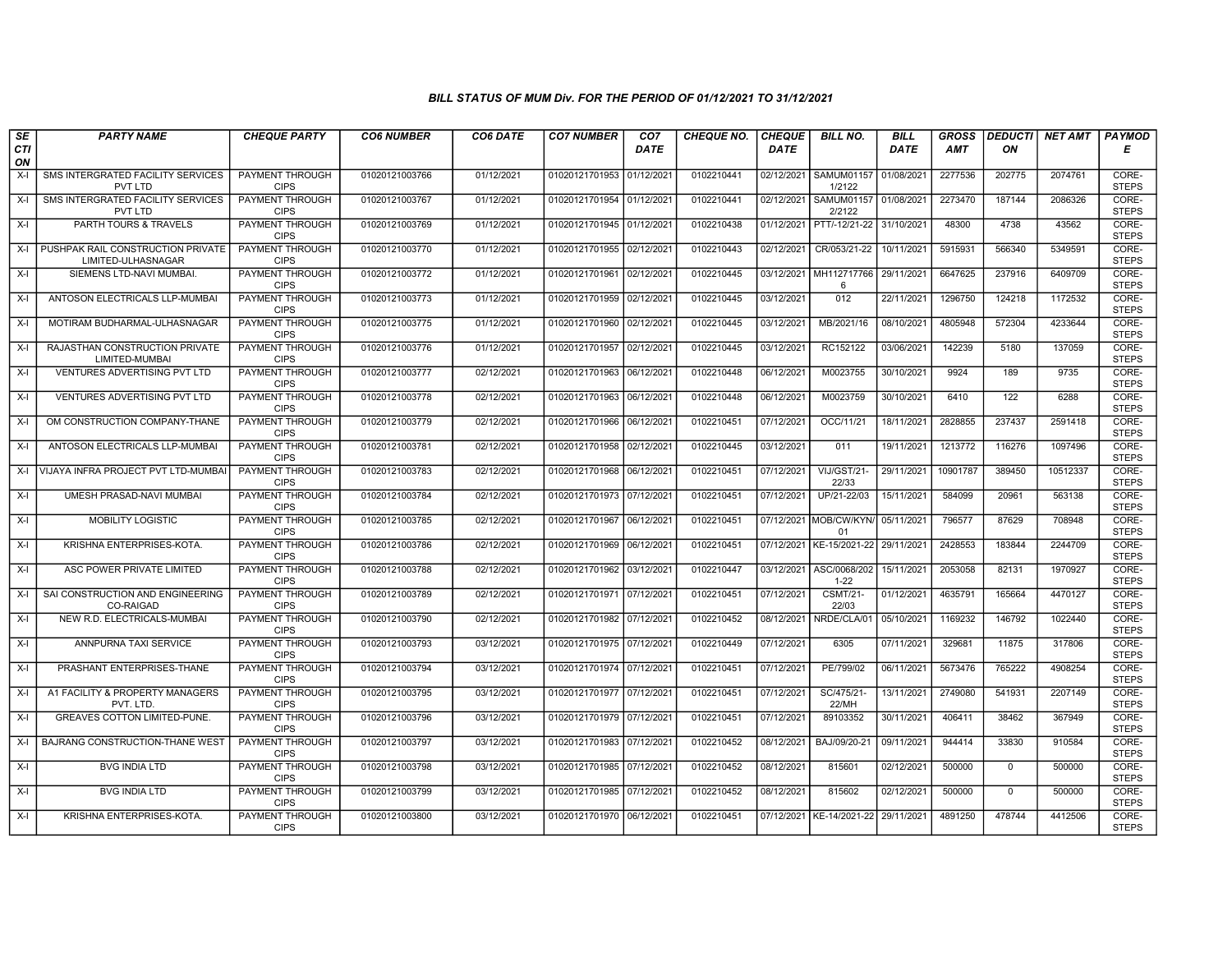| SE        | <b>PARTY NAME</b>                                           | <b>CHEQUE PARTY</b>                   | <b>CO6 NUMBER</b> | CO6 DATE   | <b>CO7 NUMBER</b>         | CO <sub>7</sub> | <b>CHEQUE NO.</b> | <b>CHEQUE</b> | <b>BILL NO.</b>                            | <b>BILL</b> | <b>GROSS</b> | <b>DEDUCTI</b> | <b>NET AMT</b> | PAYMOD                |
|-----------|-------------------------------------------------------------|---------------------------------------|-------------------|------------|---------------------------|-----------------|-------------------|---------------|--------------------------------------------|-------------|--------------|----------------|----------------|-----------------------|
| CTI<br>ON |                                                             |                                       |                   |            |                           | <b>DATE</b>     |                   | <b>DATE</b>   |                                            | <b>DATE</b> | <b>AMT</b>   | ON             |                | Е                     |
| X-I       | SMS INTERGRATED FACILITY SERVICES<br>PVT LTD                | <b>PAYMENT THROUGH</b><br><b>CIPS</b> | 01020121003766    | 01/12/2021 | 01020121701953 01/12/2021 |                 | 0102210441        | 02/12/2021    | <b>SAMUM01157</b><br>1/2122                | 01/08/2021  | 2277536      | 202775         | 2074761        | CORE-<br><b>STEPS</b> |
| $X-I$     | SMS INTERGRATED FACILITY SERVICES<br>PVT LTD                | PAYMENT THROUGH<br><b>CIPS</b>        | 01020121003767    | 01/12/2021 | 01020121701954 01/12/2021 |                 | 0102210441        | 02/12/2021    | SAMUM01157 01/08/2021<br>2/2122            |             | 2273470      | 187144         | 2086326        | CORE-<br><b>STEPS</b> |
| X-I       | PARTH TOURS & TRAVELS                                       | PAYMENT THROUGH<br><b>CIPS</b>        | 01020121003769    | 01/12/2021 | 01020121701945 01/12/2021 |                 | 0102210438        | 01/12/2021    | PTT/-12/21-22 31/10/2021                   |             | 48300        | 4738           | 43562          | CORE-<br><b>STEPS</b> |
|           | X-I PUSHPAK RAIL CONSTRUCTION PRIVATE<br>LIMITED-ULHASNAGAR | PAYMENT THROUGH<br><b>CIPS</b>        | 01020121003770    | 01/12/2021 | 01020121701955 02/12/2021 |                 | 0102210443        | 02/12/2021    | CR/053/21-22                               | 10/11/2021  | 5915931      | 566340         | 5349591        | CORE-<br><b>STEPS</b> |
| $X-I$     | SIEMENS LTD-NAVI MUMBAI.                                    | <b>PAYMENT THROUGH</b><br><b>CIPS</b> | 01020121003772    | 01/12/2021 | 01020121701961 02/12/2021 |                 | 0102210445        |               | 03/12/2021   MH112717766   29/11/2021<br>6 |             | 6647625      | 237916         | 6409709        | CORE-<br><b>STEPS</b> |
| X-I       | ANTOSON ELECTRICALS LLP-MUMBAI                              | <b>PAYMENT THROUGH</b><br><b>CIPS</b> | 01020121003773    | 01/12/2021 | 01020121701959 02/12/2021 |                 | 0102210445        | 03/12/2021    | 012                                        | 22/11/2021  | 1296750      | 124218         | 1172532        | CORE-<br><b>STEPS</b> |
| $X-I$     | MOTIRAM BUDHARMAL-ULHASNAGAR                                | PAYMENT THROUGH<br><b>CIPS</b>        | 01020121003775    | 01/12/2021 | 01020121701960 02/12/2021 |                 | 0102210445        | 03/12/2021    | MB/2021/16                                 | 08/10/2021  | 4805948      | 572304         | 4233644        | CORE-<br><b>STEPS</b> |
| $X-I$     | RAJASTHAN CONSTRUCTION PRIVATE<br>LIMITED-MUMBAI            | PAYMENT THROUGH<br><b>CIPS</b>        | 01020121003776    | 01/12/2021 | 01020121701957 02/12/2021 |                 | 0102210445        | 03/12/2021    | RC152122                                   | 03/06/2021  | 142239       | 5180           | 137059         | CORE-<br><b>STEPS</b> |
| $X-I$     | <b>VENTURES ADVERTISING PVT LTD</b>                         | <b>PAYMENT THROUGH</b><br><b>CIPS</b> | 01020121003777    | 02/12/2021 | 01020121701963 06/12/2021 |                 | 0102210448        | 06/12/2021    | M0023755                                   | 30/10/2021  | 9924         | 189            | 9735           | CORE-<br><b>STEPS</b> |
| $X-I$     | <b>VENTURES ADVERTISING PVT LTD</b>                         | <b>PAYMENT THROUGH</b><br><b>CIPS</b> | 01020121003778    | 02/12/2021 | 01020121701963 06/12/2021 |                 | 0102210448        | 06/12/2021    | M0023759                                   | 30/10/2021  | 6410         | 122            | 6288           | CORE-<br><b>STEPS</b> |
| $X-I$     | OM CONSTRUCTION COMPANY-THANE                               | PAYMENT THROUGH<br><b>CIPS</b>        | 01020121003779    | 02/12/2021 | 01020121701966 06/12/2021 |                 | 0102210451        | 07/12/2021    | OCC/11/21                                  | 18/11/2021  | 2828855      | 237437         | 2591418        | CORE-<br><b>STEPS</b> |
| $X-I$     | ANTOSON ELECTRICALS LLP-MUMBAI                              | PAYMENT THROUGH<br><b>CIPS</b>        | 01020121003781    | 02/12/2021 | 01020121701958 02/12/2021 |                 | 0102210445        | 03/12/2021    | 011                                        | 19/11/2021  | 1213772      | 116276         | 1097496        | CORE-<br><b>STEPS</b> |
|           | X-I VIJAYA INFRA PROJECT PVT LTD-MUMBAI                     | <b>PAYMENT THROUGH</b><br><b>CIPS</b> | 01020121003783    | 02/12/2021 | 01020121701968 06/12/2021 |                 | 0102210451        | 07/12/2021    | VIJ/GST/21-<br>22/33                       | 29/11/2021  | 10901787     | 389450         | 10512337       | CORE-<br><b>STEPS</b> |
| $X-I$     | UMESH PRASAD-NAVI MUMBAI                                    | <b>PAYMENT THROUGH</b><br><b>CIPS</b> | 01020121003784    | 02/12/2021 | 01020121701973 07/12/2021 |                 | 0102210451        | 07/12/2021    | UP/21-22/03                                | 15/11/2021  | 584099       | 20961          | 563138         | CORE-<br><b>STEPS</b> |
| $X-I$     | MOBILITY LOGISTIC                                           | PAYMENT THROUGH<br><b>CIPS</b>        | 01020121003785    | 02/12/2021 | 01020121701967 06/12/2021 |                 | 0102210451        |               | 07/12/2021 MOB/CW/KYN/ 05/11/2021<br>01    |             | 796577       | 87629          | 708948         | CORE-<br><b>STEPS</b> |
| $X-I$     | KRISHNA ENTERPRISES-KOTA.                                   | PAYMENT THROUGH<br><b>CIPS</b>        | 01020121003786    | 02/12/2021 | 01020121701969 06/12/2021 |                 | 0102210451        | 07/12/2021    | KE-15/2021-22 29/11/2021                   |             | 2428553      | 183844         | 2244709        | CORE-<br><b>STEPS</b> |
| $X-I$     | ASC POWER PRIVATE LIMITED                                   | PAYMENT THROUGH<br><b>CIPS</b>        | 01020121003788    | 02/12/2021 | 01020121701962 03/12/2021 |                 | 0102210447        |               | 03/12/2021 ASC/0068/202<br>$1 - 22$        | 15/11/2021  | 2053058      | 82131          | 1970927        | CORE-<br><b>STEPS</b> |
| $X-I$     | SAI CONSTRUCTION AND ENGINEERING<br>CO-RAIGAD               | <b>PAYMENT THROUGH</b><br><b>CIPS</b> | 01020121003789    | 02/12/2021 | 01020121701971 07/12/2021 |                 | 0102210451        | 07/12/2021    | <b>CSMT/21-</b><br>22/03                   | 01/12/2021  | 4635791      | 165664         | 4470127        | CORE-<br><b>STEPS</b> |
| $X-I$     | NEW R.D. ELECTRICALS-MUMBAI                                 | PAYMENT THROUGH<br><b>CIPS</b>        | 01020121003790    | 02/12/2021 | 01020121701982 07/12/2021 |                 | 0102210452        | 08/12/2021    | NRDE/CLA/01                                | 05/10/2021  | 1169232      | 146792         | 1022440        | CORE-<br><b>STEPS</b> |
| $X-I$     | ANNPURNA TAXI SERVICE                                       | PAYMENT THROUGH<br><b>CIPS</b>        | 01020121003793    | 03/12/2021 | 01020121701975 07/12/2021 |                 | 0102210449        | 07/12/2021    | 6305                                       | 07/11/2021  | 329681       | 11875          | 317806         | CORE-<br><b>STEPS</b> |
| $X-I$     | PRASHANT ENTERPRISES-THANE                                  | <b>PAYMENT THROUGH</b><br><b>CIPS</b> | 01020121003794    | 03/12/2021 | 01020121701974 07/12/2021 |                 | 0102210451        | 07/12/2021    | PE/799/02                                  | 06/11/2021  | 5673476      | 765222         | 4908254        | CORE-<br><b>STEPS</b> |
| $X-I$     | A1 FACILITY & PROPERTY MANAGERS<br>PVT. LTD                 | <b>PAYMENT THROUGH</b><br><b>CIPS</b> | 01020121003795    | 03/12/2021 | 01020121701977 07/12/2021 |                 | 0102210451        | 07/12/2021    | SC/475/21-<br>22/MH                        | 13/11/2021  | 2749080      | 541931         | 2207149        | CORE-<br><b>STEPS</b> |
| X-I       | <b>GREAVES COTTON LIMITED-PUNE</b>                          | PAYMENT THROUGH<br><b>CIPS</b>        | 01020121003796    | 03/12/2021 | 01020121701979 07/12/202  |                 | 0102210451        | 07/12/2021    | 89103352                                   | 30/11/2021  | 406411       | 38462          | 367949         | CORE-<br><b>STEPS</b> |
| $X-I$     | BAJRANG CONSTRUCTION-THANE WEST                             | PAYMENT THROUGH<br><b>CIPS</b>        | 01020121003797    | 03/12/2021 | 01020121701983 07/12/2021 |                 | 0102210452        | 08/12/2021    | BAJ/09/20-21                               | 09/11/2021  | 944414       | 33830          | 910584         | CORE-<br><b>STEPS</b> |
| X-I       | <b>BVG INDIA LTD</b>                                        | PAYMENT THROUGH<br><b>CIPS</b>        | 01020121003798    | 03/12/2021 | 01020121701985 07/12/2021 |                 | 0102210452        | 08/12/2021    | 815601                                     | 02/12/2021  | 500000       | $\mathbf 0$    | 500000         | CORE-<br><b>STEPS</b> |
| $X-I$     | <b>BVG INDIA LTD</b>                                        | <b>PAYMENT THROUGH</b><br><b>CIPS</b> | 01020121003799    | 03/12/2021 | 01020121701985 07/12/2021 |                 | 0102210452        | 08/12/2021    | 815602                                     | 02/12/2021  | 500000       | $\mathsf{O}$   | 500000         | CORE-<br><b>STEPS</b> |
| $X-I$     | KRISHNA ENTERPRISES-KOTA.                                   | PAYMENT THROUGH<br><b>CIPS</b>        | 01020121003800    | 03/12/2021 | 01020121701970 06/12/2021 |                 | 0102210451        |               | 07/12/2021   KE-14/2021-22                 | 29/11/2021  | 4891250      | 478744         | 4412506        | CORE-<br><b>STEPS</b> |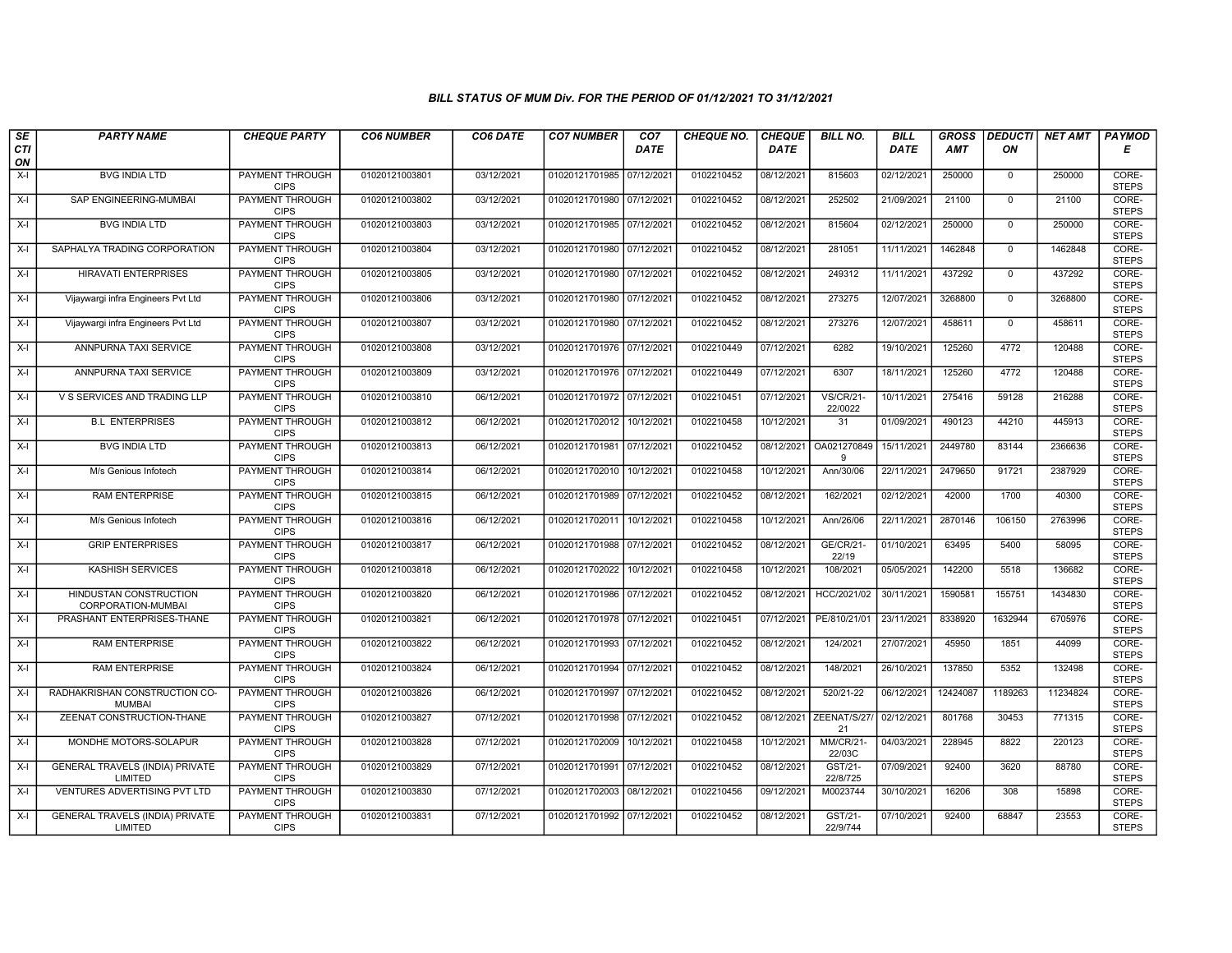| SE        | <b>PARTY NAME</b>                                 | <b>CHEQUE PARTY</b>                   | <b>CO6 NUMBER</b> | CO6 DATE   | <b>CO7 NUMBER</b>         | CO <sub>7</sub> | <b>CHEQUE NO.</b> | <b>CHEQUE</b> | <b>BILL NO.</b>             | <b>BILL</b> | <b>GROSS</b> | <b>DEDUCTI</b> | NET AMT  | <b>PAYMOD</b>         |
|-----------|---------------------------------------------------|---------------------------------------|-------------------|------------|---------------------------|-----------------|-------------------|---------------|-----------------------------|-------------|--------------|----------------|----------|-----------------------|
| CTI<br>ON |                                                   |                                       |                   |            |                           | <b>DATE</b>     |                   | <b>DATE</b>   |                             | <b>DATE</b> | <b>AMT</b>   | ON             |          | Е                     |
| $X-I$     | <b>BVG INDIA LTD</b>                              | PAYMENT THROUGH<br><b>CIPS</b>        | 01020121003801    | 03/12/2021 | 01020121701985 07/12/2021 |                 | 0102210452        | 08/12/2021    | 815603                      | 02/12/2021  | 250000       | $\mathbf 0$    | 250000   | CORE-<br><b>STEPS</b> |
| $X-I$     | SAP ENGINEERING-MUMBAI                            | <b>PAYMENT THROUGH</b><br><b>CIPS</b> | 01020121003802    | 03/12/2021 | 01020121701980 07/12/2021 |                 | 0102210452        | 08/12/2021    | 252502                      | 21/09/2021  | 21100        | $\mathbf{0}$   | 21100    | CORE-<br><b>STEPS</b> |
| X-I       | <b>BVG INDIA LTD</b>                              | PAYMENT THROUGH<br><b>CIPS</b>        | 01020121003803    | 03/12/2021 | 01020121701985 07/12/2021 |                 | 0102210452        | 08/12/2021    | 815604                      | 02/12/2021  | 250000       | $\mathbf 0$    | 250000   | CORE-<br><b>STEPS</b> |
| $X-I$     | SAPHALYA TRADING CORPORATION                      | PAYMENT THROUGH<br><b>CIPS</b>        | 01020121003804    | 03/12/2021 | 01020121701980 07/12/2021 |                 | 0102210452        | 08/12/2021    | 281051                      | 11/11/2021  | 1462848      | $\mathbf 0$    | 1462848  | CORE-<br><b>STEPS</b> |
| $X-I$     | <b>HIRAVATI ENTERPRISES</b>                       | <b>PAYMENT THROUGH</b><br><b>CIPS</b> | 01020121003805    | 03/12/2021 | 01020121701980 07/12/2021 |                 | 0102210452        | 08/12/2021    | 249312                      | 11/11/2021  | 437292       | $\mathbf 0$    | 437292   | CORE-<br><b>STEPS</b> |
| X-I       | Vijaywargi infra Engineers Pvt Ltd                | <b>PAYMENT THROUGH</b><br><b>CIPS</b> | 01020121003806    | 03/12/2021 | 01020121701980 07/12/2021 |                 | 0102210452        | 08/12/2021    | 273275                      | 12/07/2021  | 3268800      | $\overline{0}$ | 3268800  | CORE-<br><b>STEPS</b> |
| $X-I$     | Vijaywargi infra Engineers Pvt Ltd                | PAYMENT THROUGH<br><b>CIPS</b>        | 01020121003807    | 03/12/2021 | 01020121701980 07/12/2021 |                 | 0102210452        | 08/12/2021    | 273276                      | 12/07/2021  | 458611       | $\mathbf{0}$   | 458611   | CORE-<br><b>STEPS</b> |
| X-I       | ANNPURNA TAXI SERVICE                             | PAYMENT THROUGH<br><b>CIPS</b>        | 01020121003808    | 03/12/2021 | 01020121701976 07/12/2021 |                 | 0102210449        | 07/12/2021    | 6282                        | 19/10/2021  | 125260       | 4772           | 120488   | CORE-<br><b>STEPS</b> |
| $X-I$     | ANNPURNA TAXI SERVICE                             | <b>PAYMENT THROUGH</b><br><b>CIPS</b> | 01020121003809    | 03/12/2021 | 01020121701976 07/12/2021 |                 | 0102210449        | 07/12/2021    | 6307                        | 18/11/2021  | 125260       | 4772           | 120488   | CORE-<br><b>STEPS</b> |
| X-I       | V S SERVICES AND TRADING LLP                      | <b>PAYMENT THROUGH</b><br><b>CIPS</b> | 01020121003810    | 06/12/2021 | 01020121701972 07/12/2021 |                 | 0102210451        | 07/12/2021    | <b>VS/CR/21-</b><br>22/0022 | 10/11/2021  | 275416       | 59128          | 216288   | CORE-<br><b>STEPS</b> |
| $X-I$     | <b>B.L ENTERPRISES</b>                            | PAYMENT THROUGH<br><b>CIPS</b>        | 01020121003812    | 06/12/2021 | 01020121702012            | 10/12/2021      | 0102210458        | 10/12/2021    | 31                          | 01/09/2021  | 490123       | 44210          | 445913   | CORE-<br><b>STEPS</b> |
| $X-I$     | <b>BVG INDIA LTD</b>                              | PAYMENT THROUGH<br><b>CIPS</b>        | 01020121003813    | 06/12/2021 | 01020121701981 07/12/2021 |                 | 0102210452        | 08/12/2021    | OA021270849<br>9            | 15/11/2021  | 2449780      | 83144          | 2366636  | CORE-<br><b>STEPS</b> |
| X-I       | M/s Genious Infotech                              | <b>PAYMENT THROUGH</b><br><b>CIPS</b> | 01020121003814    | 06/12/2021 | 01020121702010            | 10/12/2021      | 0102210458        | 10/12/2021    | Ann/30/06                   | 22/11/2021  | 2479650      | 91721          | 2387929  | CORE-<br><b>STEPS</b> |
| $X-I$     | <b>RAM ENTERPRISE</b>                             | <b>PAYMENT THROUGH</b><br><b>CIPS</b> | 01020121003815    | 06/12/2021 | 01020121701989 07/12/2021 |                 | 0102210452        | 08/12/2021    | 162/2021                    | 02/12/2021  | 42000        | 1700           | 40300    | CORE-<br><b>STEPS</b> |
| X-I       | M/s Genious Infotech                              | PAYMENT THROUGH<br><b>CIPS</b>        | 01020121003816    | 06/12/2021 | 01020121702011            | 10/12/2021      | 0102210458        | 10/12/2021    | Ann/26/06                   | 22/11/2021  | 2870146      | 106150         | 2763996  | CORE-<br><b>STEPS</b> |
| $X-I$     | <b>GRIP ENTERPRISES</b>                           | <b>PAYMENT THROUGH</b><br><b>CIPS</b> | 01020121003817    | 06/12/2021 | 01020121701988 07/12/2021 |                 | 0102210452        | 08/12/2021    | GE/CR/21-<br>22/19          | 01/10/2021  | 63495        | 5400           | 58095    | CORE-<br><b>STEPS</b> |
| X-I       | <b>KASHISH SERVICES</b>                           | <b>PAYMENT THROUGH</b><br><b>CIPS</b> | 01020121003818    | 06/12/2021 | 01020121702022            | 10/12/2021      | 0102210458        | 10/12/2021    | 108/2021                    | 05/05/2021  | 142200       | 5518           | 136682   | CORE-<br><b>STEPS</b> |
| X-I       | HINDUSTAN CONSTRUCTION<br>CORPORATION-MUMBAI      | <b>PAYMENT THROUGH</b><br><b>CIPS</b> | 01020121003820    | 06/12/2021 | 01020121701986 07/12/2021 |                 | 0102210452        | 08/12/2021    | HCC/2021/02                 | 30/11/2021  | 1590581      | 155751         | 1434830  | CORE-<br><b>STEPS</b> |
| $X-I$     | PRASHANT ENTERPRISES-THANE                        | <b>PAYMENT THROUGH</b><br><b>CIPS</b> | 01020121003821    | 06/12/2021 | 01020121701978 07/12/2021 |                 | 0102210451        | 07/12/2021    | PE/810/21/01                | 23/11/2021  | 8338920      | 1632944        | 6705976  | CORE-<br><b>STEPS</b> |
| $X-I$     | <b>RAM ENTERPRISE</b>                             | PAYMENT THROUGH<br><b>CIPS</b>        | 01020121003822    | 06/12/2021 | 01020121701993 07/12/2021 |                 | 0102210452        | 08/12/2021    | 124/2021                    | 27/07/2021  | 45950        | 1851           | 44099    | CORE-<br><b>STEPS</b> |
| $X-I$     | <b>RAM ENTERPRISE</b>                             | <b>PAYMENT THROUGH</b><br><b>CIPS</b> | 01020121003824    | 06/12/2021 | 01020121701994 07/12/2021 |                 | 0102210452        | 08/12/2021    | 148/2021                    | 26/10/2021  | 137850       | 5352           | 132498   | CORE-<br><b>STEPS</b> |
| $X-I$     | RADHAKRISHAN CONSTRUCTION CO-<br><b>MUMBAI</b>    | <b>PAYMENT THROUGH</b><br><b>CIPS</b> | 01020121003826    | 06/12/2021 | 01020121701997 07/12/2021 |                 | 0102210452        | 08/12/2021    | 520/21-22                   | 06/12/2021  | 12424087     | 1189263        | 11234824 | CORE-<br><b>STEPS</b> |
| $X-I$     | ZEENAT CONSTRUCTION-THANE                         | PAYMENT THROUGH<br><b>CIPS</b>        | 01020121003827    | 07/12/2021 | 01020121701998 07/12/2021 |                 | 0102210452        | 08/12/2021    | ZEENAT/S/27<br>21           | 02/12/2021  | 801768       | 30453          | 771315   | CORE-<br><b>STEPS</b> |
| $X-I$     | MONDHE MOTORS-SOLAPUR                             | PAYMENT THROUGH<br><b>CIPS</b>        | 01020121003828    | 07/12/2021 | 01020121702009            | 10/12/2021      | 0102210458        | 10/12/2021    | <b>MM/CR/21-</b><br>22/03C  | 04/03/2021  | 228945       | 8822           | 220123   | CORE-<br><b>STEPS</b> |
| $X-I$     | GENERAL TRAVELS (INDIA) PRIVATE<br>LIMITED        | PAYMENT THROUGH<br><b>CIPS</b>        | 01020121003829    | 07/12/2021 | 01020121701991 07/12/2021 |                 | 0102210452        | 08/12/2021    | GST/21-<br>22/8/725         | 07/09/2021  | 92400        | 3620           | 88780    | CORE-<br><b>STEPS</b> |
| $X-I$     | VENTURES ADVERTISING PVT LTD                      | <b>PAYMENT THROUGH</b><br><b>CIPS</b> | 01020121003830    | 07/12/2021 | 01020121702003 08/12/2021 |                 | 0102210456        | 09/12/2021    | M0023744                    | 30/10/2021  | 16206        | 308            | 15898    | CORE-<br><b>STEPS</b> |
| X-I       | <b>GENERAL TRAVELS (INDIA) PRIVATE</b><br>LIMITED | PAYMENT THROUGH<br><b>CIPS</b>        | 01020121003831    | 07/12/2021 | 01020121701992 07/12/2021 |                 | 0102210452        | 08/12/2021    | GST/21-<br>22/9/744         | 07/10/2021  | 92400        | 68847          | 23553    | CORE-<br><b>STEPS</b> |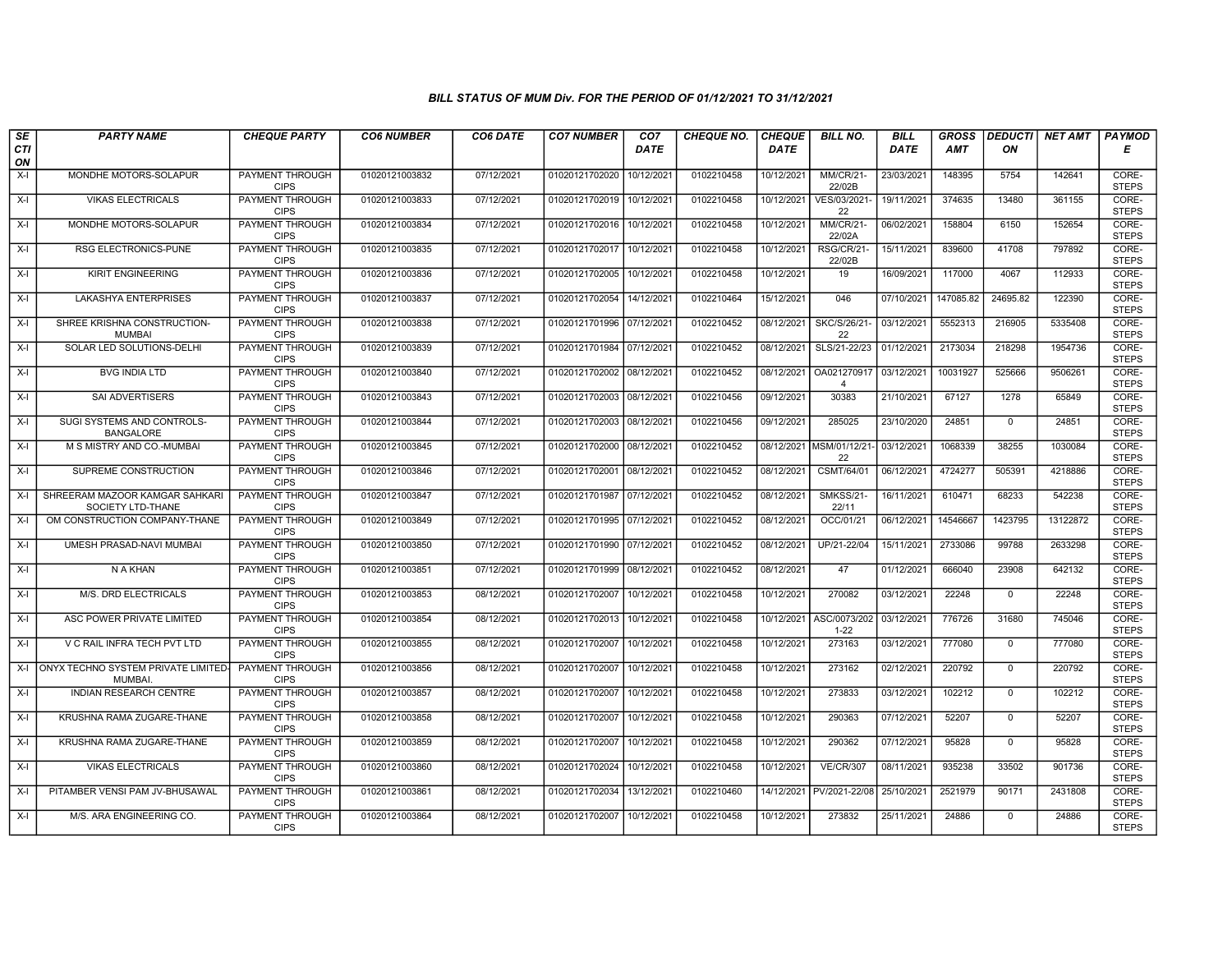| SE        | <b>PARTY NAME</b>                                                                         | <b>CHEQUE PARTY</b>                               | <b>CO6 NUMBER</b> | CO6 DATE   | <b>CO7 NUMBER</b>         | CO <sub>7</sub> | <b>CHEQUE NO.</b> | <b>CHEQUE</b> | <b>BILL NO.</b>                    | <b>BILL</b> | <b>GROSS</b> |                          | <b>DEDUCTI NET AMT</b> | <b>PAYMOD</b>                  |
|-----------|-------------------------------------------------------------------------------------------|---------------------------------------------------|-------------------|------------|---------------------------|-----------------|-------------------|---------------|------------------------------------|-------------|--------------|--------------------------|------------------------|--------------------------------|
| CTI<br>ON |                                                                                           |                                                   |                   |            |                           | <b>DATE</b>     |                   | <b>DATE</b>   |                                    | <b>DATE</b> | <b>AMT</b>   | ON                       |                        | Е                              |
| $X-I$     | MONDHE MOTORS-SOLAPUR                                                                     | <b>PAYMENT THROUGH</b><br><b>CIPS</b>             | 01020121003832    | 07/12/2021 | 01020121702020            | 10/12/2021      | 0102210458        | 10/12/2021    | <b>MM/CR/21-</b><br>22/02B         | 23/03/2021  | 148395       | 5754                     | 142641                 | CORE-<br><b>STEPS</b>          |
| $X-I$     | <b>VIKAS ELECTRICALS</b>                                                                  | <b>PAYMENT THROUGH</b><br><b>CIPS</b>             | 01020121003833    | 07/12/2021 | 01020121702019 10/12/2021 |                 | 0102210458        | 10/12/2021    | VES/03/2021-<br>22                 | 19/11/2021  | 374635       | 13480                    | 361155                 | CORE-<br><b>STEPS</b>          |
| $X-I$     | MONDHE MOTORS-SOLAPUR                                                                     | PAYMENT THROUGH<br><b>CIPS</b>                    | 01020121003834    | 07/12/2021 | 01020121702016 10/12/2021 |                 | 0102210458        | 10/12/2021    | <b>MM/CR/21-</b><br>22/02A         | 06/02/2021  | 158804       | 6150                     | 152654                 | CORE-<br><b>STEPS</b>          |
| $X-I$     | RSG ELECTRONICS-PUNE                                                                      | PAYMENT THROUGH<br><b>CIPS</b>                    | 01020121003835    | 07/12/2021 | 01020121702017            | 10/12/2021      | 0102210458        | 10/12/2021    | RSG/CR/21-<br>22/02B               | 15/11/2021  | 839600       | 41708                    | 797892                 | CORE-<br><b>STEPS</b>          |
| X-I       | <b>KIRIT ENGINEERING</b>                                                                  | <b>PAYMENT THROUGH</b><br><b>CIPS</b>             | 01020121003836    | 07/12/2021 | 01020121702005            | 10/12/2021      | 0102210458        | 10/12/2021    | 19                                 | 16/09/2021  | 117000       | 4067                     | 112933                 | CORE-<br><b>STEPS</b>          |
| $X-I$     | <b>LAKASHYA ENTERPRISES</b>                                                               | <b>PAYMENT THROUGH</b><br><b>CIPS</b>             | 01020121003837    | 07/12/2021 | 01020121702054            | 14/12/2021      | 0102210464        | 15/12/2021    | 046                                | 07/10/2021  | 147085.82    | 24695.82                 | 122390                 | CORE-<br><b>STEPS</b>          |
| $X-I$     | SHREE KRISHNA CONSTRUCTION-<br><b>MUMBAI</b>                                              | PAYMENT THROUGH<br><b>CIPS</b>                    | 01020121003838    | 07/12/2021 | 01020121701996 07/12/2021 |                 | 0102210452        | 08/12/2021    | <b>SKC/S/26/21</b><br>22           | 03/12/2021  | 5552313      | 216905                   | 5335408                | CORE-<br><b>STEPS</b>          |
| $X-I$     | SOLAR LED SOLUTIONS-DELHI                                                                 | PAYMENT THROUGH<br><b>CIPS</b>                    | 01020121003839    | 07/12/2021 | 01020121701984 07/12/2021 |                 | 0102210452        | 08/12/2021    | SLS/21-22/23                       | 01/12/2021  | 2173034      | 218298                   | 1954736                | CORE-<br><b>STEPS</b>          |
| $X-I$     | <b>BVG INDIA LTD</b>                                                                      | <b>PAYMENT THROUGH</b><br><b>CIPS</b>             | 01020121003840    | 07/12/2021 | 01020121702002 08/12/2021 |                 | 0102210452        | 08/12/2021    | OA021270917<br>$\overline{4}$      | 03/12/2021  | 10031927     | 525666                   | 9506261                | CORE-<br><b>STEPS</b>          |
| $X-I$     | SAI ADVERTISERS                                                                           | <b>PAYMENT THROUGH</b><br><b>CIPS</b>             | 01020121003843    | 07/12/2021 | 01020121702003 08/12/2021 |                 | 0102210456        | 09/12/2021    | 30383                              | 21/10/2021  | 67127        | 1278                     | 65849                  | CORE-<br><b>STEPS</b>          |
| $X-I$     | SUGI SYSTEMS AND CONTROLS-<br><b>BANGALORE</b>                                            | PAYMENT THROUGH<br><b>CIPS</b>                    | 01020121003844    | 07/12/2021 | 01020121702003 08/12/2021 |                 | 0102210456        | 09/12/2021    | 285025                             | 23/10/2020  | 24851        | $\mathbf{0}$             | 24851                  | CORE-<br><b>STEPS</b>          |
| $X-I$     | M S MISTRY AND CO.-MUMBAI                                                                 | PAYMENT THROUGH<br><b>CIPS</b>                    | 01020121003845    | 07/12/2021 | 01020121702000 08/12/2021 |                 | 0102210452        | 08/12/2021    | MSM/01/12/21<br>22                 | 03/12/2021  | 1068339      | 38255                    | 1030084                | CORE-<br><b>STEPS</b>          |
| $X-I$     | SUPREME CONSTRUCTION                                                                      | PAYMENT THROUGH<br><b>CIPS</b>                    | 01020121003846    | 07/12/2021 | 01020121702001 08/12/2021 |                 | 0102210452        | 08/12/2021    | CSMT/64/01                         | 06/12/2021  | 4724277      | 505391                   | 4218886                | CORE-<br><b>STEPS</b>          |
| $X-I$     | SHREERAM MAZOOR KAMGAR SAHKARI<br>SOCIETY LTD-THANE                                       | <b>PAYMENT THROUGH</b><br><b>CIPS</b>             | 01020121003847    | 07/12/2021 | 01020121701987            | 07/12/2021      | 0102210452        | 08/12/2021    | <b>SMKSS/21-</b><br>22/11          | 16/11/2021  | 610471       | 68233                    | 542238                 | CORE-<br><b>STEPS</b>          |
| $X-I$     | OM CONSTRUCTION COMPANY-THANE                                                             | PAYMENT THROUGH<br><b>CIPS</b>                    | 01020121003849    | 07/12/2021 | 01020121701995 07/12/2021 |                 | 0102210452        | 08/12/2021    | OCC/01/21                          | 06/12/2021  | 14546667     | 1423795                  | 13122872               | CORE-<br><b>STEPS</b>          |
| $X-I$     | UMESH PRASAD-NAVI MUMBAI                                                                  | PAYMENT THROUGH<br><b>CIPS</b>                    | 01020121003850    | 07/12/2021 | 01020121701990 07/12/2021 |                 | 0102210452        | 08/12/2021    | UP/21-22/04                        | 15/11/2021  | 2733086      | 99788                    | 2633298                | CORE-<br><b>STEPS</b>          |
| $X-I$     | N A KHAN                                                                                  | PAYMENT THROUGH<br><b>CIPS</b>                    | 01020121003851    | 07/12/2021 | 01020121701999 08/12/2021 |                 | 0102210452        | 08/12/2021    | 47                                 | 01/12/2021  | 666040       | 23908                    | 642132                 | CORE-<br><b>STEPS</b>          |
| $X-I$     | M/S. DRD ELECTRICALS                                                                      | <b>PAYMENT THROUGH</b><br><b>CIPS</b>             | 01020121003853    | 08/12/2021 | 01020121702007            | 10/12/2021      | 0102210458        | 10/12/2021    | 270082                             | 03/12/2021  | 22248        | $\mathbf 0$              | 22248                  | CORE-<br><b>STEPS</b>          |
| $X-I$     | ASC POWER PRIVATE LIMITED                                                                 | PAYMENT THROUGH<br><b>CIPS</b><br>PAYMENT THROUGH | 01020121003854    | 08/12/2021 | 01020121702013            | 10/12/2021      | 0102210458        | 10/12/2021    | ASC/0073/202<br>$1 - 22$<br>273163 | 03/12/2021  | 776726       | 31680                    | 745046<br>777080       | CORE-<br><b>STEPS</b><br>CORE- |
| $X-I$     | V C RAIL INFRA TECH PVT LTD                                                               | <b>CIPS</b>                                       | 01020121003855    | 08/12/2021 | 01020121702007            | 10/12/2021      | 0102210458        | 10/12/2021    |                                    | 03/12/2021  | 777080       | $\mathbf 0$              |                        | <b>STEPS</b>                   |
|           | X-I ONYX TECHNO SYSTEM PRIVATE LIMITED-<br><b>MUMBAI</b><br><b>INDIAN RESEARCH CENTRE</b> | PAYMENT THROUGH<br><b>CIPS</b>                    | 01020121003856    | 08/12/2021 | 01020121702007            | 10/12/2021      | 0102210458        | 10/12/2021    | 273162                             | 02/12/2021  | 220792       | $\mathbf{0}$<br>$\Omega$ | 220792                 | CORE-<br><b>STEPS</b>          |
| $X-I$     |                                                                                           | <b>PAYMENT THROUGH</b><br><b>CIPS</b>             | 01020121003857    | 08/12/2021 | 01020121702007 10/12/2021 |                 | 0102210458        | 10/12/2021    | 273833                             | 03/12/2021  | 102212       |                          | 102212                 | CORE-<br><b>STEPS</b>          |
| $X-I$     | KRUSHNA RAMA ZUGARE-THANE                                                                 | PAYMENT THROUGH<br><b>CIPS</b>                    | 01020121003858    | 08/12/2021 | 01020121702007            | 10/12/2021      | 0102210458        | 10/12/2021    | 290363                             | 07/12/2021  | 52207        | $\mathbf 0$              | 52207                  | CORE-<br><b>STEPS</b>          |
| $X-I$     | KRUSHNA RAMA ZUGARE-THANE                                                                 | PAYMENT THROUGH<br><b>CIPS</b>                    | 01020121003859    | 08/12/2021 | 01020121702007            | 10/12/2021      | 0102210458        | 10/12/2021    | 290362                             | 07/12/2021  | 95828        | $\Omega$                 | 95828                  | CORE-<br><b>STEPS</b>          |
| $X-I$     | <b>VIKAS ELECTRICALS</b>                                                                  | PAYMENT THROUGH<br><b>CIPS</b>                    | 01020121003860    | 08/12/2021 | 01020121702024            | 10/12/2021      | 0102210458        | 10/12/2021    | <b>VE/CR/307</b>                   | 08/11/2021  | 935238       | 33502                    | 901736                 | CORE-<br><b>STEPS</b>          |
| $X-I$     | PITAMBER VENSI PAM JV-BHUSAWAL                                                            | <b>PAYMENT THROUGH</b><br><b>CIPS</b>             | 01020121003861    | 08/12/2021 | 01020121702034 13/12/2021 |                 | 0102210460        | 14/12/2021    | PV/2021-22/08                      | 25/10/2021  | 2521979      | 90171                    | 2431808                | CORE-<br><b>STEPS</b>          |
| $X-I$     | M/S. ARA ENGINEERING CO.                                                                  | PAYMENT THROUGH<br><b>CIPS</b>                    | 01020121003864    | 08/12/2021 | 01020121702007            | 10/12/2021      | 0102210458        | 10/12/2021    | 273832                             | 25/11/2021  | 24886        | $\mathbf{0}$             | 24886                  | CORE-<br><b>STEPS</b>          |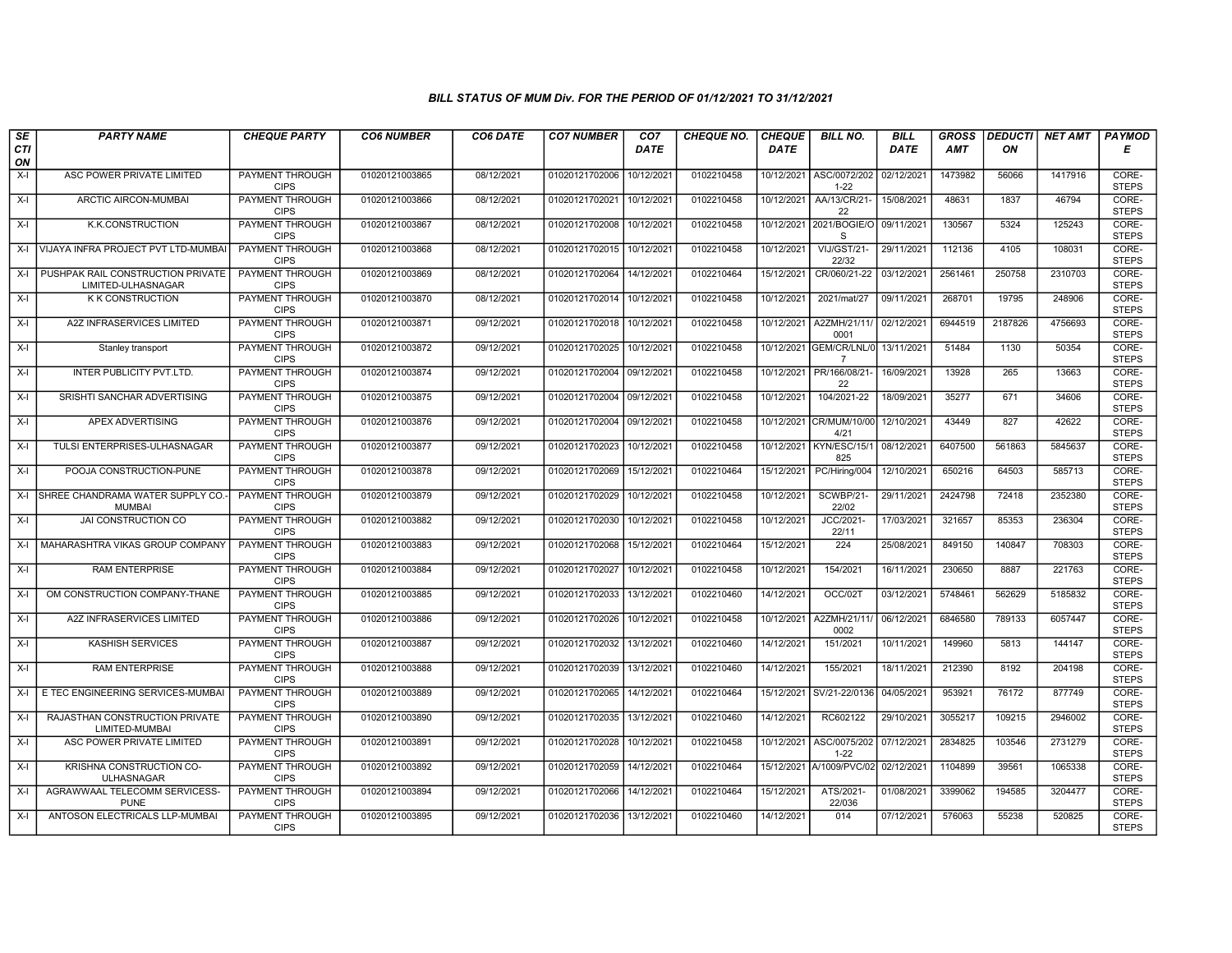| SE        | <b>PARTY NAME</b>                                       | <b>CHEQUE PARTY</b>                   | <b>CO6 NUMBER</b> | CO6 DATE   | <b>CO7 NUMBER</b>         | CO <sub>7</sub> | <b>CHEQUE NO.</b> | <b>CHEQUE</b> | <b>BILL NO.</b>                     | <b>BILL</b> | <b>GROSS</b> |         | <b>DEDUCTI NET AMT</b> | <b>PAYMOD</b>         |
|-----------|---------------------------------------------------------|---------------------------------------|-------------------|------------|---------------------------|-----------------|-------------------|---------------|-------------------------------------|-------------|--------------|---------|------------------------|-----------------------|
| CTI<br>ON |                                                         |                                       |                   |            |                           | <b>DATE</b>     |                   | <b>DATE</b>   |                                     | DATE        | AMT          | ON      |                        | Е                     |
| $X-I$     | ASC POWER PRIVATE LIMITED                               | <b>PAYMENT THROUGH</b><br><b>CIPS</b> | 01020121003865    | 08/12/2021 | 01020121702006            | 10/12/2021      | 0102210458        | 10/12/2021    | ASC/0072/202<br>$1 - 22$            | 02/12/2021  | 1473982      | 56066   | 1417916                | CORE-<br><b>STEPS</b> |
| $X-I$     | ARCTIC AIRCON-MUMBAI                                    | <b>PAYMENT THROUGH</b><br><b>CIPS</b> | 01020121003866    | 08/12/2021 | 01020121702021 10/12/2021 |                 | 0102210458        | 10/12/2021    | AA/13/CR/21-<br>22                  | 15/08/2021  | 48631        | 1837    | 46794                  | CORE-<br><b>STEPS</b> |
| X-I       | K.K.CONSTRUCTION                                        | PAYMENT THROUGH<br><b>CIPS</b>        | 01020121003867    | 08/12/2021 | 01020121702008            | 10/12/2021      | 0102210458        | 10/12/2021    | 2021/BOGIE/O 09/11/2021<br>S        |             | 130567       | 5324    | 125243                 | CORE-<br><b>STEPS</b> |
| X-I       | VIJAYA INFRA PROJECT PVT LTD-MUMBAI                     | <b>PAYMENT THROUGH</b><br><b>CIPS</b> | 01020121003868    | 08/12/2021 | 01020121702015 10/12/2021 |                 | 0102210458        | 10/12/2021    | <b>VIJ/GST/21-</b><br>22/32         | 29/11/2021  | 112136       | 4105    | 108031                 | CORE-<br><b>STEPS</b> |
| $X-I$     | PUSHPAK RAIL CONSTRUCTION PRIVATE<br>LIMITED-ULHASNAGAR | <b>PAYMENT THROUGH</b><br><b>CIPS</b> | 01020121003869    | 08/12/2021 | 01020121702064 14/12/2021 |                 | 0102210464        | 15/12/2021    | CR/060/21-22                        | 03/12/2021  | 2561461      | 250758  | 2310703                | CORE-<br><b>STEPS</b> |
| $X-I$     | <b>K K CONSTRUCTION</b>                                 | <b>PAYMENT THROUGH</b><br><b>CIPS</b> | 01020121003870    | 08/12/2021 | 01020121702014            | 10/12/2021      | 0102210458        | 10/12/2021    | 2021/mat/27                         | 09/11/2021  | 268701       | 19795   | 248906                 | CORE-<br><b>STEPS</b> |
| $X-I$     | A2Z INFRASERVICES LIMITED                               | PAYMENT THROUGH<br><b>CIPS</b>        | 01020121003871    | 09/12/2021 | 01020121702018 10/12/2021 |                 | 0102210458        | 10/12/2021    | A2ZMH/21/11/<br>0001                | 02/12/2021  | 6944519      | 2187826 | 4756693                | CORE-<br><b>STEPS</b> |
| $X-I$     | Stanley transport                                       | <b>PAYMENT THROUGH</b><br><b>CIPS</b> | 01020121003872    | 09/12/2021 | 01020121702025 10/12/2021 |                 | 0102210458        | 10/12/2021    | GEM/CR/LNL/0 13/11/2021             |             | 51484        | 1130    | 50354                  | CORE-<br><b>STEPS</b> |
| $X-I$     | INTER PUBLICITY PVT.LTD.                                | <b>PAYMENT THROUGH</b><br><b>CIPS</b> | 01020121003874    | 09/12/2021 | 01020121702004 09/12/2021 |                 | 0102210458        | 10/12/2021    | PR/166/08/21<br>22                  | 16/09/2021  | 13928        | 265     | 13663                  | CORE-<br><b>STEPS</b> |
| X-I       | SRISHTI SANCHAR ADVERTISING                             | <b>PAYMENT THROUGH</b><br><b>CIPS</b> | 01020121003875    | 09/12/2021 | 01020121702004 09/12/2021 |                 | 0102210458        | 10/12/2021    | 104/2021-22                         | 18/09/2021  | 35277        | 671     | 34606                  | CORE-<br><b>STEPS</b> |
| $X-I$     | APEX ADVERTISING                                        | PAYMENT THROUGH<br><b>CIPS</b>        | 01020121003876    | 09/12/2021 | 01020121702004 09/12/2021 |                 | 0102210458        |               | 10/12/2021 CR/MUM/10/00<br>4/21     | 12/10/2021  | 43449        | 827     | 42622                  | CORE-<br><b>STEPS</b> |
| X-I       | TULSI ENTERPRISES-ULHASNAGAR                            | PAYMENT THROUGH<br><b>CIPS</b>        | 01020121003877    | 09/12/2021 | 01020121702023            | 10/12/2021      | 0102210458        | 10/12/2021    | KYN/ESC/15/1<br>825                 | 08/12/2021  | 6407500      | 561863  | 5845637                | CORE-<br><b>STEPS</b> |
| $X-I$     | POOJA CONSTRUCTION-PUNE                                 | <b>PAYMENT THROUGH</b><br><b>CIPS</b> | 01020121003878    | 09/12/2021 | 01020121702069            | 15/12/2021      | 0102210464        | 15/12/2021    | PC/Hiring/004                       | 12/10/2021  | 650216       | 64503   | 585713                 | CORE-<br><b>STEPS</b> |
|           | X-I SHREE CHANDRAMA WATER SUPPLY CO.<br><b>MUMBAI</b>   | <b>PAYMENT THROUGH</b><br><b>CIPS</b> | 01020121003879    | 09/12/2021 | 01020121702029            | 10/12/2021      | 0102210458        | 10/12/2021    | SCWBP/21-<br>22/02                  | 29/11/2021  | 2424798      | 72418   | 2352380                | CORE-<br><b>STEPS</b> |
| $X-I$     | JAI CONSTRUCTION CO                                     | <b>PAYMENT THROUGH</b><br><b>CIPS</b> | 01020121003882    | 09/12/2021 | 01020121702030            | 10/12/2021      | 0102210458        | 10/12/2021    | JCC/2021-<br>22/11                  | 17/03/2021  | 321657       | 85353   | 236304                 | CORE-<br><b>STEPS</b> |
| $X-I$     | MAHARASHTRA VIKAS GROUP COMPANY                         | PAYMENT THROUGH<br><b>CIPS</b>        | 01020121003883    | 09/12/2021 | 01020121702068            | 15/12/2021      | 0102210464        | 15/12/2021    | 224                                 | 25/08/2021  | 849150       | 140847  | 708303                 | CORE-<br><b>STEPS</b> |
| X-I       | <b>RAM ENTERPRISE</b>                                   | <b>PAYMENT THROUGH</b><br><b>CIPS</b> | 01020121003884    | 09/12/2021 | 01020121702027            | 10/12/2021      | 0102210458        | 10/12/2021    | 154/2021                            | 16/11/2021  | 230650       | 8887    | 221763                 | CORE-<br><b>STEPS</b> |
| $X-I$     | OM CONSTRUCTION COMPANY-THANE                           | <b>PAYMENT THROUGH</b><br><b>CIPS</b> | 01020121003885    | 09/12/2021 | 01020121702033            | 13/12/2021      | 0102210460        | 14/12/2021    | OCC/02T                             | 03/12/2021  | 5748461      | 562629  | 5185832                | CORE-<br><b>STEPS</b> |
| X-I       | A2Z INFRASERVICES LIMITED                               | <b>PAYMENT THROUGH</b><br><b>CIPS</b> | 01020121003886    | 09/12/2021 | 01020121702026            | 10/12/2021      | 0102210458        |               | 10/12/2021 A2ZMH/21/11/<br>0002     | 06/12/2021  | 6846580      | 789133  | 6057447                | CORE-<br><b>STEPS</b> |
| $X-I$     | <b>KASHISH SERVICES</b>                                 | <b>PAYMENT THROUGH</b><br><b>CIPS</b> | 01020121003887    | 09/12/2021 | 01020121702032            | 13/12/2021      | 0102210460        | 14/12/2021    | 151/2021                            | 10/11/2021  | 149960       | 5813    | 144147                 | CORE-<br><b>STEPS</b> |
| X-I       | <b>RAM ENTERPRISE</b>                                   | <b>PAYMENT THROUGH</b><br><b>CIPS</b> | 01020121003888    | 09/12/2021 | 01020121702039            | 13/12/2021      | 0102210460        | 14/12/2021    | 155/2021                            | 18/11/2021  | 212390       | 8192    | 204198                 | CORE-<br><b>STEPS</b> |
| X-I       | E TEC ENGINEERING SERVICES-MUMBA                        | <b>PAYMENT THROUGH</b><br><b>CIPS</b> | 01020121003889    | 09/12/2021 | 01020121702065 14/12/2021 |                 | 0102210464        | 15/12/2021    | SV/21-22/0136                       | 04/05/2021  | 953921       | 76172   | 877749                 | CORE-<br><b>STEPS</b> |
| $X-I$     | RAJASTHAN CONSTRUCTION PRIVATE<br>LIMITED-MUMBAI        | PAYMENT THROUGH<br><b>CIPS</b>        | 01020121003890    | 09/12/2021 | 01020121702035            | 13/12/2021      | 0102210460        | 14/12/2021    | RC602122                            | 29/10/2021  | 3055217      | 109215  | 2946002                | CORE-<br><b>STEPS</b> |
| $X-I$     | ASC POWER PRIVATE LIMITED                               | PAYMENT THROUGH<br><b>CIPS</b>        | 01020121003891    | 09/12/2021 | 01020121702028            | 10/12/2021      | 0102210458        | 10/12/2021    | ASC/0075/202<br>$1 - 22$            | 07/12/2021  | 2834825      | 103546  | 2731279                | CORE-<br><b>STEPS</b> |
| $X-I$     | KRISHNA CONSTRUCTION CO-<br><b>ULHASNAGAR</b>           | PAYMENT THROUGH<br><b>CIPS</b>        | 01020121003892    | 09/12/2021 | 01020121702059            | 14/12/2021      | 0102210464        |               | 15/12/2021 A/1009/PVC/02 02/12/2021 |             | 1104899      | 39561   | 1065338                | CORE-<br><b>STEPS</b> |
| $X-I$     | AGRAWWAAL TELECOMM SERVICESS-<br><b>PUNE</b>            | <b>PAYMENT THROUGH</b><br><b>CIPS</b> | 01020121003894    | 09/12/2021 | 01020121702066 14/12/2021 |                 | 0102210464        | 15/12/2021    | ATS/2021-<br>22/036                 | 01/08/2021  | 3399062      | 194585  | 3204477                | CORE-<br><b>STEPS</b> |
| X-I       | ANTOSON ELECTRICALS LLP-MUMBAI                          | PAYMENT THROUGH<br><b>CIPS</b>        | 01020121003895    | 09/12/2021 | 01020121702036 13/12/2021 |                 | 0102210460        | 14/12/2021    | 014                                 | 07/12/2021  | 576063       | 55238   | 520825                 | CORE-<br><b>STEPS</b> |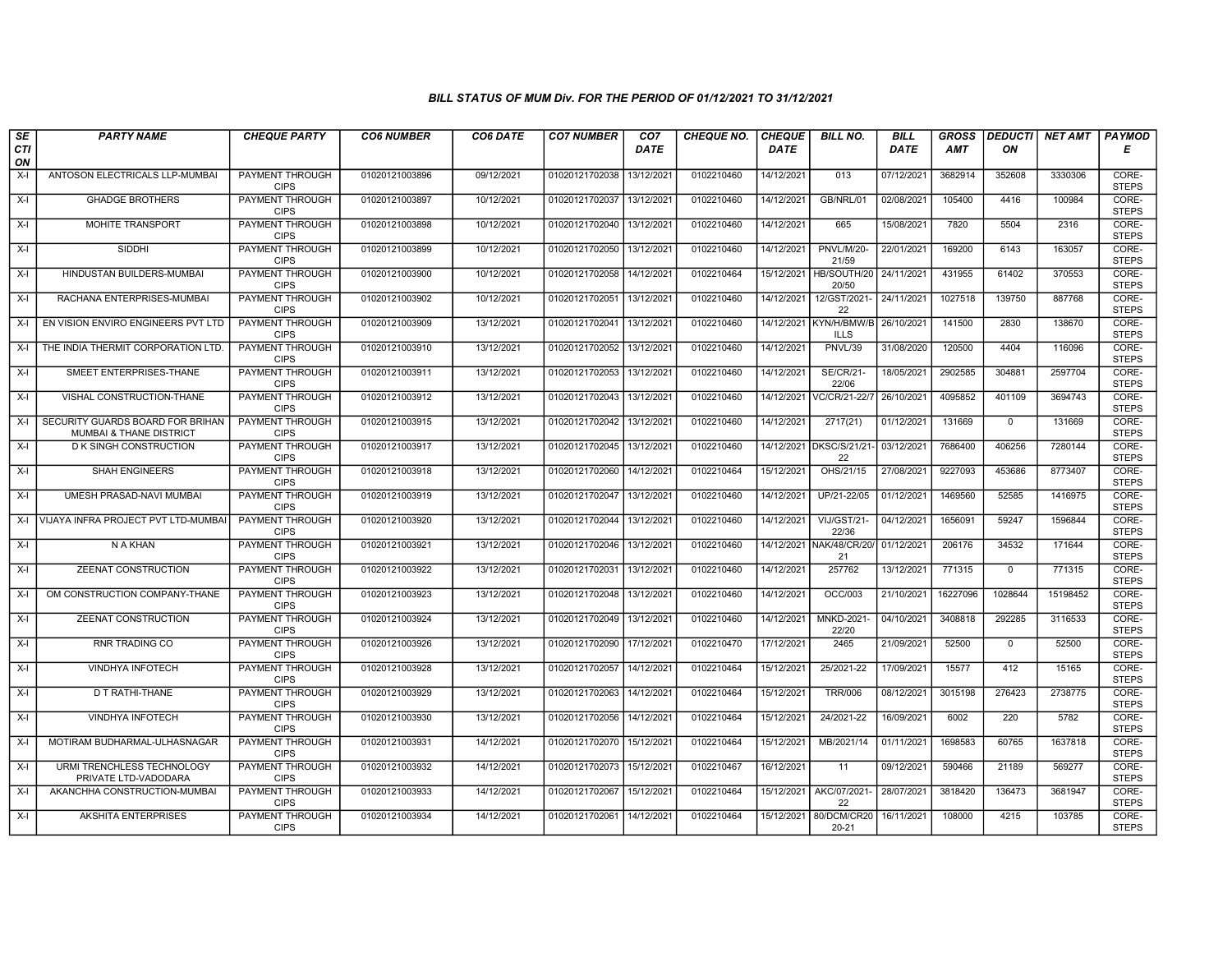| SE<br>CTI      | <b>PARTY NAME</b>                                                      | <b>CHEQUE PARTY</b>                                             | <b>CO6 NUMBER</b>                | CO6 DATE                 | <b>CO7 NUMBER</b>                | CO <sub>7</sub><br><b>DATE</b> | <b>CHEQUE NO.</b>        | <b>CHEQUE</b><br><b>DATE</b> | <b>BILL NO.</b>                       | <b>BILL</b><br><b>DATE</b> | <b>GROSS</b><br>AMT | ON            | <b>DEDUCTI</b> NET AMT | <b>PAYMOD</b><br>Е             |
|----------------|------------------------------------------------------------------------|-----------------------------------------------------------------|----------------------------------|--------------------------|----------------------------------|--------------------------------|--------------------------|------------------------------|---------------------------------------|----------------------------|---------------------|---------------|------------------------|--------------------------------|
| ON<br>$X-I$    | ANTOSON ELECTRICALS LLP-MUMBAI                                         | PAYMENT THROUGH<br><b>CIPS</b>                                  | 01020121003896                   | 09/12/2021               | 01020121702038                   | 13/12/2021                     | 0102210460               | 14/12/2021                   | 013                                   | 07/12/2021                 | 3682914             | 352608        | 3330306                | CORE-<br><b>STEPS</b>          |
| $X-I$          | <b>GHADGE BROTHERS</b>                                                 | <b>PAYMENT THROUGH</b><br><b>CIPS</b>                           | 01020121003897                   | 10/12/2021               | 01020121702037 13/12/2021        |                                | 0102210460               | 14/12/2021                   | GB/NRL/01                             | 02/08/2021                 | 105400              | 4416          | 100984                 | CORE-<br><b>STEPS</b>          |
| $X-I$          | <b>MOHITE TRANSPORT</b>                                                | PAYMENT THROUGH<br><b>CIPS</b>                                  | 01020121003898                   | 10/12/2021               | 01020121702040 13/12/2021        |                                | 0102210460               | 14/12/2021                   | 665                                   | 15/08/2021                 | 7820                | 5504          | 2316                   | CORE-<br><b>STEPS</b>          |
| $X-I$          | SIDDHI                                                                 | PAYMENT THROUGH<br><b>CIPS</b>                                  | 01020121003899                   | 10/12/2021               | 01020121702050                   | 13/12/2021                     | 0102210460               | 14/12/2021                   | <b>PNVL/M/20-</b><br>21/59            | 22/01/2021                 | 169200              | 6143          | 163057                 | CORE-<br><b>STEPS</b>          |
| $X-I$          | HINDUSTAN BUILDERS-MUMBAI                                              | <b>PAYMENT THROUGH</b><br><b>CIPS</b>                           | 01020121003900                   | 10/12/2021               | 01020121702058 14/12/2021        |                                | 0102210464               | 15/12/2021                   | HB/SOUTH/20<br>20/50                  | 24/11/2021                 | 431955              | 61402         | 370553                 | CORE-<br><b>STEPS</b>          |
| $X-I$          | RACHANA ENTERPRISES-MUMBAI                                             | <b>PAYMENT THROUGH</b><br><b>CIPS</b>                           | 01020121003902                   | 10/12/2021               | 01020121702051                   | 13/12/2021                     | 0102210460               | 14/12/2021                   | 12/GST/2021-<br>22                    | 24/11/2021                 | 1027518             | 139750        | 887768                 | CORE-<br><b>STEPS</b>          |
| $X-I$          | EN VISION ENVIRO ENGINEERS PVT LTD                                     | PAYMENT THROUGH<br><b>CIPS</b>                                  | 01020121003909                   | 13/12/2021               | 01020121702041                   | 13/12/2021                     | 0102210460               |                              | 14/12/2021 KYN/H/BMW/B<br><b>ILLS</b> | 26/10/2021                 | 141500              | 2830          | 138670                 | CORE-<br><b>STEPS</b>          |
| $X-I$          | THE INDIA THERMIT CORPORATION LTD.                                     | PAYMENT THROUGH<br><b>CIPS</b>                                  | 01020121003910                   | 13/12/2021               | 01020121702052                   | 13/12/2021                     | 0102210460               | 14/12/2021                   | PNVL/39                               | 31/08/2020                 | 120500              | 4404          | 116096                 | CORE-<br><b>STEPS</b>          |
| $X-I$          | SMEET ENTERPRISES-THANE                                                | <b>PAYMENT THROUGH</b><br><b>CIPS</b>                           | 01020121003911                   | 13/12/2021               | 01020121702053 13/12/2021        |                                | 0102210460               | 14/12/2021                   | <b>SE/CR/21-</b><br>22/06             | 18/05/2021                 | 2902585             | 304881        | 2597704                | CORE-<br><b>STEPS</b>          |
| $X-I$          | VISHAL CONSTRUCTION-THANE                                              | <b>PAYMENT THROUGH</b><br><b>CIPS</b>                           | 01020121003912                   | 13/12/2021               | 01020121702043                   | 13/12/2021                     | 0102210460               | 14/12/2021                   | VC/CR/21-22/7                         | 26/10/2021                 | 4095852             | 401109        | 3694743                | CORE-<br><b>STEPS</b>          |
| X-I            | SECURITY GUARDS BOARD FOR BRIHAN<br><b>MUMBAI &amp; THANE DISTRICT</b> | PAYMENT THROUGH<br><b>CIPS</b>                                  | 01020121003915                   | 13/12/2021               | 01020121702042                   | 13/12/2021                     | 0102210460               | 14/12/2021                   | 2717(21)                              | 01/12/2021                 | 131669              | $\mathbf 0$   | 131669                 | CORE-<br><b>STEPS</b>          |
| $X-I$          | <b>D K SINGH CONSTRUCTION</b>                                          | PAYMENT THROUGH<br><b>CIPS</b>                                  | 01020121003917                   | 13/12/2021               | 01020121702045 13/12/2021        |                                | 0102210460               | 14/12/2021                   | DKSC/S/21/21-<br>22                   | 03/12/2021                 | 7686400             | 406256        | 7280144                | CORE-<br><b>STEPS</b>          |
| $X-I$          | <b>SHAH ENGINEERS</b>                                                  | <b>PAYMENT THROUGH</b><br><b>CIPS</b>                           | 01020121003918                   | 13/12/2021               | 01020121702060 14/12/2021        |                                | 0102210464               | 15/12/2021                   | OHS/21/15                             | 27/08/2021                 | 9227093             | 453686        | 8773407                | CORE-<br><b>STEPS</b>          |
| $X-I$          | UMESH PRASAD-NAVI MUMBAI                                               | <b>PAYMENT THROUGH</b><br><b>CIPS</b>                           | 01020121003919                   | 13/12/2021               | 01020121702047                   | 13/12/2021                     | 0102210460               | 14/12/2021                   | UP/21-22/05                           | 01/12/2021                 | 1469560             | 52585         | 1416975                | CORE-<br><b>STEPS</b>          |
|                | X-I VIJAYA INFRA PROJECT PVT LTD-MUMBAI                                | PAYMENT THROUGH<br><b>CIPS</b>                                  | 01020121003920                   | 13/12/2021               | 01020121702044                   | 13/12/2021                     | 0102210460               | 14/12/2021                   | VIJ/GST/21-<br>22/36                  | 04/12/2021                 | 1656091             | 59247         | 1596844                | CORE-<br><b>STEPS</b>          |
| X-I            | N A KHAN                                                               | PAYMENT THROUGH<br><b>CIPS</b>                                  | 01020121003921                   | 13/12/2021               | 01020121702046                   | 13/12/2021                     | 0102210460               |                              | 14/12/2021 NAK/48/CR/20/<br>21        | 01/12/2021                 | 206176              | 34532         | 171644                 | CORE-<br><b>STEPS</b>          |
| $X-I$          | <b>ZEENAT CONSTRUCTION</b>                                             | PAYMENT THROUGH<br><b>CIPS</b>                                  | 01020121003922                   | 13/12/2021               | 01020121702031                   | 13/12/2021                     | 0102210460               | 14/12/2021                   | 257762                                | 13/12/2021                 | 771315              | $\mathbf{0}$  | 771315                 | CORE-<br><b>STEPS</b>          |
| X-I            | OM CONSTRUCTION COMPANY-THANE                                          | <b>PAYMENT THROUGH</b><br><b>CIPS</b>                           | 01020121003923                   | 13/12/2021               | 01020121702048 13/12/2021        |                                | 0102210460               | 14/12/2021                   | OCC/003                               | 21/10/2021                 | 16227096            | 1028644       | 15198452               | CORE-<br><b>STEPS</b>          |
| $X-I$          | <b>ZEENAT CONSTRUCTION</b>                                             | PAYMENT THROUGH<br><b>CIPS</b>                                  | 01020121003924                   | 13/12/2021               | 01020121702049                   | 13/12/2021                     | 0102210460               | 14/12/2021                   | MNKD-2021-<br>22/20                   | 04/10/2021                 | 3408818             | 292285        | 3116533                | CORE-<br><b>STEPS</b>          |
| $X-I$          | RNR TRADING CO                                                         | <b>PAYMENT THROUGH</b><br><b>CIPS</b><br><b>PAYMENT THROUGH</b> | 01020121003926                   | 13/12/2021               | 01020121702090                   | 17/12/2021                     | 0102210470               | 17/12/2021                   | 2465                                  | 21/09/2021                 | 52500               | $\mathbf{0}$  | 52500                  | CORE-<br><b>STEPS</b>          |
| $X-I$<br>$X-I$ | <b>VINDHYA INFOTECH</b><br><b>D T RATHI-THANE</b>                      | <b>CIPS</b><br>PAYMENT THROUGH                                  | 01020121003928<br>01020121003929 | 13/12/2021<br>13/12/2021 | 01020121702057<br>01020121702063 | 14/12/2021<br>14/12/2021       | 0102210464<br>0102210464 | 15/12/2021<br>15/12/2021     | 25/2021-22<br><b>TRR/006</b>          | 17/09/2021<br>08/12/2021   | 15577<br>3015198    | 412<br>276423 | 15165<br>2738775       | CORE-<br><b>STEPS</b><br>CORE- |
|                |                                                                        | <b>CIPS</b><br>PAYMENT THROUGH                                  |                                  | 13/12/2021               |                                  |                                |                          |                              |                                       |                            |                     |               |                        | <b>STEPS</b><br>CORE-          |
| X-I<br>$X-I$   | VINDHYA INFOTECH<br>MOTIRAM BUDHARMAL-ULHASNAGAR                       | <b>CIPS</b><br>PAYMENT THROUGH                                  | 01020121003930                   |                          | 01020121702056                   | 14/12/2021<br>15/12/2021       | 0102210464<br>0102210464 | 15/12/2021<br>15/12/2021     | 24/2021-22                            | 16/09/2021                 | 6002                | 220<br>60765  | 5782<br>1637818        | <b>STEPS</b><br>CORE-          |
| $X-I$          | URMI TRENCHLESS TECHNOLOGY                                             | <b>CIPS</b><br><b>PAYMENT THROUGH</b>                           | 01020121003931<br>01020121003932 | 14/12/2021<br>14/12/2021 | 01020121702070<br>01020121702073 | 15/12/2021                     | 0102210467               | 16/12/2021                   | MB/2021/14<br>11                      | 01/11/2021<br>09/12/2021   | 1698583<br>590466   | 21189         | 569277                 | <b>STEPS</b><br>CORE-          |
|                | PRIVATE LTD-VADODARA                                                   | <b>CIPS</b><br><b>PAYMENT THROUGH</b>                           |                                  |                          |                                  |                                |                          |                              |                                       |                            |                     | 136473        | 3681947                | <b>STEPS</b><br>CORE-          |
| X-I            | AKANCHHA CONSTRUCTION-MUMBAI                                           | <b>CIPS</b>                                                     | 01020121003933                   | 14/12/2021               | 01020121702067                   | 15/12/2021                     | 0102210464               |                              | 15/12/2021 AKC/07/2021-<br>22         | 28/07/2021                 | 3818420             |               |                        | <b>STEPS</b><br>CORE-          |
| $X-I$          | AKSHITA ENTERPRISES                                                    | PAYMENT THROUGH<br><b>CIPS</b>                                  | 01020121003934                   | 14/12/2021               | 01020121702061                   | 14/12/2021                     | 0102210464               |                              | 15/12/2021 80/DCM/CR20<br>20-21       | 16/11/2021                 | 108000              | 4215          | 103785                 | <b>STEPS</b>                   |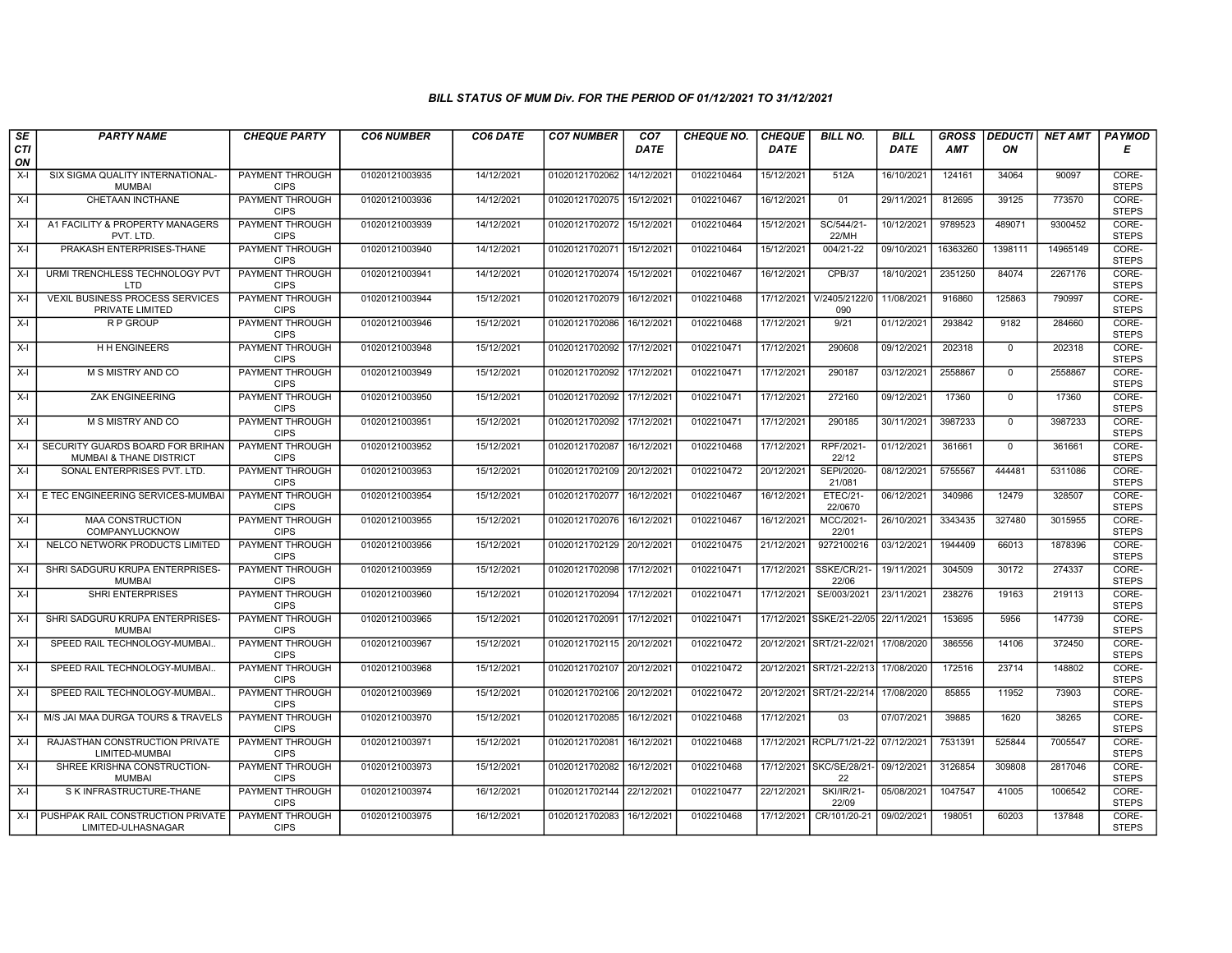| SE        | <b>PARTY NAME</b>                                                      | <b>CHEQUE PARTY</b>                   | <b>CO6 NUMBER</b> | CO6 DATE   | <b>CO7 NUMBER</b>         | CO <sub>7</sub>        | <b>CHEQUE NO.</b> | <b>CHEQUE</b> | <b>BILL NO.</b>                | <b>BILL</b> | <b>GROSS</b> |                | DEDUCTI NET AMT | <b>PAYMOD</b>         |
|-----------|------------------------------------------------------------------------|---------------------------------------|-------------------|------------|---------------------------|------------------------|-------------------|---------------|--------------------------------|-------------|--------------|----------------|-----------------|-----------------------|
| CTI<br>ON |                                                                        |                                       |                   |            |                           | <b>DATE</b>            |                   | <b>DATE</b>   |                                | <b>DATE</b> | <b>AMT</b>   | ON             |                 | Е                     |
| $X-I$     | SIX SIGMA QUALITY INTERNATIONAL-<br><b>MUMBAI</b>                      | <b>PAYMENT THROUGH</b><br><b>CIPS</b> | 01020121003935    | 14/12/2021 | 01020121702062            | 14/12/2021             | 0102210464        | 15/12/2021    | 512A                           | 16/10/2021  | 124161       | 34064          | 90097           | CORE-<br><b>STEPS</b> |
| $X-I$     | CHETAAN INCTHANE                                                       | <b>PAYMENT THROUGH</b><br><b>CIPS</b> | 01020121003936    | 14/12/2021 | 01020121702075 15/12/2021 |                        | 0102210467        | 16/12/2021    | 01                             | 29/11/2021  | 812695       | 39125          | 773570          | CORE-<br><b>STEPS</b> |
| $X-I$     | A1 FACILITY & PROPERTY MANAGERS<br>PVT. LTD                            | PAYMENT THROUGH<br><b>CIPS</b>        | 01020121003939    | 14/12/2021 | 01020121702072            | 15/12/2021             | 0102210464        | 15/12/2021    | SC/544/21-<br>22/MH            | 10/12/2021  | 9789523      | 489071         | 9300452         | CORE-<br><b>STEPS</b> |
| $X-I$     | PRAKASH ENTERPRISES-THANE                                              | PAYMENT THROUGH<br><b>CIPS</b>        | 01020121003940    | 14/12/2021 | 01020121702071            | 15/12/2021             | 0102210464        | 15/12/2021    | 004/21-22                      | 09/10/2021  | 16363260     | 1398111        | 14965149        | CORE-<br><b>STEPS</b> |
| $X-I$     | URMI TRENCHLESS TECHNOLOGY PVT<br>LTD                                  | <b>PAYMENT THROUGH</b><br><b>CIPS</b> | 01020121003941    | 14/12/2021 | 01020121702074            | 15/12/2021             | 0102210467        | 16/12/2021    | CPB/37                         | 18/10/2021  | 2351250      | 84074          | 2267176         | CORE-<br><b>STEPS</b> |
| $X-I$     | <b>VEXIL BUSINESS PROCESS SERVICES</b><br>PRIVATE LIMITED              | <b>PAYMENT THROUGH</b><br><b>CIPS</b> | 01020121003944    | 15/12/2021 | 01020121702079            | 16/12/2021             | 0102210468        | 17/12/2021    | V/2405/2122/0<br>090           | 11/08/2021  | 916860       | 125863         | 790997          | CORE-<br><b>STEPS</b> |
| $X-I$     | R P GROUP                                                              | PAYMENT THROUGH<br><b>CIPS</b>        | 01020121003946    | 15/12/2021 | 01020121702086            | 16/12/2021             | 0102210468        | 17/12/2021    | 9/21                           | 01/12/2021  | 293842       | 9182           | 284660          | CORE-<br><b>STEPS</b> |
| $X-I$     | <b>HH ENGINEERS</b>                                                    | <b>PAYMENT THROUGH</b><br><b>CIPS</b> | 01020121003948    | 15/12/2021 | 01020121702092 17/12/2021 |                        | 0102210471        | 17/12/2021    | 290608                         | 09/12/2021  | 202318       | $\overline{0}$ | 202318          | CORE-<br><b>STEPS</b> |
| $X-I$     | M S MISTRY AND CO                                                      | <b>PAYMENT THROUGH</b><br><b>CIPS</b> | 01020121003949    | 15/12/2021 | 01020121702092 17/12/2021 |                        | 0102210471        | 17/12/2021    | 290187                         | 03/12/2021  | 2558867      | $\mathbf{0}$   | 2558867         | CORE-<br><b>STEPS</b> |
| $X-I$     | <b>ZAK ENGINEERING</b>                                                 | <b>PAYMENT THROUGH</b><br><b>CIPS</b> | 01020121003950    | 15/12/2021 | 01020121702092 17/12/2021 |                        | 0102210471        | 17/12/2021    | 272160                         | 09/12/2021  | 17360        | $\mathbf 0$    | 17360           | CORE-<br><b>STEPS</b> |
| $X-I$     | M S MISTRY AND CO                                                      | PAYMENT THROUGH<br><b>CIPS</b>        | 01020121003951    | 15/12/2021 | 01020121702092 17/12/2021 |                        | 0102210471        | 17/12/2021    | 290185                         | 30/11/2021  | 3987233      | $\mathbf 0$    | 3987233         | CORE-<br><b>STEPS</b> |
| $X-I$     | SECURITY GUARDS BOARD FOR BRIHAN<br><b>MUMBAI &amp; THANE DISTRICT</b> | PAYMENT THROUGH<br><b>CIPS</b>        | 01020121003952    | 15/12/2021 | 01020121702087            | 16/12/2021             | 0102210468        | 17/12/2021    | RPF/2021<br>22/12              | 01/12/2021  | 361661       | $^{\circ}$     | 361661          | CORE-<br><b>STEPS</b> |
| $X-I$     | SONAL ENTERPRISES PVT. LTD.                                            | <b>PAYMENT THROUGH</b><br><b>CIPS</b> | 01020121003953    | 15/12/2021 | 01020121702109 20/12/2021 |                        | 0102210472        | 20/12/2021    | SEPI/2020-<br>21/081           | 08/12/2021  | 5755567      | 444481         | 5311086         | CORE-<br><b>STEPS</b> |
| $X-I$     | E TEC ENGINEERING SERVICES-MUMBAI                                      | <b>PAYMENT THROUGH</b><br><b>CIPS</b> | 01020121003954    | 15/12/2021 | 01020121702077            | 16/12/2021             | 0102210467        | 16/12/2021    | <b>ETEC/21-</b><br>22/0670     | 06/12/2021  | 340986       | 12479          | 328507          | CORE-<br><b>STEPS</b> |
| $X-I$     | <b>MAA CONSTRUCTION</b><br>COMPANYLUCKNOW                              | PAYMENT THROUGH<br><b>CIPS</b>        | 01020121003955    | 15/12/2021 | 01020121702076            | 16/12/2021             | 0102210467        | 16/12/2021    | MCC/2021-<br>22/01             | 26/10/2021  | 3343435      | 327480         | 3015955         | CORE-<br><b>STEPS</b> |
| $X-I$     | NELCO NETWORK PRODUCTS LIMITED                                         | PAYMENT THROUGH<br><b>CIPS</b>        | 01020121003956    | 15/12/2021 | 01020121702129            | 20/12/2021             | 0102210475        | 21/12/2021    | 9272100216                     | 03/12/2021  | 1944409      | 66013          | 1878396         | CORE-<br><b>STEPS</b> |
| $X-I$     | SHRI SADGURU KRUPA ENTERPRISES-<br><b>MUMBAI</b>                       | <b>PAYMENT THROUGH</b><br><b>CIPS</b> | 01020121003959    | 15/12/2021 | 01020121702098 17/12/2021 |                        | 0102210471        | 17/12/2021    | SSKE/CR/21<br>22/06            | 19/11/2021  | 304509       | 30172          | 274337          | CORE-<br><b>STEPS</b> |
| $X-I$     | <b>SHRI ENTERPRISES</b>                                                | <b>PAYMENT THROUGH</b><br><b>CIPS</b> | 01020121003960    | 15/12/2021 | 01020121702094            | 17/12/202 <sup>-</sup> | 0102210471        | 17/12/2021    | SE/003/2021                    | 23/11/2021  | 238276       | 19163          | 219113          | CORE-<br><b>STEPS</b> |
| $X-I$     | SHRI SADGURU KRUPA ENTERPRISES-<br><b>MUMBAI</b>                       | PAYMENT THROUGH<br><b>CIPS</b>        | 01020121003965    | 15/12/2021 | 01020121702091            | 17/12/2021             | 0102210471        |               | 17/12/2021 SSKE/21-22/05       | 22/11/2021  | 153695       | 5956           | 147739          | CORE-<br><b>STEPS</b> |
| $X-I$     | SPEED RAIL TECHNOLOGY-MUMBAI.                                          | PAYMENT THROUGH<br><b>CIPS</b>        | 01020121003967    | 15/12/2021 | 01020121702115 20/12/2021 |                        | 0102210472        |               | 20/12/2021 SRT/21-22/021       | 17/08/2020  | 386556       | 14106          | 372450          | CORE-<br><b>STEPS</b> |
| $X-I$     | SPEED RAIL TECHNOLOGY-MUMBAI.                                          | PAYMENT THROUGH<br><b>CIPS</b>        | 01020121003968    | 15/12/2021 | 01020121702107            | 20/12/2021             | 0102210472        |               | 20/12/2021 SRT/21-22/213       | 17/08/2020  | 172516       | 23714          | 148802          | CORE-<br><b>STEPS</b> |
| $X-I$     | SPEED RAIL TECHNOLOGY-MUMBAI.                                          | <b>PAYMENT THROUGH</b><br><b>CIPS</b> | 01020121003969    | 15/12/2021 | 01020121702106 20/12/2021 |                        | 0102210472        |               | 20/12/2021 SRT/21-22/214       | 17/08/2020  | 85855        | 11952          | 73903           | CORE-<br><b>STEPS</b> |
| $X-I$     | M/S JAI MAA DURGA TOURS & TRAVELS                                      | PAYMENT THROUGH<br><b>CIPS</b>        | 01020121003970    | 15/12/2021 | 01020121702085            | 16/12/2021             | 0102210468        | 17/12/2021    | 03                             | 07/07/2021  | 39885        | 1620           | 38265           | CORE-<br><b>STEPS</b> |
| $X-I$     | RAJASTHAN CONSTRUCTION PRIVATE<br>LIMITED-MUMBAI                       | PAYMENT THROUGH<br><b>CIPS</b>        | 01020121003971    | 15/12/2021 | 01020121702081            | 16/12/2021             | 0102210468        |               | 17/12/2021 RCPL/71/21-22       | 07/12/2021  | 7531391      | 525844         | 7005547         | CORE-<br><b>STEPS</b> |
| $X-I$     | SHREE KRISHNA CONSTRUCTION-<br><b>MUMBAI</b>                           | PAYMENT THROUGH<br><b>CIPS</b>        | 01020121003973    | 15/12/2021 | 01020121702082            | 16/12/2021             | 0102210468        |               | 17/12/2021 SKC/SE/28/21-<br>22 | 09/12/2021  | 3126854      | 309808         | 2817046         | CORE-<br><b>STEPS</b> |
| $X-I$     | S K INFRASTRUCTURE-THANE                                               | <b>PAYMENT THROUGH</b><br><b>CIPS</b> | 01020121003974    | 16/12/2021 | 01020121702144 22/12/2021 |                        | 0102210477        | 22/12/2021    | <b>SKI/IR/21-</b><br>22/09     | 05/08/2021  | 1047547      | 41005          | 1006542         | CORE-<br><b>STEPS</b> |
|           | X-I   PUSHPAK RAIL CONSTRUCTION PRIVATE<br>LIMITED-ULHASNAGAR          | PAYMENT THROUGH<br><b>CIPS</b>        | 01020121003975    | 16/12/2021 | 01020121702083 16/12/2021 |                        | 0102210468        | 17/12/2021    | CR/101/20-21                   | 09/02/2021  | 198051       | 60203          | 137848          | CORE-<br><b>STEPS</b> |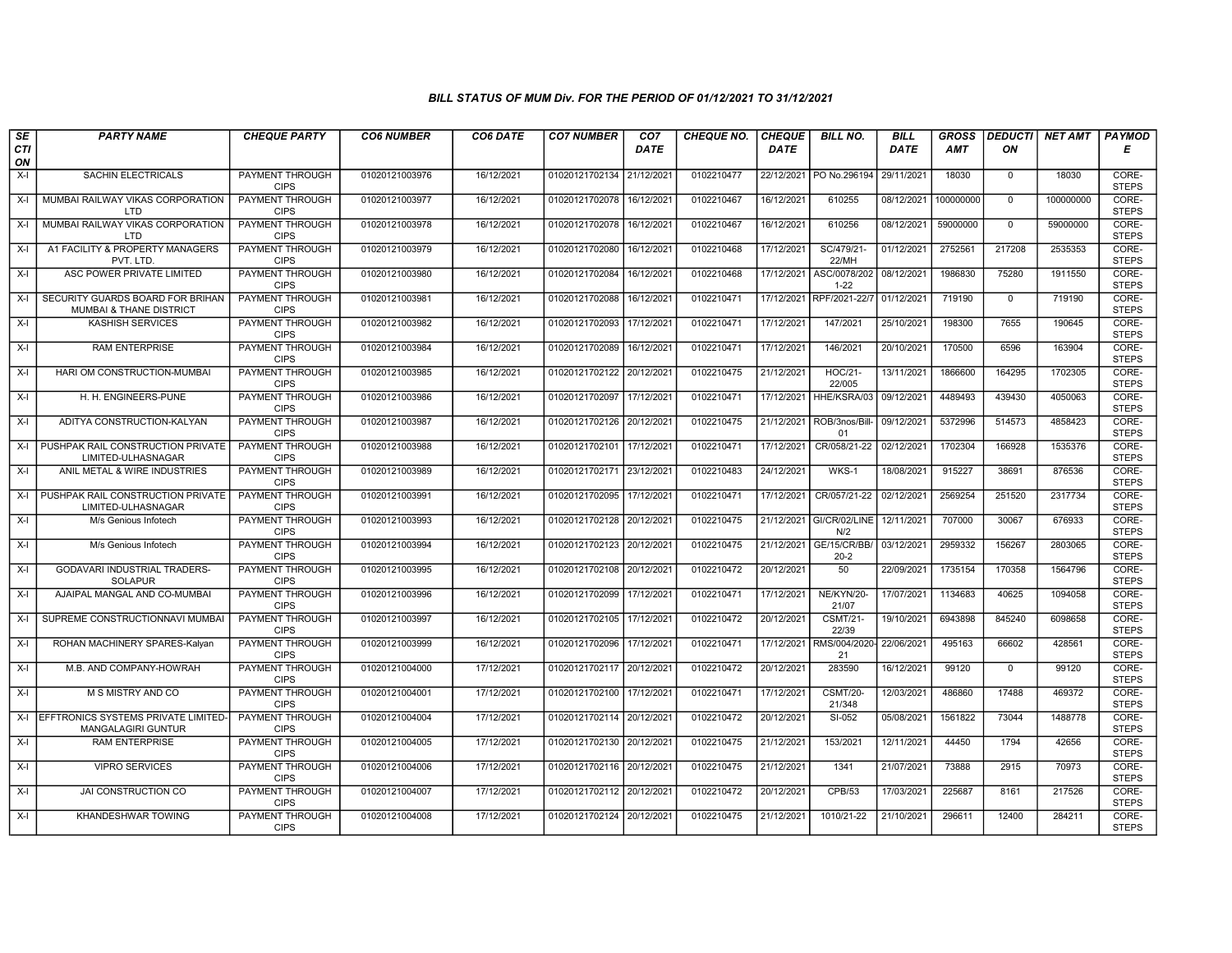| SE        | <b>PARTY NAME</b>                                               | <b>CHEQUE PARTY</b>                                      | <b>CO6 NUMBER</b>                | CO6 DATE                 | <b>CO7 NUMBER</b>                                      | CO <sub>7</sub> | <b>CHEQUE NO.</b>        | <b>CHEQUE</b>            | <b>BILL NO.</b>                 | <b>BILL</b>              | <b>GROSS</b>     |                      | <b>DEDUCTI NET AMT</b> | <b>PAYMOD</b>                  |
|-----------|-----------------------------------------------------------------|----------------------------------------------------------|----------------------------------|--------------------------|--------------------------------------------------------|-----------------|--------------------------|--------------------------|---------------------------------|--------------------------|------------------|----------------------|------------------------|--------------------------------|
| CTI<br>ON |                                                                 |                                                          |                                  |                          |                                                        | <b>DATE</b>     |                          | <b>DATE</b>              |                                 | <b>DATE</b>              | AMT              | ON                   |                        | Е                              |
| $X-I$     | SACHIN ELECTRICALS                                              | PAYMENT THROUGH<br><b>CIPS</b>                           | 01020121003976                   | 16/12/2021               | 01020121702134 21/12/2021                              |                 | 0102210477               |                          | 22/12/2021   PO No.296194       | 29/11/2021               | 18030            | $\mathbf{0}$         | 18030                  | CORE-<br><b>STEPS</b>          |
| $X-I$     | MUMBAI RAILWAY VIKAS CORPORATION<br>LTD                         | <b>PAYMENT THROUGH</b><br><b>CIPS</b>                    | 01020121003977                   | 16/12/2021               | 01020121702078 16/12/2021                              |                 | 0102210467               | 16/12/2021               | 610255                          | 08/12/2021               | 100000000        | $\Omega$             | 100000000              | CORE-<br><b>STEPS</b>          |
| X-I       | MUMBAI RAILWAY VIKAS CORPORATION<br>LTD                         | PAYMENT THROUGH<br><b>CIPS</b>                           | 01020121003978                   | 16/12/2021               | 01020121702078 16/12/2021                              |                 | 0102210467               | 16/12/2021               | 610256                          | 08/12/2021               | 59000000         | $\mathbf 0$          | 59000000               | CORE-<br><b>STEPS</b>          |
| $X-I$     | A1 FACILITY & PROPERTY MANAGERS<br>PVT. LTD.                    | PAYMENT THROUGH<br><b>CIPS</b>                           | 01020121003979                   | 16/12/2021               | 01020121702080                                         | 16/12/2021      | 0102210468               | 17/12/2021               | SC/479/21-<br>22/MH             | 01/12/2021               | 2752561          | 217208               | 2535353                | CORE-<br><b>STEPS</b>          |
| $X-I$     | ASC POWER PRIVATE LIMITED                                       | <b>PAYMENT THROUGH</b><br><b>CIPS</b>                    | 01020121003980                   | 16/12/2021               | 01020121702084                                         | 16/12/2021      | 0102210468               | 17/12/2021               | ASC/0078/202<br>$1 - 22$        | 08/12/2021               | 1986830          | 75280                | 1911550                | CORE-<br><b>STEPS</b>          |
| X-I       | SECURITY GUARDS BOARD FOR BRIHAN<br>MUMBAI & THANE DISTRICT     | <b>PAYMENT THROUGH</b><br><b>CIPS</b>                    | 01020121003981                   | 16/12/2021               | 01020121702088                                         | 16/12/2021      | 0102210471               | 17/12/2021               | RPF/2021-22/7                   | 01/12/2021               | 719190           | $\mathbf{0}$         | 719190                 | CORE-<br><b>STEPS</b>          |
| $X-I$     | <b>KASHISH SERVICES</b>                                         | <b>PAYMENT THROUGH</b><br><b>CIPS</b>                    | 01020121003982                   | 16/12/2021               | 01020121702093 17/12/2021                              |                 | 0102210471               | 17/12/2021               | 147/2021                        | 25/10/2021               | 198300           | 7655                 | 190645                 | CORE-<br><b>STEPS</b>          |
| X-I       | <b>RAM ENTERPRISE</b>                                           | PAYMENT THROUGH<br><b>CIPS</b>                           | 01020121003984                   | 16/12/2021               | 01020121702089 16/12/2021                              |                 | 0102210471               | 17/12/2021               | 146/2021                        | 20/10/2021               | 170500           | 6596                 | 163904                 | CORE-<br><b>STEPS</b>          |
| $X-I$     | HARI OM CONSTRUCTION-MUMBAI                                     | <b>PAYMENT THROUGH</b><br><b>CIPS</b>                    | 01020121003985                   | 16/12/2021               | 01020121702122 20/12/2021                              |                 | 0102210475               | 21/12/2021               | <b>HOC/21-</b><br>22/005        | 13/11/2021               | 1866600          | 164295               | 1702305                | CORE-<br><b>STEPS</b>          |
| $X-I$     | H. H. ENGINEERS-PUNE                                            | <b>PAYMENT THROUGH</b><br><b>CIPS</b>                    | 01020121003986                   | 16/12/2021               | 01020121702097 17/12/2021                              |                 | 0102210471               | 17/12/2021               | HHE/KSRA/03                     | 09/12/2021               | 4489493          | 439430               | 4050063                | CORE-<br><b>STEPS</b>          |
| $X-I$     | ADITYA CONSTRUCTION-KALYAN                                      | PAYMENT THROUGH<br><b>CIPS</b>                           | 01020121003987                   | 16/12/2021               | 01020121702126 20/12/2021                              |                 | 0102210475               | 21/12/2021               | ROB/3nos/Bill-<br>01            | 09/12/2021               | 5372996          | 514573               | 4858423                | CORE-<br><b>STEPS</b>          |
| $X-I$     | PUSHPAK RAIL CONSTRUCTION PRIVATE<br>LIMITED-ULHASNAGAR         | <b>PAYMENT THROUGH</b><br><b>CIPS</b>                    | 01020121003988                   | 16/12/2021               | 01020121702101 17/12/2021                              |                 | 0102210471               | 17/12/2021               | CR/058/21-22                    | 02/12/2021               | 1702304          | 166928               | 1535376                | CORE-<br><b>STEPS</b>          |
| X-I       | ANIL METAL & WIRE INDUSTRIES                                    | <b>PAYMENT THROUGH</b><br><b>CIPS</b>                    | 01020121003989                   | 16/12/2021               | 01020121702171 23/12/2021                              |                 | 0102210483               | 24/12/2021               | WKS-1                           | 18/08/2021               | 915227           | 38691                | 876536                 | CORE-<br><b>STEPS</b>          |
| X-I       | PUSHPAK RAIL CONSTRUCTION PRIVATE<br>LIMITED-ULHASNAGAR         | <b>PAYMENT THROUGH</b><br><b>CIPS</b>                    | 01020121003991                   | 16/12/2021               | 01020121702095 17/12/2021                              |                 | 0102210471               | 17/12/2021               | CR/057/21-22                    | 02/12/2021               | 2569254          | 251520               | 2317734                | CORE-<br><b>STEPS</b>          |
| X-I       | M/s Genious Infotech                                            | <b>PAYMENT THROUGH</b><br><b>CIPS</b>                    | 01020121003993                   | 16/12/2021               | 01020121702128 20/12/2021                              |                 | 0102210475               |                          | 21/12/2021 GI/CR/02/LINE<br>N/2 | 12/11/2021               | 707000           | 30067                | 676933                 | CORE-<br><b>STEPS</b>          |
| $X-I$     | M/s Genious Infotech                                            | <b>PAYMENT THROUGH</b><br><b>CIPS</b>                    | 01020121003994                   | 16/12/2021               | 01020121702123 20/12/2021                              |                 | 0102210475               | 21/12/2021               | GE/15/CR/BB/<br>$20 - 2$        | 03/12/2021               | 2959332          | 156267               | 2803065                | CORE-<br><b>STEPS</b>          |
| $X-I$     | <b>GODAVARI INDUSTRIAL TRADERS-</b><br><b>SOLAPUR</b>           | <b>PAYMENT THROUGH</b><br><b>CIPS</b>                    | 01020121003995                   | 16/12/2021               | 01020121702108 20/12/2021                              |                 | 0102210472               | 20/12/2021               | 50                              | 22/09/2021               | 1735154          | 170358               | 1564796                | CORE-<br><b>STEPS</b>          |
| X-I       | AJAIPAL MANGAL AND CO-MUMBAI                                    | <b>PAYMENT THROUGH</b><br><b>CIPS</b>                    | 01020121003996                   | 16/12/2021               | 01020121702099 17/12/2021                              |                 | 0102210471               | 17/12/2021               | NE/KYN/20-<br>21/07             | 17/07/2021               | 1134683          | 40625                | 1094058                | CORE-<br><b>STEPS</b>          |
| $X-I$     | SUPREME CONSTRUCTIONNAVI MUMBA                                  | <b>PAYMENT THROUGH</b><br><b>CIPS</b>                    | 01020121003997                   | 16/12/2021               | 01020121702105 17/12/2021                              |                 | 0102210472               | 20/12/2021               | <b>CSMT/21-</b><br>22/39        | 19/10/2021               | 6943898          | 845240               | 6098658                | CORE-<br><b>STEPS</b>          |
| $X-I$     | ROHAN MACHINERY SPARES-Kalyan                                   | PAYMENT THROUGH<br><b>CIPS</b><br><b>PAYMENT THROUGH</b> | 01020121003999                   | 16/12/2021               | 01020121702096 17/12/2021                              |                 | 0102210471<br>0102210472 | 17/12/2021<br>20/12/2021 | RMS/004/2020-<br>21<br>283590   | 22/06/2021               | 495163<br>99120  | 66602                | 428561<br>99120        | CORE-<br><b>STEPS</b><br>CORE- |
| X-I       | M.B. AND COMPANY-HOWRAH<br>M S MISTRY AND CO                    | <b>CIPS</b><br><b>PAYMENT THROUGH</b>                    | 01020121004000<br>01020121004001 | 17/12/2021<br>17/12/2021 | 01020121702117 20/12/2021<br>01020121702100 17/12/2021 |                 | 0102210471               | 17/12/2021               | <b>CSMT/20-</b>                 | 16/12/2021<br>12/03/2021 | 486860           | $\mathbf 0$<br>17488 | 469372                 | <b>STEPS</b><br>CORE-          |
| X-I       |                                                                 | <b>CIPS</b>                                              |                                  |                          |                                                        |                 |                          |                          | 21/348                          |                          |                  |                      |                        | <b>STEPS</b>                   |
| X-I       | EFFTRONICS SYSTEMS PRIVATE LIMITED<br><b>MANGALAGIRI GUNTUR</b> | PAYMENT THROUGH<br><b>CIPS</b><br>PAYMENT THROUGH        | 01020121004004                   | 17/12/2021<br>17/12/2021 | 01020121702114 20/12/2021                              |                 | 0102210472               | 20/12/2021               | SI-052<br>153/2021              | 05/08/2021               | 1561822<br>44450 | 73044                | 1488778                | CORE-<br><b>STEPS</b><br>CORE- |
| $X-I$     | <b>RAM ENTERPRISE</b>                                           | <b>CIPS</b>                                              | 01020121004005                   |                          | 01020121702130 20/12/2021                              |                 | 0102210475               | 21/12/2021               |                                 | 12/11/2021               |                  | 1794                 | 42656                  | <b>STEPS</b>                   |
| $X-I$     | <b>VIPRO SERVICES</b>                                           | PAYMENT THROUGH<br><b>CIPS</b>                           | 01020121004006                   | 17/12/2021               | 01020121702116 20/12/2021                              |                 | 0102210475               | 21/12/2021               | 1341                            | 21/07/2021               | 73888            | 2915                 | 70973                  | CORE-<br><b>STEPS</b>          |
| $X-I$     | JAI CONSTRUCTION CO                                             | <b>PAYMENT THROUGH</b><br><b>CIPS</b>                    | 01020121004007                   | 17/12/2021               | 01020121702112 20/12/2021                              |                 | 0102210472               | 20/12/2021               | <b>CPB/53</b>                   | 17/03/2021               | 225687           | 8161                 | 217526                 | CORE-<br><b>STEPS</b>          |
| X-I       | KHANDESHWAR TOWING                                              | <b>PAYMENT THROUGH</b><br><b>CIPS</b>                    | 01020121004008                   | 17/12/2021               | 01020121702124 20/12/2021                              |                 | 0102210475               | 21/12/2021               | 1010/21-22                      | 21/10/2021               | 296611           | 12400                | 284211                 | CORE-<br><b>STEPS</b>          |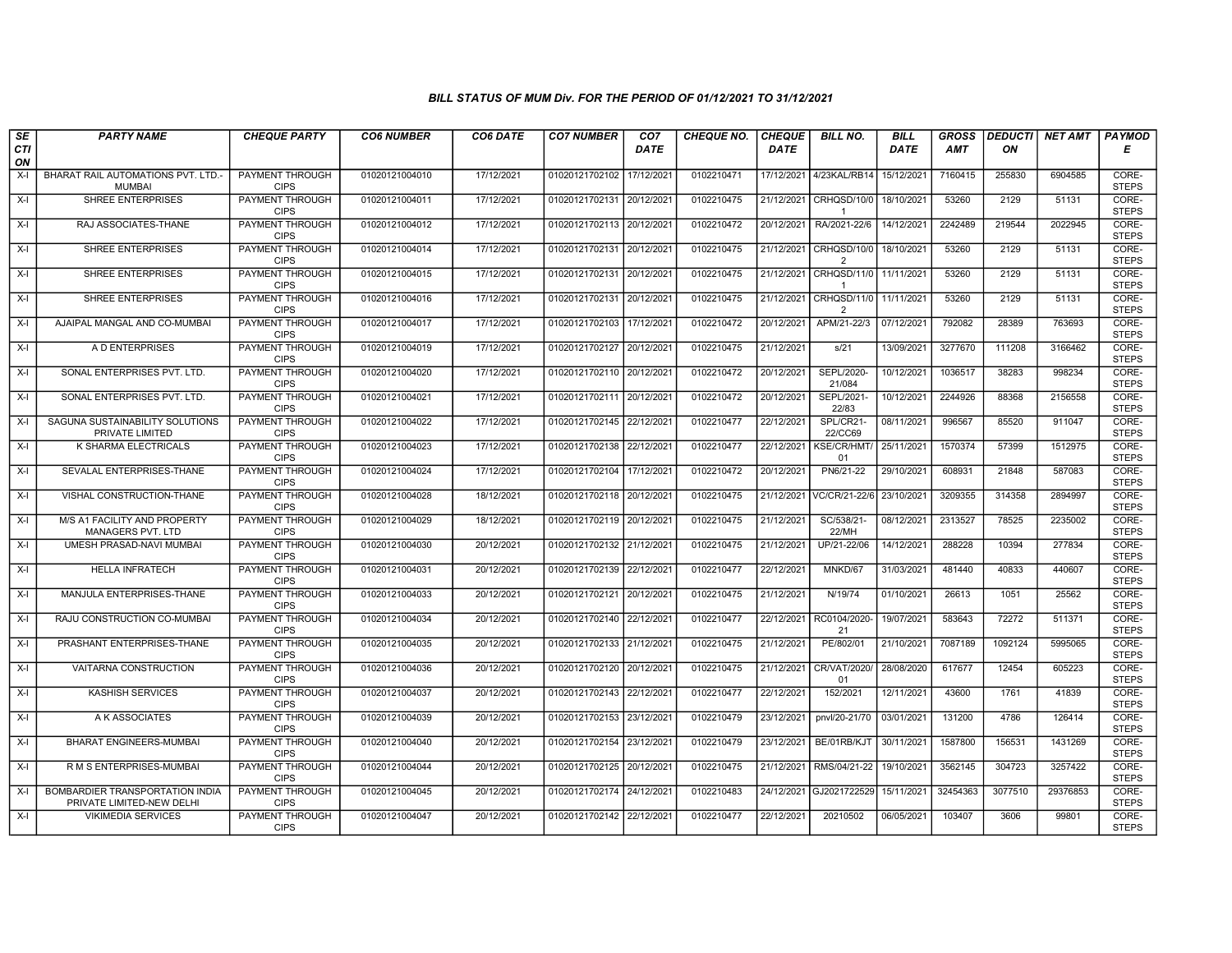| SE        | <b>PARTY NAME</b>                                            | <b>CHEQUE PARTY</b>                   | <b>CO6 NUMBER</b> | CO6 DATE   | <b>CO7 NUMBER</b>         | CO <sub>7</sub> | <b>CHEQUE NO.</b> | <b>CHEQUE</b> | <b>BILL NO.</b>               | <b>BILL</b> | <b>GROSS</b> |         | DEDUCTI NET AMT | <b>PAYMOD</b>         |
|-----------|--------------------------------------------------------------|---------------------------------------|-------------------|------------|---------------------------|-----------------|-------------------|---------------|-------------------------------|-------------|--------------|---------|-----------------|-----------------------|
| CTI<br>ON |                                                              |                                       |                   |            |                           | <b>DATE</b>     |                   | <b>DATE</b>   |                               | <b>DATE</b> | <b>AMT</b>   | ON      |                 | Е                     |
| $X-I$     | BHARAT RAIL AUTOMATIONS PVT. LTD.-<br><b>MUMBAI</b>          | PAYMENT THROUGH<br><b>CIPS</b>        | 01020121004010    | 17/12/2021 | 01020121702102            | 17/12/2021      | 0102210471        | 17/12/2021    | 4/23KAL/RB14                  | 15/12/2021  | 7160415      | 255830  | 6904585         | CORE-<br><b>STEPS</b> |
| $X-I$     | <b>SHREE ENTERPRISES</b>                                     | <b>PAYMENT THROUGH</b><br><b>CIPS</b> | 01020121004011    | 17/12/2021 | 01020121702131 20/12/2021 |                 | 0102210475        | 21/12/2021    | CRHQSD/10/0<br>-1             | 18/10/2021  | 53260        | 2129    | 51131           | CORE-<br><b>STEPS</b> |
| $X-I$     | RAJ ASSOCIATES-THANE                                         | PAYMENT THROUGH<br><b>CIPS</b>        | 01020121004012    | 17/12/2021 | 01020121702113 20/12/2021 |                 | 0102210472        | 20/12/2021    | RA/2021-22/6                  | 14/12/2021  | 2242489      | 219544  | 2022945         | CORE-<br><b>STEPS</b> |
| $X-I$     | SHREE ENTERPRISES                                            | PAYMENT THROUGH<br><b>CIPS</b>        | 01020121004014    | 17/12/2021 | 01020121702131            | 20/12/2021      | 0102210475        | 21/12/2021    | CRHQSD/10/0<br>$\overline{2}$ | 18/10/2021  | 53260        | 2129    | 51131           | CORE-<br><b>STEPS</b> |
| $X-I$     | <b>SHREE ENTERPRISES</b>                                     | <b>PAYMENT THROUGH</b><br><b>CIPS</b> | 01020121004015    | 17/12/2021 | 01020121702131            | 20/12/2021      | 0102210475        | 21/12/2021    | CRHQSD/11/0<br>$\overline{1}$ | 11/11/2021  | 53260        | 2129    | 51131           | CORE-<br><b>STEPS</b> |
| $X-I$     | <b>SHREE ENTERPRISES</b>                                     | <b>PAYMENT THROUGH</b><br><b>CIPS</b> | 01020121004016    | 17/12/2021 | 01020121702131 20/12/2021 |                 | 0102210475        | 21/12/2021    | CRHQSD/11/0<br>$\mathcal{P}$  | 11/11/2021  | 53260        | 2129    | 51131           | CORE-<br><b>STEPS</b> |
| $X-I$     | AJAIPAL MANGAL AND CO-MUMBAI                                 | PAYMENT THROUGH<br><b>CIPS</b>        | 01020121004017    | 17/12/2021 | 01020121702103 17/12/2021 |                 | 0102210472        | 20/12/2021    | APM/21-22/3                   | 07/12/2021  | 792082       | 28389   | 763693          | CORE-<br><b>STEPS</b> |
| $X-I$     | A D ENTERPRISES                                              | PAYMENT THROUGH<br><b>CIPS</b>        | 01020121004019    | 17/12/2021 | 01020121702127            | 20/12/2021      | 0102210475        | 21/12/2021    | s/21                          | 13/09/2021  | 3277670      | 111208  | 3166462         | CORE-<br><b>STEPS</b> |
| $X-I$     | SONAL ENTERPRISES PVT. LTD.                                  | <b>PAYMENT THROUGH</b><br><b>CIPS</b> | 01020121004020    | 17/12/2021 | 01020121702110 20/12/2021 |                 | 0102210472        | 20/12/2021    | SEPL/2020-<br>21/084          | 10/12/2021  | 1036517      | 38283   | 998234          | CORE-<br><b>STEPS</b> |
| $X-I$     | SONAL ENTERPRISES PVT. LTD.                                  | <b>PAYMENT THROUGH</b><br><b>CIPS</b> | 01020121004021    | 17/12/2021 | 01020121702111            | 20/12/2021      | 0102210472        | 20/12/2021    | SEPL/2021-<br>22/83           | 10/12/2021  | 2244926      | 88368   | 2156558         | CORE-<br><b>STEPS</b> |
| $X-I$     | SAGUNA SUSTAINABILITY SOLUTIONS<br>PRIVATE LIMITED           | PAYMENT THROUGH<br><b>CIPS</b>        | 01020121004022    | 17/12/2021 | 01020121702145            | 22/12/2021      | 0102210477        | 22/12/2021    | SPL/CR21-<br>22/CC69          | 08/11/2021  | 996567       | 85520   | 911047          | CORE-<br><b>STEPS</b> |
| $X-I$     | K SHARMA ELECTRICALS                                         | <b>PAYMENT THROUGH</b><br><b>CIPS</b> | 01020121004023    | 17/12/2021 | 01020121702138 22/12/2021 |                 | 0102210477        | 22/12/2021    | <b>KSE/CR/HMT/</b><br>01      | 25/11/2021  | 1570374      | 57399   | 1512975         | CORE-<br><b>STEPS</b> |
| $X-I$     | SEVALAL ENTERPRISES-THANE                                    | <b>PAYMENT THROUGH</b><br><b>CIPS</b> | 01020121004024    | 17/12/2021 | 01020121702104 17/12/2021 |                 | 0102210472        | 20/12/2021    | PN6/21-22                     | 29/10/2021  | 608931       | 21848   | 587083          | CORE-<br><b>STEPS</b> |
| $X-I$     | VISHAL CONSTRUCTION-THANE                                    | <b>PAYMENT THROUGH</b><br><b>CIPS</b> | 01020121004028    | 18/12/2021 | 01020121702118 20/12/2021 |                 | 0102210475        | 21/12/2021    | VC/CR/21-22/6                 | 23/10/2021  | 3209355      | 314358  | 2894997         | CORE-<br><b>STEPS</b> |
| $X-I$     | M/S A1 FACILITY AND PROPERTY<br><b>MANAGERS PVT. LTD</b>     | <b>PAYMENT THROUGH</b><br><b>CIPS</b> | 01020121004029    | 18/12/2021 | 01020121702119 20/12/2021 |                 | 0102210475        | 21/12/2021    | SC/538/21-<br>22/MH           | 08/12/2021  | 2313527      | 78525   | 2235002         | CORE-<br><b>STEPS</b> |
| $X-I$     | UMESH PRASAD-NAVI MUMBAI                                     | PAYMENT THROUGH<br><b>CIPS</b>        | 01020121004030    | 20/12/2021 | 01020121702132 21/12/2021 |                 | 0102210475        | 21/12/2021    | UP/21-22/06                   | 14/12/2021  | 288228       | 10394   | 277834          | CORE-<br><b>STEPS</b> |
| $X-I$     | <b>HELLA INFRATECH</b>                                       | PAYMENT THROUGH<br><b>CIPS</b>        | 01020121004031    | 20/12/2021 | 01020121702139            | 22/12/2021      | 0102210477        | 22/12/2021    | MNKD/67                       | 31/03/2021  | 481440       | 40833   | 440607          | CORE-<br><b>STEPS</b> |
| $X-I$     | MANJULA ENTERPRISES-THANE                                    | <b>PAYMENT THROUGH</b><br><b>CIPS</b> | 01020121004033    | 20/12/2021 | 01020121702121            | 20/12/2021      | 0102210475        | 21/12/2021    | N/19/74                       | 01/10/2021  | 26613        | 1051    | 25562           | CORE-<br><b>STEPS</b> |
| $X-I$     | RAJU CONSTRUCTION CO-MUMBAI                                  | <b>PAYMENT THROUGH</b><br><b>CIPS</b> | 01020121004034    | 20/12/2021 | 01020121702140            | 22/12/2021      | 0102210477        | 22/12/2021    | RC0104/2020<br>21             | 19/07/2021  | 583643       | 72272   | 511371          | CORE-<br><b>STEPS</b> |
| $X-I$     | PRASHANT ENTERPRISES-THANE                                   | PAYMENT THROUGH<br><b>CIPS</b>        | 01020121004035    | 20/12/2021 | 01020121702133 21/12/2021 |                 | 0102210475        | 21/12/2021    | PE/802/01                     | 21/10/2021  | 7087189      | 1092124 | 5995065         | CORE-<br><b>STEPS</b> |
| $X-I$     | VAITARNA CONSTRUCTION                                        | <b>PAYMENT THROUGH</b><br><b>CIPS</b> | 01020121004036    | 20/12/2021 | 01020121702120            | 20/12/2021      | 0102210475        | 21/12/2021    | CR/VAT/2020/<br>01            | 28/08/2020  | 617677       | 12454   | 605223          | CORE-<br><b>STEPS</b> |
| $X-I$     | <b>KASHISH SERVICES</b>                                      | <b>PAYMENT THROUGH</b><br><b>CIPS</b> | 01020121004037    | 20/12/2021 | 01020121702143 22/12/2021 |                 | 0102210477        | 22/12/2021    | 152/2021                      | 12/11/2021  | 43600        | 1761    | 41839           | CORE-<br><b>STEPS</b> |
| $X-I$     | A K ASSOCIATES                                               | PAYMENT THROUGH<br><b>CIPS</b>        | 01020121004039    | 20/12/2021 | 01020121702153            | 23/12/2021      | 0102210479        | 23/12/2021    | pnvl/20-21/70                 | 03/01/2021  | 131200       | 4786    | 126414          | CORE-<br><b>STEPS</b> |
| $X-I$     | <b>BHARAT ENGINEERS-MUMBAI</b>                               | PAYMENT THROUGH<br><b>CIPS</b>        | 01020121004040    | 20/12/2021 | 01020121702154            | 23/12/2021      | 0102210479        | 23/12/2021    | BE/01RB/KJ1                   | 30/11/2021  | 1587800      | 156531  | 1431269         | CORE-<br><b>STEPS</b> |
| $X-I$     | R M S ENTERPRISES-MUMBAI                                     | <b>PAYMENT THROUGH</b><br><b>CIPS</b> | 01020121004044    | 20/12/2021 | 01020121702125 20/12/2021 |                 | 0102210475        | 21/12/2021    | RMS/04/21-22                  | 19/10/2021  | 3562145      | 304723  | 3257422         | CORE-<br><b>STEPS</b> |
| $X-I$     | BOMBARDIER TRANSPORTATION INDIA<br>PRIVATE LIMITED-NEW DELHI | <b>PAYMENT THROUGH</b><br><b>CIPS</b> | 01020121004045    | 20/12/2021 | 01020121702174 24/12/2021 |                 | 0102210483        |               | 24/12/2021 GJ2021722529       | 15/11/2021  | 32454363     | 3077510 | 29376853        | CORE-<br><b>STEPS</b> |
| $X-I$     | <b>VIKIMEDIA SERVICES</b>                                    | <b>PAYMENT THROUGH</b><br><b>CIPS</b> | 01020121004047    | 20/12/2021 | 01020121702142 22/12/2021 |                 | 0102210477        | 22/12/2021    | 20210502                      | 06/05/2021  | 103407       | 3606    | 99801           | CORE-<br><b>STEPS</b> |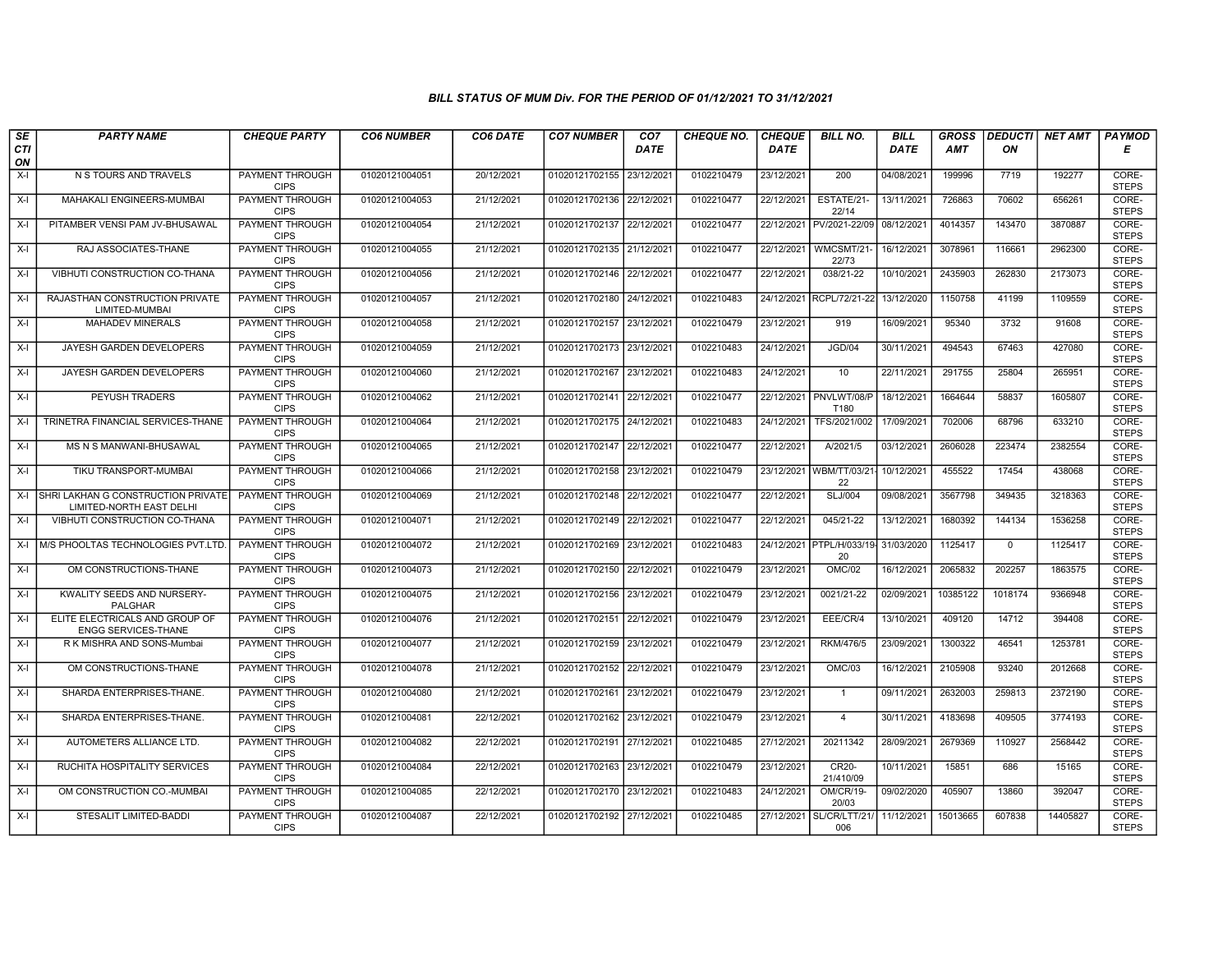| SE               | <b>PARTY NAME</b>                                               | <b>CHEQUE PARTY</b>                   | <b>CO6 NUMBER</b> | CO6 DATE   | <b>CO7 NUMBER</b>         | CO <sub>7</sub> | <b>CHEQUE NO.</b> | <b>CHEQUE</b> | <b>BILL NO.</b>                            | <b>BILL</b> | <b>GROSS</b> |             | <b>DEDUCTI NET AMT</b> | <b>PAYMOD</b>         |
|------------------|-----------------------------------------------------------------|---------------------------------------|-------------------|------------|---------------------------|-----------------|-------------------|---------------|--------------------------------------------|-------------|--------------|-------------|------------------------|-----------------------|
| <b>CTI</b><br>ON |                                                                 |                                       |                   |            |                           | <b>DATE</b>     |                   | <b>DATE</b>   |                                            | <b>DATE</b> | <b>AMT</b>   | ON          |                        | Е                     |
| $X-I$            | N S TOURS AND TRAVELS                                           | PAYMENT THROUGH<br><b>CIPS</b>        | 01020121004051    | 20/12/2021 | 01020121702155 23/12/2021 |                 | 0102210479        | 23/12/2021    | 200                                        | 04/08/2021  | 199996       | 7719        | 192277                 | CORE-<br><b>STEPS</b> |
| $X-I$            | MAHAKALI ENGINEERS-MUMBAI                                       | <b>PAYMENT THROUGH</b><br><b>CIPS</b> | 01020121004053    | 21/12/2021 | 01020121702136 22/12/2021 |                 | 0102210477        | 22/12/2021    | ESTATE/21-<br>22/14                        | 13/11/2021  | 726863       | 70602       | 656261                 | CORE-<br><b>STEPS</b> |
| X-I              | PITAMBER VENSI PAM JV-BHUSAWAL                                  | PAYMENT THROUGH<br><b>CIPS</b>        | 01020121004054    | 21/12/2021 | 01020121702137            | 22/12/2021      | 0102210477        | 22/12/2021    | PV/2021-22/09                              | 08/12/2021  | 4014357      | 143470      | 3870887                | CORE-<br><b>STEPS</b> |
| $X-I$            | RAJ ASSOCIATES-THANE                                            | PAYMENT THROUGH<br><b>CIPS</b>        | 01020121004055    | 21/12/2021 | 01020121702135 21/12/2021 |                 | 0102210477        | 22/12/2021    | WMCSMT/21<br>22/73                         | 16/12/2021  | 3078961      | 116661      | 2962300                | CORE-<br><b>STEPS</b> |
| $X-I$            | VIBHUTI CONSTRUCTION CO-THANA                                   | <b>PAYMENT THROUGH</b><br><b>CIPS</b> | 01020121004056    | 21/12/2021 | 01020121702146 22/12/2021 |                 | 0102210477        | 22/12/2021    | 038/21-22                                  | 10/10/2021  | 2435903      | 262830      | 2173073                | CORE-<br><b>STEPS</b> |
| X-I              | RAJASTHAN CONSTRUCTION PRIVATE<br>LIMITED-MUMBAI                | <b>PAYMENT THROUGH</b><br><b>CIPS</b> | 01020121004057    | 21/12/2021 | 01020121702180 24/12/2021 |                 | 0102210483        | 24/12/2021    | RCPL/72/21-22                              | 13/12/2020  | 1150758      | 41199       | 1109559                | CORE-<br><b>STEPS</b> |
| $X-I$            | <b>MAHADEV MINERALS</b>                                         | <b>PAYMENT THROUGH</b><br><b>CIPS</b> | 01020121004058    | 21/12/2021 | 01020121702157 23/12/2021 |                 | 0102210479        | 23/12/2021    | 919                                        | 16/09/2021  | 95340        | 3732        | 91608                  | CORE-<br><b>STEPS</b> |
| X-I              | JAYESH GARDEN DEVELOPERS                                        | PAYMENT THROUGH<br><b>CIPS</b>        | 01020121004059    | 21/12/2021 | 01020121702173 23/12/2021 |                 | 0102210483        | 24/12/2021    | JGD/04                                     | 30/11/2021  | 494543       | 67463       | 427080                 | CORE-<br><b>STEPS</b> |
| $X-I$            | JAYESH GARDEN DEVELOPERS                                        | <b>PAYMENT THROUGH</b><br><b>CIPS</b> | 01020121004060    | 21/12/2021 | 01020121702167 23/12/2021 |                 | 0102210483        | 24/12/2021    | 10                                         | 22/11/2021  | 291755       | 25804       | 265951                 | CORE-<br><b>STEPS</b> |
| $X-I$            | <b>PEYUSH TRADERS</b>                                           | <b>PAYMENT THROUGH</b><br><b>CIPS</b> | 01020121004062    | 21/12/2021 | 01020121702141 22/12/2021 |                 | 0102210477        |               | 22/12/2021 PNVLWT/08/P<br>T180             | 18/12/2021  | 1664644      | 58837       | 1605807                | CORE-<br><b>STEPS</b> |
| $X-I$            | TRINETRA FINANCIAL SERVICES-THANE                               | <b>PAYMENT THROUGH</b><br><b>CIPS</b> | 01020121004064    | 21/12/2021 | 01020121702175 24/12/2021 |                 | 0102210483        | 24/12/2021    | TFS/2021/002                               | 17/09/2021  | 702006       | 68796       | 633210                 | CORE-<br><b>STEPS</b> |
| $X-I$            | <b>MS N S MANWANI-BHUSAWAL</b>                                  | PAYMENT THROUGH<br><b>CIPS</b>        | 01020121004065    | 21/12/2021 | 01020121702147 22/12/2021 |                 | 0102210477        | 22/12/2021    | A/2021/5                                   | 03/12/2021  | 2606028      | 223474      | 2382554                | CORE-<br><b>STEPS</b> |
| X-I              | TIKU TRANSPORT-MUMBAI                                           | <b>PAYMENT THROUGH</b><br><b>CIPS</b> | 01020121004066    | 21/12/2021 | 01020121702158 23/12/2021 |                 | 0102210479        | 23/12/2021    | WBM/TT/03/21<br>22                         | 10/12/2021  | 455522       | 17454       | 438068                 | CORE-<br><b>STEPS</b> |
| X-I              | ISHRI LAKHAN G CONSTRUCTION PRIVATE<br>LIMITED-NORTH EAST DELHI | <b>PAYMENT THROUGH</b><br><b>CIPS</b> | 01020121004069    | 21/12/2021 | 01020121702148 22/12/2021 |                 | 0102210477        | 22/12/2021    | <b>SLJ/004</b>                             | 09/08/2021  | 3567798      | 349435      | 3218363                | CORE-<br><b>STEPS</b> |
| $X-I$            | VIBHUTI CONSTRUCTION CO-THANA                                   | PAYMENT THROUGH<br><b>CIPS</b>        | 01020121004071    | 21/12/2021 | 01020121702149 22/12/2021 |                 | 0102210477        | 22/12/2021    | 045/21-22                                  | 13/12/2021  | 1680392      | 144134      | 1536258                | CORE-<br><b>STEPS</b> |
| $X-I$            | M/S PHOOLTAS TECHNOLOGIES PVT.LTD                               | <b>PAYMENT THROUGH</b><br><b>CIPS</b> | 01020121004072    | 21/12/2021 | 01020121702169 23/12/2021 |                 | 0102210483        |               | 24/12/2021 PTPL/H/033/19- 31/03/2020<br>20 |             | 1125417      | $\mathbf 0$ | 1125417                | CORE-<br><b>STEPS</b> |
| $X-I$            | OM CONSTRUCTIONS-THANE                                          | <b>PAYMENT THROUGH</b><br><b>CIPS</b> | 01020121004073    | 21/12/2021 | 01020121702150 22/12/2021 |                 | 0102210479        | 23/12/2021    | OMC/02                                     | 16/12/2021  | 2065832      | 202257      | 1863575                | CORE-<br><b>STEPS</b> |
| X-I              | KWALITY SEEDS AND NURSERY-<br><b>PALGHAR</b>                    | <b>PAYMENT THROUGH</b><br><b>CIPS</b> | 01020121004075    | 21/12/2021 | 01020121702156 23/12/2021 |                 | 0102210479        | 23/12/2021    | 0021/21-22                                 | 02/09/2021  | 10385122     | 1018174     | 9366948                | CORE-<br><b>STEPS</b> |
| $X-I$            | ELITE ELECTRICALS AND GROUP OF<br><b>ENGG SERVICES-THANE</b>    | PAYMENT THROUGH<br><b>CIPS</b>        | 01020121004076    | 21/12/2021 | 01020121702151            | 22/12/2021      | 0102210479        | 23/12/2021    | EEE/CR/4                                   | 13/10/2021  | 409120       | 14712       | 394408                 | CORE-<br><b>STEPS</b> |
| X-I              | R K MISHRA AND SONS-Mumbai                                      | <b>PAYMENT THROUGH</b><br><b>CIPS</b> | 01020121004077    | 21/12/2021 | 01020121702159 23/12/2021 |                 | 0102210479        | 23/12/2021    | RKM/476/5                                  | 23/09/2021  | 1300322      | 46541       | 1253781                | CORE-<br><b>STEPS</b> |
| $X-I$            | OM CONSTRUCTIONS-THANE                                          | <b>PAYMENT THROUGH</b><br><b>CIPS</b> | 01020121004078    | 21/12/2021 | 01020121702152 22/12/2021 |                 | 0102210479        | 23/12/2021    | <b>OMC/03</b>                              | 16/12/2021  | 2105908      | 93240       | 2012668                | CORE-<br><b>STEPS</b> |
| $X-I$            | SHARDA ENTERPRISES-THANE.                                       | <b>PAYMENT THROUGH</b><br><b>CIPS</b> | 01020121004080    | 21/12/2021 | 01020121702161 23/12/2021 |                 | 0102210479        | 23/12/2021    | $\overline{1}$                             | 09/11/2021  | 2632003      | 259813      | 2372190                | CORE-<br><b>STEPS</b> |
| X-I              | SHARDA ENTERPRISES-THANE.                                       | PAYMENT THROUGH<br><b>CIPS</b>        | 01020121004081    | 22/12/2021 | 01020121702162 23/12/2021 |                 | 0102210479        | 23/12/2021    | $\overline{4}$                             | 30/11/2021  | 4183698      | 409505      | 3774193                | CORE-<br><b>STEPS</b> |
| $X-I$            | AUTOMETERS ALLIANCE LTD.                                        | PAYMENT THROUGH<br><b>CIPS</b>        | 01020121004082    | 22/12/2021 | 01020121702191 27/12/2021 |                 | 0102210485        | 27/12/2021    | 20211342                                   | 28/09/2021  | 2679369      | 110927      | 2568442                | CORE-<br><b>STEPS</b> |
| $X-I$            | RUCHITA HOSPITALITY SERVICES                                    | <b>PAYMENT THROUGH</b><br><b>CIPS</b> | 01020121004084    | 22/12/2021 | 01020121702163 23/12/2021 |                 | 0102210479        | 23/12/2021    | CR20-<br>21/410/09                         | 10/11/2021  | 15851        | 686         | 15165                  | CORE-<br><b>STEPS</b> |
| $X-I$            | OM CONSTRUCTION CO.-MUMBAI                                      | <b>PAYMENT THROUGH</b><br><b>CIPS</b> | 01020121004085    | 22/12/2021 | 01020121702170 23/12/2021 |                 | 0102210483        | 24/12/2021    | OM/CR/19-<br>20/03                         | 09/02/2020  | 405907       | 13860       | 392047                 | CORE-<br><b>STEPS</b> |
| X-I              | <b>STESALIT LIMITED-BADDI</b>                                   | <b>PAYMENT THROUGH</b><br><b>CIPS</b> | 01020121004087    | 22/12/2021 | 01020121702192 27/12/2021 |                 | 0102210485        | 27/12/2021    | SL/CR/LTT/21/<br>006                       | 11/12/2021  | 15013665     | 607838      | 14405827               | CORE-<br><b>STEPS</b> |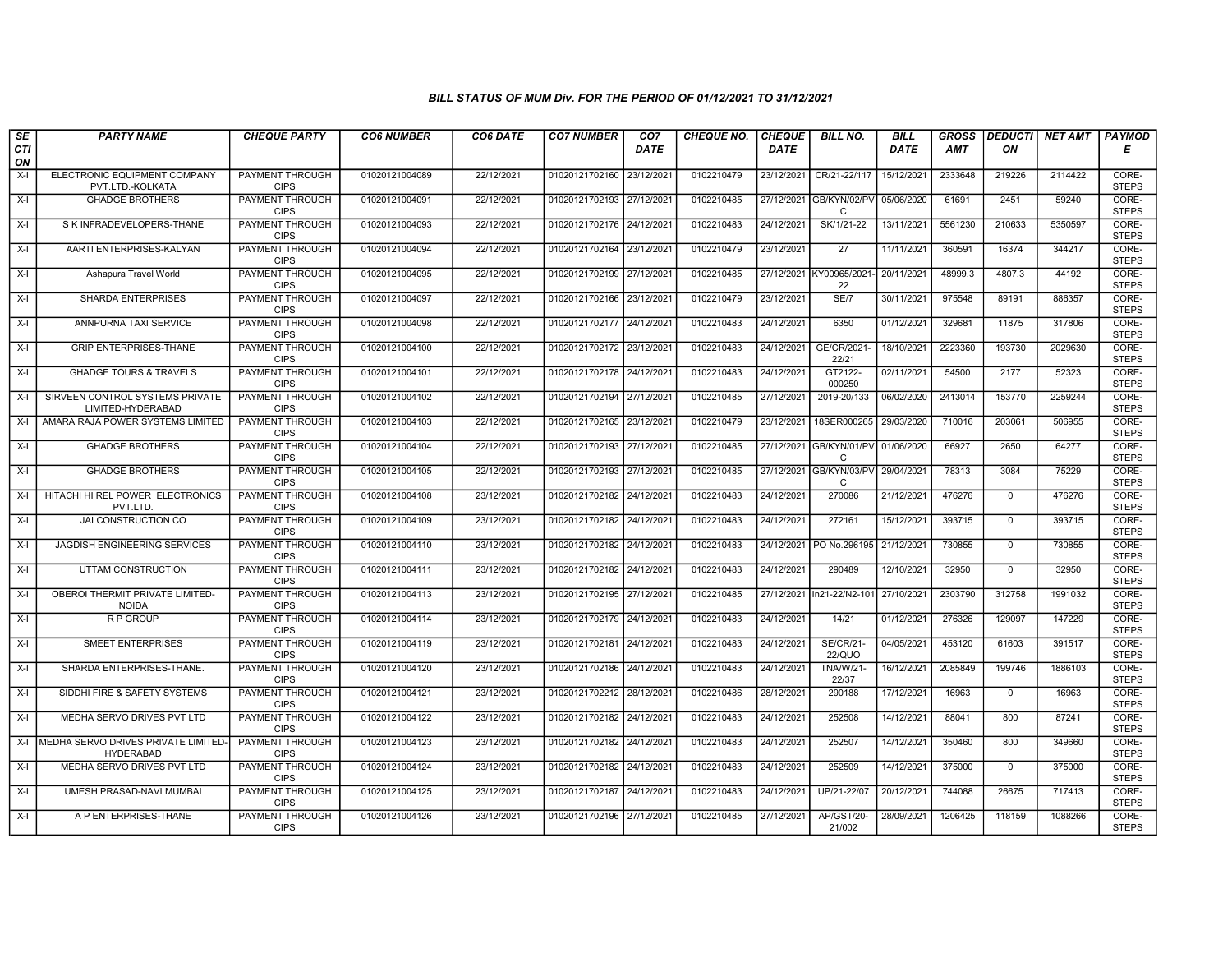| SE        | <b>PARTY NAME</b>                                          | <b>CHEQUE PARTY</b>                   | <b>CO6 NUMBER</b> | CO6 DATE   | <b>CO7 NUMBER</b>         | CO <sub>7</sub> | <b>CHEQUE NO.</b> | <b>CHEQUE</b> | <b>BILL NO.</b>                         | <b>BILL</b> | <b>GROSS</b> |                | DEDUCTI NET AMT | <b>PAYMOD</b>         |
|-----------|------------------------------------------------------------|---------------------------------------|-------------------|------------|---------------------------|-----------------|-------------------|---------------|-----------------------------------------|-------------|--------------|----------------|-----------------|-----------------------|
| CTI<br>ON |                                                            |                                       |                   |            |                           | <b>DATE</b>     |                   | <b>DATE</b>   |                                         | <b>DATE</b> | <b>AMT</b>   | ON             |                 | Е                     |
| X-I       | ELECTRONIC EQUIPMENT COMPANY<br>PVT.LTD.-KOLKATA           | PAYMENT THROUGH<br><b>CIPS</b>        | 01020121004089    | 22/12/2021 | 01020121702160            | 23/12/2021      | 0102210479        | 23/12/2021    | CR/21-22/117                            | 15/12/2021  | 2333648      | 219226         | 2114422         | CORE-<br><b>STEPS</b> |
| $X-I$     | <b>GHADGE BROTHERS</b>                                     | PAYMENT THROUGH<br><b>CIPS</b>        | 01020121004091    | 22/12/2021 | 01020121702193 27/12/2021 |                 | 0102210485        |               | 27/12/2021 GB/KYN/02/PV<br>$\mathsf{C}$ | 05/06/2020  | 61691        | 2451           | 59240           | CORE-<br><b>STEPS</b> |
| $X-I$     | S K INFRADEVELOPERS-THANE                                  | <b>PAYMENT THROUGH</b><br><b>CIPS</b> | 01020121004093    | 22/12/2021 | 01020121702176            | 24/12/2021      | 0102210483        | 24/12/2021    | SK/1/21-22                              | 13/11/2021  | 5561230      | 210633         | 5350597         | CORE-<br><b>STEPS</b> |
| $X-I$     | AARTI ENTERPRISES-KALYAN                                   | PAYMENT THROUGH<br><b>CIPS</b>        | 01020121004094    | 22/12/2021 | 01020121702164            | 23/12/2021      | 0102210479        | 23/12/2021    | 27                                      | 11/11/2021  | 360591       | 16374          | 344217          | CORE-<br><b>STEPS</b> |
| $X-I$     | Ashapura Travel World                                      | <b>PAYMENT THROUGH</b><br><b>CIPS</b> | 01020121004095    | 22/12/2021 | 01020121702199 27/12/2021 |                 | 0102210485        |               | 27/12/2021 KY00965/2021-<br>22          | 20/11/2021  | 48999.3      | 4807.3         | 44192           | CORE-<br><b>STEPS</b> |
| $X-I$     | <b>SHARDA ENTERPRISES</b>                                  | <b>PAYMENT THROUGH</b><br><b>CIPS</b> | 01020121004097    | 22/12/2021 | 01020121702166            | 23/12/2021      | 0102210479        | 23/12/2021    | SE/7                                    | 30/11/2021  | 975548       | 89191          | 886357          | CORE-<br><b>STEPS</b> |
| $X-I$     | ANNPURNA TAXI SERVICE                                      | PAYMENT THROUGH<br><b>CIPS</b>        | 01020121004098    | 22/12/2021 | 01020121702177 24/12/2021 |                 | 0102210483        | 24/12/2021    | 6350                                    | 01/12/2021  | 329681       | 11875          | 317806          | CORE-<br><b>STEPS</b> |
| X-I       | <b>GRIP ENTERPRISES-THANE</b>                              | PAYMENT THROUGH<br><b>CIPS</b>        | 01020121004100    | 22/12/2021 | 01020121702172            | 23/12/2021      | 0102210483        | 24/12/2021    | GE/CR/2021<br>22/21                     | 18/10/2021  | 2223360      | 193730         | 2029630         | CORE-<br><b>STEPS</b> |
| $X-I$     | <b>GHADGE TOURS &amp; TRAVELS</b>                          | PAYMENT THROUGH<br><b>CIPS</b>        | 01020121004101    | 22/12/2021 | 01020121702178 24/12/2021 |                 | 0102210483        | 24/12/2021    | GT2122-<br>000250                       | 02/11/2021  | 54500        | 2177           | 52323           | CORE-<br><b>STEPS</b> |
| X-I       | SIRVEEN CONTROL SYSTEMS PRIVATE<br>LIMITED-HYDERABAD       | <b>PAYMENT THROUGH</b><br><b>CIPS</b> | 01020121004102    | 22/12/2021 | 01020121702194 27/12/2021 |                 | 0102210485        | 27/12/2021    | 2019-20/133                             | 06/02/2020  | 2413014      | 153770         | 2259244         | CORE-<br><b>STEPS</b> |
| $X-I$     | AMARA RAJA POWER SYSTEMS LIMITED                           | PAYMENT THROUGH<br><b>CIPS</b>        | 01020121004103    | 22/12/2021 | 01020121702165 23/12/2021 |                 | 0102210479        | 23/12/2021    | 18SER000265                             | 29/03/2020  | 710016       | 203061         | 506955          | CORE-<br><b>STEPS</b> |
| $X-I$     | <b>GHADGE BROTHERS</b>                                     | <b>PAYMENT THROUGH</b><br><b>CIPS</b> | 01020121004104    | 22/12/2021 | 01020121702193 27/12/2021 |                 | 0102210485        | 27/12/2021    | GB/KYN/01/PV<br>$\mathsf{C}$            | 01/06/2020  | 66927        | 2650           | 64277           | CORE-<br><b>STEPS</b> |
| $X-I$     | <b>GHADGE BROTHERS</b>                                     | PAYMENT THROUGH<br><b>CIPS</b>        | 01020121004105    | 22/12/2021 | 01020121702193 27/12/202  |                 | 0102210485        | 27/12/2021    | GB/KYN/03/PV<br>C                       | 29/04/2021  | 78313        | 3084           | 75229           | CORE-<br><b>STEPS</b> |
| $X-I$     | HITACHI HI REL POWER ELECTRONICS<br>PVT.LTD.               | <b>PAYMENT THROUGH</b><br><b>CIPS</b> | 01020121004108    | 23/12/2021 | 01020121702182 24/12/2021 |                 | 0102210483        | 24/12/2021    | 270086                                  | 21/12/2021  | 476276       | $\mathbf{0}$   | 476276          | CORE-<br><b>STEPS</b> |
| X-I       | JAI CONSTRUCTION CO                                        | PAYMENT THROUGH<br><b>CIPS</b>        | 01020121004109    | 23/12/2021 | 01020121702182 24/12/2021 |                 | 0102210483        | 24/12/2021    | 272161                                  | 15/12/2021  | 393715       | $\mathbf 0$    | 393715          | CORE-<br><b>STEPS</b> |
| $X-I$     | JAGDISH ENGINEERING SERVICES                               | PAYMENT THROUGH<br><b>CIPS</b>        | 01020121004110    | 23/12/2021 | 01020121702182 24/12/2021 |                 | 0102210483        | 24/12/2021    | PO No.296195                            | 21/12/2021  | 730855       | $\overline{0}$ | 730855          | CORE-<br><b>STEPS</b> |
| $X-I$     | UTTAM CONSTRUCTION                                         | PAYMENT THROUGH<br><b>CIPS</b>        | 01020121004111    | 23/12/2021 | 01020121702182 24/12/2021 |                 | 0102210483        | 24/12/2021    | 290489                                  | 12/10/2021  | 32950        | $\mathbf{0}$   | 32950           | CORE-<br><b>STEPS</b> |
| X-I       | OBEROI THERMIT PRIVATE LIMITED-<br><b>NOIDA</b>            | <b>PAYMENT THROUGH</b><br><b>CIPS</b> | 01020121004113    | 23/12/2021 | 01020121702195 27/12/202  |                 | 0102210485        | 27/12/2021    | In21-22/N2-101                          | 27/10/2021  | 2303790      | 312758         | 1991032         | CORE-<br><b>STEPS</b> |
| $X-I$     | R P GROUP                                                  | PAYMENT THROUGH<br><b>CIPS</b>        | 01020121004114    | 23/12/2021 | 01020121702179 24/12/2021 |                 | 0102210483        | 24/12/2021    | 14/21                                   | 01/12/2021  | 276326       | 129097         | 147229          | CORE-<br><b>STEPS</b> |
| $X-I$     | SMEET ENTERPRISES                                          | PAYMENT THROUGH<br><b>CIPS</b>        | 01020121004119    | 23/12/2021 | 01020121702181 24/12/2021 |                 | 0102210483        | 24/12/2021    | <b>SE/CR/21-</b><br><b>22/QUO</b>       | 04/05/2021  | 453120       | 61603          | 391517          | CORE-<br><b>STEPS</b> |
| $X-I$     | SHARDA ENTERPRISES-THANE.                                  | <b>PAYMENT THROUGH</b><br><b>CIPS</b> | 01020121004120    | 23/12/2021 | 01020121702186            | 24/12/2021      | 0102210483        | 24/12/2021    | <b>TNA/W/21-</b><br>22/37               | 16/12/2021  | 2085849      | 199746         | 1886103         | CORE-<br><b>STEPS</b> |
| $X-I$     | SIDDHI FIRE & SAFETY SYSTEMS                               | PAYMENT THROUGH<br><b>CIPS</b>        | 01020121004121    | 23/12/2021 | 01020121702212 28/12/2021 |                 | 0102210486        | 28/12/2021    | 290188                                  | 17/12/2021  | 16963        | $\mathbf{0}$   | 16963           | CORE-<br><b>STEPS</b> |
| $X-I$     | MEDHA SERVO DRIVES PVT LTD                                 | PAYMENT THROUGH<br><b>CIPS</b>        | 01020121004122    | 23/12/2021 | 01020121702182            | 24/12/2021      | 0102210483        | 24/12/2021    | 252508                                  | 14/12/2021  | 88041        | 800            | 87241           | CORE-<br><b>STEPS</b> |
|           | X-I MEDHA SERVO DRIVES PRIVATE LIMITED<br><b>HYDERABAD</b> | PAYMENT THROUGH<br><b>CIPS</b>        | 01020121004123    | 23/12/2021 | 01020121702182 24/12/2021 |                 | 0102210483        | 24/12/2021    | 252507                                  | 14/12/2021  | 350460       | 800            | 349660          | CORE-<br><b>STEPS</b> |
| $X-I$     | MEDHA SERVO DRIVES PVT LTD                                 | PAYMENT THROUGH<br><b>CIPS</b>        | 01020121004124    | 23/12/2021 | 01020121702182 24/12/2021 |                 | 0102210483        | 24/12/2021    | 252509                                  | 14/12/2021  | 375000       | $\mathbf{0}$   | 375000          | CORE-<br><b>STEPS</b> |
| $X-I$     | UMESH PRASAD-NAVI MUMBAI                                   | PAYMENT THROUGH<br><b>CIPS</b>        | 01020121004125    | 23/12/2021 | 01020121702187 24/12/2021 |                 | 0102210483        | 24/12/2021    | UP/21-22/07                             | 20/12/2021  | 744088       | 26675          | 717413          | CORE-<br><b>STEPS</b> |
| $X-I$     | A P ENTERPRISES-THANE                                      | PAYMENT THROUGH<br><b>CIPS</b>        | 01020121004126    | 23/12/2021 | 01020121702196 27/12/2021 |                 | 0102210485        | 27/12/2021    | <b>AP/GST/20-</b><br>21/002             | 28/09/2021  | 1206425      | 118159         | 1088266         | CORE-<br><b>STEPS</b> |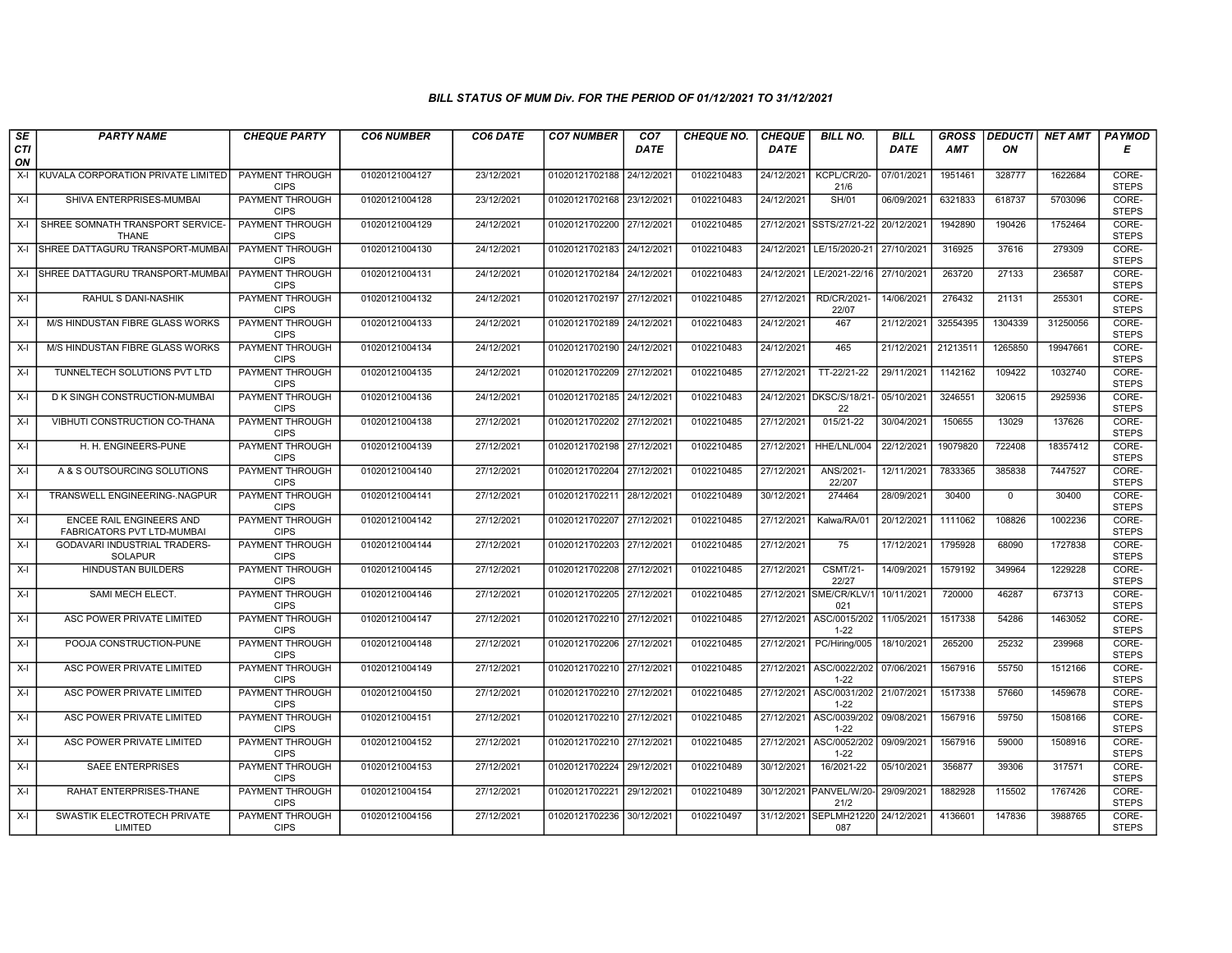| SE        | <b>PARTY NAME</b>                                      | <b>CHEQUE PARTY</b>                   | <b>CO6 NUMBER</b> | CO6 DATE   | <b>CO7 NUMBER</b>         | CO <sub>7</sub> | <b>CHEQUE NO.</b> | <b>CHEQUE</b> | <b>BILL NO.</b>                 | <b>BILL</b> | <b>GROSS</b> |              | DEDUCTI NET AMT | <b>PAYMOD</b>         |
|-----------|--------------------------------------------------------|---------------------------------------|-------------------|------------|---------------------------|-----------------|-------------------|---------------|---------------------------------|-------------|--------------|--------------|-----------------|-----------------------|
| CTI<br>ON |                                                        |                                       |                   |            |                           | <b>DATE</b>     |                   | <b>DATE</b>   |                                 | <b>DATE</b> | <b>AMT</b>   | ON           |                 | Е                     |
| $X-I$     | KUVALA CORPORATION PRIVATE LIMITED                     | PAYMENT THROUGH<br><b>CIPS</b>        | 01020121004127    | 23/12/2021 | 01020121702188            | 24/12/2021      | 0102210483        | 24/12/2021    | KCPL/CR/20-<br>21/6             | 07/01/2021  | 1951461      | 328777       | 1622684         | CORE-<br><b>STEPS</b> |
| $X-I$     | SHIVA ENTERPRISES-MUMBAI                               | <b>PAYMENT THROUGH</b><br><b>CIPS</b> | 01020121004128    | 23/12/2021 | 01020121702168 23/12/2021 |                 | 0102210483        | 24/12/2021    | <b>SH/01</b>                    | 06/09/2021  | 6321833      | 618737       | 5703096         | CORE-<br><b>STEPS</b> |
| $X-I$     | SHREE SOMNATH TRANSPORT SERVICE-<br><b>THANE</b>       | PAYMENT THROUGH<br><b>CIPS</b>        | 01020121004129    | 24/12/2021 | 01020121702200 27/12/2021 |                 | 0102210485        | 27/12/2021    | SSTS/27/21-22                   | 20/12/2021  | 1942890      | 190426       | 1752464         | CORE-<br><b>STEPS</b> |
| $X-I$     | SHREE DATTAGURU TRANSPORT-MUMBA                        | <b>PAYMENT THROUGH</b><br><b>CIPS</b> | 01020121004130    | 24/12/2021 | 01020121702183 24/12/2021 |                 | 0102210483        | 24/12/2021    | LE/15/2020-21                   | 27/10/2021  | 316925       | 37616        | 279309          | CORE-<br><b>STEPS</b> |
|           | X-I ISHREE DATTAGURU TRANSPORT-MUMBA                   | <b>PAYMENT THROUGH</b><br><b>CIPS</b> | 01020121004131    | 24/12/2021 | 01020121702184 24/12/2021 |                 | 0102210483        | 24/12/2021    | LE/2021-22/16                   | 27/10/2021  | 263720       | 27133        | 236587          | CORE-<br><b>STEPS</b> |
| X-I       | RAHUL S DANI-NASHIK                                    | PAYMENT THROUGH<br><b>CIPS</b>        | 01020121004132    | 24/12/2021 | 01020121702197 27/12/2021 |                 | 0102210485        | 27/12/2021    | RD/CR/2021-<br>22/07            | 14/06/2021  | 276432       | 21131        | 255301          | CORE-<br><b>STEPS</b> |
| $X-I$     | M/S HINDUSTAN FIBRE GLASS WORKS                        | PAYMENT THROUGH<br><b>CIPS</b>        | 01020121004133    | 24/12/2021 | 01020121702189            | 24/12/2021      | 0102210483        | 24/12/2021    | 467                             | 21/12/2021  | 32554395     | 1304339      | 31250056        | CORE-<br><b>STEPS</b> |
| $X-I$     | M/S HINDUSTAN FIBRE GLASS WORKS                        | PAYMENT THROUGH<br><b>CIPS</b>        | 01020121004134    | 24/12/2021 | 01020121702190            | 24/12/2021      | 0102210483        | 24/12/2021    | 465                             | 21/12/2021  | 21213511     | 1265850      | 19947661        | CORE-<br><b>STEPS</b> |
| $X-I$     | TUNNELTECH SOLUTIONS PVT LTD                           | <b>PAYMENT THROUGH</b><br><b>CIPS</b> | 01020121004135    | 24/12/2021 | 01020121702209 27/12/2021 |                 | 0102210485        | 27/12/2021    | TT-22/21-22                     | 29/11/2021  | 1142162      | 109422       | 1032740         | CORE-<br><b>STEPS</b> |
| $X-I$     | D K SINGH CONSTRUCTION-MUMBAI                          | <b>PAYMENT THROUGH</b><br><b>CIPS</b> | 01020121004136    | 24/12/2021 | 01020121702185 24/12/2021 |                 | 0102210483        |               | 24/12/2021 DKSC/S/18/21-<br>22  | 05/10/2021  | 3246551      | 320615       | 2925936         | CORE-<br><b>STEPS</b> |
| $X-I$     | VIBHUTI CONSTRUCTION CO-THANA                          | PAYMENT THROUGH<br><b>CIPS</b>        | 01020121004138    | 27/12/2021 | 01020121702202 27/12/2021 |                 | 0102210485        | 27/12/2021    | 015/21-22                       | 30/04/2021  | 150655       | 13029        | 137626          | CORE-<br><b>STEPS</b> |
| $X-I$     | H. H. ENGINEERS-PUNE                                   | PAYMENT THROUGH<br><b>CIPS</b>        | 01020121004139    | 27/12/2021 | 01020121702198 27/12/2021 |                 | 0102210485        | 27/12/2021    | HHE/LNL/004                     | 22/12/2021  | 19079820     | 722408       | 18357412        | CORE-<br><b>STEPS</b> |
| $X-I$     | A & S OUTSOURCING SOLUTIONS                            | <b>PAYMENT THROUGH</b><br><b>CIPS</b> | 01020121004140    | 27/12/2021 | 01020121702204 27/12/2021 |                 | 0102210485        | 27/12/2021    | ANS/2021-<br>22/207             | 12/11/2021  | 7833365      | 385838       | 7447527         | CORE-<br><b>STEPS</b> |
| $X-I$     | TRANSWELL ENGINEERING-, NAGPUR                         | <b>PAYMENT THROUGH</b><br><b>CIPS</b> | 01020121004141    | 27/12/2021 | 01020121702211            | 28/12/2021      | 0102210489        | 30/12/2021    | 274464                          | 28/09/2021  | 30400        | $\mathbf{0}$ | 30400           | CORE-<br><b>STEPS</b> |
| $X-I$     | ENCEE RAIL ENGINEERS AND<br>FABRICATORS PVT LTD-MUMBAI | PAYMENT THROUGH<br><b>CIPS</b>        | 01020121004142    | 27/12/2021 | 01020121702207            | 27/12/2021      | 0102210485        | 27/12/2021    | Kalwa/RA/01                     | 20/12/2021  | 1111062      | 108826       | 1002236         | CORE-<br><b>STEPS</b> |
| $X-I$     | GODAVARI INDUSTRIAL TRADERS-<br><b>SOLAPUR</b>         | PAYMENT THROUGH<br><b>CIPS</b>        | 01020121004144    | 27/12/2021 | 01020121702203 27/12/2021 |                 | 0102210485        | 27/12/2021    | 75                              | 17/12/2021  | 1795928      | 68090        | 1727838         | CORE-<br><b>STEPS</b> |
| $X-I$     | <b>HINDUSTAN BUILDERS</b>                              | <b>PAYMENT THROUGH</b><br><b>CIPS</b> | 01020121004145    | 27/12/2021 | 01020121702208 27/12/2021 |                 | 0102210485        | 27/12/2021    | <b>CSMT/21-</b><br>22/27        | 14/09/2021  | 1579192      | 349964       | 1229228         | CORE-<br><b>STEPS</b> |
| $X-I$     | SAMI MECH ELECT.                                       | PAYMENT THROUGH<br><b>CIPS</b>        | 01020121004146    | 27/12/2021 | 01020121702205            | 27/12/2021      | 0102210485        |               | 27/12/2021 SME/CR/KLV/1<br>021  | 10/11/2021  | 720000       | 46287        | 673713          | CORE-<br><b>STEPS</b> |
| $X-I$     | ASC POWER PRIVATE LIMITED                              | PAYMENT THROUGH<br><b>CIPS</b>        | 01020121004147    | 27/12/2021 | 01020121702210 27/12/2021 |                 | 0102210485        | 27/12/2021    | ASC/0015/202<br>$1 - 22$        | 11/05/2021  | 1517338      | 54286        | 1463052         | CORE-<br><b>STEPS</b> |
| $X-I$     | POOJA CONSTRUCTION-PUNE                                | PAYMENT THROUGH<br><b>CIPS</b>        | 01020121004148    | 27/12/2021 | 01020121702206            | 27/12/2021      | 0102210485        | 27/12/2021    | PC/Hiring/005                   | 18/10/2021  | 265200       | 25232        | 239968          | CORE-<br><b>STEPS</b> |
| $X-I$     | ASC POWER PRIVATE LIMITED                              | <b>PAYMENT THROUGH</b><br><b>CIPS</b> | 01020121004149    | 27/12/2021 | 01020121702210 27/12/2021 |                 | 0102210485        | 27/12/2021    | ASC/0022/202<br>$1 - 22$        | 07/06/2021  | 1567916      | 55750        | 1512166         | CORE-<br><b>STEPS</b> |
| $X-I$     | ASC POWER PRIVATE LIMITED                              | PAYMENT THROUGH<br><b>CIPS</b>        | 01020121004150    | 27/12/2021 | 01020121702210 27/12/2021 |                 | 0102210485        | 27/12/2021    | ASC/0031/202<br>$1 - 22$        | 21/07/2021  | 1517338      | 57660        | 1459678         | CORE-<br><b>STEPS</b> |
| $X-I$     | ASC POWER PRIVATE LIMITED                              | PAYMENT THROUGH<br><b>CIPS</b>        | 01020121004151    | 27/12/2021 | 01020121702210 27/12/202  |                 | 0102210485        | 27/12/2021    | ASC/0039/202<br>$1 - 22$        | 09/08/2021  | 1567916      | 59750        | 1508166         | CORE-<br><b>STEPS</b> |
| $X-I$     | ASC POWER PRIVATE LIMITED                              | PAYMENT THROUGH<br><b>CIPS</b>        | 01020121004152    | 27/12/2021 | 01020121702210 27/12/2021 |                 | 0102210485        | 27/12/2021    | ASC/0052/202<br>$1 - 22$        | 09/09/2021  | 1567916      | 59000        | 1508916         | CORE-<br><b>STEPS</b> |
| $X-I$     | SAEE ENTERPRISES                                       | PAYMENT THROUGH<br><b>CIPS</b>        | 01020121004153    | 27/12/2021 | 01020121702224            | 29/12/2021      | 0102210489        | 30/12/2021    | 16/2021-22                      | 05/10/2021  | 356877       | 39306        | 317571          | CORE-<br><b>STEPS</b> |
| $X-I$     | RAHAT ENTERPRISES-THANE                                | <b>PAYMENT THROUGH</b><br><b>CIPS</b> | 01020121004154    | 27/12/2021 | 01020121702221            | 29/12/2021      | 0102210489        |               | 30/12/2021 PANVEL/W/20-<br>21/2 | 29/09/2021  | 1882928      | 115502       | 1767426         | CORE-<br><b>STEPS</b> |
| $X-I$     | SWASTIK ELECTROTECH PRIVATE<br>LIMITED                 | PAYMENT THROUGH<br><b>CIPS</b>        | 01020121004156    | 27/12/2021 | 01020121702236            | 30/12/2021      | 0102210497        | 31/12/2021    | SEPLMH21220 24/12/2021<br>087   |             | 4136601      | 147836       | 3988765         | CORE-<br><b>STEPS</b> |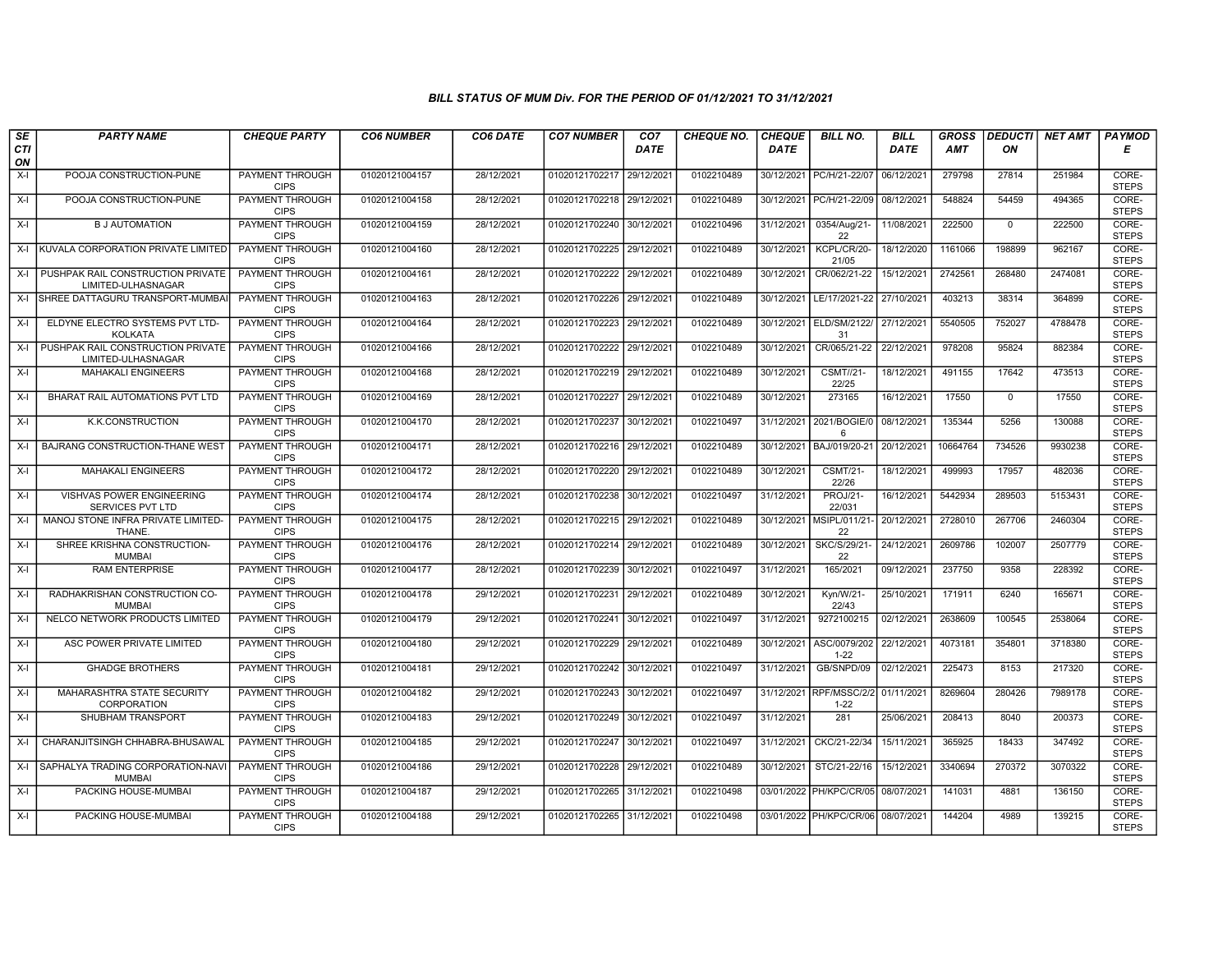| SE        | <b>PARTY NAME</b>                                           | <b>CHEQUE PARTY</b>                                      | <b>CO6 NUMBER</b> | CO6 DATE   | <b>CO7 NUMBER</b>         | CO <sub>7</sub> | <b>CHEQUE NO.</b> | <b>CHEQUE</b> | <b>BILL NO.</b>                    | <b>BILL</b> | <b>GROSS</b> |             | DEDUCTI NET AMT | <b>PAYMOD</b>                  |
|-----------|-------------------------------------------------------------|----------------------------------------------------------|-------------------|------------|---------------------------|-----------------|-------------------|---------------|------------------------------------|-------------|--------------|-------------|-----------------|--------------------------------|
| CTI<br>ON |                                                             |                                                          |                   |            |                           | <b>DATE</b>     |                   | <b>DATE</b>   |                                    | DATE        | <b>AMT</b>   | ON          |                 | Е                              |
| $X-I$     | POOJA CONSTRUCTION-PUNE                                     | <b>PAYMENT THROUGH</b><br><b>CIPS</b>                    | 01020121004157    | 28/12/2021 | 01020121702217            | 29/12/2021      | 0102210489        | 30/12/2021    | PC/H/21-22/07                      | 06/12/2021  | 279798       | 27814       | 251984          | CORE-<br><b>STEPS</b>          |
| $X-I$     | POOJA CONSTRUCTION-PUNE                                     | <b>PAYMENT THROUGH</b><br><b>CIPS</b>                    | 01020121004158    | 28/12/2021 | 01020121702218 29/12/2021 |                 | 0102210489        |               | 30/12/2021 PC/H/21-22/09           | 08/12/2021  | 548824       | 54459       | 494365          | CORE-<br><b>STEPS</b>          |
| $X-I$     | <b>B J AUTOMATION</b>                                       | PAYMENT THROUGH<br><b>CIPS</b>                           | 01020121004159    | 28/12/2021 | 01020121702240            | 30/12/2021      | 0102210496        | 31/12/2021    | 0354/Aug/21-<br>22                 | 11/08/2021  | 222500       | $\mathbf 0$ | 222500          | CORE-<br><b>STEPS</b>          |
| $X-I$     | KUVALA CORPORATION PRIVATE LIMITED                          | <b>PAYMENT THROUGH</b><br><b>CIPS</b>                    | 01020121004160    | 28/12/2021 | 01020121702225            | 29/12/2021      | 0102210489        | 30/12/2021    | KCPL/CR/20-<br>21/05               | 18/12/2020  | 1161066      | 198899      | 962167          | CORE-<br><b>STEPS</b>          |
|           | X-I PUSHPAK RAIL CONSTRUCTION PRIVATE<br>LIMITED-ULHASNAGAR | <b>PAYMENT THROUGH</b><br><b>CIPS</b>                    | 01020121004161    | 28/12/2021 | 01020121702222 29/12/2021 |                 | 0102210489        | 30/12/2021    | CR/062/21-22                       | 15/12/2021  | 2742561      | 268480      | 2474081         | CORE-<br><b>STEPS</b>          |
| $X-I$     | SHREE DATTAGURU TRANSPORT-MUMBA                             | <b>PAYMENT THROUGH</b><br><b>CIPS</b>                    | 01020121004163    | 28/12/2021 | 01020121702226            | 29/12/2021      | 0102210489        | 30/12/2021    | LE/17/2021-22                      | 27/10/2021  | 403213       | 38314       | 364899          | CORE-<br><b>STEPS</b>          |
| $X-I$     | ELDYNE ELECTRO SYSTEMS PVT LTD-<br><b>KOLKATA</b>           | PAYMENT THROUGH<br><b>CIPS</b>                           | 01020121004164    | 28/12/2021 | 01020121702223            | 29/12/2021      | 0102210489        | 30/12/2021    | ELD/SM/2122/<br>31                 | 27/12/2021  | 5540505      | 752027      | 4788478         | CORE-<br><b>STEPS</b>          |
| $X-I$     | PUSHPAK RAIL CONSTRUCTION PRIVATE<br>LIMITED-ULHASNAGAR     | <b>PAYMENT THROUGH</b><br><b>CIPS</b>                    | 01020121004166    | 28/12/2021 | 01020121702222            | 29/12/2021      | 0102210489        | 30/12/2021    | CR/065/21-22                       | 22/12/2021  | 978208       | 95824       | 882384          | CORE-<br><b>STEPS</b>          |
| $X-I$     | <b>MAHAKALI ENGINEERS</b>                                   | <b>PAYMENT THROUGH</b><br><b>CIPS</b>                    | 01020121004168    | 28/12/2021 | 01020121702219            | 29/12/2021      | 0102210489        | 30/12/2021    | <b>CSMT//21-</b><br>22/25          | 18/12/2021  | 491155       | 17642       | 473513          | CORE-<br><b>STEPS</b>          |
| $X-I$     | BHARAT RAIL AUTOMATIONS PVT LTD                             | <b>PAYMENT THROUGH</b><br><b>CIPS</b>                    | 01020121004169    | 28/12/2021 | 01020121702227            | 29/12/2021      | 0102210489        | 30/12/2021    | 273165                             | 16/12/2021  | 17550        | $\mathbf 0$ | 17550           | CORE-<br><b>STEPS</b>          |
| $X-I$     | K.K.CONSTRUCTION                                            | PAYMENT THROUGH<br><b>CIPS</b>                           | 01020121004170    | 28/12/2021 | 01020121702237            | 30/12/2021      | 0102210497        | 31/12/2021    | 2021/BOGIE/0<br>6                  | 08/12/2021  | 135344       | 5256        | 130088          | CORE-<br><b>STEPS</b>          |
| X-I       | BAJRANG CONSTRUCTION-THANE WEST                             | PAYMENT THROUGH<br><b>CIPS</b>                           | 01020121004171    | 28/12/2021 | 01020121702216 29/12/2021 |                 | 0102210489        | 30/12/2021    | BAJ/019/20-21                      | 20/12/2021  | 10664764     | 734526      | 9930238         | CORE-<br><b>STEPS</b>          |
| $X-I$     | <b>MAHAKALI ENGINEERS</b>                                   | <b>PAYMENT THROUGH</b><br><b>CIPS</b>                    | 01020121004172    | 28/12/2021 | 01020121702220            | 29/12/2021      | 0102210489        | 30/12/2021    | <b>CSMT/21-</b><br>22/26           | 18/12/2021  | 499993       | 17957       | 482036          | CORE-<br><b>STEPS</b>          |
| $X-I$     | <b>VISHVAS POWER ENGINEERING</b><br>SERVICES PVT LTD        | <b>PAYMENT THROUGH</b><br><b>CIPS</b>                    | 01020121004174    | 28/12/2021 | 01020121702238 30/12/2021 |                 | 0102210497        | 31/12/2021    | PROJ/21-<br>22/031                 | 16/12/2021  | 5442934      | 289503      | 5153431         | CORE-<br><b>STEPS</b>          |
| $X-I$     | MANOJ STONE INFRA PRIVATE LIMITED-<br>THANE.                | PAYMENT THROUGH<br><b>CIPS</b>                           | 01020121004175    | 28/12/2021 | 01020121702215            | 29/12/2021      | 0102210489        | 30/12/2021    | MSIPL/011/21-<br>22                | 20/12/2021  | 2728010      | 267706      | 2460304         | CORE-<br><b>STEPS</b>          |
| $X-I$     | SHREE KRISHNA CONSTRUCTION-<br><b>MUMBAI</b>                | PAYMENT THROUGH<br><b>CIPS</b>                           | 01020121004176    | 28/12/2021 | 01020121702214            | 29/12/2021      | 0102210489        | 30/12/2021    | <b>SKC/S/29/21</b><br>22           | 24/12/2021  | 2609786      | 102007      | 2507779         | CORE-<br><b>STEPS</b>          |
| $X-I$     | <b>RAM ENTERPRISE</b>                                       | PAYMENT THROUGH<br><b>CIPS</b>                           | 01020121004177    | 28/12/2021 | 01020121702239            | 30/12/2021      | 0102210497        | 31/12/2021    | 165/2021                           | 09/12/2021  | 237750       | 9358        | 228392          | CORE-<br><b>STEPS</b>          |
| $X-I$     | RADHAKRISHAN CONSTRUCTION CO-<br><b>MUMBAI</b>              | <b>PAYMENT THROUGH</b><br><b>CIPS</b>                    | 01020121004178    | 29/12/2021 | 01020121702231            | 29/12/2021      | 0102210489        | 30/12/2021    | Kyn/W/21-<br>22/43                 | 25/10/2021  | 171911       | 6240        | 165671          | CORE-<br><b>STEPS</b>          |
| $X-I$     | NELCO NETWORK PRODUCTS LIMITED                              | PAYMENT THROUGH<br><b>CIPS</b><br>PAYMENT THROUGH        | 01020121004179    | 29/12/2021 | 01020121702241            | 30/12/2021      | 0102210497        | 31/12/2021    | 9272100215                         | 02/12/2021  | 2638609      | 100545      | 2538064         | CORE-<br><b>STEPS</b><br>CORE- |
| $X-I$     | ASC POWER PRIVATE LIMITED                                   | <b>CIPS</b>                                              | 01020121004180    | 29/12/2021 | 01020121702229            | 29/12/2021      | 0102210489        | 30/12/2021    | ASC/0079/202<br>$1 - 22$           | 22/12/2021  | 4073181      | 354801      | 3718380         | <b>STEPS</b>                   |
| $X-I$     | <b>GHADGE BROTHERS</b><br>MAHARASHTRA STATE SECURITY        | PAYMENT THROUGH<br><b>CIPS</b><br><b>PAYMENT THROUGH</b> | 01020121004181    | 29/12/2021 | 01020121702242 30/12/2021 |                 | 0102210497        | 31/12/2021    | GB/SNPD/09                         | 02/12/2021  | 225473       | 8153        | 217320          | CORE-<br><b>STEPS</b><br>CORE- |
| $X-I$     | CORPORATION                                                 | <b>CIPS</b>                                              | 01020121004182    | 29/12/2021 | 01020121702243 30/12/2021 |                 | 0102210497        | 31/12/2021    | RPF/MSSC/2/2<br>$1 - 22$           | 01/11/2021  | 8269604      | 280426      | 7989178         | <b>STEPS</b>                   |
| $X-I$     | SHUBHAM TRANSPORT                                           | PAYMENT THROUGH<br><b>CIPS</b>                           | 01020121004183    | 29/12/2021 | 01020121702249            | 30/12/202       | 0102210497        | 31/12/2021    | 281                                | 25/06/2021  | 208413       | 8040        | 200373          | CORE-<br><b>STEPS</b>          |
| $X-I$     | CHARANJITSINGH CHHABRA-BHUSAWAL                             | PAYMENT THROUGH<br><b>CIPS</b>                           | 01020121004185    | 29/12/2021 | 01020121702247            | 30/12/2021      | 0102210497        | 31/12/2021    | CKC/21-22/34                       | 15/11/2021  | 365925       | 18433       | 347492          | CORE-<br><b>STEPS</b>          |
| X-I       | SAPHALYA TRADING CORPORATION-NAV<br><b>MUMBAI</b>           | <b>PAYMENT THROUGH</b><br><b>CIPS</b>                    | 01020121004186    | 29/12/2021 | 01020121702228            | 29/12/2021      | 0102210489        | 30/12/2021    | STC/21-22/16                       | 15/12/2021  | 3340694      | 270372      | 3070322         | CORE-<br><b>STEPS</b>          |
| $X-I$     | PACKING HOUSE-MUMBAI                                        | <b>PAYMENT THROUGH</b><br><b>CIPS</b>                    | 01020121004187    | 29/12/2021 | 01020121702265 31/12/2021 |                 | 0102210498        |               | 03/01/2022 PH/KPC/CR/05 08/07/2021 |             | 141031       | 4881        | 136150          | CORE-<br><b>STEPS</b>          |
| $X-I$     | PACKING HOUSE-MUMBAI                                        | <b>PAYMENT THROUGH</b><br><b>CIPS</b>                    | 01020121004188    | 29/12/2021 | 01020121702265 31/12/2021 |                 | 0102210498        |               | 03/01/2022 PH/KPC/CR/06            | 08/07/2021  | 144204       | 4989        | 139215          | CORE-<br><b>STEPS</b>          |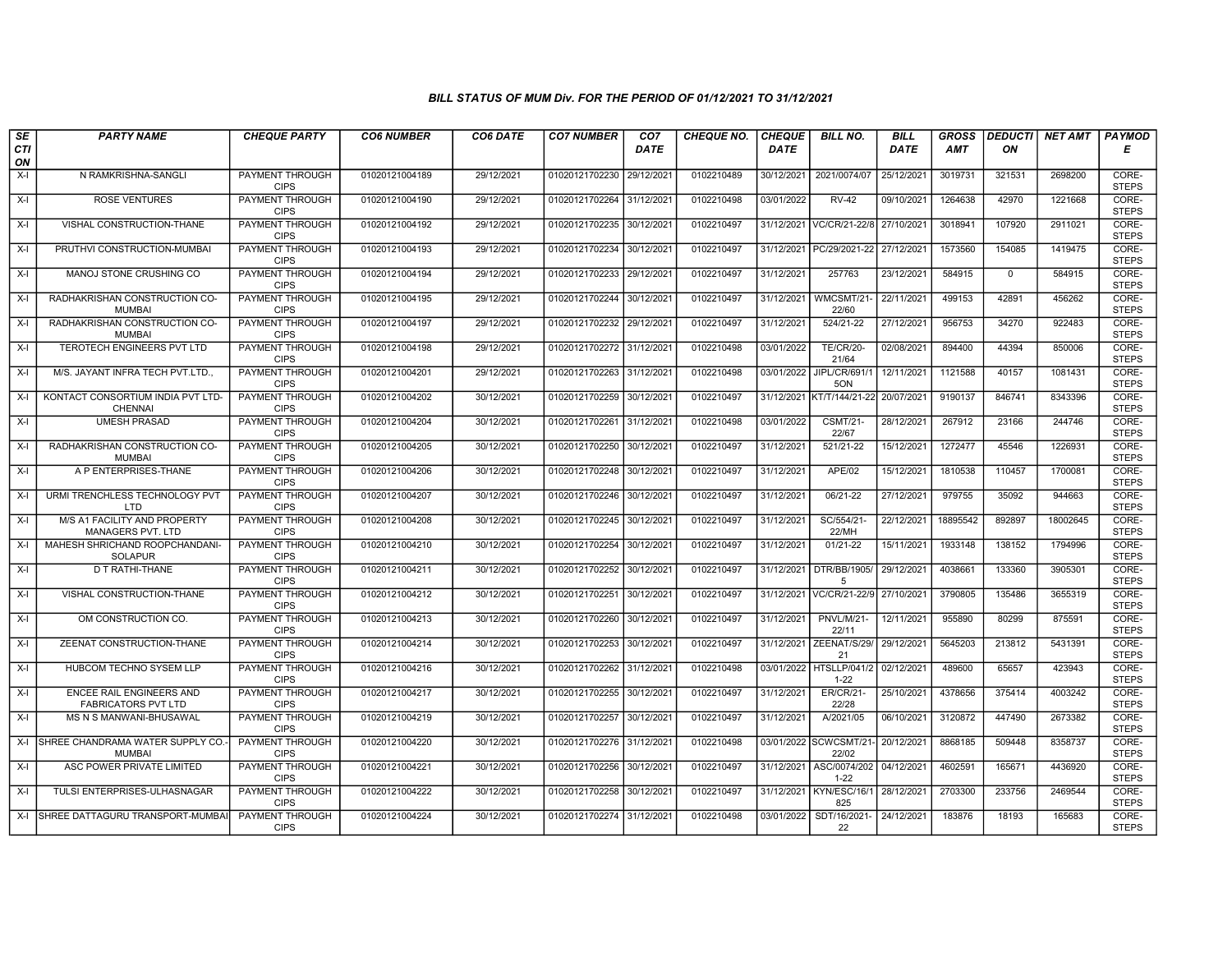| SE               | <b>PARTY NAME</b>                                             | <b>CHEQUE PARTY</b>                   | <b>CO6 NUMBER</b> | CO6 DATE   | <b>CO7 NUMBER</b>         | CO <sub>7</sub> | <b>CHEQUE NO.</b> | <b>CHEQUE</b> | <b>BILL NO.</b>                      | <b>BILL</b> | <b>GROSS</b> | <b>DEDUCTI</b> | NET AMT  | <b>PAYMOD</b>         |
|------------------|---------------------------------------------------------------|---------------------------------------|-------------------|------------|---------------------------|-----------------|-------------------|---------------|--------------------------------------|-------------|--------------|----------------|----------|-----------------------|
| <b>CTI</b><br>ON |                                                               |                                       |                   |            |                           | <b>DATE</b>     |                   | <b>DATE</b>   |                                      | <b>DATE</b> | <b>AMT</b>   | ON             |          | Е                     |
| $X-I$            | N RAMKRISHNA-SANGLI                                           | <b>PAYMENT THROUGH</b><br><b>CIPS</b> | 01020121004189    | 29/12/2021 | 01020121702230            | 29/12/2021      | 0102210489        | 30/12/2021    | 2021/0074/07                         | 25/12/2021  | 3019731      | 321531         | 2698200  | CORE-<br><b>STEPS</b> |
| $X-I$            | <b>ROSE VENTURES</b>                                          | <b>PAYMENT THROUGH</b><br><b>CIPS</b> | 01020121004190    | 29/12/2021 | 01020121702264            | 31/12/2021      | 0102210498        | 03/01/2022    | $RV-42$                              | 09/10/2021  | 1264638      | 42970          | 1221668  | CORE-<br><b>STEPS</b> |
| X-I              | VISHAL CONSTRUCTION-THANE                                     | <b>PAYMENT THROUGH</b><br><b>CIPS</b> | 01020121004192    | 29/12/2021 | 01020121702235            | 30/12/2021      | 0102210497        | 31/12/2021    | VC/CR/21-22/8                        | 27/10/2021  | 3018941      | 107920         | 2911021  | CORE-<br><b>STEPS</b> |
| $X-I$            | PRUTHVI CONSTRUCTION-MUMBAI                                   | <b>PAYMENT THROUGH</b><br><b>CIPS</b> | 01020121004193    | 29/12/2021 | 01020121702234            | 30/12/2021      | 0102210497        | 31/12/2021    | PC/29/2021-22                        | 27/12/2021  | 1573560      | 154085         | 1419475  | CORE-<br><b>STEPS</b> |
| $X-I$            | <b>MANOJ STONE CRUSHING CO</b>                                | <b>PAYMENT THROUGH</b><br><b>CIPS</b> | 01020121004194    | 29/12/2021 | 01020121702233 29/12/2021 |                 | 0102210497        | 31/12/2021    | 257763                               | 23/12/2021  | 584915       | $\mathbf 0$    | 584915   | CORE-<br><b>STEPS</b> |
| $X-I$            | RADHAKRISHAN CONSTRUCTION CO-<br><b>MUMBAI</b>                | <b>PAYMENT THROUGH</b><br><b>CIPS</b> | 01020121004195    | 29/12/2021 | 01020121702244            | 30/12/2021      | 0102210497        | 31/12/2021    | WMCSMT/21-<br>22/60                  | 22/11/2021  | 499153       | 42891          | 456262   | CORE-<br><b>STEPS</b> |
| $X-I$            | RADHAKRISHAN CONSTRUCTION CO-<br><b>MUMBAI</b>                | <b>PAYMENT THROUGH</b><br><b>CIPS</b> | 01020121004197    | 29/12/2021 | 01020121702232            | 29/12/202       | 0102210497        | 31/12/2021    | 524/21-22                            | 27/12/2021  | 956753       | 34270          | 922483   | CORE-<br><b>STEPS</b> |
| $X-I$            | TEROTECH ENGINEERS PVT LTD                                    | PAYMENT THROUGH<br><b>CIPS</b>        | 01020121004198    | 29/12/2021 | 01020121702272 31/12/2021 |                 | 0102210498        | 03/01/2022    | <b>TE/CR/20-</b><br>21/64            | 02/08/2021  | 894400       | 44394          | 850006   | CORE-<br><b>STEPS</b> |
| $X-I$            | M/S. JAYANT INFRA TECH PVT.LTD                                | <b>PAYMENT THROUGH</b><br><b>CIPS</b> | 01020121004201    | 29/12/2021 | 01020121702263            | 31/12/2021      | 0102210498        | 03/01/2022    | JIPL/CR/691/1<br>5ON                 | 12/11/2021  | 1121588      | 40157          | 1081431  | CORE-<br><b>STEPS</b> |
| $X-I$            | KONTACT CONSORTIUM INDIA PVT LTD-<br><b>CHENNAI</b>           | <b>PAYMENT THROUGH</b><br><b>CIPS</b> | 01020121004202    | 30/12/2021 | 01020121702259 30/12/2021 |                 | 0102210497        |               | 31/12/2021 KT/T/144/21-22 20/07/2021 |             | 9190137      | 846741         | 8343396  | CORE-<br><b>STEPS</b> |
| X-I              | <b>UMESH PRASAD</b>                                           | PAYMENT THROUGH<br><b>CIPS</b>        | 01020121004204    | 30/12/2021 | 01020121702261            | 31/12/2021      | 0102210498        | 03/01/2022    | <b>CSMT/21-</b><br>22/67             | 28/12/2021  | 267912       | 23166          | 244746   | CORE-<br><b>STEPS</b> |
| X-I              | RADHAKRISHAN CONSTRUCTION CO-<br><b>MUMBAI</b>                | PAYMENT THROUGH<br><b>CIPS</b>        | 01020121004205    | 30/12/2021 | 01020121702250            | 30/12/2021      | 0102210497        | 31/12/2021    | 521/21-22                            | 15/12/2021  | 1272477      | 45546          | 1226931  | CORE-<br><b>STEPS</b> |
| $X-I$            | A P ENTERPRISES-THANE                                         | <b>PAYMENT THROUGH</b><br><b>CIPS</b> | 01020121004206    | 30/12/2021 | 01020121702248            | 30/12/2021      | 0102210497        | 31/12/2021    | <b>APE/02</b>                        | 15/12/2021  | 1810538      | 110457         | 1700081  | CORE-<br><b>STEPS</b> |
| $X-I$            | URMI TRENCHLESS TECHNOLOGY PVT<br>LTD                         | <b>PAYMENT THROUGH</b><br><b>CIPS</b> | 01020121004207    | 30/12/2021 | 01020121702246            | 30/12/2021      | 0102210497        | 31/12/2021    | 06/21-22                             | 27/12/2021  | 979755       | 35092          | 944663   | CORE-<br><b>STEPS</b> |
| $X-I$            | M/S A1 FACILITY AND PROPERTY<br><b>MANAGERS PVT. LTD</b>      | PAYMENT THROUGH<br><b>CIPS</b>        | 01020121004208    | 30/12/2021 | 01020121702245            | 30/12/2021      | 0102210497        | 31/12/2021    | SC/554/21-<br>22/MH                  | 22/12/2021  | 18895542     | 892897         | 18002645 | CORE-<br><b>STEPS</b> |
| $X-I$            | MAHESH SHRICHAND ROOPCHANDANI-<br><b>SOLAPUR</b>              | PAYMENT THROUGH<br><b>CIPS</b>        | 01020121004210    | 30/12/2021 | 01020121702254            | 30/12/2021      | 0102210497        | 31/12/2021    | 01/21-22                             | 15/11/2021  | 1933148      | 138152         | 1794996  | CORE-<br><b>STEPS</b> |
| X-I              | D T RATHI-THANE                                               | <b>PAYMENT THROUGH</b><br><b>CIPS</b> | 01020121004211    | 30/12/2021 | 01020121702252            | 30/12/202       | 0102210497        | 31/12/2021    | DTR/BB/1905/<br>-5                   | 29/12/2021  | 4038661      | 133360         | 3905301  | CORE-<br><b>STEPS</b> |
| $X-I$            | VISHAL CONSTRUCTION-THANE                                     | <b>PAYMENT THROUGH</b><br><b>CIPS</b> | 01020121004212    | 30/12/2021 | 01020121702251            | 30/12/2021      | 0102210497        | 31/12/2021    | VC/CR/21-22/9                        | 27/10/2021  | 3790805      | 135486         | 3655319  | CORE-<br><b>STEPS</b> |
| $X-I$            | OM CONSTRUCTION CO.                                           | <b>PAYMENT THROUGH</b><br><b>CIPS</b> | 01020121004213    | 30/12/2021 | 01020121702260            | 30/12/2021      | 0102210497        | 31/12/2021    | <b>PNVL/M/21-</b><br>22/11           | 12/11/2021  | 955890       | 80299          | 875591   | CORE-<br><b>STEPS</b> |
| $X-I$            | ZEENAT CONSTRUCTION-THANE                                     | <b>PAYMENT THROUGH</b><br><b>CIPS</b> | 01020121004214    | 30/12/2021 | 01020121702253            | 30/12/2021      | 0102210497        | 31/12/2021    | ZEENAT/S/29/<br>21                   | 29/12/2021  | 5645203      | 213812         | 5431391  | CORE-<br><b>STEPS</b> |
| X-I              | HUBCOM TECHNO SYSEM LLP                                       | <b>PAYMENT THROUGH</b><br><b>CIPS</b> | 01020121004216    | 30/12/2021 | 01020121702262 31/12/2021 |                 | 0102210498        |               | 03/01/2022 HTSLLP/041/2<br>$1 - 22$  | 02/12/2021  | 489600       | 65657          | 423943   | CORE-<br><b>STEPS</b> |
| X-I              | <b>ENCEE RAIL ENGINEERS AND</b><br><b>FABRICATORS PVT LTD</b> | <b>PAYMENT THROUGH</b><br><b>CIPS</b> | 01020121004217    | 30/12/2021 | 01020121702255            | 30/12/2021      | 0102210497        | 31/12/2021    | ER/CR/21-<br>22/28                   | 25/10/2021  | 4378656      | 375414         | 4003242  | CORE-<br><b>STEPS</b> |
| $X-I$            | MS N S MANWANI-BHUSAWAL                                       | PAYMENT THROUGH<br><b>CIPS</b>        | 01020121004219    | 30/12/2021 | 01020121702257            | 30/12/202       | 0102210497        | 31/12/2021    | A/2021/05                            | 06/10/2021  | 3120872      | 447490         | 2673382  | CORE-<br><b>STEPS</b> |
| $X-I$            | SHREE CHANDRAMA WATER SUPPLY CO.<br><b>MUMBAI</b>             | PAYMENT THROUGH<br><b>CIPS</b>        | 01020121004220    | 30/12/2021 | 01020121702276            | 31/12/2021      | 0102210498        |               | 03/01/2022 SCWCSMT/21-<br>22/02      | 20/12/2021  | 8868185      | 509448         | 8358737  | CORE-<br><b>STEPS</b> |
| X-I              | ASC POWER PRIVATE LIMITED                                     | <b>PAYMENT THROUGH</b><br><b>CIPS</b> | 01020121004221    | 30/12/2021 | 01020121702256            | 30/12/202       | 0102210497        | 31/12/2021    | ASC/0074/202<br>$1 - 22$             | 04/12/2021  | 4602591      | 165671         | 4436920  | CORE-<br><b>STEPS</b> |
| $X-I$            | TULSI ENTERPRISES-ULHASNAGAR                                  | <b>PAYMENT THROUGH</b><br><b>CIPS</b> | 01020121004222    | 30/12/2021 | 01020121702258 30/12/2021 |                 | 0102210497        |               | 31/12/2021 KYN/ESC/16/1<br>825       | 28/12/2021  | 2703300      | 233756         | 2469544  | CORE-<br><b>STEPS</b> |
|                  | X-I SHREE DATTAGURU TRANSPORT-MUMBA                           | <b>PAYMENT THROUGH</b><br><b>CIPS</b> | 01020121004224    | 30/12/2021 | 01020121702274 31/12/2021 |                 | 0102210498        | 03/01/2022    | SDT/16/2021-<br>22                   | 24/12/2021  | 183876       | 18193          | 165683   | CORE-<br><b>STEPS</b> |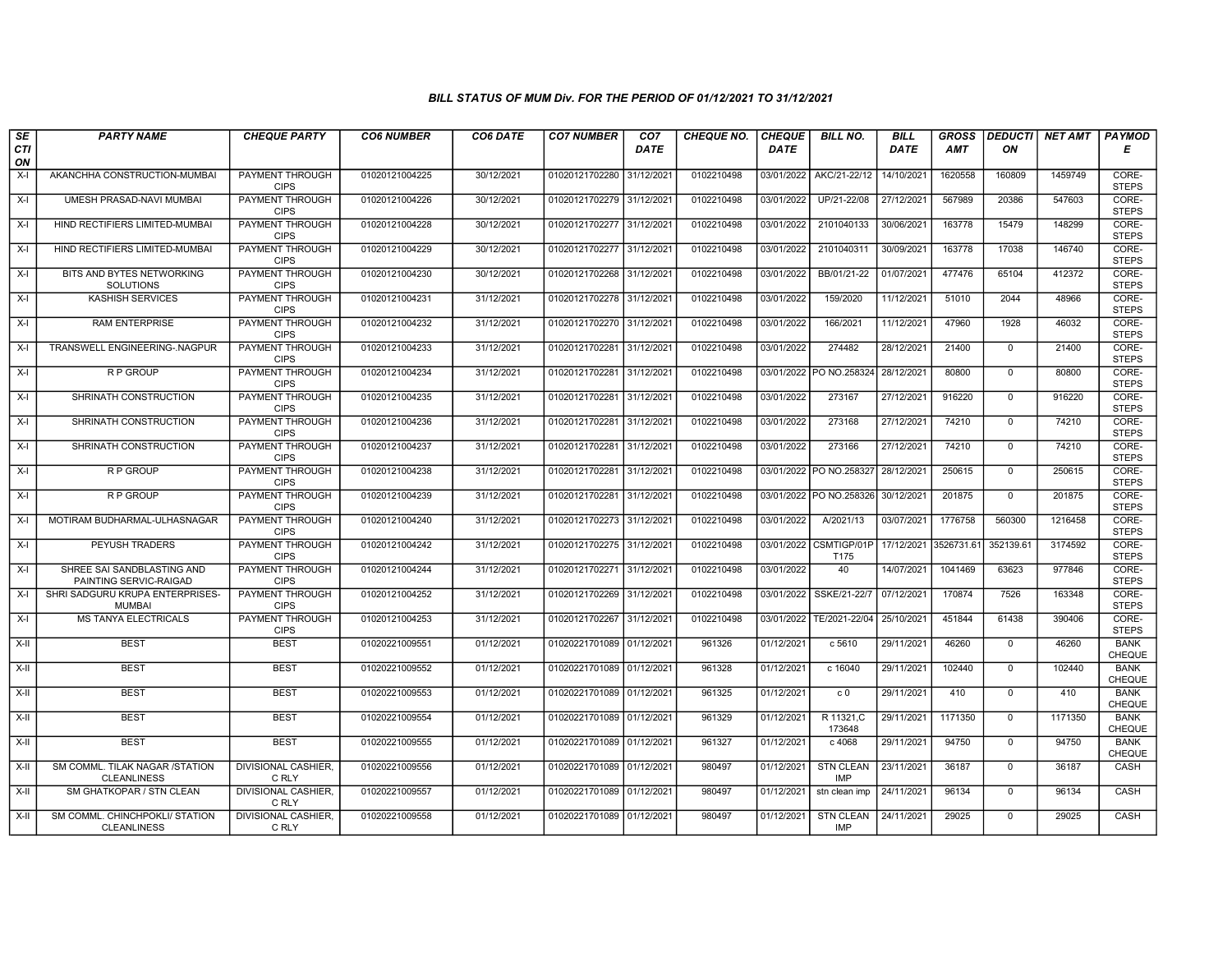| SE               | <b>PARTY NAME</b>                                    | <b>CHEQUE PARTY</b>                   | <b>CO6 NUMBER</b> | CO6 DATE   | <b>CO7 NUMBER</b>         | CO <sub>7</sub> | <b>CHEQUE NO.</b> | <b>CHEQUE</b> | <b>BILL NO.</b>                | <b>BILL</b>           | <b>GROSS</b> |              | <b>DEDUCTI NET AMT</b> | <b>PAYMOD</b>                |
|------------------|------------------------------------------------------|---------------------------------------|-------------------|------------|---------------------------|-----------------|-------------------|---------------|--------------------------------|-----------------------|--------------|--------------|------------------------|------------------------------|
| <b>CTI</b><br>ON |                                                      |                                       |                   |            |                           | <b>DATE</b>     |                   | <b>DATE</b>   |                                | <b>DATE</b>           | AMT          | ON           |                        | Е                            |
| X-I              | AKANCHHA CONSTRUCTION-MUMBAI                         | PAYMENT THROUGH<br><b>CIPS</b>        | 01020121004225    | 30/12/2021 | 01020121702280            | 31/12/2021      | 0102210498        | 03/01/2022    | AKC/21-22/12                   | 14/10/2021            | 1620558      | 160809       | 1459749                | CORE-<br><b>STEPS</b>        |
| $X-I$            | UMESH PRASAD-NAVI MUMBAI                             | <b>PAYMENT THROUGH</b><br><b>CIPS</b> | 01020121004226    | 30/12/2021 | 01020121702279 31/12/2021 |                 | 0102210498        | 03/01/2022    | UP/21-22/08                    | 27/12/2021            | 567989       | 20386        | 547603                 | CORE-<br><b>STEPS</b>        |
| $X-I$            | HIND RECTIFIERS LIMITED-MUMBAI                       | PAYMENT THROUGH<br><b>CIPS</b>        | 01020121004228    | 30/12/2021 | 01020121702277 31/12/2021 |                 | 0102210498        | 03/01/2022    | 2101040133                     | 30/06/2021            | 163778       | 15479        | 148299                 | CORE-<br><b>STEPS</b>        |
| $X-I$            | HIND RECTIFIERS LIMITED-MUMBA                        | <b>PAYMENT THROUGH</b><br><b>CIPS</b> | 01020121004229    | 30/12/2021 | 01020121702277            | 31/12/2021      | 0102210498        | 03/01/2022    | 2101040311                     | 30/09/2021            | 163778       | 17038        | 146740                 | CORE-<br><b>STEPS</b>        |
| $X-I$            | BITS AND BYTES NETWORKING<br><b>SOLUTIONS</b>        | <b>PAYMENT THROUGH</b><br><b>CIPS</b> | 01020121004230    | 30/12/2021 | 01020121702268 31/12/2021 |                 | 0102210498        | 03/01/2022    | BB/01/21-22                    | 01/07/2021            | 477476       | 65104        | 412372                 | CORE-<br><b>STEPS</b>        |
| X-I              | <b>KASHISH SERVICES</b>                              | <b>PAYMENT THROUGH</b><br><b>CIPS</b> | 01020121004231    | 31/12/2021 | 01020121702278 31/12/2021 |                 | 0102210498        | 03/01/2022    | 159/2020                       | 11/12/2021            | 51010        | 2044         | 48966                  | CORE-<br><b>STEPS</b>        |
| X-I              | <b>RAM ENTERPRISE</b>                                | PAYMENT THROUGH<br><b>CIPS</b>        | 01020121004232    | 31/12/2021 | 01020121702270 31/12/2021 |                 | 0102210498        | 03/01/2022    | 166/2021                       | 11/12/2021            | 47960        | 1928         | 46032                  | CORE-<br><b>STEPS</b>        |
| $X-I$            | TRANSWELL ENGINEERING-.NAGPUR                        | PAYMENT THROUGH<br><b>CIPS</b>        | 01020121004233    | 31/12/2021 | 01020121702281            | 31/12/2021      | 0102210498        | 03/01/2022    | 274482                         | 28/12/2021            | 21400        | $\mathbf 0$  | 21400                  | CORE-<br><b>STEPS</b>        |
| $X-I$            | <b>RP GROUP</b>                                      | <b>PAYMENT THROUGH</b><br><b>CIPS</b> | 01020121004234    | 31/12/2021 | 01020121702281            | 31/12/2021      | 0102210498        |               | 03/01/2022 PO NO.258324        | 28/12/2021            | 80800        | $\Omega$     | 80800                  | CORE-<br><b>STEPS</b>        |
| $X-I$            | SHRINATH CONSTRUCTION                                | <b>PAYMENT THROUGH</b><br><b>CIPS</b> | 01020121004235    | 31/12/2021 | 01020121702281            | 31/12/2021      | 0102210498        | 03/01/2022    | 273167                         | 27/12/2021            | 916220       | $\mathbf 0$  | 916220                 | CORE-<br><b>STEPS</b>        |
| $X-I$            | SHRINATH CONSTRUCTION                                | <b>PAYMENT THROUGH</b><br><b>CIPS</b> | 01020121004236    | 31/12/2021 | 01020121702281            | 31/12/2021      | 0102210498        | 03/01/2022    | 273168                         | 27/12/2021            | 74210        | $\mathbf 0$  | 74210                  | CORE-<br><b>STEPS</b>        |
| X-I              | SHRINATH CONSTRUCTION                                | PAYMENT THROUGH<br><b>CIPS</b>        | 01020121004237    | 31/12/2021 | 01020121702281            | 31/12/2021      | 0102210498        | 03/01/2022    | 273166                         | 27/12/2021            | 74210        | $\mathbf 0$  | 74210                  | CORE-<br><b>STEPS</b>        |
| X-I              | <b>RP GROUP</b>                                      | <b>PAYMENT THROUGH</b><br><b>CIPS</b> | 01020121004238    | 31/12/2021 | 01020121702281            | 31/12/2021      | 0102210498        |               | 03/01/2022 PO NO.258327        | 28/12/2021            | 250615       | $\mathbf 0$  | 250615                 | CORE-<br><b>STEPS</b>        |
| X-I              | <b>RP GROUP</b>                                      | <b>PAYMENT THROUGH</b><br><b>CIPS</b> | 01020121004239    | 31/12/2021 | 01020121702281            | 31/12/2021      | 0102210498        |               | 03/01/2022 PO NO.258326        | 30/12/2021            | 201875       | $\mathbf{0}$ | 201875                 | CORE-<br><b>STEPS</b>        |
| $X-I$            | MOTIRAM BUDHARMAL-ULHASNAGAR                         | PAYMENT THROUGH<br><b>CIPS</b>        | 01020121004240    | 31/12/2021 | 01020121702273 31/12/2021 |                 | 0102210498        | 03/01/2022    | A/2021/13                      | 03/07/2021            | 1776758      | 560300       | 1216458                | CORE-<br><b>STEPS</b>        |
| $X-I$            | PEYUSH TRADERS                                       | <b>PAYMENT THROUGH</b><br><b>CIPS</b> | 01020121004242    | 31/12/2021 | 01020121702275 31/12/2021 |                 | 0102210498        |               | 03/01/2022 CSMTIGP/01P<br>T175 | 17/12/2021 3526731.61 |              | 352139.61    | 3174592                | CORE-<br><b>STEPS</b>        |
| X-I              | SHREE SAI SANDBLASTING AND<br>PAINTING SERVIC-RAIGAD | <b>PAYMENT THROUGH</b><br><b>CIPS</b> | 01020121004244    | 31/12/2021 | 01020121702271 31/12/2021 |                 | 0102210498        | 03/01/2022    | 40                             | 14/07/2021            | 1041469      | 63623        | 977846                 | CORE-<br><b>STEPS</b>        |
| X-I              | SHRI SADGURU KRUPA ENTERPRISES-<br><b>MUMBAI</b>     | <b>PAYMENT THROUGH</b><br><b>CIPS</b> | 01020121004252    | 31/12/2021 | 01020121702269 31/12/2021 |                 | 0102210498        | 03/01/2022    | SSKE/21-22/7                   | 07/12/2021            | 170874       | 7526         | 163348                 | CORE-<br><b>STEPS</b>        |
| $X-I$            | <b>MS TANYA ELECTRICALS</b>                          | <b>PAYMENT THROUGH</b><br><b>CIPS</b> | 01020121004253    | 31/12/2021 | 01020121702267            | 31/12/2021      | 0102210498        |               | 03/01/2022 TE/2021-22/04       | 25/10/2021            | 451844       | 61438        | 390406                 | CORE-<br><b>STEPS</b>        |
| $X-II$           | <b>BEST</b>                                          | <b>BEST</b>                           | 01020221009551    | 01/12/2021 | 01020221701089 01/12/2021 |                 | 961326            | 01/12/2021    | c 5610                         | 29/11/2021            | 46260        | $\mathbf{0}$ | 46260                  | <b>BANK</b><br>CHEQUE        |
| $X-H$            | <b>BEST</b>                                          | <b>BEST</b>                           | 01020221009552    | 01/12/2021 | 01020221701089 01/12/2021 |                 | 961328            | 01/12/2021    | c 16040                        | 29/11/2021            | 102440       | $\mathbf 0$  | 102440                 | <b>BANK</b><br><b>CHEQUE</b> |
| $X-H$            | <b>BEST</b>                                          | <b>BEST</b>                           | 01020221009553    | 01/12/2021 | 01020221701089 01/12/2021 |                 | 961325            | 01/12/2021    | c <sub>0</sub>                 | 29/11/2021            | 410          | $\Omega$     | 410                    | <b>BANK</b><br>CHEQUE        |
| $X-II$           | <b>BEST</b>                                          | <b>BEST</b>                           | 01020221009554    | 01/12/2021 | 01020221701089 01/12/2021 |                 | 961329            | 01/12/2021    | R 11321, C<br>173648           | 29/11/2021            | 1171350      | $\mathbf 0$  | 1171350                | <b>BANK</b><br><b>CHEQUE</b> |
| X-II             | <b>BEST</b>                                          | <b>BEST</b>                           | 01020221009555    | 01/12/2021 | 01020221701089 01/12/2021 |                 | 961327            | 01/12/2021    | c 4068                         | 29/11/2021            | 94750        | $\mathbf{0}$ | 94750                  | <b>BANK</b><br><b>CHEQUE</b> |
| X-II             | SM COMML. TILAK NAGAR /STATION<br><b>CLEANLINESS</b> | <b>DIVISIONAL CASHIER.</b><br>C RLY   | 01020221009556    | 01/12/2021 | 01020221701089 01/12/2021 |                 | 980497            | 01/12/2021    | <b>STN CLEAN</b><br>IMP        | 23/11/2021            | 36187        | $\mathbf 0$  | 36187                  | CASH                         |
| $X-H$            | SM GHATKOPAR / STN CLEAN                             | <b>DIVISIONAL CASHIER.</b><br>C RLY   | 01020221009557    | 01/12/2021 | 01020221701089 01/12/2021 |                 | 980497            | 01/12/2021    | stn clean imp                  | 24/11/2021            | 96134        | 0            | 96134                  | <b>CASH</b>                  |
| $X-H$            | SM COMML. CHINCHPOKLI/ STATION<br><b>CLEANLINESS</b> | DIVISIONAL CASHIER,<br>C RLY          | 01020221009558    | 01/12/2021 | 01020221701089 01/12/2021 |                 | 980497            | 01/12/2021    | <b>STN CLEAN</b><br><b>IMP</b> | 24/11/2021            | 29025        | $\mathbf 0$  | 29025                  | CASH                         |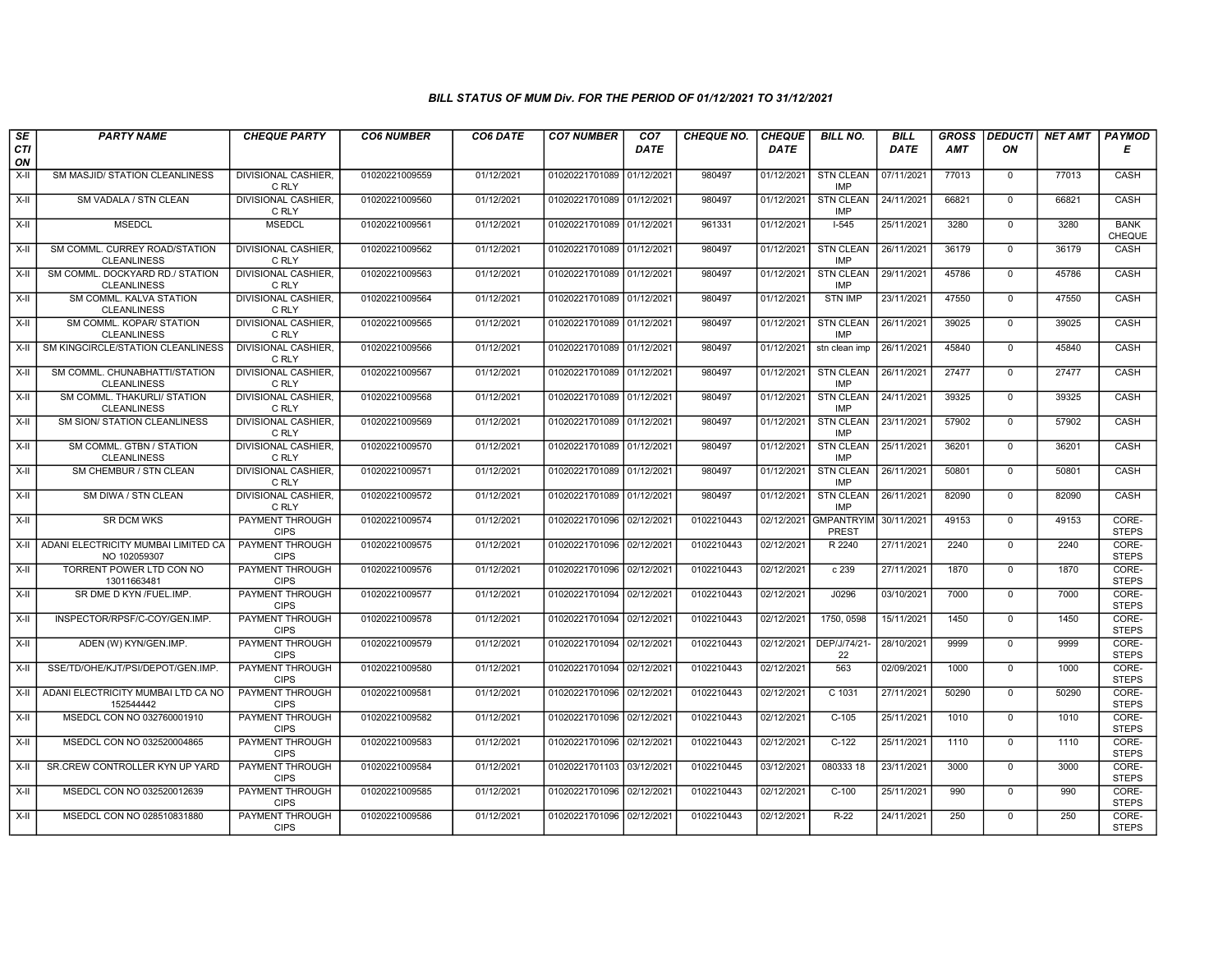| SE<br>CTI       | <b>PARTY NAME</b>                                            | <b>CHEQUE PARTY</b>                                      | <b>CO6 NUMBER</b>                | CO6 DATE                 | <b>CO7 NUMBER</b>                                      | CO <sub>7</sub><br><b>DATE</b> | <b>CHEQUE NO.</b>        | <b>CHEQUE</b><br><b>DATE</b> | <b>BILL NO.</b>                           | <b>BILL</b><br>DATE      | <b>GROSS</b><br><b>AMT</b> | <b>DEDUCTI</b><br>ON     | <b>NET AMT</b> | PAYMOD<br>Е                    |
|-----------------|--------------------------------------------------------------|----------------------------------------------------------|----------------------------------|--------------------------|--------------------------------------------------------|--------------------------------|--------------------------|------------------------------|-------------------------------------------|--------------------------|----------------------------|--------------------------|----------------|--------------------------------|
| ON<br>X-II      | SM MASJID/ STATION CLEANLINESS                               | <b>DIVISIONAL CASHIER,</b><br>C RLY                      | 01020221009559                   | 01/12/2021               | 01020221701089 01/12/2021                              |                                | 980497                   | 01/12/2021                   | <b>STN CLEAN</b><br><b>IMP</b>            | 07/11/2021               | 77013                      | $\mathbf 0$              | 77013          | CASH                           |
| $X-H$           | SM VADALA / STN CLEAN                                        | <b>DIVISIONAL CASHIER,</b><br>C RLY                      | 01020221009560                   | 01/12/2021               | 01020221701089 01/12/2021                              |                                | 980497                   | 01/12/2021                   | <b>STN CLEAN</b><br><b>IMP</b>            | 24/11/2021               | 66821                      | $\mathbf 0$              | 66821          | <b>CASH</b>                    |
| X-II            | <b>MSEDCL</b>                                                | <b>MSEDCL</b>                                            | 01020221009561                   | 01/12/2021               | 01020221701089 01/12/2021                              |                                | 961331                   | 01/12/2021                   | $1-545$                                   | 25/11/2021               | 3280                       | $\Omega$                 | 3280           | <b>BANK</b><br>CHEQUE          |
| X-II            | SM COMML. CURREY ROAD/STATION<br><b>CLEANLINESS</b>          | DIVISIONAL CASHIER,<br>C RLY                             | 01020221009562                   | 01/12/2021               | 01020221701089 01/12/2021                              |                                | 980497                   | 01/12/2021                   | <b>STN CLEAN</b><br><b>IMP</b>            | 26/11/2021               | 36179                      | $\mathbf{0}$             | 36179          | CASH                           |
| X-II            | SM COMML. DOCKYARD RD./ STATION<br><b>CLEANLINESS</b>        | <b>DIVISIONAL CASHIER,</b><br>C RLY                      | 01020221009563                   | 01/12/2021               | 01020221701089 01/12/2021                              |                                | 980497                   | 01/12/2021                   | <b>STN CLEAN</b><br>IMP                   | 29/11/2021               | 45786                      | $\mathbf 0$              | 45786          | CASH                           |
| X-II            | SM COMML, KALVA STATION<br><b>CLEANLINESS</b>                | <b>DIVISIONAL CASHIER,</b><br>C RLY                      | 01020221009564                   | 01/12/2021               | 01020221701089 01/12/2021                              |                                | 980497                   | 01/12/2021                   | <b>STN IMP</b>                            | 23/11/2021               | 47550                      | $\mathbf 0$              | 47550          | CASH                           |
| X-II            | SM COMML. KOPAR/ STATION<br><b>CLEANLINESS</b>               | <b>DIVISIONAL CASHIER.</b><br>C RLY                      | 01020221009565                   | 01/12/2021               | 01020221701089 01/12/2021                              |                                | 980497                   | 01/12/2021                   | <b>STN CLEAN</b><br>IMP                   | 26/11/2021               | 39025                      | $\mathbf 0$              | 39025          | CASH                           |
| $X-H$           | SM KINGCIRCLE/STATION CLEANLINESS                            | <b>DIVISIONAL CASHIER,</b><br>C RLY                      | 01020221009566                   | 01/12/2021               | 01020221701089 01/12/2021                              |                                | 980497                   | 01/12/2021                   | stn clean imp                             | 26/11/2021               | 45840                      | $\overline{0}$           | 45840          | CASH                           |
| X-II            | SM COMML. CHUNABHATTI/STATION<br><b>CLEANLINESS</b>          | <b>DIVISIONAL CASHIER,</b><br>C RLY                      | 01020221009567                   | 01/12/2021               | 01020221701089 01/12/2021                              |                                | 980497                   | 01/12/2021                   | <b>STN CLEAN</b><br><b>IMP</b>            | 26/11/2021               | 27477                      | $\mathbf{0}$             | 27477          | CASH                           |
| X-II            | SM COMML. THAKURLI/ STATION<br><b>CLEANLINESS</b>            | <b>DIVISIONAL CASHIER.</b><br>C RLY                      | 01020221009568                   | 01/12/2021               | 01020221701089 01/12/2021                              |                                | 980497                   | 01/12/2021                   | STN CLEAN<br><b>IMP</b>                   | 24/11/2021               | 39325                      | $\mathbf 0$              | 39325          | CASH                           |
| X-II            | <b>SM SION/ STATION CLEANLINESS</b>                          | <b>DIVISIONAL CASHIER.</b><br>C RLY                      | 01020221009569                   | 01/12/2021               | 01020221701089 01/12/2021                              |                                | 980497                   | 01/12/2021                   | <b>STN CLEAN</b><br><b>IMP</b>            | 23/11/2021               | 57902                      | $\mathbf 0$              | 57902          | CASH                           |
| $X-H$           | SM COMML, GTBN / STATION<br><b>CLEANLINESS</b>               | <b>DIVISIONAL CASHIER.</b><br>C RLY                      | 01020221009570                   | 01/12/2021               | 01020221701089 01/12/2021                              |                                | 980497                   | 01/12/2021                   | <b>STN CLEAN</b><br><b>IMP</b>            | 25/11/2021               | 36201                      | $\mathbf 0$              | 36201          | CASH                           |
| X-II            | SM CHEMBUR / STN CLEAN                                       | <b>DIVISIONAL CASHIER,</b><br>C RLY                      | 01020221009571                   | 01/12/2021               | 01020221701089 01/12/2021                              |                                | 980497                   | 01/12/2021                   | <b>STN CLEAN</b><br><b>IMP</b>            | 26/11/2021               | 50801                      | $\mathbf 0$              | 50801          | CASH                           |
| $X-H$           | SM DIWA / STN CLEAN                                          | <b>DIVISIONAL CASHIER.</b><br>C RLY                      | 01020221009572                   | 01/12/2021               | 01020221701089 01/12/2021                              |                                | 980497                   | 01/12/2021                   | <b>STN CLEAN</b><br>IMP                   | 26/11/2021               | 82090                      | $\mathbf{0}$             | 82090          | <b>CASH</b>                    |
| X-II            | <b>SR DCM WKS</b>                                            | PAYMENT THROUGH<br><b>CIPS</b>                           | 01020221009574                   | 01/12/2021               | 01020221701096 02/12/2021                              |                                | 0102210443               |                              | 02/12/2021 GMPANTRYIM 30/11/2021<br>PREST |                          | 49153                      | $\Omega$                 | 49153          | CORE-<br><b>STEPS</b>          |
|                 | X-II ADANI ELECTRICITY MUMBAI LIMITED CA<br>NO 102059307     | PAYMENT THROUGH<br><b>CIPS</b>                           | 01020221009575                   | 01/12/2021               | 01020221701096 02/12/202                               |                                | 0102210443               | 02/12/2021                   | R 2240                                    | 27/11/2021               | 2240                       | $\mathbf 0$              | 2240           | CORE-<br><b>STEPS</b>          |
| $X-H$           | TORRENT POWER LTD CON NO<br>13011663481                      | PAYMENT THROUGH<br><b>CIPS</b>                           | 01020221009576                   | 01/12/2021               | 01020221701096 02/12/2021                              |                                | 0102210443               | 02/12/2021                   | c239                                      | 27/11/2021               | 1870                       | $\overline{0}$           | 1870           | CORE-<br><b>STEPS</b>          |
| X-II            | SR DME D KYN /FUEL.IMP.                                      | <b>PAYMENT THROUGH</b><br><b>CIPS</b>                    | 01020221009577                   | 01/12/2021               | 01020221701094 02/12/2021                              |                                | 0102210443               | 02/12/2021                   | J0296                                     | 03/10/2021               | 7000                       | $\mathbf 0$              | 7000           | CORE-<br><b>STEPS</b>          |
| X-II<br>$X-H$   | INSPECTOR/RPSF/C-COY/GEN.IMP.<br>ADEN (W) KYN/GEN.IMP.       | PAYMENT THROUGH<br><b>CIPS</b><br><b>PAYMENT THROUGH</b> | 01020221009578<br>01020221009579 | 01/12/2021<br>01/12/2021 | 01020221701094 02/12/2021<br>01020221701094 02/12/2021 |                                | 0102210443<br>0102210443 | 02/12/2021<br>02/12/2021     | 1750, 0598<br>DEP/J/74/21-                | 15/11/2021<br>28/10/2021 | 1450<br>9999               | $\mathbf 0$<br>$\Omega$  | 1450<br>9999   | CORE-<br><b>STEPS</b><br>CORE- |
|                 | SSE/TD/OHE/KJT/PSI/DEPOT/GEN.IMP.                            | <b>CIPS</b><br>PAYMENT THROUGH                           |                                  | 01/12/2021               |                                                        |                                |                          |                              | 22<br>563                                 |                          | 1000                       | $\Omega$                 | 1000           | <b>STEPS</b><br>CORE-          |
| X-II            | ADANI ELECTRICITY MUMBAI LTD CA NO                           | <b>CIPS</b><br>PAYMENT THROUGH                           | 01020221009580                   | 01/12/2021               | 01020221701094 02/12/2021                              |                                | 0102210443               | 02/12/2021                   | C 1031                                    | 02/09/2021               |                            | $\mathbf 0$              |                | <b>STEPS</b><br>CORE-          |
| $X-H$           | 152544442                                                    | <b>CIPS</b><br>PAYMENT THROUGH                           | 01020221009581                   |                          | 01020221701096 02/12/202                               |                                | 0102210443<br>0102210443 | 02/12/2021                   | $C-105$                                   | 27/11/2021               | 50290<br>1010              | $\Omega$                 | 50290<br>1010  | <b>STEPS</b><br>CORE-          |
| $X-H$           | MSEDCL CON NO 032760001910                                   | <b>CIPS</b>                                              | 01020221009582                   | 01/12/2021               | 01020221701096 02/12/2021                              |                                |                          | 02/12/2021                   |                                           | 25/11/2021               |                            |                          |                | <b>STEPS</b>                   |
| $X-II$<br>$X-H$ | MSEDCL CON NO 032520004865<br>SR.CREW CONTROLLER KYN UP YARD | PAYMENT THROUGH<br><b>CIPS</b><br><b>PAYMENT THROUGH</b> | 01020221009583<br>01020221009584 | 01/12/2021<br>01/12/2021 | 01020221701096 02/12/202<br>01020221701103 03/12/2021  |                                | 0102210443<br>0102210445 | 02/12/2021<br>03/12/2021     | $C-122$<br>080333 18                      | 25/11/2021<br>23/11/2021 | 1110<br>3000               | $\mathbf 0$              | 1110<br>3000   | CORE-<br><b>STEPS</b><br>CORE- |
|                 | MSEDCL CON NO 032520012639                                   | <b>CIPS</b><br>PAYMENT THROUGH                           | 01020221009585                   | 01/12/2021               |                                                        |                                | 0102210443               |                              | $C-100$                                   | 25/11/2021               | 990                        | $\mathbf{0}$<br>$\Omega$ | 990            | <b>STEPS</b><br>CORE-          |
| X-II            |                                                              | <b>CIPS</b>                                              |                                  |                          | 01020221701096 02/12/202                               |                                |                          | 02/12/2021                   |                                           |                          |                            |                          |                | <b>STEPS</b>                   |
| X-II            | MSEDCL CON NO 028510831880                                   | PAYMENT THROUGH<br><b>CIPS</b>                           | 01020221009586                   | 01/12/2021               | 01020221701096 02/12/2021                              |                                | 0102210443               | 02/12/2021                   | R-22                                      | 24/11/2021               | 250                        | $\mathbf{0}$             | 250            | CORE-<br><b>STEPS</b>          |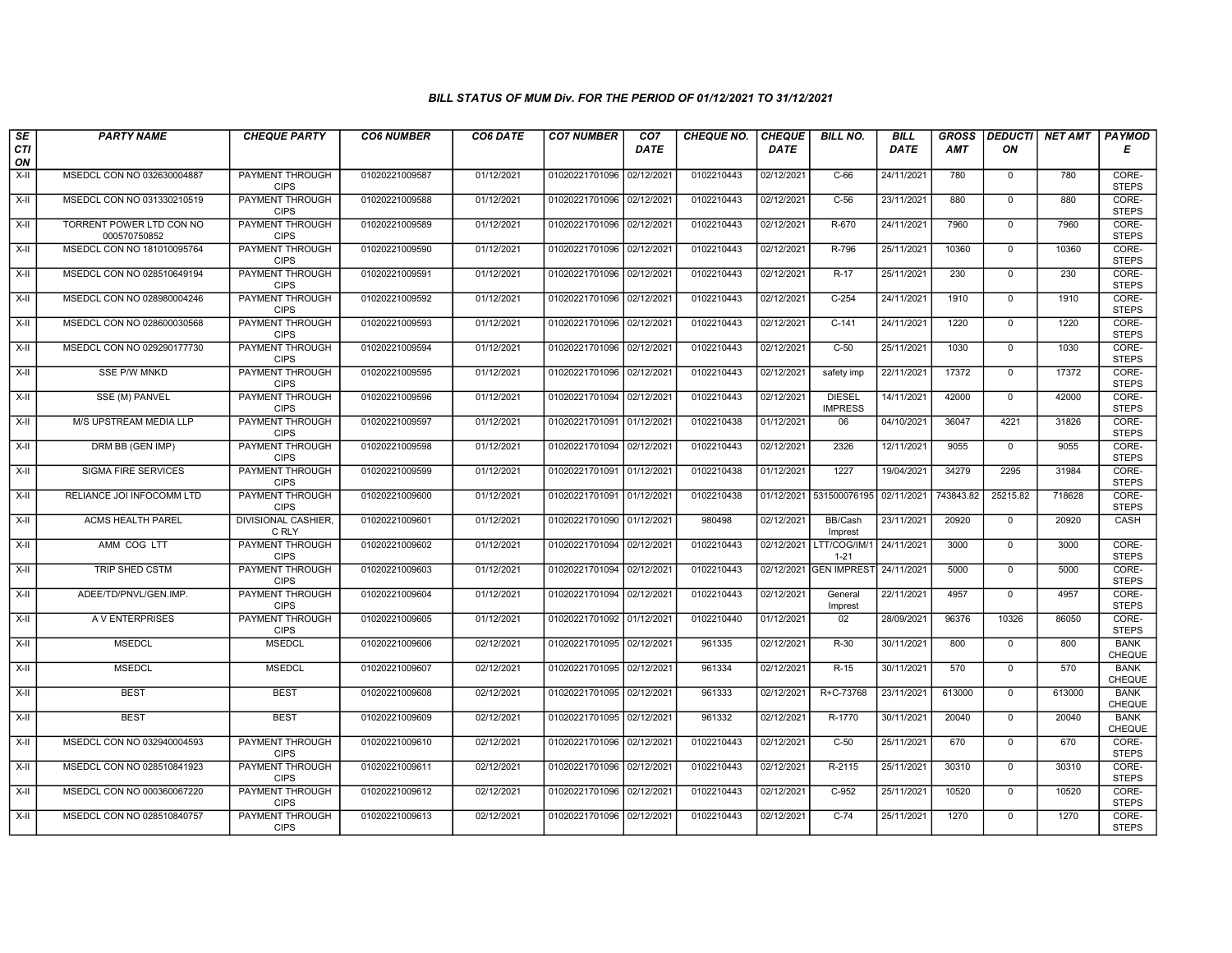| SE                 | <b>PARTY NAME</b>                        | <b>CHEQUE PARTY</b>                   | <b>CO6 NUMBER</b> | CO6 DATE   | <b>CO7 NUMBER</b>         | CO7         | <b>CHEQUE NO.</b> | <b>CHEQUE</b> | <b>BILL NO.</b>                 | <b>BILL</b> | <b>GROSS</b> | <b>DEDUCTI</b> | <b>NET AMT</b> | <b>PAYMOD</b>                |
|--------------------|------------------------------------------|---------------------------------------|-------------------|------------|---------------------------|-------------|-------------------|---------------|---------------------------------|-------------|--------------|----------------|----------------|------------------------------|
| <b>CTI</b><br>ON   |                                          |                                       |                   |            |                           | <b>DATE</b> |                   | <b>DATE</b>   |                                 | DATE        | AMT          | ΟN             |                | Е                            |
| $X-H$              | MSEDCL CON NO 032630004887               | <b>PAYMENT THROUGH</b><br><b>CIPS</b> | 01020221009587    | 01/12/2021 | 01020221701096 02/12/202  |             | 0102210443        | 02/12/2021    | $C-66$                          | 24/11/2021  | 780          | $\mathbf 0$    | 780            | CORE-<br><b>STEPS</b>        |
| $X-H$              | MSEDCL CON NO 031330210519               | <b>PAYMENT THROUGH</b><br><b>CIPS</b> | 01020221009588    | 01/12/2021 | 01020221701096 02/12/2021 |             | 0102210443        | 02/12/2021    | $C-56$                          | 23/11/2021  | 880          | $\overline{0}$ | 880            | CORE-<br><b>STEPS</b>        |
| X-II               | TORRENT POWER LTD CON NO<br>000570750852 | PAYMENT THROUGH<br><b>CIPS</b>        | 01020221009589    | 01/12/2021 | 01020221701096 02/12/2021 |             | 0102210443        | 02/12/2021    | R-670                           | 24/11/2021  | 7960         | $\mathbf 0$    | 7960           | CORE-<br><b>STEPS</b>        |
| X-II               | MSEDCL CON NO 181010095764               | PAYMENT THROUGH<br><b>CIPS</b>        | 01020221009590    | 01/12/2021 | 01020221701096 02/12/2021 |             | 0102210443        | 02/12/2021    | R-796                           | 25/11/2021  | 10360        | $\mathbf 0$    | 10360          | CORE-<br><b>STEPS</b>        |
| $X-H$              | MSEDCL CON NO 028510649194               | <b>PAYMENT THROUGH</b><br><b>CIPS</b> | 01020221009591    | 01/12/2021 | 01020221701096 02/12/2021 |             | 0102210443        | 02/12/2021    | $R-17$                          | 25/11/2021  | 230          | $\mathbf 0$    | 230            | CORE-<br><b>STEPS</b>        |
| $X-H$              | MSEDCL CON NO 028980004246               | <b>PAYMENT THROUGH</b><br><b>CIPS</b> | 01020221009592    | 01/12/2021 | 01020221701096 02/12/2021 |             | 0102210443        | 02/12/2021    | $C-254$                         | 24/11/2021  | 1910         | $\overline{0}$ | 1910           | CORE-<br><b>STEPS</b>        |
| X-II               | MSEDCL CON NO 028600030568               | PAYMENT THROUGH<br><b>CIPS</b>        | 01020221009593    | 01/12/2021 | 01020221701096 02/12/2021 |             | 0102210443        | 02/12/2021    | $C-141$                         | 24/11/2021  | 1220         | $\mathbf 0$    | 1220           | CORE-<br><b>STEPS</b>        |
| $X-H$              | MSEDCL CON NO 029290177730               | PAYMENT THROUGH<br><b>CIPS</b>        | 01020221009594    | 01/12/2021 | 01020221701096 02/12/2021 |             | 0102210443        | 02/12/2021    | $C-50$                          | 25/11/2021  | 1030         | $\overline{0}$ | 1030           | CORE-<br><b>STEPS</b>        |
| $X-H$              | <b>SSE P/W MNKD</b>                      | <b>PAYMENT THROUGH</b><br><b>CIPS</b> | 01020221009595    | 01/12/2021 | 01020221701096 02/12/2021 |             | 0102210443        | 02/12/2021    | safety imp                      | 22/11/2021  | 17372        | $\mathbf 0$    | 17372          | CORE-<br><b>STEPS</b>        |
| $\overline{x}$ -II | SSE (M) PANVEL                           | <b>PAYMENT THROUGH</b><br><b>CIPS</b> | 01020221009596    | 01/12/2021 | 01020221701094 02/12/2021 |             | 0102210443        | 02/12/2021    | <b>DIESEL</b><br><b>IMPRESS</b> | 14/11/2021  | 42000        | $\mathbf 0$    | 42000          | CORE-<br><b>STEPS</b>        |
| X-II               | M/S UPSTREAM MEDIA LLP                   | PAYMENT THROUGH<br><b>CIPS</b>        | 01020221009597    | 01/12/2021 | 01020221701091 01/12/2021 |             | 0102210438        | 01/12/2021    | 06                              | 04/10/2021  | 36047        | 4221           | 31826          | CORE-<br><b>STEPS</b>        |
| $X-H$              | DRM BB (GEN IMP)                         | <b>PAYMENT THROUGH</b><br><b>CIPS</b> | 01020221009598    | 01/12/2021 | 01020221701094 02/12/2021 |             | 0102210443        | 02/12/2021    | 2326                            | 12/11/2021  | 9055         | $\overline{0}$ | 9055           | CORE-<br><b>STEPS</b>        |
| X-II               | <b>SIGMA FIRE SERVICES</b>               | <b>PAYMENT THROUGH</b><br><b>CIPS</b> | 01020221009599    | 01/12/2021 | 01020221701091 01/12/2021 |             | 0102210438        | 01/12/2021    | 1227                            | 19/04/2021  | 34279        | 2295           | 31984          | CORE-<br><b>STEPS</b>        |
| $X-H$              | RELIANCE JOI INFOCOMM LTD                | <b>PAYMENT THROUGH</b><br><b>CIPS</b> | 01020221009600    | 01/12/2021 | 01020221701091 01/12/2021 |             | 0102210438        | 01/12/2021    | 531500076195                    | 02/11/2021  | 743843.82    | 25215.82       | 718628         | CORE-<br><b>STEPS</b>        |
| $X-II$             | <b>ACMS HEALTH PAREL</b>                 | <b>DIVISIONAL CASHIER,</b><br>C RLY   | 01020221009601    | 01/12/2021 | 01020221701090 01/12/2021 |             | 980498            | 02/12/2021    | BB/Cash<br>Imprest              | 23/11/2021  | 20920        | $\mathbf 0$    | 20920          | CASH                         |
| X-II               | AMM COG LTT                              | PAYMENT THROUGH<br><b>CIPS</b>        | 01020221009602    | 01/12/2021 | 01020221701094 02/12/2021 |             | 0102210443        | 02/12/2021    | LTT/COG/IM/1<br>$1 - 21$        | 24/11/2021  | 3000         | $\mathbf 0$    | 3000           | CORE-<br><b>STEPS</b>        |
| $X-H$              | TRIP SHED CSTM                           | <b>PAYMENT THROUGH</b><br><b>CIPS</b> | 01020221009603    | 01/12/2021 | 01020221701094 02/12/2021 |             | 0102210443        |               | 02/12/2021 GEN IMPREST          | 24/11/2021  | 5000         | $\overline{0}$ | 5000           | CORE-<br><b>STEPS</b>        |
| $X-II$             | ADEE/TD/PNVL/GEN.IMP.                    | <b>PAYMENT THROUGH</b><br><b>CIPS</b> | 01020221009604    | 01/12/2021 | 01020221701094 02/12/2021 |             | 0102210443        | 02/12/2021    | General<br>Imprest              | 22/11/2021  | 4957         | $\mathbf 0$    | 4957           | CORE-<br><b>STEPS</b>        |
| X-II               | A V ENTERPRISES                          | PAYMENT THROUGH<br><b>CIPS</b>        | 01020221009605    | 01/12/2021 | 01020221701092 01/12/2021 |             | 0102210440        | 01/12/2021    | 02                              | 28/09/2021  | 96376        | 10326          | 86050          | CORE-<br><b>STEPS</b>        |
| $\overline{x}$ -II | <b>MSEDCL</b>                            | <b>MSEDCL</b>                         | 01020221009606    | 02/12/2021 | 01020221701095 02/12/2021 |             | 961335            | 02/12/2021    | $R-30$                          | 30/11/2021  | 800          | $\mathbf{0}$   | 800            | <b>BANK</b><br><b>CHEQUE</b> |
| X-II               | <b>MSEDCL</b>                            | <b>MSEDCL</b>                         | 01020221009607    | 02/12/2021 | 01020221701095 02/12/2021 |             | 961334            | 02/12/2021    | $R-15$                          | 30/11/2021  | 570          | $\mathbf 0$    | 570            | <b>BANK</b><br>CHEQUE        |
| $X-H$              | <b>BEST</b>                              | <b>BEST</b>                           | 01020221009608    | 02/12/2021 | 01020221701095 02/12/2021 |             | 961333            | 02/12/2021    | R+C-73768                       | 23/11/2021  | 613000       | $\mathbf{0}$   | 613000         | <b>BANK</b><br>CHEQUE        |
| X-II               | <b>BEST</b>                              | <b>BEST</b>                           | 01020221009609    | 02/12/2021 | 01020221701095 02/12/2021 |             | 961332            | 02/12/2021    | R-1770                          | 30/11/2021  | 20040        | $\mathbf 0$    | 20040          | <b>BANK</b><br>CHEQUE        |
| X-II               | MSEDCL CON NO 032940004593               | PAYMENT THROUGH<br><b>CIPS</b>        | 01020221009610    | 02/12/2021 | 01020221701096 02/12/2021 |             | 0102210443        | 02/12/2021    | $C-50$                          | 25/11/2021  | 670          | $\mathbf{0}$   | 670            | CORE-<br><b>STEPS</b>        |
| $X-H$              | MSEDCL CON NO 028510841923               | <b>PAYMENT THROUGH</b><br><b>CIPS</b> | 01020221009611    | 02/12/2021 | 01020221701096 02/12/2021 |             | 0102210443        | 02/12/2021    | R-2115                          | 25/11/2021  | 30310        | $\overline{0}$ | 30310          | CORE-<br><b>STEPS</b>        |
| $X-H$              | MSEDCL CON NO 000360067220               | <b>PAYMENT THROUGH</b><br><b>CIPS</b> | 01020221009612    | 02/12/2021 | 01020221701096 02/12/2021 |             | 0102210443        | 02/12/2021    | $C-952$                         | 25/11/2021  | 10520        | $\overline{0}$ | 10520          | CORE-<br><b>STEPS</b>        |
| X-II               | MSEDCL CON NO 028510840757               | <b>PAYMENT THROUGH</b><br><b>CIPS</b> | 01020221009613    | 02/12/2021 | 01020221701096 02/12/2021 |             | 0102210443        | 02/12/2021    | $C-74$                          | 25/11/2021  | 1270         | $\overline{0}$ | 1270           | CORE-<br><b>STEPS</b>        |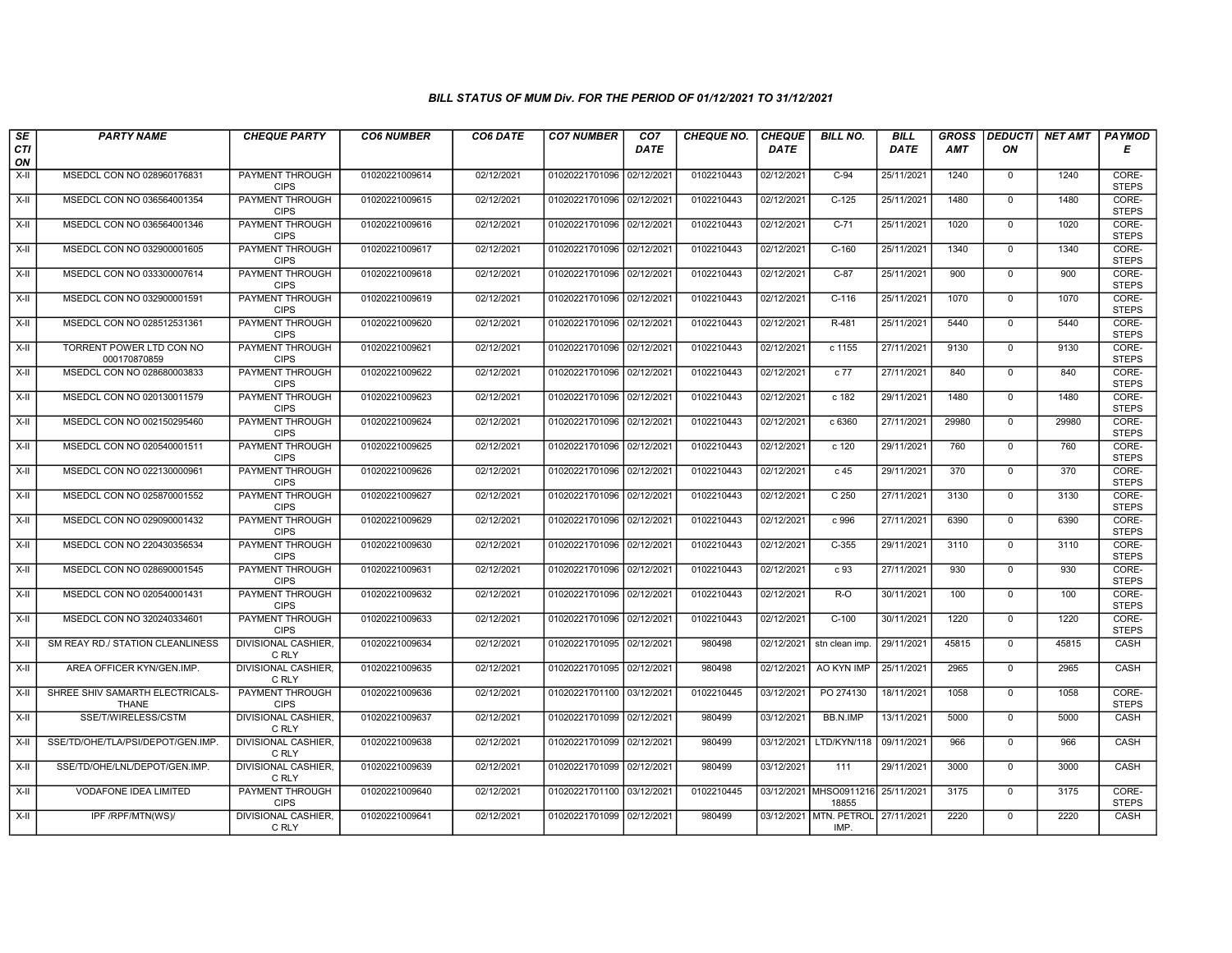| SE                 | <b>PARTY NAME</b>                               | <b>CHEQUE PARTY</b>                   | <b>CO6 NUMBER</b> | CO6 DATE   | <b>CO7 NUMBER</b>         | CO <sub>7</sub> | <b>CHEQUE NO.</b> | <b>CHEQUE</b> | <b>BILL NO.</b>                            | <b>BILL</b> | <b>GROSS</b> |              | DEDUCTI NET AMT | <b>PAYMOD</b>         |
|--------------------|-------------------------------------------------|---------------------------------------|-------------------|------------|---------------------------|-----------------|-------------------|---------------|--------------------------------------------|-------------|--------------|--------------|-----------------|-----------------------|
| <b>CTI</b><br>ON   |                                                 |                                       |                   |            |                           | <b>DATE</b>     |                   | <b>DATE</b>   |                                            | <b>DATE</b> | AMT          | ON           |                 | Е                     |
| $X-H$              | MSEDCL CON NO 028960176831                      | <b>PAYMENT THROUGH</b><br><b>CIPS</b> | 01020221009614    | 02/12/2021 | 01020221701096 02/12/2021 |                 | 0102210443        | 02/12/2021    | $C-94$                                     | 25/11/2021  | 1240         | $\mathbf 0$  | 1240            | CORE-<br><b>STEPS</b> |
| $X-H$              | MSEDCL CON NO 036564001354                      | <b>PAYMENT THROUGH</b><br><b>CIPS</b> | 01020221009615    | 02/12/2021 | 01020221701096 02/12/2021 |                 | 0102210443        | 02/12/2021    | $C-125$                                    | 25/11/2021  | 1480         | $\Omega$     | 1480            | CORE-<br><b>STEPS</b> |
| X-II               | MSEDCL CON NO 036564001346                      | PAYMENT THROUGH<br><b>CIPS</b>        | 01020221009616    | 02/12/2021 | 01020221701096 02/12/202  |                 | 0102210443        | 02/12/2021    | $C-71$                                     | 25/11/2021  | 1020         | $\mathbf 0$  | 1020            | CORE-<br><b>STEPS</b> |
| $X-H$              | MSEDCL CON NO 032900001605                      | <b>PAYMENT THROUGH</b><br><b>CIPS</b> | 01020221009617    | 02/12/2021 | 01020221701096 02/12/2021 |                 | 0102210443        | 02/12/2021    | $C-160$                                    | 25/11/2021  | 1340         | $\mathbf 0$  | 1340            | CORE-<br><b>STEPS</b> |
| $X-H$              | MSEDCL CON NO 033300007614                      | PAYMENT THROUGH<br><b>CIPS</b>        | 01020221009618    | 02/12/2021 | 01020221701096 02/12/2021 |                 | 0102210443        | 02/12/2021    | $C-87$                                     | 25/11/2021  | 900          | $\Omega$     | 900             | CORE-<br><b>STEPS</b> |
| $X-II$             | MSEDCL CON NO 032900001591                      | <b>PAYMENT THROUGH</b><br><b>CIPS</b> | 01020221009619    | 02/12/2021 | 01020221701096 02/12/2021 |                 | 0102210443        | 02/12/2021    | $C-116$                                    | 25/11/2021  | 1070         | $\mathbf{0}$ | 1070            | CORE-<br><b>STEPS</b> |
| X-II               | MSEDCL CON NO 028512531361                      | <b>PAYMENT THROUGH</b><br><b>CIPS</b> | 01020221009620    | 02/12/2021 | 01020221701096            | 02/12/2021      | 0102210443        | 02/12/2021    | R-481                                      | 25/11/2021  | 5440         | $\Omega$     | 5440            | CORE-<br><b>STEPS</b> |
| X-II               | TORRENT POWER LTD CON NO<br>000170870859        | PAYMENT THROUGH<br><b>CIPS</b>        | 01020221009621    | 02/12/2021 | 01020221701096 02/12/202  |                 | 0102210443        | 02/12/2021    | c 1155                                     | 27/11/2021  | 9130         | $\mathbf 0$  | 9130            | CORE-<br><b>STEPS</b> |
| $X-H$              | MSEDCL CON NO 028680003833                      | <b>PAYMENT THROUGH</b><br><b>CIPS</b> | 01020221009622    | 02/12/2021 | 01020221701096 02/12/2021 |                 | 0102210443        | 02/12/2021    | $c$ 77                                     | 27/11/2021  | 840          | $\Omega$     | 840             | CORE-<br><b>STEPS</b> |
| $X-H$              | MSEDCL CON NO 020130011579                      | <b>PAYMENT THROUGH</b><br><b>CIPS</b> | 01020221009623    | 02/12/2021 | 01020221701096 02/12/2021 |                 | 0102210443        | 02/12/2021    | c 182                                      | 29/11/2021  | 1480         | $\Omega$     | 1480            | CORE-<br><b>STEPS</b> |
| $X-II$             | MSEDCL CON NO 002150295460                      | PAYMENT THROUGH<br><b>CIPS</b>        | 01020221009624    | 02/12/2021 | 01020221701096 02/12/2021 |                 | 0102210443        | 02/12/2021    | c 6360                                     | 27/11/2021  | 29980        | $\mathbf{0}$ | 29980           | CORE-<br><b>STEPS</b> |
| X-II               | MSEDCL CON NO 020540001511                      | PAYMENT THROUGH<br><b>CIPS</b>        | 01020221009625    | 02/12/2021 | 01020221701096 02/12/2021 |                 | 0102210443        | 02/12/2021    | c 120                                      | 29/11/2021  | 760          | $\Omega$     | 760             | CORE-<br><b>STEPS</b> |
| X-II               | MSEDCL CON NO 022130000961                      | <b>PAYMENT THROUGH</b><br><b>CIPS</b> | 01020221009626    | 02/12/2021 | 01020221701096 02/12/202  |                 | 0102210443        | 02/12/2021    | $c$ 45                                     | 29/11/2021  | 370          | $\mathbf 0$  | 370             | CORE-<br><b>STEPS</b> |
| $X-H$              | MSEDCL CON NO 025870001552                      | <b>PAYMENT THROUGH</b><br><b>CIPS</b> | 01020221009627    | 02/12/2021 | 01020221701096 02/12/2021 |                 | 0102210443        | 02/12/2021    | C <sub>250</sub>                           | 27/11/2021  | 3130         | $\mathbf{0}$ | 3130            | CORE-<br><b>STEPS</b> |
| X-II               | MSEDCL CON NO 029090001432                      | PAYMENT THROUGH<br><b>CIPS</b>        | 01020221009629    | 02/12/2021 | 01020221701096 02/12/2021 |                 | 0102210443        | 02/12/2021    | c 996                                      | 27/11/2021  | 6390         | $\mathbf 0$  | 6390            | CORE-<br><b>STEPS</b> |
| $X-H$              | MSEDCL CON NO 220430356534                      | PAYMENT THROUGH<br><b>CIPS</b>        | 01020221009630    | 02/12/2021 | 01020221701096 02/12/2021 |                 | 0102210443        | 02/12/2021    | $C-355$                                    | 29/11/2021  | 3110         | $\mathbf 0$  | 3110            | CORE-<br><b>STEPS</b> |
| X-II               | MSEDCL CON NO 028690001545                      | PAYMENT THROUGH<br><b>CIPS</b>        | 01020221009631    | 02/12/2021 | 01020221701096 02/12/2021 |                 | 0102210443        | 02/12/2021    | c 93                                       | 27/11/2021  | 930          | $\Omega$     | 930             | CORE-<br><b>STEPS</b> |
| X-II               | MSEDCL CON NO 020540001431                      | <b>PAYMENT THROUGH</b><br><b>CIPS</b> | 01020221009632    | 02/12/2021 | 01020221701096 02/12/202  |                 | 0102210443        | 02/12/2021    | $R-O$                                      | 30/11/2021  | 100          | $\mathbf 0$  | 100             | CORE-<br><b>STEPS</b> |
| $X-H$              | MSEDCL CON NO 320240334601                      | PAYMENT THROUGH<br><b>CIPS</b>        | 01020221009633    | 02/12/2021 | 01020221701096 02/12/2021 |                 | 0102210443        | 02/12/2021    | $C-100$                                    | 30/11/2021  | 1220         | $\Omega$     | 1220            | CORE-<br><b>STEPS</b> |
| X-II               | SM REAY RD./ STATION CLEANLINESS                | DIVISIONAL CASHIER,<br>C RLY          | 01020221009634    | 02/12/2021 | 01020221701095 02/12/2021 |                 | 980498            | 02/12/2021    | stn clean imp.                             | 29/11/2021  | 45815        | $\mathbf 0$  | 45815           | CASH                  |
| $X-H$              | AREA OFFICER KYN/GEN.IMP.                       | <b>DIVISIONAL CASHIER,</b><br>C RLY   | 01020221009635    | 02/12/2021 | 01020221701095 02/12/2021 |                 | 980498            | 02/12/2021    | AO KYN IMP                                 | 25/11/2021  | 2965         | $\mathbf 0$  | 2965            | CASH                  |
| X-II               | SHREE SHIV SAMARTH ELECTRICALS-<br><b>THANE</b> | <b>PAYMENT THROUGH</b><br><b>CIPS</b> | 01020221009636    | 02/12/2021 | 01020221701100 03/12/2021 |                 | 0102210445        | 03/12/2021    | PO 274130                                  | 18/11/2021  | 1058         | $\Omega$     | 1058            | CORE-<br><b>STEPS</b> |
| X-II               | SSE/T/WIRELESS/CSTM                             | DIVISIONAL CASHIER,<br>C RLY          | 01020221009637    | 02/12/2021 | 01020221701099 02/12/2021 |                 | 980499            | 03/12/2021    | BB.N.IMP                                   | 13/11/2021  | 5000         | $\mathbf 0$  | 5000            | CASH                  |
| $X-II$             | SSE/TD/OHE/TLA/PSI/DEPOT/GEN.IMP.               | <b>DIVISIONAL CASHIER,</b><br>C RLY   | 01020221009638    | 02/12/2021 | 01020221701099 02/12/2021 |                 | 980499            | 03/12/2021    | LTD/KYN/118                                | 09/11/2021  | 966          | $\Omega$     | 966             | CASH                  |
| X-II               | SSE/TD/OHE/LNL/DEPOT/GEN.IMP.                   | <b>DIVISIONAL CASHIER,</b><br>C RLY   | 01020221009639    | 02/12/2021 | 01020221701099 02/12/2021 |                 | 980499            | 03/12/2021    | 111                                        | 29/11/2021  | 3000         | $\mathbf 0$  | 3000            | CASH                  |
| $\overline{x}$ -II | <b>VODAFONE IDEA LIMITED</b>                    | <b>PAYMENT THROUGH</b><br><b>CIPS</b> | 01020221009640    | 02/12/2021 | 01020221701100 03/12/2021 |                 | 0102210445        |               | 03/12/2021 MHSO0911216 25/11/2021<br>18855 |             | 3175         | $\mathbf 0$  | 3175            | CORE-<br><b>STEPS</b> |
| X-II               | IPF /RPF/MTN(WS)/                               | <b>DIVISIONAL CASHIER,</b><br>C RLY   | 01020221009641    | 02/12/2021 | 01020221701099 02/12/2021 |                 | 980499            |               | 03/12/2021 MTN. PETROL 27/11/2021<br>IMP.  |             | 2220         | $\mathbf{0}$ | 2220            | CASH                  |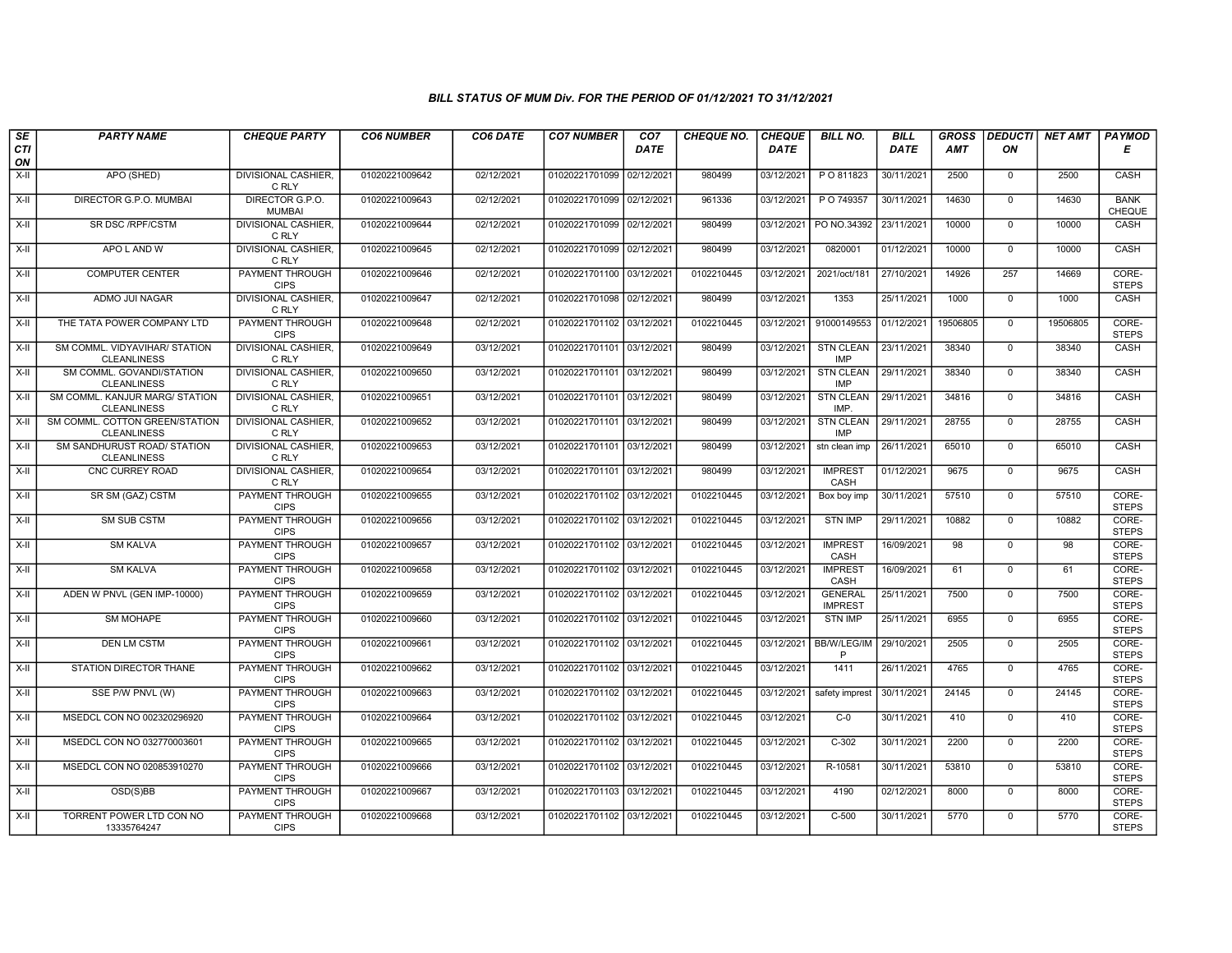| SE<br>CTI  | <b>PARTY NAME</b>                                    | <b>CHEQUE PARTY</b>                   | <b>CO6 NUMBER</b> | CO6 DATE   | <b>CO7 NUMBER</b>         | CO7<br><b>DATE</b> | <b>CHEQUE NO.</b> | <b>CHEQUE</b><br><b>DATE</b> | <b>BILL NO.</b>                  | <b>BILL</b><br>DATE | <b>GROSS</b><br>AMT | <b>DEDUCTI</b><br>ON | <b>NET AMT</b> | <b>PAYMOD</b><br>E    |
|------------|------------------------------------------------------|---------------------------------------|-------------------|------------|---------------------------|--------------------|-------------------|------------------------------|----------------------------------|---------------------|---------------------|----------------------|----------------|-----------------------|
| ON<br>X-II | APO (SHED)                                           | <b>DIVISIONAL CASHIER,</b>            | 01020221009642    | 02/12/2021 | 01020221701099 02/12/2021 |                    | 980499            | 03/12/2021                   | P O 811823                       | 30/11/2021          | 2500                | $\mathbf 0$          | 2500           | CASH                  |
| $X-H$      | DIRECTOR G.P.O. MUMBAI                               | C RLY<br>DIRECTOR G.P.O.              | 01020221009643    | 02/12/2021 | 01020221701099 02/12/2021 |                    | 961336            | 03/12/2021                   | P O 749357                       | 30/11/2021          | 14630               | $\overline{0}$       | 14630          | <b>BANK</b>           |
|            |                                                      | <b>MUMBAI</b>                         |                   |            |                           |                    |                   |                              |                                  |                     |                     |                      |                | CHEQUE                |
| X-II       | SR DSC /RPF/CSTM                                     | <b>DIVISIONAL CASHIER.</b><br>C RLY   | 01020221009644    | 02/12/2021 | 01020221701099 02/12/2021 |                    | 980499            | 03/12/2021                   | PO NO.34392                      | 23/11/2021          | 10000               | $\Omega$             | 10000          | CASH                  |
| X-II       | APO L AND W                                          | DIVISIONAL CASHIER,<br>C RLY          | 01020221009645    | 02/12/2021 | 01020221701099 02/12/2021 |                    | 980499            | 03/12/2021                   | 0820001                          | 01/12/2021          | 10000               | $\mathbf 0$          | 10000          | CASH                  |
| $X-H$      | <b>COMPUTER CENTER</b>                               | <b>PAYMENT THROUGH</b><br><b>CIPS</b> | 01020221009646    | 02/12/2021 | 01020221701100 03/12/2021 |                    | 0102210445        | 03/12/2021                   | 2021/oct/181                     | 27/10/2021          | 14926               | 257                  | 14669          | CORE-<br><b>STEPS</b> |
| X-II       | ADMO JUI NAGAR                                       | <b>DIVISIONAL CASHIER,</b><br>C RLY   | 01020221009647    | 02/12/2021 | 01020221701098 02/12/2021 |                    | 980499            | 03/12/2021                   | 1353                             | 25/11/2021          | 1000                | $\overline{0}$       | 1000           | CASH                  |
| X-II       | THE TATA POWER COMPANY LTD                           | PAYMENT THROUGH<br><b>CIPS</b>        | 01020221009648    | 02/12/2021 | 01020221701102 03/12/2021 |                    | 0102210445        | 03/12/2021                   | 91000149553                      | 01/12/2021          | 19506805            | $\mathbf 0$          | 19506805       | CORE-<br><b>STEPS</b> |
| $X-H$      | SM COMML. VIDYAVIHAR/ STATION<br><b>CLEANLINESS</b>  | <b>DIVISIONAL CASHIER,</b><br>C RLY   | 01020221009649    | 03/12/2021 | 01020221701101 03/12/2021 |                    | 980499            | 03/12/2021                   | <b>STN CLEAN</b><br><b>IMP</b>   | 23/11/2021          | 38340               | $\overline{0}$       | 38340          | CASH                  |
| X-II       | SM COMML. GOVANDI/STATION<br><b>CLEANLINESS</b>      | DIVISIONAL CASHIER,<br>C RLY          | 01020221009650    | 03/12/2021 | 01020221701101 03/12/2021 |                    | 980499            | 03/12/2021                   | <b>STN CLEAN</b><br><b>IMP</b>   | 29/11/2021          | 38340               | $\mathbf{0}$         | 38340          | <b>CASH</b>           |
| X-II       | SM COMML. KANJUR MARG/ STATION<br><b>CLEANLINESS</b> | <b>DIVISIONAL CASHIER.</b><br>C RLY   | 01020221009651    | 03/12/2021 | 01020221701101 03/12/2021 |                    | 980499            | 03/12/2021                   | <b>STN CLEAN</b><br>IMP.         | 29/11/2021          | 34816               | $\mathbf 0$          | 34816          | CASH                  |
| X-II       | SM COMML. COTTON GREEN/STATION<br><b>CLEANLINESS</b> | DIVISIONAL CASHIER,<br>C RLY          | 01020221009652    | 03/12/2021 | 01020221701101 03/12/2021 |                    | 980499            | 03/12/2021                   | <b>STN CLEAN</b><br><b>IMP</b>   | 29/11/2021          | 28755               | $\mathbf 0$          | 28755          | CASH                  |
| $X-II$     | SM SANDHURUST ROAD/ STATION<br><b>CLEANLINESS</b>    | <b>DIVISIONAL CASHIER.</b><br>C RLY   | 01020221009653    | 03/12/2021 | 01020221701101 03/12/2021 |                    | 980499            | 03/12/2021                   | stn clean imp                    | 26/11/2021          | 65010               | $\overline{0}$       | 65010          | CASH                  |
| X-II       | CNC CURREY ROAD                                      | <b>DIVISIONAL CASHIER,</b><br>C RLY   | 01020221009654    | 03/12/2021 | 01020221701101 03/12/2021 |                    | 980499            | 03/12/2021                   | <b>IMPREST</b><br>CASH           | 01/12/2021          | 9675                | $\mathbf 0$          | 9675           | CASH                  |
| $X-H$      | SR SM (GAZ) CSTM                                     | <b>PAYMENT THROUGH</b><br><b>CIPS</b> | 01020221009655    | 03/12/2021 | 01020221701102 03/12/2021 |                    | 0102210445        | 03/12/2021                   | Box boy imp                      | 30/11/2021          | 57510               | $\overline{0}$       | 57510          | CORE-<br><b>STEPS</b> |
| X-II       | SM SUB CSTM                                          | PAYMENT THROUGH<br><b>CIPS</b>        | 01020221009656    | 03/12/2021 | 01020221701102 03/12/2021 |                    | 0102210445        | 03/12/2021                   | <b>STN IMP</b>                   | 29/11/2021          | 10882               | $\Omega$             | 10882          | CORE-<br><b>STEPS</b> |
| X-II       | <b>SM KALVA</b>                                      | PAYMENT THROUGH<br><b>CIPS</b>        | 01020221009657    | 03/12/2021 | 01020221701102 03/12/2021 |                    | 0102210445        | 03/12/2021                   | <b>IMPREST</b><br>CASH           | 16/09/2021          | 98                  | $\mathbf 0$          | 98             | CORE-<br><b>STEPS</b> |
| $X-H$      | <b>SM KALVA</b>                                      | PAYMENT THROUGH<br><b>CIPS</b>        | 01020221009658    | 03/12/2021 | 01020221701102 03/12/2021 |                    | 0102210445        | 03/12/2021                   | <b>IMPREST</b><br>CASH           | 16/09/2021          | 61                  | $\overline{0}$       | 61             | CORE-<br><b>STEPS</b> |
| X-II       | ADEN W PNVL (GEN IMP-10000)                          | <b>PAYMENT THROUGH</b><br><b>CIPS</b> | 01020221009659    | 03/12/2021 | 01020221701102 03/12/2021 |                    | 0102210445        | 03/12/2021                   | <b>GENERAL</b><br><b>IMPREST</b> | 25/11/2021          | 7500                | $\mathbf 0$          | 7500           | CORE-<br><b>STEPS</b> |
| X-II       | SM MOHAPE                                            | PAYMENT THROUGH<br><b>CIPS</b>        | 01020221009660    | 03/12/2021 | 01020221701102 03/12/2021 |                    | 0102210445        | 03/12/2021                   | <b>STN IMP</b>                   | 25/11/2021          | 6955                | $\mathbf 0$          | 6955           | CORE-<br><b>STEPS</b> |
| $X-H$      | <b>DEN LM CSTM</b>                                   | PAYMENT THROUGH<br><b>CIPS</b>        | 01020221009661    | 03/12/2021 | 01020221701102 03/12/2021 |                    | 0102210445        | 03/12/2021                   | <b>BB/W/LEG/IM</b><br>P          | 29/10/2021          | 2505                | $\overline{0}$       | 2505           | CORE-<br><b>STEPS</b> |
| X-II       | STATION DIRECTOR THANE                               | <b>PAYMENT THROUGH</b><br><b>CIPS</b> | 01020221009662    | 03/12/2021 | 01020221701102 03/12/2021 |                    | 0102210445        | 03/12/2021                   | 1411                             | 26/11/2021          | 4765                | $\mathbf 0$          | 4765           | CORE-<br><b>STEPS</b> |
| X-II       | SSE P/W PNVL (W)                                     | <b>PAYMENT THROUGH</b><br><b>CIPS</b> | 01020221009663    | 03/12/2021 | 01020221701102 03/12/2021 |                    | 0102210445        | 03/12/2021                   | safety imprest                   | 30/11/2021          | 24145               | $\mathbf 0$          | 24145          | CORE-<br><b>STEPS</b> |
| X-II       | MSEDCL CON NO 002320296920                           | PAYMENT THROUGH<br><b>CIPS</b>        | 01020221009664    | 03/12/2021 | 01020221701102 03/12/2021 |                    | 0102210445        | 03/12/2021                   | $C-0$                            | 30/11/2021          | 410                 | $\Omega$             | 410            | CORE-<br><b>STEPS</b> |
| $X-H$      | MSEDCL CON NO 032770003601                           | PAYMENT THROUGH<br><b>CIPS</b>        | 01020221009665    | 03/12/2021 | 01020221701102 03/12/2021 |                    | 0102210445        | 03/12/2021                   | $C-302$                          | 30/11/2021          | 2200                | $\mathbf{0}$         | 2200           | CORE-<br><b>STEPS</b> |
| $X-H$      | MSEDCL CON NO 020853910270                           | PAYMENT THROUGH<br><b>CIPS</b>        | 01020221009666    | 03/12/2021 | 01020221701102 03/12/2021 |                    | 0102210445        | 03/12/2021                   | R-10581                          | 30/11/2021          | 53810               | $\overline{0}$       | 53810          | CORE-<br><b>STEPS</b> |
| X-II       | OSD(S)BB                                             | <b>PAYMENT THROUGH</b><br><b>CIPS</b> | 01020221009667    | 03/12/2021 | 01020221701103 03/12/2021 |                    | 0102210445        | 03/12/2021                   | 4190                             | 02/12/2021          | 8000                | $\overline{0}$       | 8000           | CORE-<br><b>STEPS</b> |
| X-II       | TORRENT POWER LTD CON NO<br>13335764247              | PAYMENT THROUGH<br><b>CIPS</b>        | 01020221009668    | 03/12/2021 | 01020221701102 03/12/2021 |                    | 0102210445        | 03/12/2021                   | $C-500$                          | 30/11/2021          | 5770                | $\overline{0}$       | 5770           | CORE-<br><b>STEPS</b> |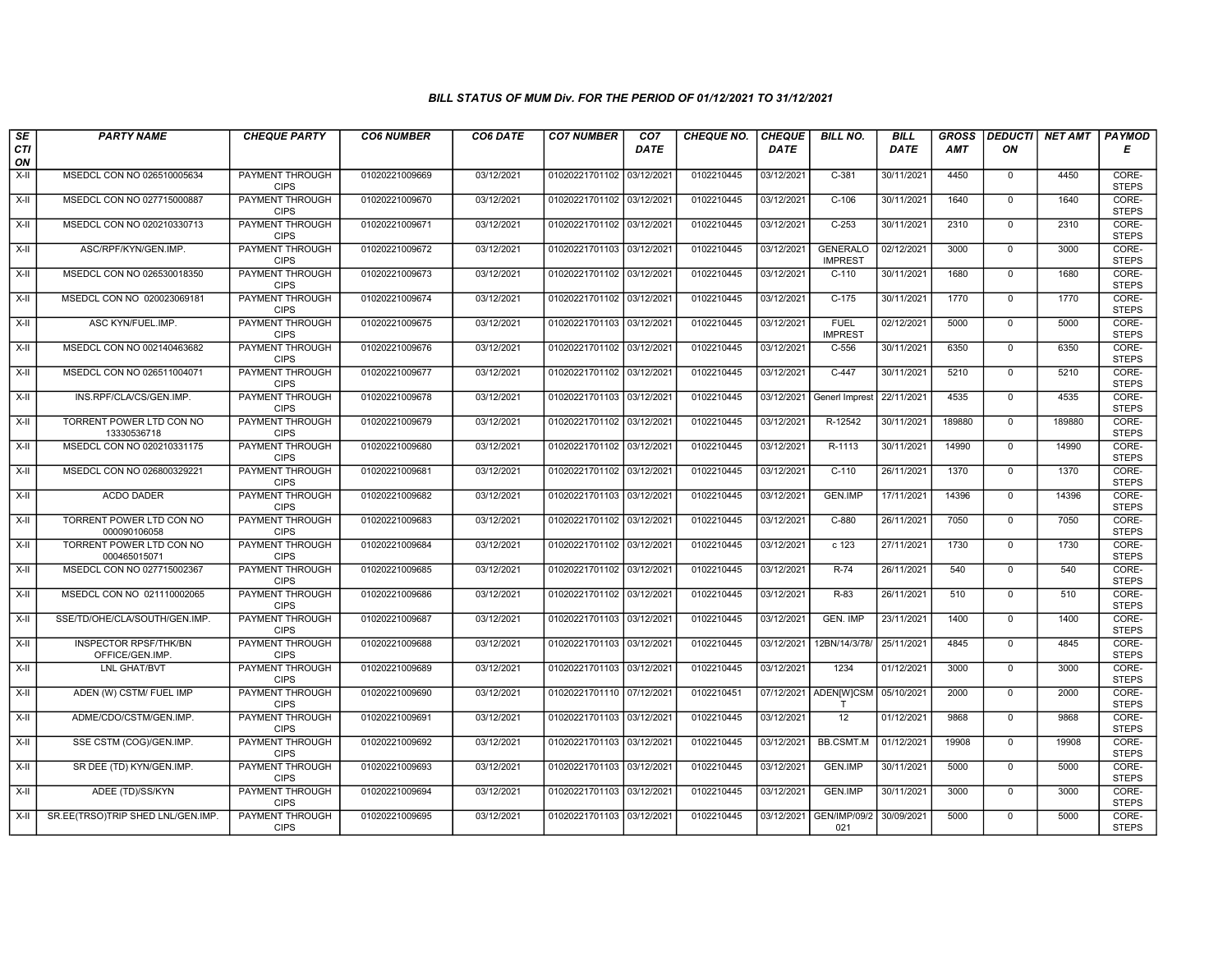| SE               | <b>PARTY NAME</b>                        | <b>CHEQUE PARTY</b>                   | <b>CO6 NUMBER</b> | CO6 DATE   | <b>CO7 NUMBER</b>         | CO7  | <b>CHEQUE NO.</b> | <b>CHEQUE</b> | <b>BILL NO.</b>                   | <b>BILL</b> | <b>GROSS</b> | <b>DEDUCTI</b> | <b>NET AMT</b> | <b>PAYMOD</b>         |
|------------------|------------------------------------------|---------------------------------------|-------------------|------------|---------------------------|------|-------------------|---------------|-----------------------------------|-------------|--------------|----------------|----------------|-----------------------|
| <b>CTI</b><br>ON |                                          |                                       |                   |            |                           | DATE |                   | <b>DATE</b>   |                                   | DATE        | AMT          | ON             |                | Е                     |
| $X-H$            | MSEDCL CON NO 026510005634               | <b>PAYMENT THROUGH</b><br><b>CIPS</b> | 01020221009669    | 03/12/2021 | 01020221701102 03/12/2021 |      | 0102210445        | 03/12/2021    | $C-381$                           | 30/11/2021  | 4450         | $\mathbf 0$    | 4450           | CORE-<br><b>STEPS</b> |
| $X-H$            | MSEDCL CON NO 027715000887               | <b>PAYMENT THROUGH</b><br><b>CIPS</b> | 01020221009670    | 03/12/2021 | 01020221701102 03/12/2021 |      | 0102210445        | 03/12/2021    | $C-106$                           | 30/11/2021  | 1640         | $\Omega$       | 1640           | CORE-<br><b>STEPS</b> |
| X-II             | MSEDCL CON NO 020210330713               | PAYMENT THROUGH<br><b>CIPS</b>        | 01020221009671    | 03/12/2021 | 01020221701102 03/12/2021 |      | 0102210445        | 03/12/2021    | $C-253$                           | 30/11/2021  | 2310         | $\mathbf 0$    | 2310           | CORE-<br><b>STEPS</b> |
| $X-H$            | ASC/RPF/KYN/GEN.IMP.                     | <b>PAYMENT THROUGH</b><br><b>CIPS</b> | 01020221009672    | 03/12/2021 | 01020221701103 03/12/2021 |      | 0102210445        | 03/12/2021    | <b>GENERALO</b><br><b>IMPREST</b> | 02/12/2021  | 3000         | $\overline{0}$ | 3000           | CORE-<br><b>STEPS</b> |
| X-II             | MSEDCL CON NO 026530018350               | <b>PAYMENT THROUGH</b><br><b>CIPS</b> | 01020221009673    | 03/12/2021 | 01020221701102 03/12/2021 |      | 0102210445        | 03/12/2021    | $C-110$                           | 30/11/2021  | 1680         | $\mathbf{0}$   | 1680           | CORE-<br><b>STEPS</b> |
| X-II             | MSEDCL CON NO 020023069181               | <b>PAYMENT THROUGH</b><br><b>CIPS</b> | 01020221009674    | 03/12/2021 | 01020221701102 03/12/2021 |      | 0102210445        | 03/12/2021    | $C-175$                           | 30/11/2021  | 1770         | $\mathbf{0}$   | 1770           | CORE-<br><b>STEPS</b> |
| X-II             | ASC KYN/FUEL.IMP.                        | PAYMENT THROUGH<br><b>CIPS</b>        | 01020221009675    | 03/12/2021 | 01020221701103 03/12/2021 |      | 0102210445        | 03/12/2021    | <b>FUEL</b><br><b>IMPREST</b>     | 02/12/2021  | 5000         | $\Omega$       | 5000           | CORE-<br><b>STEPS</b> |
| X-II             | MSEDCL CON NO 002140463682               | PAYMENT THROUGH<br><b>CIPS</b>        | 01020221009676    | 03/12/2021 | 01020221701102 03/12/2021 |      | 0102210445        | 03/12/2021    | $C-556$                           | 30/11/2021  | 6350         | $\mathbf 0$    | 6350           | CORE-<br><b>STEPS</b> |
| $X-H$            | MSEDCL CON NO 026511004071               | <b>PAYMENT THROUGH</b><br><b>CIPS</b> | 01020221009677    | 03/12/2021 | 01020221701102 03/12/2021 |      | 0102210445        | 03/12/2021    | $C-447$                           | 30/11/2021  | 5210         | $\overline{0}$ | 5210           | CORE-<br><b>STEPS</b> |
| X-II             | INS.RPF/CLA/CS/GEN.IMP.                  | <b>PAYMENT THROUGH</b><br><b>CIPS</b> | 01020221009678    | 03/12/2021 | 01020221701103 03/12/2021 |      | 0102210445        | 03/12/2021    | Generl Imprest                    | 22/11/2021  | 4535         | $\mathbf 0$    | 4535           | CORE-<br><b>STEPS</b> |
| X-II             | TORRENT POWER LTD CON NO<br>13330536718  | <b>PAYMENT THROUGH</b><br><b>CIPS</b> | 01020221009679    | 03/12/2021 | 01020221701102 03/12/2021 |      | 0102210445        | 03/12/2021    | R-12542                           | 30/11/2021  | 189880       | $\mathbf 0$    | 189880         | CORE-<br><b>STEPS</b> |
| X-II             | MSEDCL CON NO 020210331175               | PAYMENT THROUGH<br><b>CIPS</b>        | 01020221009680    | 03/12/2021 | 01020221701102 03/12/2021 |      | 0102210445        | 03/12/2021    | R-1113                            | 30/11/2021  | 14990        | $\Omega$       | 14990          | CORE-<br><b>STEPS</b> |
| $X-II$           | MSEDCL CON NO 026800329221               | <b>PAYMENT THROUGH</b><br><b>CIPS</b> | 01020221009681    | 03/12/2021 | 01020221701102 03/12/2021 |      | 0102210445        | 03/12/2021    | $C-110$                           | 26/11/2021  | 1370         | $\mathbf 0$    | 1370           | CORE-<br><b>STEPS</b> |
| $X-H$            | <b>ACDO DADER</b>                        | <b>PAYMENT THROUGH</b><br><b>CIPS</b> | 01020221009682    | 03/12/2021 | 01020221701103 03/12/2021 |      | 0102210445        | 03/12/2021    | GEN.IMP                           | 17/11/2021  | 14396        | $\mathbf{0}$   | 14396          | CORE-<br><b>STEPS</b> |
| X-II             | TORRENT POWER LTD CON NO<br>000090106058 | PAYMENT THROUGH<br><b>CIPS</b>        | 01020221009683    | 03/12/2021 | 01020221701102 03/12/2021 |      | 0102210445        | 03/12/2021    | C-880                             | 26/11/2021  | 7050         | $\mathbf 0$    | 7050           | CORE-<br><b>STEPS</b> |
| X-II             | TORRENT POWER LTD CON NO<br>000465015071 | <b>PAYMENT THROUGH</b><br><b>CIPS</b> | 01020221009684    | 03/12/2021 | 01020221701102 03/12/2021 |      | 0102210445        | 03/12/2021    | c <sub>123</sub>                  | 27/11/2021  | 1730         | $\overline{0}$ | 1730           | CORE-<br><b>STEPS</b> |
| X-II             | MSEDCL CON NO 027715002367               | PAYMENT THROUGH<br><b>CIPS</b>        | 01020221009685    | 03/12/2021 | 01020221701102 03/12/2021 |      | 0102210445        | 03/12/2021    | $R-74$                            | 26/11/2021  | 540          | $\Omega$       | 540            | CORE-<br><b>STEPS</b> |
| X-II             | MSEDCL CON NO 021110002065               | <b>PAYMENT THROUGH</b><br><b>CIPS</b> | 01020221009686    | 03/12/2021 | 01020221701102 03/12/2021 |      | 0102210445        | 03/12/2021    | $R-83$                            | 26/11/2021  | 510          | $\mathbf 0$    | 510            | CORE-<br><b>STEPS</b> |
| X-II             | SSE/TD/OHE/CLA/SOUTH/GEN.IMP.            | PAYMENT THROUGH<br><b>CIPS</b>        | 01020221009687    | 03/12/2021 | 01020221701103 03/12/2021 |      | 0102210445        | 03/12/2021    | GEN. IMP                          | 23/11/2021  | 1400         | $\Omega$       | 1400           | CORE-<br><b>STEPS</b> |
| $X-H$            | INSPECTOR RPSF/THK/BN<br>OFFICE/GEN.IMP. | PAYMENT THROUGH<br><b>CIPS</b>        | 01020221009688    | 03/12/2021 | 01020221701103 03/12/2021 |      | 0102210445        | 03/12/2021    | 12BN/14/3/78/                     | 25/11/2021  | 4845         | $\mathbf 0$    | 4845           | CORE-<br><b>STEPS</b> |
| $X-H$            | <b>LNL GHAT/BVT</b>                      | <b>PAYMENT THROUGH</b><br><b>CIPS</b> | 01020221009689    | 03/12/2021 | 01020221701103 03/12/2021 |      | 0102210445        | 03/12/2021    | 1234                              | 01/12/2021  | 3000         | $\overline{0}$ | 3000           | CORE-<br><b>STEPS</b> |
| X-II             | ADEN (W) CSTM/ FUEL IMP                  | <b>PAYMENT THROUGH</b><br><b>CIPS</b> | 01020221009690    | 03/12/2021 | 01020221701110 07/12/2021 |      | 0102210451        | 07/12/2021    | ADEN[W]CSM                        | 05/10/2021  | 2000         | $\Omega$       | 2000           | CORE-<br><b>STEPS</b> |
| $X-H$            | ADME/CDO/CSTM/GEN.IMP.                   | PAYMENT THROUGH<br><b>CIPS</b>        | 01020221009691    | 03/12/2021 | 01020221701103 03/12/2021 |      | 0102210445        | 03/12/2021    | 12                                | 01/12/2021  | 9868         | $\mathbf 0$    | 9868           | CORE-<br><b>STEPS</b> |
| X-II             | SSE CSTM (COG)/GEN.IMP.                  | PAYMENT THROUGH<br><b>CIPS</b>        | 01020221009692    | 03/12/2021 | 01020221701103 03/12/2021 |      | 0102210445        | 03/12/2021    | BB.CSMT.M                         | 01/12/2021  | 19908        | $\Omega$       | 19908          | CORE-<br><b>STEPS</b> |
| X-II             | SR DEE (TD) KYN/GEN.IMP.                 | <b>PAYMENT THROUGH</b><br><b>CIPS</b> | 01020221009693    | 03/12/2021 | 01020221701103 03/12/2021 |      | 0102210445        | 03/12/2021    | <b>GEN.IMP</b>                    | 30/11/2021  | 5000         | $\mathbf 0$    | 5000           | CORE-<br><b>STEPS</b> |
| $X-H$            | ADEE (TD)/SS/KYN                         | <b>PAYMENT THROUGH</b><br><b>CIPS</b> | 01020221009694    | 03/12/2021 | 01020221701103 03/12/2021 |      | 0102210445        | 03/12/2021    | GEN.IMP                           | 30/11/2021  | 3000         | 0              | 3000           | CORE-<br><b>STEPS</b> |
| X-II             | SR.EE(TRSO)TRIP SHED LNL/GEN.IMP.        | <b>PAYMENT THROUGH</b><br><b>CIPS</b> | 01020221009695    | 03/12/2021 | 01020221701103 03/12/2021 |      | 0102210445        | 03/12/2021    | <b>GEN/IMP/09/2</b><br>021        | 30/09/2021  | 5000         | $\mathbf{0}$   | 5000           | CORE-<br><b>STEPS</b> |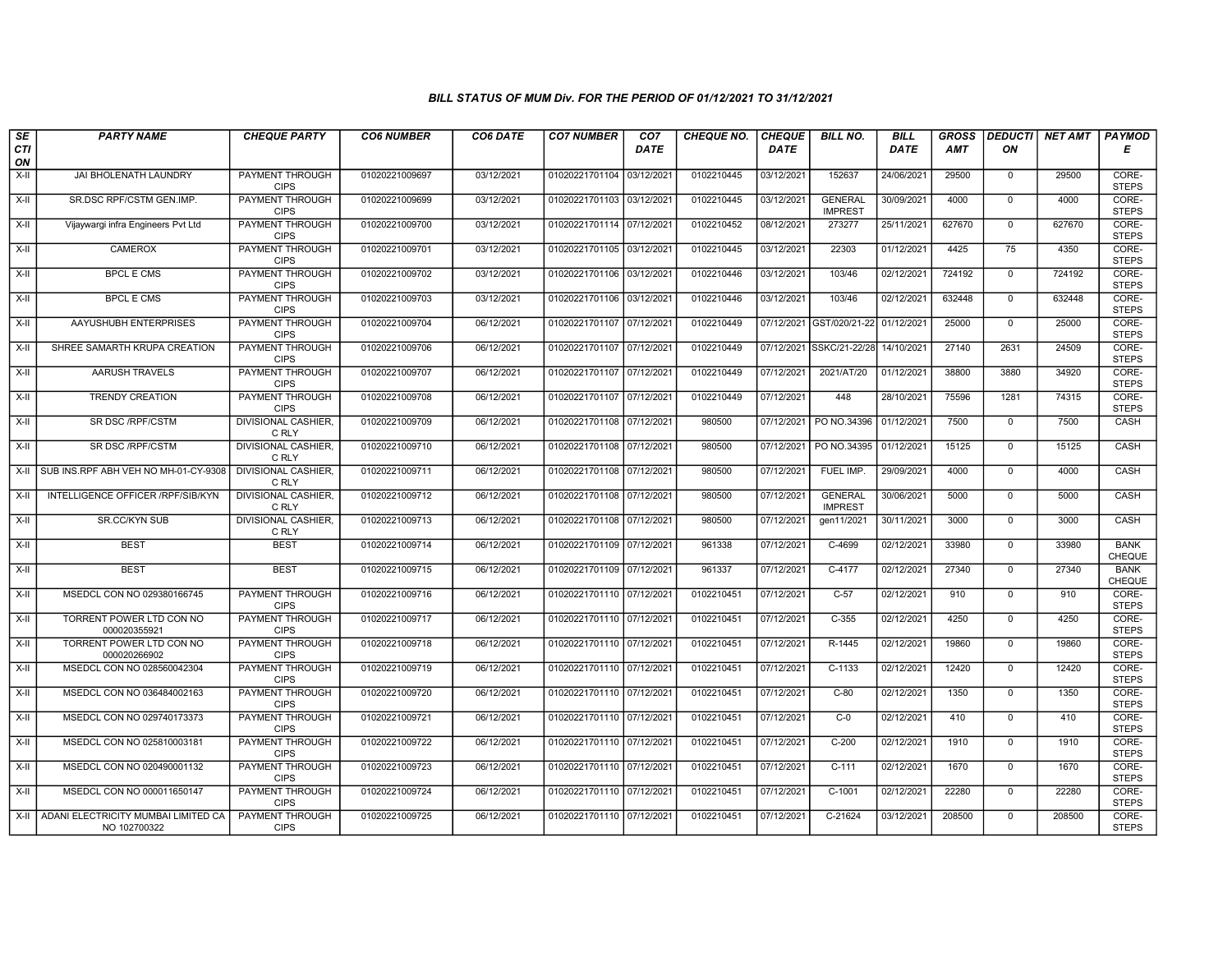| SE               | <b>PARTY NAME</b>                                   | <b>CHEQUE PARTY</b>                   | <b>CO6 NUMBER</b> | CO6 DATE   | <b>CO7 NUMBER</b>         | CO <sub>7</sub> | <b>CHEQUE NO.</b> | <b>CHEQUE</b> | <b>BILL NO.</b>                  | <b>BILL</b> | <b>GROSS</b> |                | DEDUCTI NET AMT | <b>PAYMOD</b>                |
|------------------|-----------------------------------------------------|---------------------------------------|-------------------|------------|---------------------------|-----------------|-------------------|---------------|----------------------------------|-------------|--------------|----------------|-----------------|------------------------------|
| <b>CTI</b><br>ON |                                                     |                                       |                   |            |                           | <b>DATE</b>     |                   | <b>DATE</b>   |                                  | DATE        | AMT          | ON             |                 | Е                            |
| $X-H$            | JAI BHOLENATH LAUNDRY                               | <b>PAYMENT THROUGH</b><br><b>CIPS</b> | 01020221009697    | 03/12/2021 | 01020221701104 03/12/2021 |                 | 0102210445        | 03/12/2021    | 152637                           | 24/06/2021  | 29500        | $\mathbf 0$    | 29500           | CORE-<br><b>STEPS</b>        |
| $X-H$            | SR.DSC RPF/CSTM GEN.IMP.                            | <b>PAYMENT THROUGH</b><br><b>CIPS</b> | 01020221009699    | 03/12/2021 | 01020221701103 03/12/2021 |                 | 0102210445        | 03/12/2021    | <b>GENERAL</b><br><b>IMPREST</b> | 30/09/2021  | 4000         | $\mathbf{0}$   | 4000            | CORE-<br><b>STEPS</b>        |
| X-II             | Vijaywargi infra Engineers Pvt Ltd                  | PAYMENT THROUGH<br><b>CIPS</b>        | 01020221009700    | 03/12/2021 | 01020221701114 07/12/2021 |                 | 0102210452        | 08/12/2021    | 273277                           | 25/11/2021  | 627670       | $\Omega$       | 627670          | CORE-<br><b>STEPS</b>        |
| $X-II$           | <b>CAMEROX</b>                                      | PAYMENT THROUGH<br><b>CIPS</b>        | 01020221009701    | 03/12/2021 | 01020221701105 03/12/2021 |                 | 0102210445        | 03/12/2021    | 22303                            | 01/12/2021  | 4425         | 75             | 4350            | CORE-<br><b>STEPS</b>        |
| $X-H$            | <b>BPCL E CMS</b>                                   | <b>PAYMENT THROUGH</b><br><b>CIPS</b> | 01020221009702    | 03/12/2021 | 01020221701106 03/12/2021 |                 | 0102210446        | 03/12/2021    | 103/46                           | 02/12/2021  | 724192       | $\mathbf{0}$   | 724192          | CORE-<br><b>STEPS</b>        |
| X-II             | <b>BPCL E CMS</b>                                   | <b>PAYMENT THROUGH</b><br><b>CIPS</b> | 01020221009703    | 03/12/2021 | 01020221701106 03/12/2021 |                 | 0102210446        | 03/12/2021    | 103/46                           | 02/12/2021  | 632448       | $\mathbf 0$    | 632448          | CORE-<br><b>STEPS</b>        |
| X-II             | AAYUSHUBH ENTERPRISES                               | PAYMENT THROUGH<br><b>CIPS</b>        | 01020221009704    | 06/12/2021 | 01020221701107 07/12/2021 |                 | 0102210449        | 07/12/2021    | GST/020/21-22                    | 01/12/2021  | 25000        | $\mathbf 0$    | 25000           | CORE-<br><b>STEPS</b>        |
| $X-II$           | SHREE SAMARTH KRUPA CREATION                        | PAYMENT THROUGH<br><b>CIPS</b>        | 01020221009706    | 06/12/2021 | 01020221701107 07/12/2021 |                 | 0102210449        |               | 07/12/2021 SSKC/21-22/28         | 14/10/2021  | 27140        | 2631           | 24509           | CORE-<br><b>STEPS</b>        |
| $X-H$            | AARUSH TRAVELS                                      | <b>PAYMENT THROUGH</b><br><b>CIPS</b> | 01020221009707    | 06/12/2021 | 01020221701107 07/12/2021 |                 | 0102210449        | 07/12/2021    | 2021/AT/20                       | 01/12/2021  | 38800        | 3880           | 34920           | CORE-<br><b>STEPS</b>        |
| $X-H$            | <b>TRENDY CREATION</b>                              | <b>PAYMENT THROUGH</b><br><b>CIPS</b> | 01020221009708    | 06/12/2021 | 01020221701107 07/12/2021 |                 | 0102210449        | 07/12/2021    | 448                              | 28/10/2021  | 75596        | 1281           | 74315           | CORE-<br><b>STEPS</b>        |
| $X-H$            | SR DSC /RPF/CSTM                                    | DIVISIONAL CASHIER<br>C RLY           | 01020221009709    | 06/12/2021 | 01020221701108 07/12/2021 |                 | 980500            | 07/12/2021    | PO NO.34396                      | 01/12/2021  | 7500         | $\mathbf 0$    | 7500            | CASH                         |
| $X-II$           | SR DSC /RPF/CSTM                                    | <b>DIVISIONAL CASHIER.</b><br>C RLY   | 01020221009710    | 06/12/2021 | 01020221701108 07/12/2021 |                 | 980500            | 07/12/2021    | PO NO.34395                      | 01/12/2021  | 15125        | $\mathbf{0}$   | 15125           | CASH                         |
|                  | X-II SUB INS.RPF ABH VEH NO MH-01-CY-9308           | <b>DIVISIONAL CASHIER.</b><br>C RLY   | 01020221009711    | 06/12/2021 | 01020221701108 07/12/2021 |                 | 980500            | 07/12/2021    | FUEL IMP.                        | 29/09/2021  | 4000         | $\mathbf 0$    | 4000            | CASH                         |
| X-II             | INTELLIGENCE OFFICER /RPF/SIB/KYN                   | <b>DIVISIONAL CASHIER,</b><br>C RLY   | 01020221009712    | 06/12/2021 | 01020221701108 07/12/2021 |                 | 980500            | 07/12/2021    | <b>GENERAL</b><br><b>IMPREST</b> | 30/06/2021  | 5000         | $\mathbf{0}$   | 5000            | <b>CASH</b>                  |
| X-II             | SR.CC/KYN SUB                                       | DIVISIONAL CASHIER,<br>C RLY          | 01020221009713    | 06/12/2021 | 01020221701108 07/12/2021 |                 | 980500            | 07/12/2021    | gen11/2021                       | 30/11/2021  | 3000         | $\Omega$       | 3000            | CASH                         |
| X-II             | <b>BEST</b>                                         | <b>BEST</b>                           | 01020221009714    | 06/12/2021 | 01020221701109 07/12/2021 |                 | 961338            | 07/12/2021    | C-4699                           | 02/12/2021  | 33980        | $\mathbf 0$    | 33980           | <b>BANK</b><br><b>CHEQUE</b> |
| $X-II$           | <b>BEST</b>                                         | <b>BEST</b>                           | 01020221009715    | 06/12/2021 | 01020221701109 07/12/2021 |                 | 961337            | 07/12/2021    | $C-4177$                         | 02/12/2021  | 27340        | $\overline{0}$ | 27340           | <b>BANK</b><br><b>CHEQUE</b> |
| X-II             | MSEDCL CON NO 029380166745                          | <b>PAYMENT THROUGH</b><br><b>CIPS</b> | 01020221009716    | 06/12/2021 | 01020221701110 07/12/2021 |                 | 0102210451        | 07/12/2021    | $C-57$                           | 02/12/2021  | 910          | $\mathbf 0$    | 910             | CORE-<br><b>STEPS</b>        |
| X-II             | TORRENT POWER LTD CON NO<br>000020355921            | PAYMENT THROUGH<br><b>CIPS</b>        | 01020221009717    | 06/12/2021 | 01020221701110 07/12/2021 |                 | 0102210451        | 07/12/2021    | $C-355$                          | 02/12/2021  | 4250         | $^{\circ}$     | 4250            | CORE-<br><b>STEPS</b>        |
| X-II             | TORRENT POWER LTD CON NO<br>000020266902            | <b>PAYMENT THROUGH</b><br><b>CIPS</b> | 01020221009718    | 06/12/2021 | 01020221701110 07/12/2021 |                 | 0102210451        | 07/12/2021    | R-1445                           | 02/12/2021  | 19860        | $\Omega$       | 19860           | CORE-<br><b>STEPS</b>        |
| $X-II$           | MSEDCL CON NO 028560042304                          | <b>PAYMENT THROUGH</b><br><b>CIPS</b> | 01020221009719    | 06/12/2021 | 01020221701110 07/12/2021 |                 | 0102210451        | 07/12/2021    | $C-1133$                         | 02/12/2021  | 12420        | $\mathbf 0$    | 12420           | CORE-<br><b>STEPS</b>        |
| $X-H$            | MSEDCL CON NO 036484002163                          | <b>PAYMENT THROUGH</b><br><b>CIPS</b> | 01020221009720    | 06/12/2021 | 01020221701110 07/12/2021 |                 | 0102210451        | 07/12/2021    | $C-80$                           | 02/12/2021  | 1350         | $\mathbf 0$    | 1350            | CORE-<br><b>STEPS</b>        |
| X-II             | MSEDCL CON NO 029740173373                          | PAYMENT THROUGH<br><b>CIPS</b>        | 01020221009721    | 06/12/2021 | 01020221701110 07/12/2021 |                 | 0102210451        | 07/12/2021    | $C-0$                            | 02/12/2021  | 410          | $\mathbf 0$    | 410             | CORE-<br><b>STEPS</b>        |
| X-II             | MSEDCL CON NO 025810003181                          | PAYMENT THROUGH<br><b>CIPS</b>        | 01020221009722    | 06/12/2021 | 01020221701110 07/12/2021 |                 | 0102210451        | 07/12/2021    | $C-200$                          | 02/12/2021  | 1910         | $\mathbf{0}$   | 1910            | CORE-<br><b>STEPS</b>        |
| $X-H$            | MSEDCL CON NO 020490001132                          | <b>PAYMENT THROUGH</b><br><b>CIPS</b> | 01020221009723    | 06/12/2021 | 01020221701110 07/12/2021 |                 | 0102210451        | 07/12/2021    | $C-111$                          | 02/12/2021  | 1670         | $\mathbf 0$    | 1670            | CORE-<br><b>STEPS</b>        |
| $X-H$            | MSEDCL CON NO 000011650147                          | <b>PAYMENT THROUGH</b><br><b>CIPS</b> | 01020221009724    | 06/12/2021 | 01020221701110 07/12/2021 |                 | 0102210451        | 07/12/2021    | $C-1001$                         | 02/12/2021  | 22280        | $\Omega$       | 22280           | CORE-<br><b>STEPS</b>        |
| X-II             | ADANI ELECTRICITY MUMBAI LIMITED CA<br>NO 102700322 | <b>PAYMENT THROUGH</b><br><b>CIPS</b> | 01020221009725    | 06/12/2021 | 01020221701110 07/12/2021 |                 | 0102210451        | 07/12/2021    | $C-21624$                        | 03/12/2021  | 208500       | $\mathbf{0}$   | 208500          | CORE-<br><b>STEPS</b>        |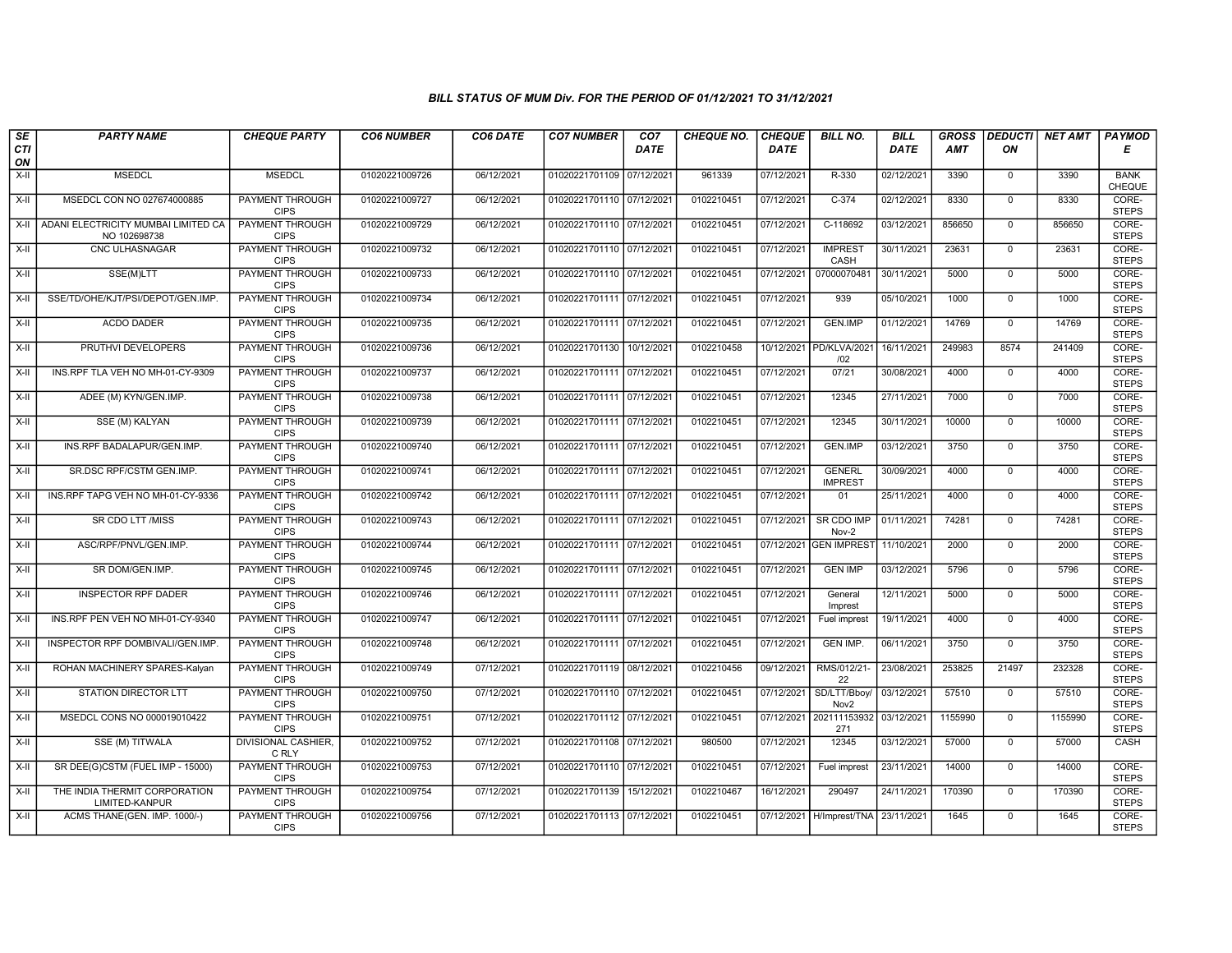| SE        | <b>PARTY NAME</b>                                   | <b>CHEQUE PARTY</b>                   | <b>CO6 NUMBER</b> | CO6 DATE   | <b>CO7 NUMBER</b>         | CO7         | <b>CHEQUE NO.</b> | <b>CHEQUE</b> | <b>BILL NO.</b>                 | <b>BILL</b> | <b>GROSS</b> | <b>DEDUCTI</b> | NET AMT | <b>PAYMOD</b>                |
|-----------|-----------------------------------------------------|---------------------------------------|-------------------|------------|---------------------------|-------------|-------------------|---------------|---------------------------------|-------------|--------------|----------------|---------|------------------------------|
| CTI<br>ON |                                                     |                                       |                   |            |                           | <b>DATE</b> |                   | <b>DATE</b>   |                                 | DATE        | <b>AMT</b>   | ΟN             |         | Е                            |
| X-II      | <b>MSEDCL</b>                                       | <b>MSEDCL</b>                         | 01020221009726    | 06/12/2021 | 01020221701109 07/12/2021 |             | 961339            | 07/12/2021    | R-330                           | 02/12/2021  | 3390         | $\mathbf 0$    | 3390    | <b>BANK</b><br><b>CHEQUE</b> |
| X-II      | MSEDCL CON NO 027674000885                          | <b>PAYMENT THROUGH</b><br><b>CIPS</b> | 01020221009727    | 06/12/2021 | 01020221701110 07/12/2021 |             | 0102210451        | 07/12/2021    | $C-374$                         | 02/12/2021  | 8330         | $\Omega$       | 8330    | CORE-<br><b>STEPS</b>        |
| $X-H$     | ADANI ELECTRICITY MUMBAI LIMITED CA<br>NO 102698738 | PAYMENT THROUGH<br><b>CIPS</b>        | 01020221009729    | 06/12/2021 | 01020221701110 07/12/2021 |             | 0102210451        | 07/12/2021    | C-118692                        | 03/12/2021  | 856650       | $\mathbf 0$    | 856650  | CORE-<br><b>STEPS</b>        |
| $X-II$    | CNC ULHASNAGAR                                      | <b>PAYMENT THROUGH</b><br><b>CIPS</b> | 01020221009732    | 06/12/2021 | 01020221701110 07/12/2021 |             | 0102210451        | 07/12/2021    | <b>IMPREST</b><br>CASH          | 30/11/2021  | 23631        | $\overline{0}$ | 23631   | CORE-<br><b>STEPS</b>        |
| X-II      | SSE(M)LTT                                           | <b>PAYMENT THROUGH</b><br><b>CIPS</b> | 01020221009733    | 06/12/2021 | 01020221701110 07/12/2021 |             | 0102210451        | 07/12/2021    | 07000070481                     | 30/11/2021  | 5000         | $\mathbf 0$    | 5000    | CORE-<br><b>STEPS</b>        |
| X-II      | SSE/TD/OHE/KJT/PSI/DEPOT/GEN.IMP.                   | <b>PAYMENT THROUGH</b><br><b>CIPS</b> | 01020221009734    | 06/12/2021 | 01020221701111 07/12/2021 |             | 0102210451        | 07/12/2021    | 939                             | 05/10/2021  | 1000         | $\mathbf{0}$   | 1000    | CORE-<br><b>STEPS</b>        |
| X-II      | <b>ACDO DADER</b>                                   | PAYMENT THROUGH<br><b>CIPS</b>        | 01020221009735    | 06/12/2021 | 01020221701111 07/12/2021 |             | 0102210451        | 07/12/2021    | <b>GEN.IMP</b>                  | 01/12/2021  | 14769        | $\Omega$       | 14769   | CORE-<br><b>STEPS</b>        |
| X-II      | PRUTHVI DEVELOPERS                                  | <b>PAYMENT THROUGH</b><br><b>CIPS</b> | 01020221009736    | 06/12/2021 | 01020221701130 10/12/2021 |             | 0102210458        | 10/12/2021    | PD/KLVA/2021<br>/02             | 16/11/2021  | 249983       | 8574           | 241409  | CORE-<br><b>STEPS</b>        |
| $X-H$     | INS.RPF TLA VEH NO MH-01-CY-9309                    | <b>PAYMENT THROUGH</b><br><b>CIPS</b> | 01020221009737    | 06/12/2021 | 01020221701111 07/12/2021 |             | 0102210451        | 07/12/2021    | 07/21                           | 30/08/2021  | 4000         | $\mathbf{0}$   | 4000    | CORE-<br><b>STEPS</b>        |
| X-II      | ADEE (M) KYN/GEN.IMP.                               | PAYMENT THROUGH<br><b>CIPS</b>        | 01020221009738    | 06/12/2021 | 01020221701111 07/12/2021 |             | 0102210451        | 07/12/2021    | 12345                           | 27/11/2021  | 7000         | $\overline{0}$ | 7000    | CORE-<br><b>STEPS</b>        |
| X-II      | SSE (M) KALYAN                                      | PAYMENT THROUGH<br><b>CIPS</b>        | 01020221009739    | 06/12/2021 | 01020221701111 07/12/2021 |             | 0102210451        | 07/12/2021    | 12345                           | 30/11/2021  | 10000        | $\mathbf 0$    | 10000   | CORE-<br><b>STEPS</b>        |
| X-II      | INS.RPF BADALAPUR/GEN.IMP.                          | PAYMENT THROUGH<br><b>CIPS</b>        | 01020221009740    | 06/12/2021 | 01020221701111 07/12/202  |             | 0102210451        | 07/12/2021    | <b>GEN.IMP</b>                  | 03/12/2021  | 3750         | $\Omega$       | 3750    | CORE-<br><b>STEPS</b>        |
| $X-H$     | SR.DSC RPF/CSTM GEN.IMP.                            | PAYMENT THROUGH<br><b>CIPS</b>        | 01020221009741    | 06/12/2021 | 01020221701111 07/12/2021 |             | 0102210451        | 07/12/2021    | <b>GENERL</b><br><b>IMPREST</b> | 30/09/2021  | 4000         | $\mathbf 0$    | 4000    | CORE-<br><b>STEPS</b>        |
| $X-H$     | INS.RPF TAPG VEH NO MH-01-CY-9336                   | <b>PAYMENT THROUGH</b><br><b>CIPS</b> | 01020221009742    | 06/12/2021 | 01020221701111 07/12/2021 |             | 0102210451        | 07/12/2021    | 01                              | 25/11/2021  | 4000         | $\overline{0}$ | 4000    | CORE-<br><b>STEPS</b>        |
| X-II      | SR CDO LTT /MISS                                    | PAYMENT THROUGH<br><b>CIPS</b>        | 01020221009743    | 06/12/2021 | 01020221701111 07/12/2021 |             | 0102210451        | 07/12/2021    | SR CDO IMP<br>Nov-2             | 01/11/2021  | 74281        | $\mathbf 0$    | 74281   | CORE-<br><b>STEPS</b>        |
| X-II      | ASC/RPF/PNVL/GEN.IMP.                               | <b>PAYMENT THROUGH</b><br><b>CIPS</b> | 01020221009744    | 06/12/2021 | 01020221701111 07/12/2021 |             | 0102210451        | 07/12/2021    | <b>GEN IMPREST</b>              | 11/10/2021  | 2000         | $\mathbf 0$    | 2000    | CORE-<br><b>STEPS</b>        |
| X-II      | SR DOM/GEN.IMP.                                     | PAYMENT THROUGH<br><b>CIPS</b>        | 01020221009745    | 06/12/2021 | 01020221701111 07/12/2021 |             | 0102210451        | 07/12/2021    | <b>GEN IMP</b>                  | 03/12/2021  | 5796         | $\mathbf{0}$   | 5796    | CORE-<br><b>STEPS</b>        |
| X-II      | <b>INSPECTOR RPF DADER</b>                          | <b>PAYMENT THROUGH</b><br><b>CIPS</b> | 01020221009746    | 06/12/2021 | 01020221701111 07/12/202  |             | 0102210451        | 07/12/2021    | General<br>Imprest              | 12/11/2021  | 5000         | $\mathbf 0$    | 5000    | CORE-<br><b>STEPS</b>        |
| X-II      | INS.RPF PEN VEH NO MH-01-CY-9340                    | PAYMENT THROUGH<br><b>CIPS</b>        | 01020221009747    | 06/12/2021 | 01020221701111 07/12/2021 |             | 0102210451        | 07/12/2021    | Fuel imprest                    | 19/11/2021  | 4000         | $\Omega$       | 4000    | CORE-<br><b>STEPS</b>        |
| X-II      | INSPECTOR RPF DOMBIVALI/GEN.IMP                     | PAYMENT THROUGH<br><b>CIPS</b>        | 01020221009748    | 06/12/2021 | 01020221701111 07/12/2021 |             | 0102210451        | 07/12/2021    | <b>GEN IMP.</b>                 | 06/11/2021  | 3750         | $\mathbf 0$    | 3750    | CORE-<br><b>STEPS</b>        |
| $X-H$     | ROHAN MACHINERY SPARES-Kalyan                       | <b>PAYMENT THROUGH</b><br><b>CIPS</b> | 01020221009749    | 07/12/2021 | 01020221701119 08/12/2021 |             | 0102210456        | 09/12/2021    | RMS/012/21-<br>22               | 23/08/2021  | 253825       | 21497          | 232328  | CORE-<br><b>STEPS</b>        |
| X-II      | <b>STATION DIRECTOR LTT</b>                         | <b>PAYMENT THROUGH</b><br><b>CIPS</b> | 01020221009750    | 07/12/2021 | 01020221701110 07/12/2021 |             | 0102210451        | 07/12/2021    | SD/LTT/Bboy<br>Nov2             | 03/12/2021  | 57510        | $\mathbf 0$    | 57510   | CORE-<br><b>STEPS</b>        |
| X-II      | MSEDCL CONS NO 000019010422                         | PAYMENT THROUGH<br><b>CIPS</b>        | 01020221009751    | 07/12/2021 | 01020221701112 07/12/202  |             | 0102210451        | 07/12/2021    | 202111153932<br>271             | 03/12/2021  | 1155990      | $\mathbf 0$    | 1155990 | CORE-<br><b>STEPS</b>        |
| X-II      | SSE (M) TITWALA                                     | DIVISIONAL CASHIER,<br>C RLY          | 01020221009752    | 07/12/2021 | 01020221701108 07/12/2021 |             | 980500            | 07/12/2021    | 12345                           | 03/12/2021  | 57000        | $\mathbf{0}$   | 57000   | CASH                         |
| X-II      | SR DEE(G)CSTM (FUEL IMP - 15000)                    | PAYMENT THROUGH<br><b>CIPS</b>        | 01020221009753    | 07/12/2021 | 01020221701110 07/12/2021 |             | 0102210451        | 07/12/2021    | Fuel imprest                    | 23/11/2021  | 14000        | $\mathbf 0$    | 14000   | CORE-<br><b>STEPS</b>        |
| $X-H$     | THE INDIA THERMIT CORPORATION<br>LIMITED-KANPUR     | <b>PAYMENT THROUGH</b><br><b>CIPS</b> | 01020221009754    | 07/12/2021 | 01020221701139 15/12/2021 |             | 0102210467        | 16/12/2021    | 290497                          | 24/11/2021  | 170390       | 0              | 170390  | CORE-<br><b>STEPS</b>        |
| X-II      | ACMS THANE(GEN. IMP. 1000/-)                        | <b>PAYMENT THROUGH</b><br><b>CIPS</b> | 01020221009756    | 07/12/2021 | 01020221701113 07/12/2021 |             | 0102210451        |               | 07/12/2021   H/Imprest/TNA      | 23/11/2021  | 1645         | $\mathbf{0}$   | 1645    | CORE-<br><b>STEPS</b>        |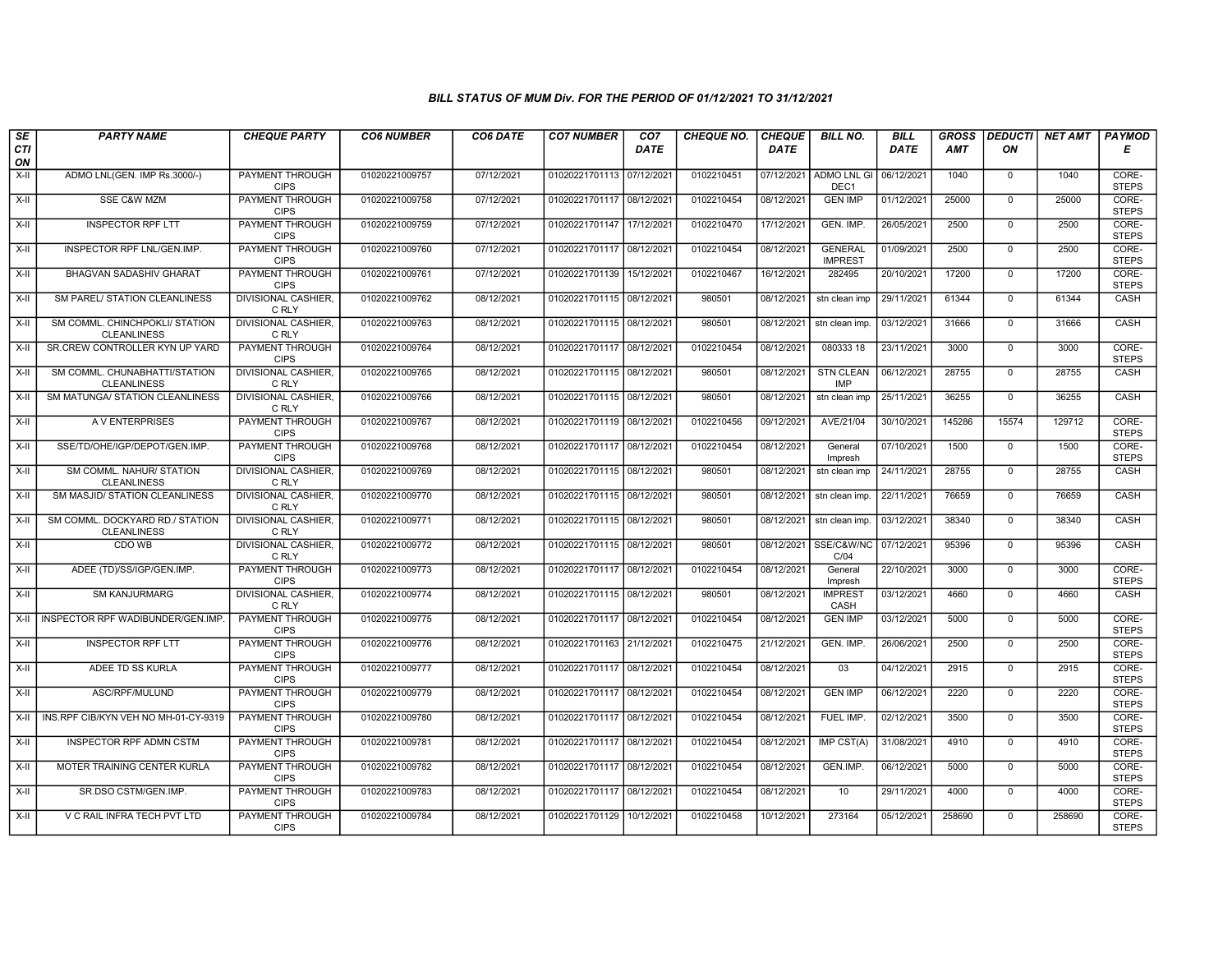| SE               | <b>PARTY NAME</b>                                     | <b>CHEQUE PARTY</b>                   | <b>CO6 NUMBER</b> | CO6 DATE   | <b>CO7 NUMBER</b>         | CO <sub>7</sub> | <b>CHEQUE NO.</b> | <b>CHEQUE</b> | <b>BILL NO.</b>                        | <b>BILL</b> | <b>GROSS</b> |                | <b>DEDUCTI NET AMT</b> | <b>PAYMOD</b>         |
|------------------|-------------------------------------------------------|---------------------------------------|-------------------|------------|---------------------------|-----------------|-------------------|---------------|----------------------------------------|-------------|--------------|----------------|------------------------|-----------------------|
| <b>CTI</b><br>ON |                                                       |                                       |                   |            |                           | <b>DATE</b>     |                   | <b>DATE</b>   |                                        | <b>DATE</b> | <b>AMT</b>   | ON             |                        | Е                     |
| X-II             | ADMO LNL(GEN. IMP Rs.3000/-)                          | PAYMENT THROUGH<br><b>CIPS</b>        | 01020221009757    | 07/12/2021 | 01020221701113 07/12/2021 |                 | 0102210451        | 07/12/2021    | <b>ADMO LNL GI</b><br>DEC <sub>1</sub> | 06/12/2021  | 1040         | 0              | 1040                   | CORE-<br><b>STEPS</b> |
| $X-H$            | <b>SSE C&amp;W MZM</b>                                | <b>PAYMENT THROUGH</b><br><b>CIPS</b> | 01020221009758    | 07/12/2021 | 01020221701117 08/12/2021 |                 | 0102210454        | 08/12/2021    | <b>GEN IMP</b>                         | 01/12/2021  | 25000        | $\mathbf 0$    | 25000                  | CORE-<br><b>STEPS</b> |
| X-II             | <b>INSPECTOR RPF LTT</b>                              | <b>PAYMENT THROUGH</b><br><b>CIPS</b> | 01020221009759    | 07/12/2021 | 01020221701147 17/12/2021 |                 | 0102210470        | 17/12/2021    | GEN. IMP.                              | 26/05/2021  | 2500         | $\mathbf 0$    | 2500                   | CORE-<br><b>STEPS</b> |
| $X-H$            | INSPECTOR RPF LNL/GEN.IMP.                            | PAYMENT THROUGH<br><b>CIPS</b>        | 01020221009760    | 07/12/2021 | 01020221701117 08/12/2021 |                 | 0102210454        | 08/12/2021    | <b>GENERAL</b><br><b>IMPREST</b>       | 01/09/2021  | 2500         | $\mathbf 0$    | 2500                   | CORE-<br><b>STEPS</b> |
| $X-H$            | <b>BHAGVAN SADASHIV GHARAT</b>                        | <b>PAYMENT THROUGH</b><br><b>CIPS</b> | 01020221009761    | 07/12/2021 | 01020221701139 15/12/2021 |                 | 0102210467        | 16/12/2021    | 282495                                 | 20/10/2021  | 17200        | $\mathbf 0$    | 17200                  | CORE-<br><b>STEPS</b> |
| $X-H$            | SM PAREL/ STATION CLEANLINESS                         | <b>DIVISIONAL CASHIER,</b><br>C RLY   | 01020221009762    | 08/12/2021 | 01020221701115 08/12/2021 |                 | 980501            | 08/12/2021    | stn clean imp                          | 29/11/2021  | 61344        | $\mathbf 0$    | 61344                  | <b>CASH</b>           |
| X-II             | SM COMML. CHINCHPOKLI/ STATION<br><b>CLEANLINESS</b>  | <b>DIVISIONAL CASHIER.</b><br>C RLY   | 01020221009763    | 08/12/2021 | 01020221701115 08/12/2021 |                 | 980501            | 08/12/2021    | stn clean imp.                         | 03/12/2021  | 31666        | $\mathbf{0}$   | 31666                  | CASH                  |
| X-II             | SR.CREW CONTROLLER KYN UP YARD                        | PAYMENT THROUGH<br><b>CIPS</b>        | 01020221009764    | 08/12/2021 | 01020221701117 08/12/2021 |                 | 0102210454        | 08/12/2021    | 080333 18                              | 23/11/2021  | 3000         | $\mathbf 0$    | 3000                   | CORE-<br><b>STEPS</b> |
| X-II             | SM COMML. CHUNABHATTI/STATION<br><b>CLEANLINESS</b>   | <b>DIVISIONAL CASHIER.</b><br>C RLY   | 01020221009765    | 08/12/2021 | 01020221701115 08/12/2021 |                 | 980501            | 08/12/2021    | <b>STN CLEAN</b><br>IMP                | 06/12/2021  | 28755        | $\mathbf 0$    | 28755                  | CASH                  |
| X-II             | SM MATUNGA/ STATION CLEANLINESS                       | <b>DIVISIONAL CASHIER.</b><br>C RLY   | 01020221009766    | 08/12/2021 | 01020221701115 08/12/2021 |                 | 980501            | 08/12/2021    | stn clean imp                          | 25/11/2021  | 36255        | $\mathbf 0$    | 36255                  | <b>CASH</b>           |
| $X-H$            | A V ENTERPRISES                                       | <b>PAYMENT THROUGH</b><br><b>CIPS</b> | 01020221009767    | 08/12/2021 | 01020221701119 08/12/2021 |                 | 0102210456        | 09/12/2021    | AVE/21/04                              | 30/10/2021  | 145286       | 15574          | 129712                 | CORE-<br><b>STEPS</b> |
| $X-II$           | SSE/TD/OHE/IGP/DEPOT/GEN.IMP.                         | <b>PAYMENT THROUGH</b><br><b>CIPS</b> | 01020221009768    | 08/12/2021 | 01020221701117 08/12/2021 |                 | 0102210454        | 08/12/2021    | General<br>Impresh                     | 07/10/2021  | 1500         | $\mathbf{0}$   | 1500                   | CORE-<br><b>STEPS</b> |
| X-II             | SM COMML. NAHUR/ STATION<br><b>CLEANLINESS</b>        | DIVISIONAL CASHIER.<br>C RLY          | 01020221009769    | 08/12/2021 | 01020221701115 08/12/2021 |                 | 980501            | 08/12/2021    | stn clean imp                          | 24/11/2021  | 28755        | $\mathbf 0$    | 28755                  | CASH                  |
| X-II             | SM MASJID/ STATION CLEANLINESS                        | <b>DIVISIONAL CASHIER,</b><br>C RLY   | 01020221009770    | 08/12/2021 | 01020221701115 08/12/2021 |                 | 980501            | 08/12/2021    | stn clean imp                          | 22/11/2021  | 76659        | $\mathbf{0}$   | 76659                  | <b>CASH</b>           |
| X-II             | SM COMML. DOCKYARD RD./ STATION<br><b>CLEANLINESS</b> | <b>DIVISIONAL CASHIER.</b><br>C RLY   | 01020221009771    | 08/12/2021 | 01020221701115 08/12/2021 |                 | 980501            | 08/12/2021    | stn clean imp.                         | 03/12/2021  | 38340        | $\mathbf 0$    | 38340                  | CASH                  |
| $X-II$           | CDO WB                                                | <b>DIVISIONAL CASHIER,</b><br>C RLY   | 01020221009772    | 08/12/2021 | 01020221701115 08/12/2021 |                 | 980501            | 08/12/2021    | SSE/C&W/NC<br>C/04                     | 07/12/2021  | 95396        | $\overline{0}$ | 95396                  | CASH                  |
| X-II             | ADEE (TD)/SS/IGP/GEN.IMP.                             | <b>PAYMENT THROUGH</b><br><b>CIPS</b> | 01020221009773    | 08/12/2021 | 01020221701117 08/12/2021 |                 | 0102210454        | 08/12/2021    | General<br>Impresh                     | 22/10/2021  | 3000         | $\mathbf{0}$   | 3000                   | CORE-<br><b>STEPS</b> |
| X-II             | <b>SM KANJURMARG</b>                                  | <b>DIVISIONAL CASHIER</b><br>C RLY    | 01020221009774    | 08/12/2021 | 01020221701115 08/12/2021 |                 | 980501            | 08/12/2021    | <b>IMPREST</b><br>CASH                 | 03/12/2021  | 4660         | $\mathbf 0$    | 4660                   | CASH                  |
| $X-H$            | <b>INSPECTOR RPF WADIBUNDER/GEN.IMP.</b>              | PAYMENT THROUGH<br><b>CIPS</b>        | 01020221009775    | 08/12/2021 | 01020221701117 08/12/2021 |                 | 0102210454        | 08/12/2021    | <b>GEN IMP</b>                         | 03/12/2021  | 5000         | $\mathbf 0$    | 5000                   | CORE-<br><b>STEPS</b> |
| X-II             | <b>INSPECTOR RPF LTT</b>                              | <b>PAYMENT THROUGH</b><br><b>CIPS</b> | 01020221009776    | 08/12/2021 | 01020221701163 21/12/2021 |                 | 0102210475        | 21/12/2021    | GEN. IMP.                              | 26/06/2021  | 2500         | $\mathbf{0}$   | 2500                   | CORE-<br><b>STEPS</b> |
| X-II             | ADEE TD SS KURLA                                      | <b>PAYMENT THROUGH</b><br><b>CIPS</b> | 01020221009777    | 08/12/2021 | 01020221701117 08/12/2021 |                 | 0102210454        | 08/12/2021    | 03                                     | 04/12/2021  | 2915         | $\mathbf 0$    | 2915                   | CORE-<br><b>STEPS</b> |
| X-II             | ASC/RPF/MULUND                                        | <b>PAYMENT THROUGH</b><br><b>CIPS</b> | 01020221009779    | 08/12/2021 | 01020221701117 08/12/2021 |                 | 0102210454        | 08/12/2021    | <b>GEN IMP</b>                         | 06/12/2021  | 2220         | $\mathbf 0$    | 2220                   | CORE-<br><b>STEPS</b> |
| X-II             | INS.RPF CIB/KYN VEH NO MH-01-CY-9319                  | PAYMENT THROUGH<br><b>CIPS</b>        | 01020221009780    | 08/12/2021 | 01020221701117 08/12/2021 |                 | 0102210454        | 08/12/2021    | FUEL IMP.                              | 02/12/2021  | 3500         | $\mathbf 0$    | 3500                   | CORE-<br><b>STEPS</b> |
| X-II             | <b>INSPECTOR RPF ADMN CSTM</b>                        | PAYMENT THROUGH<br><b>CIPS</b>        | 01020221009781    | 08/12/2021 | 01020221701117 08/12/2021 |                 | 0102210454        | 08/12/2021    | IMP CST(A)                             | 31/08/2021  | 4910         | $\mathbf{0}$   | 4910                   | CORE-<br><b>STEPS</b> |
| X-II             | MOTER TRAINING CENTER KURLA                           | PAYMENT THROUGH<br><b>CIPS</b>        | 01020221009782    | 08/12/2021 | 01020221701117 08/12/2021 |                 | 0102210454        | 08/12/2021    | GEN.IMP.                               | 06/12/2021  | 5000         | $\mathbf 0$    | 5000                   | CORE-<br><b>STEPS</b> |
| X-II             | SR.DSO CSTM/GEN.IMP.                                  | <b>PAYMENT THROUGH</b><br><b>CIPS</b> | 01020221009783    | 08/12/2021 | 01020221701117 08/12/2021 |                 | 0102210454        | 08/12/2021    | 10                                     | 29/11/2021  | 4000         | $\mathbf 0$    | 4000                   | CORE-<br><b>STEPS</b> |
| X-II             | V C RAIL INFRA TECH PVT LTD                           | PAYMENT THROUGH<br><b>CIPS</b>        | 01020221009784    | 08/12/2021 | 01020221701129 10/12/2021 |                 | 0102210458        | 10/12/2021    | 273164                                 | 05/12/2021  | 258690       | $\mathbf 0$    | 258690                 | CORE-<br><b>STEPS</b> |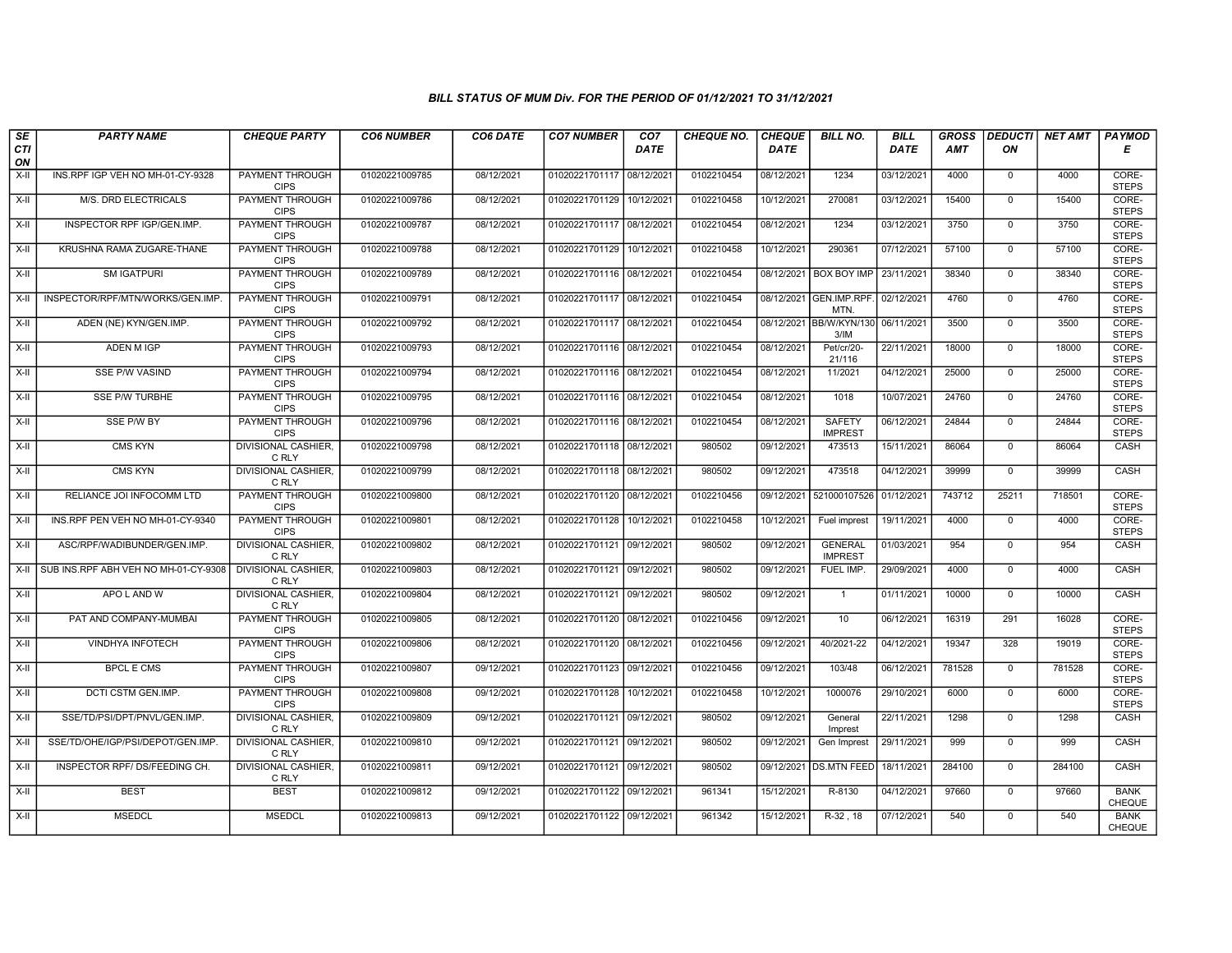| SE        | <b>PARTY NAME</b>                    | <b>CHEQUE PARTY</b>                   | <b>CO6 NUMBER</b> | CO6 DATE   | <b>CO7 NUMBER</b>         | CO <sub>7</sub> | CHEQUE NO. | <b>CHEQUE</b> | <b>BILL NO.</b>                  | <b>BILL</b> | <b>GROSS</b> | <b>DEDUCTI</b> | NET AMT | <b>PAYMOD</b>                |
|-----------|--------------------------------------|---------------------------------------|-------------------|------------|---------------------------|-----------------|------------|---------------|----------------------------------|-------------|--------------|----------------|---------|------------------------------|
| CTI<br>ON |                                      |                                       |                   |            |                           | <b>DATE</b>     |            | <b>DATE</b>   |                                  | DATE        | <b>AMT</b>   | ON             |         | Е                            |
| $X-H$     | INS.RPF IGP VEH NO MH-01-CY-9328     | PAYMENT THROUGH<br><b>CIPS</b>        | 01020221009785    | 08/12/2021 | 01020221701117 08/12/2021 |                 | 0102210454 | 08/12/2021    | 1234                             | 03/12/2021  | 4000         | $\overline{0}$ | 4000    | CORE-<br><b>STEPS</b>        |
| $X-H$     | M/S. DRD ELECTRICALS                 | <b>PAYMENT THROUGH</b><br><b>CIPS</b> | 01020221009786    | 08/12/2021 | 01020221701129 10/12/2021 |                 | 0102210458 | 10/12/2021    | 270081                           | 03/12/2021  | 15400        | $\overline{0}$ | 15400   | CORE-<br><b>STEPS</b>        |
| X-II      | INSPECTOR RPF IGP/GEN.IMP.           | PAYMENT THROUGH<br><b>CIPS</b>        | 01020221009787    | 08/12/2021 | 01020221701117 08/12/2021 |                 | 0102210454 | 08/12/2021    | 1234                             | 03/12/2021  | 3750         | $\mathbf 0$    | 3750    | CORE-<br><b>STEPS</b>        |
| $X-II$    | KRUSHNA RAMA ZUGARE-THANE            | PAYMENT THROUGH<br><b>CIPS</b>        | 01020221009788    | 08/12/2021 | 01020221701129            | 10/12/2021      | 0102210458 | 10/12/2021    | 290361                           | 07/12/2021  | 57100        | $\mathbf 0$    | 57100   | CORE-<br><b>STEPS</b>        |
| $X-H$     | <b>SM IGATPURI</b>                   | <b>PAYMENT THROUGH</b><br><b>CIPS</b> | 01020221009789    | 08/12/2021 | 01020221701116 08/12/2021 |                 | 0102210454 | 08/12/2021    | <b>BOX BOY IMP</b>               | 23/11/2021  | 38340        | $\mathbf 0$    | 38340   | CORE-<br><b>STEPS</b>        |
| $X-H$     | INSPECTOR/RPF/MTN/WORKS/GEN.IMP.     | <b>PAYMENT THROUGH</b><br><b>CIPS</b> | 01020221009791    | 08/12/2021 | 01020221701117 08/12/2021 |                 | 0102210454 |               | 08/12/2021 GEN.IMP.RPF.<br>MTN.  | 02/12/2021  | 4760         | $\overline{0}$ | 4760    | CORE-<br><b>STEPS</b>        |
| X-II      | ADEN (NE) KYN/GEN.IMP.               | PAYMENT THROUGH<br><b>CIPS</b>        | 01020221009792    | 08/12/2021 | 01020221701117 08/12/2021 |                 | 0102210454 | 08/12/2021    | BB/W/KYN/130<br>3/IM             | 06/11/2021  | 3500         | $\mathbf{0}$   | 3500    | CORE-<br><b>STEPS</b>        |
| $X-H$     | ADEN M IGP                           | <b>PAYMENT THROUGH</b><br><b>CIPS</b> | 01020221009793    | 08/12/2021 | 01020221701116 08/12/2021 |                 | 0102210454 | 08/12/2021    | Pet/cr/20-<br>21/116             | 22/11/2021  | 18000        | $\overline{0}$ | 18000   | CORE-<br><b>STEPS</b>        |
| X-II      | <b>SSE P/W VASIND</b>                | <b>PAYMENT THROUGH</b><br><b>CIPS</b> | 01020221009794    | 08/12/2021 | 01020221701116 08/12/2021 |                 | 0102210454 | 08/12/2021    | 11/2021                          | 04/12/2021  | 25000        | $\mathbf 0$    | 25000   | CORE-<br><b>STEPS</b>        |
| $X-H$     | <b>SSE P/W TURBHE</b>                | <b>PAYMENT THROUGH</b><br><b>CIPS</b> | 01020221009795    | 08/12/2021 | 01020221701116 08/12/2021 |                 | 0102210454 | 08/12/2021    | 1018                             | 10/07/2021  | 24760        | $\overline{0}$ | 24760   | CORE-<br><b>STEPS</b>        |
| X-II      | SSE P/W BY                           | PAYMENT THROUGH<br><b>CIPS</b>        | 01020221009796    | 08/12/2021 | 01020221701116 08/12/2021 |                 | 0102210454 | 08/12/2021    | SAFETY<br><b>IMPREST</b>         | 06/12/2021  | 24844        | $\mathbf{0}$   | 24844   | CORE-<br><b>STEPS</b>        |
| X-II      | <b>CMS KYN</b>                       | DIVISIONAL CASHIER.<br>C RLY          | 01020221009798    | 08/12/2021 | 01020221701118 08/12/2021 |                 | 980502     | 09/12/2021    | 473513                           | 15/11/2021  | 86064        | $\mathbf 0$    | 86064   | CASH                         |
| $X-H$     | <b>CMS KYN</b>                       | <b>DIVISIONAL CASHIER,</b><br>C RLY   | 01020221009799    | 08/12/2021 | 01020221701118 08/12/2021 |                 | 980502     | 09/12/2021    | 473518                           | 04/12/2021  | 39999        | $\overline{0}$ | 39999   | CASH                         |
| X-II      | RELIANCE JOI INFOCOMM LTD            | <b>PAYMENT THROUGH</b><br><b>CIPS</b> | 01020221009800    | 08/12/2021 | 01020221701120 08/12/2021 |                 | 0102210456 | 09/12/2021    | 521000107526                     | 01/12/2021  | 743712       | 25211          | 718501  | CORE-<br><b>STEPS</b>        |
| X-II      | INS.RPF PEN VEH NO MH-01-CY-9340     | PAYMENT THROUGH<br><b>CIPS</b>        | 01020221009801    | 08/12/2021 | 01020221701128 10/12/2021 |                 | 0102210458 | 10/12/2021    | Fuel imprest                     | 19/11/2021  | 4000         | $\Omega$       | 4000    | CORE-<br><b>STEPS</b>        |
| X-II      | ASC/RPF/WADIBUNDER/GEN.IMP.          | DIVISIONAL CASHIER.<br>C RLY          | 01020221009802    | 08/12/2021 | 01020221701121 09/12/2021 |                 | 980502     | 09/12/2021    | <b>GENERAL</b><br><b>IMPREST</b> | 01/03/2021  | 954          | $\mathbf 0$    | 954     | CASH                         |
| X-II      | SUB INS.RPF ABH VEH NO MH-01-CY-9308 | <b>DIVISIONAL CASHIER.</b><br>C RLY   | 01020221009803    | 08/12/2021 | 01020221701121 09/12/2021 |                 | 980502     | 09/12/2021    | FUEL IMP.                        | 29/09/2021  | 4000         | $\overline{0}$ | 4000    | CASH                         |
| $X-H$     | APO L AND W                          | <b>DIVISIONAL CASHIER.</b><br>C RLY   | 01020221009804    | 08/12/2021 | 01020221701121 09/12/2021 |                 | 980502     | 09/12/2021    | $\mathbf{1}$                     | 01/11/2021  | 10000        | $\mathbf 0$    | 10000   | CASH                         |
| $X-H$     | PAT AND COMPANY-MUMBAI               | PAYMENT THROUGH<br><b>CIPS</b>        | 01020221009805    | 08/12/2021 | 01020221701120 08/12/2021 |                 | 0102210456 | 09/12/2021    | 10                               | 06/12/2021  | 16319        | 291            | 16028   | CORE-<br><b>STEPS</b>        |
| X-II      | <b>VINDHYA INFOTECH</b>              | PAYMENT THROUGH<br><b>CIPS</b>        | 01020221009806    | 08/12/2021 | 01020221701120 08/12/2021 |                 | 0102210456 | 09/12/2021    | 40/2021-22                       | 04/12/2021  | 19347        | 328            | 19019   | CORE-<br><b>STEPS</b>        |
| X-II      | <b>BPCL E CMS</b>                    | PAYMENT THROUGH<br><b>CIPS</b>        | 01020221009807    | 09/12/2021 | 01020221701123 09/12/2021 |                 | 0102210456 | 09/12/2021    | 103/48                           | 06/12/2021  | 781528       | $\mathbf{0}$   | 781528  | CORE-<br><b>STEPS</b>        |
| X-II      | DCTI CSTM GEN.IMP.                   | <b>PAYMENT THROUGH</b><br><b>CIPS</b> | 01020221009808    | 09/12/2021 | 01020221701128 10/12/2021 |                 | 0102210458 | 10/12/2021    | 1000076                          | 29/10/2021  | 6000         | $\Omega$       | 6000    | CORE-<br><b>STEPS</b>        |
| X-II      | SSE/TD/PSI/DPT/PNVL/GEN.IMP.         | DIVISIONAL CASHIER.<br>C RLY          | 01020221009809    | 09/12/2021 | 01020221701121 09/12/2021 |                 | 980502     | 09/12/2021    | General<br>Imprest               | 22/11/2021  | 1298         | $\mathbf 0$    | 1298    | CASH                         |
| $X-H$     | SSE/TD/OHE/IGP/PSI/DEPOT/GEN.IMP.    | <b>DIVISIONAL CASHIER,</b><br>C RLY   | 01020221009810    | 09/12/2021 | 01020221701121 09/12/2021 |                 | 980502     | 09/12/2021    | Gen Imprest                      | 29/11/2021  | 999          | $\Omega$       | 999     | CASH                         |
| $X-II$    | INSPECTOR RPF/ DS/FEEDING CH.        | <b>DIVISIONAL CASHIER.</b><br>C RLY   | 01020221009811    | 09/12/2021 | 01020221701121 09/12/2021 |                 | 980502     | 09/12/2021    | <b>DS.MTN FEED</b>               | 18/11/2021  | 284100       | $\Omega$       | 284100  | CASH                         |
| $X-H$     | <b>BEST</b>                          | <b>BEST</b>                           | 01020221009812    | 09/12/2021 | 01020221701122 09/12/2021 |                 | 961341     | 15/12/2021    | R-8130                           | 04/12/2021  | 97660        | $\mathbf 0$    | 97660   | <b>BANK</b><br>CHEQUE        |
| X-II      | <b>MSEDCL</b>                        | <b>MSEDCL</b>                         | 01020221009813    | 09/12/2021 | 01020221701122 09/12/2021 |                 | 961342     | 15/12/2021    | R-32, 18                         | 07/12/2021  | 540          | $\mathbf 0$    | 540     | <b>BANK</b><br><b>CHEQUE</b> |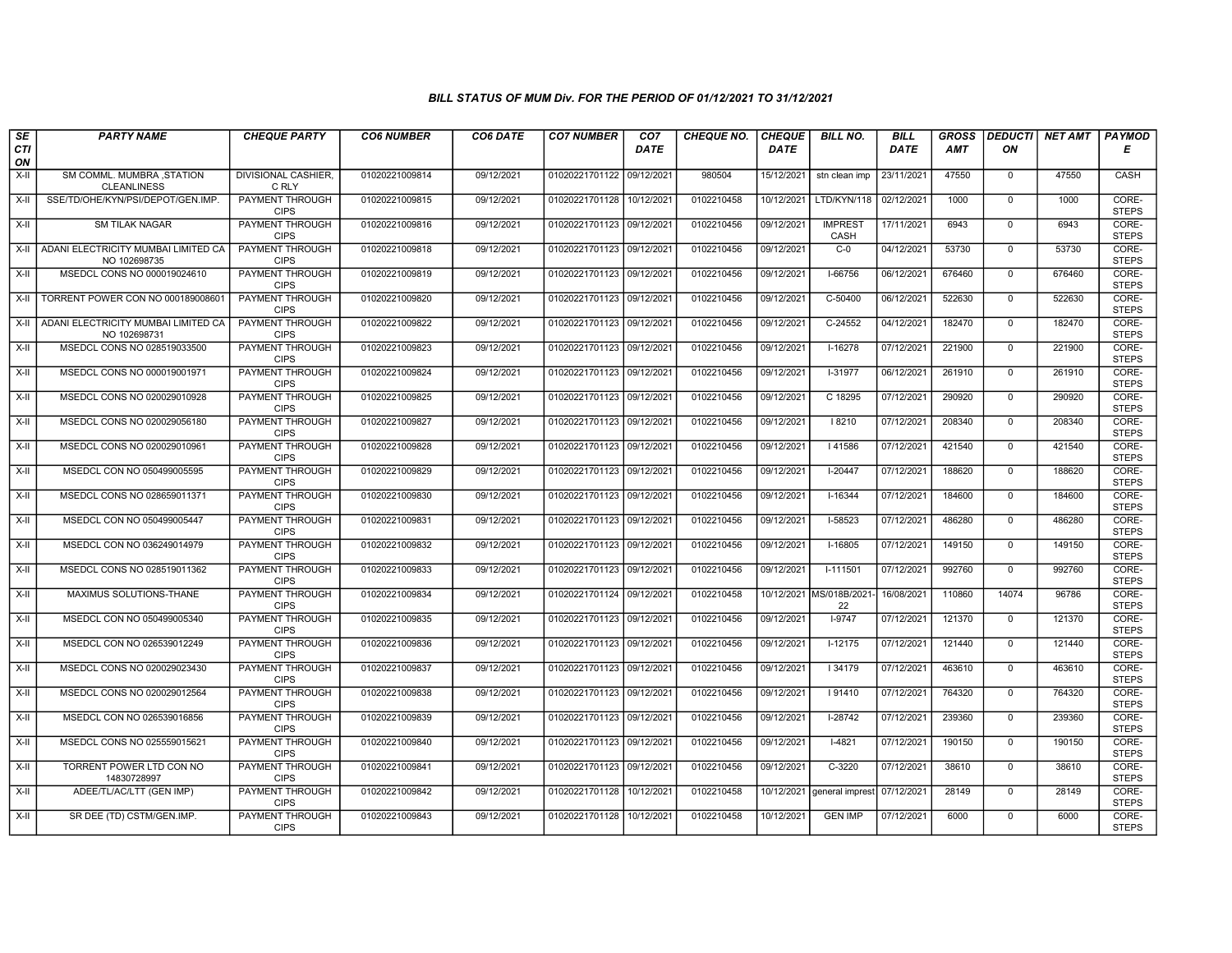| SE        | <b>PARTY NAME</b>                                          | <b>CHEQUE PARTY</b>                   | <b>CO6 NUMBER</b> | CO6 DATE   | <b>CO7 NUMBER</b>         | CO7         | CHEQUE NO. | <b>CHEQUE</b> | <b>BILL NO.</b>               | <b>BILL</b> | <b>GROSS</b> | <b>DEDUCTI</b> | <b>NET AMT</b> | <b>PAYMOD</b>         |
|-----------|------------------------------------------------------------|---------------------------------------|-------------------|------------|---------------------------|-------------|------------|---------------|-------------------------------|-------------|--------------|----------------|----------------|-----------------------|
| CTI<br>ON |                                                            |                                       |                   |            |                           | <b>DATE</b> |            | DATE          |                               | <b>DATE</b> | <b>AMT</b>   | ON             |                | Е                     |
| X-II      | SM COMML. MUMBRA , STATION<br><b>CLEANLINESS</b>           | <b>DIVISIONAL CASHIER.</b><br>C RLY   | 01020221009814    | 09/12/2021 | 01020221701122 09/12/2021 |             | 980504     | 15/12/2021    | stn clean imp                 | 23/11/2021  | 47550        | $\mathbf 0$    | 47550          | CASH                  |
| $X-H$     | SSE/TD/OHE/KYN/PSI/DEPOT/GEN.IMP.                          | <b>PAYMENT THROUGH</b><br><b>CIPS</b> | 01020221009815    | 09/12/2021 | 01020221701128 10/12/2021 |             | 0102210458 | 10/12/2021    | LTD/KYN/118                   | 02/12/2021  | 1000         | $\Omega$       | 1000           | CORE-<br><b>STEPS</b> |
| X-II      | <b>SM TILAK NAGAR</b>                                      | PAYMENT THROUGH<br><b>CIPS</b>        | 01020221009816    | 09/12/2021 | 01020221701123 09/12/2021 |             | 0102210456 | 09/12/2021    | <b>IMPREST</b><br>CASH        | 17/11/2021  | 6943         | $\mathbf 0$    | 6943           | CORE-<br><b>STEPS</b> |
|           | X-II   ADANI ELECTRICITY MUMBAI LIMITED CA<br>NO 102698735 | <b>PAYMENT THROUGH</b><br><b>CIPS</b> | 01020221009818    | 09/12/2021 | 01020221701123 09/12/2021 |             | 0102210456 | 09/12/2021    | $C-0$                         | 04/12/2021  | 53730        | $\overline{0}$ | 53730          | CORE-<br><b>STEPS</b> |
| X-II      | MSEDCL CONS NO 000019024610                                | <b>PAYMENT THROUGH</b><br><b>CIPS</b> | 01020221009819    | 09/12/2021 | 01020221701123 09/12/2021 |             | 0102210456 | 09/12/2021    | I-66756                       | 06/12/2021  | 676460       | $\Omega$       | 676460         | CORE-<br><b>STEPS</b> |
| X-II      | TORRENT POWER CON NO 000189008601                          | <b>PAYMENT THROUGH</b><br><b>CIPS</b> | 01020221009820    | 09/12/2021 | 01020221701123 09/12/2021 |             | 0102210456 | 09/12/2021    | C-50400                       | 06/12/2021  | 522630       | $\mathbf{0}$   | 522630         | CORE-<br><b>STEPS</b> |
| X-II      | ADANI ELECTRICITY MUMBAI LIMITED CA<br>NO 102698731        | PAYMENT THROUGH<br><b>CIPS</b>        | 01020221009822    | 09/12/2021 | 01020221701123 09/12/2021 |             | 0102210456 | 09/12/2021    | $C-24552$                     | 04/12/2021  | 182470       | $\mathbf 0$    | 182470         | CORE-<br><b>STEPS</b> |
| X-II      | MSEDCL CONS NO 028519033500                                | PAYMENT THROUGH<br><b>CIPS</b>        | 01020221009823    | 09/12/2021 | 01020221701123 09/12/2021 |             | 0102210456 | 09/12/2021    | $I-16278$                     | 07/12/2021  | 221900       | $\mathbf{0}$   | 221900         | CORE-<br><b>STEPS</b> |
| $X-H$     | MSEDCL CONS NO 000019001971                                | PAYMENT THROUGH<br><b>CIPS</b>        | 01020221009824    | 09/12/2021 | 01020221701123 09/12/2021 |             | 0102210456 | 09/12/2021    | $I-31977$                     | 06/12/2021  | 261910       | $\overline{0}$ | 261910         | CORE-<br><b>STEPS</b> |
| X-II      | MSEDCL CONS NO 020029010928                                | PAYMENT THROUGH<br><b>CIPS</b>        | 01020221009825    | 09/12/2021 | 01020221701123 09/12/2021 |             | 0102210456 | 09/12/2021    | C 18295                       | 07/12/2021  | 290920       | $\mathbf 0$    | 290920         | CORE-<br><b>STEPS</b> |
| X-II      | MSEDCL CONS NO 020029056180                                | PAYMENT THROUGH<br><b>CIPS</b>        | 01020221009827    | 09/12/2021 | 01020221701123 09/12/2021 |             | 0102210456 | 09/12/2021    | 18210                         | 07/12/2021  | 208340       | $\mathbf 0$    | 208340         | CORE-<br><b>STEPS</b> |
| X-II      | MSEDCL CONS NO 020029010961                                | PAYMENT THROUGH<br><b>CIPS</b>        | 01020221009828    | 09/12/2021 | 01020221701123 09/12/2021 |             | 0102210456 | 09/12/2021    | I 41586                       | 07/12/2021  | 421540       | $\Omega$       | 421540         | CORE-<br><b>STEPS</b> |
| X-II      | MSEDCL CON NO 050499005595                                 | PAYMENT THROUGH<br><b>CIPS</b>        | 01020221009829    | 09/12/2021 | 01020221701123 09/12/2021 |             | 0102210456 | 09/12/2021    | $I-20447$                     | 07/12/2021  | 188620       | $\mathbf 0$    | 188620         | CORE-<br><b>STEPS</b> |
| $X-H$     | MSEDCL CONS NO 028659011371                                | PAYMENT THROUGH<br><b>CIPS</b>        | 01020221009830    | 09/12/2021 | 01020221701123 09/12/2021 |             | 0102210456 | 09/12/2021    | $I-16344$                     | 07/12/2021  | 184600       | $\overline{0}$ | 184600         | CORE-<br><b>STEPS</b> |
| X-II      | MSEDCL CON NO 050499005447                                 | PAYMENT THROUGH<br><b>CIPS</b>        | 01020221009831    | 09/12/2021 | 01020221701123 09/12/2021 |             | 0102210456 | 09/12/2021    | I-58523                       | 07/12/2021  | 486280       | $\Omega$       | 486280         | CORE-<br><b>STEPS</b> |
| X-II      | MSEDCL CON NO 036249014979                                 | <b>PAYMENT THROUGH</b><br><b>CIPS</b> | 01020221009832    | 09/12/2021 | 01020221701123 09/12/2021 |             | 0102210456 | 09/12/2021    | $I-16805$                     | 07/12/2021  | 149150       | $\overline{0}$ | 149150         | CORE-<br><b>STEPS</b> |
| X-II      | MSEDCL CONS NO 028519011362                                | <b>PAYMENT THROUGH</b><br><b>CIPS</b> | 01020221009833    | 09/12/2021 | 01020221701123 09/12/2021 |             | 0102210456 | 09/12/2021    | $I-111501$                    | 07/12/2021  | 992760       | $\mathbf 0$    | 992760         | CORE-<br><b>STEPS</b> |
| X-II      | MAXIMUS SOLUTIONS-THANE                                    | PAYMENT THROUGH<br><b>CIPS</b>        | 01020221009834    | 09/12/2021 | 01020221701124 09/12/2021 |             | 0102210458 |               | 10/12/2021 MS/018B/2021<br>22 | 16/08/2021  | 110860       | 14074          | 96786          | CORE-<br><b>STEPS</b> |
| X-II      | MSEDCL CON NO 050499005340                                 | PAYMENT THROUGH<br><b>CIPS</b>        | 01020221009835    | 09/12/2021 | 01020221701123 09/12/2021 |             | 0102210456 | 09/12/2021    | $1-9747$                      | 07/12/2021  | 121370       | $\Omega$       | 121370         | CORE-<br><b>STEPS</b> |
| X-II      | MSEDCL CON NO 026539012249                                 | PAYMENT THROUGH<br><b>CIPS</b>        | 01020221009836    | 09/12/2021 | 01020221701123 09/12/2021 |             | 0102210456 | 09/12/2021    | $I-12175$                     | 07/12/2021  | 121440       | $\mathbf 0$    | 121440         | CORE-<br><b>STEPS</b> |
| $X-H$     | MSEDCL CONS NO 020029023430                                | PAYMENT THROUGH<br><b>CIPS</b>        | 01020221009837    | 09/12/2021 | 01020221701123 09/12/2021 |             | 0102210456 | 09/12/2021    | 34179                         | 07/12/2021  | 463610       | $\overline{0}$ | 463610         | CORE-<br><b>STEPS</b> |
| X-II      | MSEDCL CONS NO 020029012564                                | <b>PAYMENT THROUGH</b><br><b>CIPS</b> | 01020221009838    | 09/12/2021 | 01020221701123 09/12/2021 |             | 0102210456 | 09/12/2021    | 91410                         | 07/12/2021  | 764320       | $\mathbf{0}$   | 764320         | CORE-<br><b>STEPS</b> |
| X-II      | MSEDCL CON NO 026539016856                                 | PAYMENT THROUGH<br><b>CIPS</b>        | 01020221009839    | 09/12/2021 | 01020221701123 09/12/2021 |             | 0102210456 | 09/12/2021    | I-28742                       | 07/12/2021  | 239360       | $\mathbf 0$    | 239360         | CORE-<br><b>STEPS</b> |
| X-II      | MSEDCL CONS NO 025559015621                                | PAYMENT THROUGH<br><b>CIPS</b>        | 01020221009840    | 09/12/2021 | 01020221701123 09/12/2021 |             | 0102210456 | 09/12/2021    | $1-4821$                      | 07/12/2021  | 190150       | $\mathbf 0$    | 190150         | CORE-<br><b>STEPS</b> |
| X-II      | TORRENT POWER LTD CON NO<br>14830728997                    | PAYMENT THROUGH<br><b>CIPS</b>        | 01020221009841    | 09/12/2021 | 01020221701123 09/12/2021 |             | 0102210456 | 09/12/2021    | $C-3220$                      | 07/12/2021  | 38610        | $\mathbf 0$    | 38610          | CORE-<br><b>STEPS</b> |
| $X-H$     | ADEE/TL/AC/LTT (GEN IMP)                                   | PAYMENT THROUGH<br><b>CIPS</b>        | 01020221009842    | 09/12/2021 | 01020221701128 10/12/2021 |             | 0102210458 | 10/12/2021    | general imprest               | 07/12/2021  | 28149        | $\mathsf{O}$   | 28149          | CORE-<br><b>STEPS</b> |
| X-II      | SR DEE (TD) CSTM/GEN.IMP.                                  | <b>PAYMENT THROUGH</b><br><b>CIPS</b> | 01020221009843    | 09/12/2021 | 01020221701128 10/12/2021 |             | 0102210458 | 10/12/2021    | <b>GEN IMP</b>                | 07/12/2021  | 6000         | $\mathbf 0$    | 6000           | CORE-<br><b>STEPS</b> |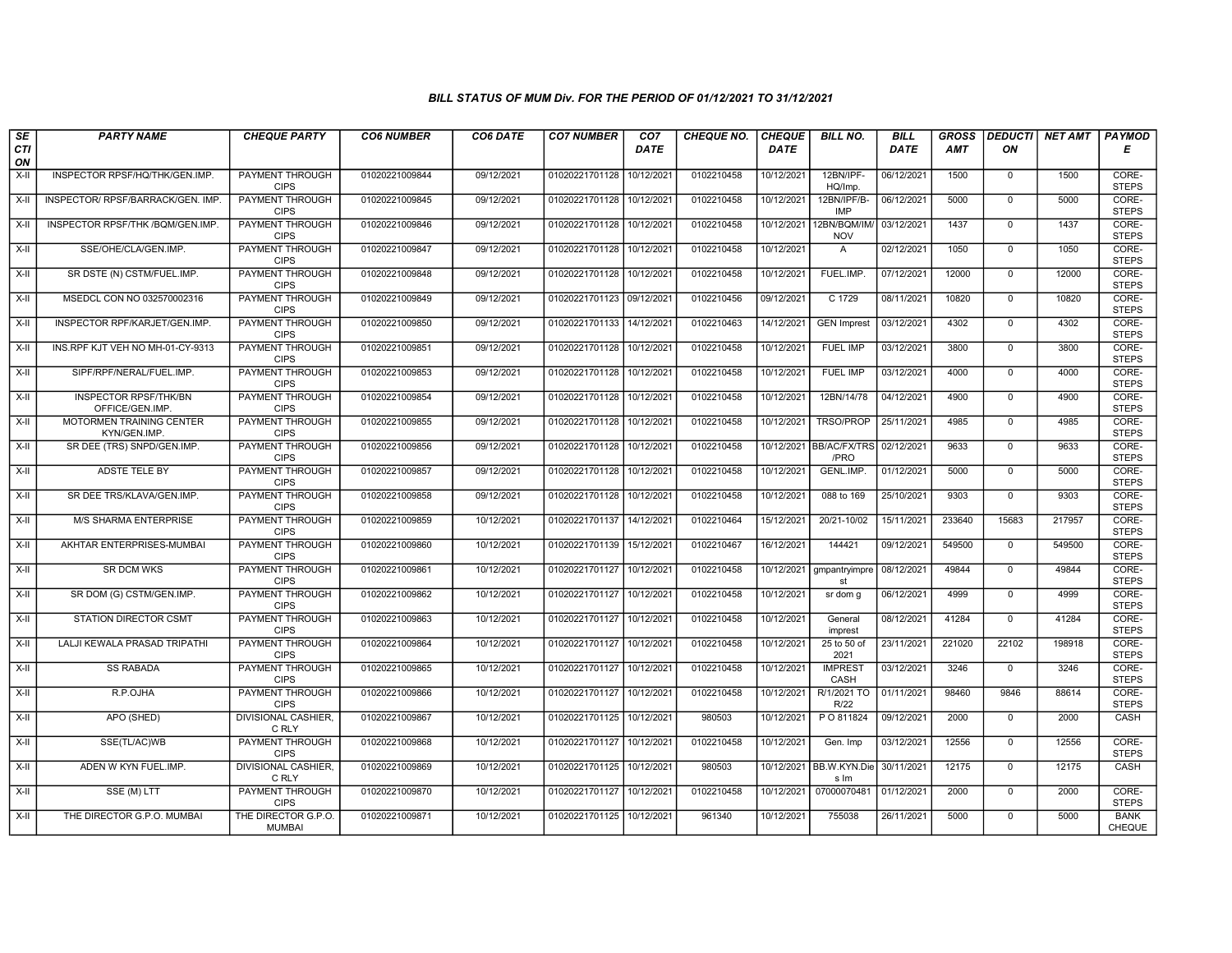| SE               | <b>PARTY NAME</b>                               | <b>CHEQUE PARTY</b>                   | <b>CO6 NUMBER</b> | CO6 DATE   | <b>CO7 NUMBER</b>         | CO7        | <b>CHEQUE NO.</b> | <b>CHEQUE</b> | <b>BILL NO.</b>             | <b>BILL</b> | <b>GROSS</b> |                | DEDUCTI NET AMT | <b>PAYMOD</b>                |
|------------------|-------------------------------------------------|---------------------------------------|-------------------|------------|---------------------------|------------|-------------------|---------------|-----------------------------|-------------|--------------|----------------|-----------------|------------------------------|
| <b>CTI</b><br>ON |                                                 |                                       |                   |            |                           | DATE       |                   | <b>DATE</b>   |                             | DATE        | AMT          | ON             |                 | Е                            |
| $X-H$            | INSPECTOR RPSF/HQ/THK/GEN.IMP                   | <b>PAYMENT THROUGH</b><br><b>CIPS</b> | 01020221009844    | 09/12/2021 | 01020221701128            | 10/12/2021 | 0102210458        | 10/12/2021    | 12BN/IPF-<br>HQ/Imp.        | 06/12/2021  | 1500         | $\mathbf 0$    | 1500            | CORE-<br><b>STEPS</b>        |
| $X-H$            | INSPECTOR/ RPSF/BARRACK/GEN. IMP.               | <b>PAYMENT THROUGH</b><br><b>CIPS</b> | 01020221009845    | 09/12/2021 | 01020221701128 10/12/2021 |            | 0102210458        | 10/12/2021    | 12BN/IPF/B-<br><b>IMP</b>   | 06/12/2021  | 5000         | $\mathbf 0$    | 5000            | CORE-<br><b>STEPS</b>        |
| X-II             | INSPECTOR RPSF/THK /BQM/GEN.IMP.                | PAYMENT THROUGH<br><b>CIPS</b>        | 01020221009846    | 09/12/2021 | 01020221701128 10/12/2021 |            | 0102210458        | 10/12/2021    | 12BN/BQM/IM/<br><b>NOV</b>  | 03/12/2021  | 1437         | $\mathbf 0$    | 1437            | CORE-<br><b>STEPS</b>        |
| $X-H$            | SSE/OHE/CLA/GEN.IMP.                            | <b>PAYMENT THROUGH</b><br><b>CIPS</b> | 01020221009847    | 09/12/2021 | 01020221701128            | 10/12/2021 | 0102210458        | 10/12/2021    | $\overline{A}$              | 02/12/2021  | 1050         | $\overline{0}$ | 1050            | CORE-<br><b>STEPS</b>        |
| X-II             | SR DSTE (N) CSTM/FUEL.IMP.                      | <b>PAYMENT THROUGH</b><br><b>CIPS</b> | 01020221009848    | 09/12/2021 | 01020221701128 10/12/2021 |            | 0102210458        | 10/12/2021    | FUEL.IMP.                   | 07/12/2021  | 12000        | $\mathbf{0}$   | 12000           | CORE-<br><b>STEPS</b>        |
| X-II             | MSEDCL CON NO 032570002316                      | <b>PAYMENT THROUGH</b><br><b>CIPS</b> | 01020221009849    | 09/12/2021 | 01020221701123 09/12/2021 |            | 0102210456        | 09/12/2021    | C 1729                      | 08/11/2021  | 10820        | $\mathbf{0}$   | 10820           | CORE-<br><b>STEPS</b>        |
| X-II             | INSPECTOR RPF/KARJET/GEN.IMP                    | <b>PAYMENT THROUGH</b><br><b>CIPS</b> | 01020221009850    | 09/12/2021 | 01020221701133            | 14/12/2021 | 0102210463        | 14/12/2021    | <b>GEN Imprest</b>          | 03/12/2021  | 4302         | $\Omega$       | 4302            | CORE-<br><b>STEPS</b>        |
| $X-II$           | INS.RPF KJT VEH NO MH-01-CY-9313                | PAYMENT THROUGH<br><b>CIPS</b>        | 01020221009851    | 09/12/2021 | 01020221701128            | 10/12/2021 | 0102210458        | 10/12/2021    | <b>FUEL IMP</b>             | 03/12/2021  | 3800         | $\mathbf 0$    | 3800            | CORE-<br><b>STEPS</b>        |
| $X-H$            | SIPF/RPF/NERAL/FUEL.IMP.                        | <b>PAYMENT THROUGH</b><br><b>CIPS</b> | 01020221009853    | 09/12/2021 | 01020221701128 10/12/2021 |            | 0102210458        | 10/12/2021    | <b>FUEL IMP</b>             | 03/12/2021  | 4000         | $\overline{0}$ | 4000            | CORE-<br><b>STEPS</b>        |
| X-II             | <b>INSPECTOR RPSF/THK/BN</b><br>OFFICE/GEN.IMP. | <b>PAYMENT THROUGH</b><br><b>CIPS</b> | 01020221009854    | 09/12/2021 | 01020221701128 10/12/2021 |            | 0102210458        | 10/12/2021    | 12BN/14/78                  | 04/12/2021  | 4900         | $\mathbf 0$    | 4900            | CORE-<br><b>STEPS</b>        |
| X-II             | MOTORMEN TRAINING CENTER<br>KYN/GEN.IMP         | PAYMENT THROUGH<br><b>CIPS</b>        | 01020221009855    | 09/12/2021 | 01020221701128            | 10/12/2021 | 0102210458        | 10/12/2021    | TRSO/PROP                   | 25/11/2021  | 4985         | $\mathbf{0}$   | 4985            | CORE-<br><b>STEPS</b>        |
| X-II             | SR DEE (TRS) SNPD/GEN.IMP.                      | PAYMENT THROUGH<br><b>CIPS</b>        | 01020221009856    | 09/12/2021 | 01020221701128 10/12/2021 |            | 0102210458        | 10/12/2021    | <b>BB/AC/FX/TRS</b><br>/PRO | 02/12/2021  | 9633         | $\Omega$       | 9633            | CORE-<br><b>STEPS</b>        |
| X-II             | <b>ADSTE TELE BY</b>                            | <b>PAYMENT THROUGH</b><br><b>CIPS</b> | 01020221009857    | 09/12/2021 | 01020221701128            | 10/12/2021 | 0102210458        | 10/12/2021    | GENL.IMP                    | 01/12/2021  | 5000         | $\mathbf 0$    | 5000            | CORE-<br><b>STEPS</b>        |
| $X-H$            | SR DEE TRS/KLAVA/GEN.IMP.                       | <b>PAYMENT THROUGH</b><br><b>CIPS</b> | 01020221009858    | 09/12/2021 | 01020221701128 10/12/2021 |            | 0102210458        | 10/12/2021    | 088 to 169                  | 25/10/2021  | 9303         | $\mathbf{0}$   | 9303            | CORE-<br><b>STEPS</b>        |
| X-II             | <b>M/S SHARMA ENTERPRISE</b>                    | PAYMENT THROUGH<br><b>CIPS</b>        | 01020221009859    | 10/12/2021 | 01020221701137 14/12/2021 |            | 0102210464        | 15/12/2021    | 20/21-10/02                 | 15/11/2021  | 233640       | 15683          | 217957          | CORE-<br><b>STEPS</b>        |
| X-II             | AKHTAR ENTERPRISES-MUMBAI                       | <b>PAYMENT THROUGH</b><br><b>CIPS</b> | 01020221009860    | 10/12/2021 | 01020221701139 15/12/2021 |            | 0102210467        | 16/12/2021    | 144421                      | 09/12/2021  | 549500       | $\overline{0}$ | 549500          | CORE-<br><b>STEPS</b>        |
| X-II             | <b>SR DCM WKS</b>                               | <b>PAYMENT THROUGH</b><br><b>CIPS</b> | 01020221009861    | 10/12/2021 | 01020221701127 10/12/2021 |            | 0102210458        | 10/12/2021    | gmpantryimpre<br>st         | 08/12/2021  | 49844        | $\mathbf{0}$   | 49844           | CORE-<br><b>STEPS</b>        |
| X-II             | SR DOM (G) CSTM/GEN.IMP.                        | <b>PAYMENT THROUGH</b><br><b>CIPS</b> | 01020221009862    | 10/12/2021 | 01020221701127            | 10/12/2021 | 0102210458        | 10/12/2021    | sr dom g                    | 06/12/2021  | 4999         | $\mathbf 0$    | 4999            | CORE-<br><b>STEPS</b>        |
| $X-H$            | <b>STATION DIRECTOR CSMT</b>                    | <b>PAYMENT THROUGH</b><br><b>CIPS</b> | 01020221009863    | 10/12/2021 | 01020221701127            | 10/12/2021 | 0102210458        | 10/12/2021    | General<br>imprest          | 08/12/2021  | 41284        | $\Omega$       | 41284           | CORE-<br><b>STEPS</b>        |
| $X-II$           | LALJI KEWALA PRASAD TRIPATHI                    | PAYMENT THROUGH<br><b>CIPS</b>        | 01020221009864    | 10/12/2021 | 01020221701127            | 10/12/2021 | 0102210458        | 10/12/2021    | 25 to 50 of<br>2021         | 23/11/2021  | 221020       | 22102          | 198918          | CORE-<br><b>STEPS</b>        |
| $X-II$           | <b>SS RABADA</b>                                | <b>PAYMENT THROUGH</b><br><b>CIPS</b> | 01020221009865    | 10/12/2021 | 01020221701127            | 10/12/2021 | 0102210458        | 10/12/2021    | <b>IMPREST</b><br>CASH      | 03/12/2021  | 3246         | $\overline{0}$ | 3246            | CORE-<br><b>STEPS</b>        |
| X-II             | R.P.OJHA                                        | <b>PAYMENT THROUGH</b><br><b>CIPS</b> | 01020221009866    | 10/12/2021 | 01020221701127 10/12/2021 |            | 0102210458        | 10/12/2021    | R/1/2021 TO<br>R/22         | 01/11/2021  | 98460        | 9846           | 88614           | CORE-<br><b>STEPS</b>        |
| $X-H$            | APO (SHED)                                      | DIVISIONAL CASHIER.<br>C RLY          | 01020221009867    | 10/12/2021 | 01020221701125 10/12/2021 |            | 980503            | 10/12/2021    | P O 811824                  | 09/12/2021  | 2000         | $\mathbf 0$    | 2000            | CASH                         |
| X-II             | SSE(TL/AC)WB                                    | PAYMENT THROUGH<br><b>CIPS</b>        | 01020221009868    | 10/12/2021 | 01020221701127            | 10/12/2021 | 0102210458        | 10/12/2021    | Gen. Imp                    | 03/12/2021  | 12556        | $\Omega$       | 12556           | CORE-<br><b>STEPS</b>        |
| X-II             | ADEN W KYN FUEL.IMP.                            | <b>DIVISIONAL CASHIER.</b><br>C RLY   | 01020221009869    | 10/12/2021 | 01020221701125            | 10/12/2021 | 980503            | 10/12/2021    | BB.W.KYN.Die<br>s Im        | 30/11/2021  | 12175        | $\mathbf 0$    | 12175           | <b>CASH</b>                  |
| $X-H$            | SSE (M) LTT                                     | <b>PAYMENT THROUGH</b><br><b>CIPS</b> | 01020221009870    | 10/12/2021 | 01020221701127 10/12/2021 |            | 0102210458        | 10/12/2021    | 07000070481                 | 01/12/2021  | 2000         | 0              | 2000            | CORE-<br><b>STEPS</b>        |
| X-II             | THE DIRECTOR G.P.O. MUMBAI                      | THE DIRECTOR G.P.O.<br><b>MUMBAI</b>  | 01020221009871    | 10/12/2021 | 01020221701125 10/12/2021 |            | 961340            | 10/12/2021    | 755038                      | 26/11/2021  | 5000         | $\mathbf 0$    | 5000            | <b>BANK</b><br><b>CHEQUE</b> |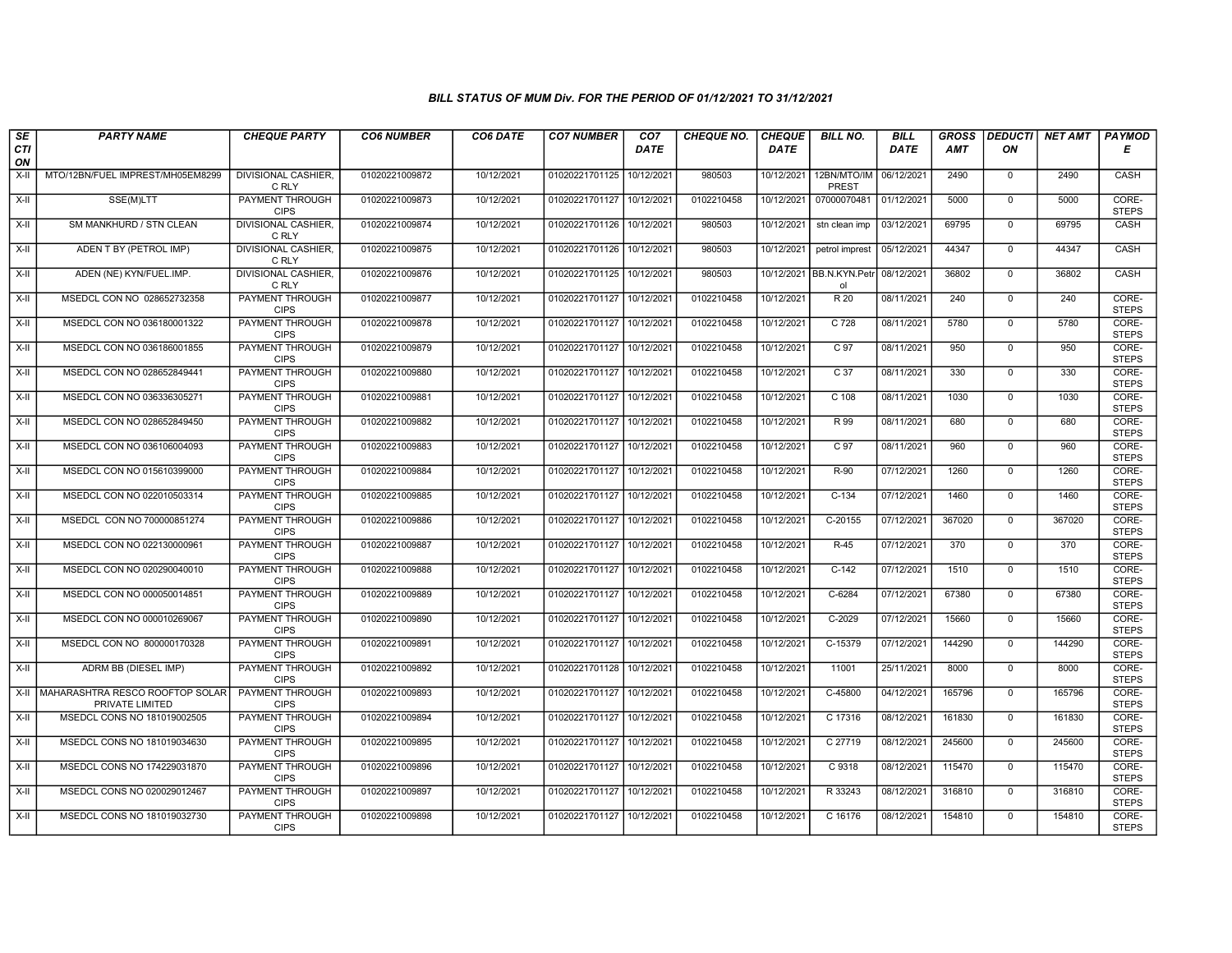| SE               | <b>PARTY NAME</b>                                        | <b>CHEQUE PARTY</b>                                             | <b>CO6 NUMBER</b> | CO6 DATE                 | <b>CO7 NUMBER</b>         | CO7        | <b>CHEQUE NO.</b>        | <b>CHEQUE</b>            | <b>BILL NO.</b>                  | <b>BILL</b> | <b>GROSS</b> | <b>DEDUCTI</b>                | <b>NET AMT</b> | PAYMOD                         |
|------------------|----------------------------------------------------------|-----------------------------------------------------------------|-------------------|--------------------------|---------------------------|------------|--------------------------|--------------------------|----------------------------------|-------------|--------------|-------------------------------|----------------|--------------------------------|
| <b>CTI</b><br>ON |                                                          |                                                                 |                   |                          |                           | DATE       |                          | <b>DATE</b>              |                                  | DATE        | <b>AMT</b>   | ON                            |                | Е                              |
| X-II             | MTO/12BN/FUEL IMPREST/MH05EM8299                         | <b>DIVISIONAL CASHIER,</b><br>C RLY                             | 01020221009872    | 10/12/2021               | 01020221701125            | 10/12/2021 | 980503                   | 10/12/2021               | 12BN/MTO/IM<br>PREST             | 06/12/2021  | 2490         | $\mathbf 0$                   | 2490           | CASH                           |
| $X-H$            | SSE(M)LTT                                                | <b>PAYMENT THROUGH</b><br><b>CIPS</b>                           | 01020221009873    | 10/12/2021               | 01020221701127            | 10/12/2021 | 0102210458               | 10/12/2021               | 07000070481                      | 01/12/2021  | 5000         | $\Omega$                      | 5000           | CORE-<br><b>STEPS</b>          |
| X-II             | SM MANKHURD / STN CLEAN                                  | DIVISIONAL CASHIER.<br>C RLY                                    | 01020221009874    | 10/12/2021               | 01020221701126 10/12/2021 |            | 980503                   | 10/12/2021               | stn clean imp                    | 03/12/2021  | 69795        | $\mathbf 0$                   | 69795          | CASH                           |
| $X-H$            | ADEN T BY (PETROL IMP)                                   | <b>DIVISIONAL CASHIER,</b><br>C RLY                             | 01020221009875    | 10/12/2021               | 01020221701126            | 10/12/2021 | 980503                   | 10/12/2021               | petrol imprest                   | 05/12/2021  | 44347        | $\overline{0}$                | 44347          | CASH                           |
| X-II             | ADEN (NE) KYN/FUEL.IMP.                                  | <b>DIVISIONAL CASHIER,</b><br>C RLY                             | 01020221009876    | 10/12/2021               | 01020221701125 10/12/2021 |            | 980503                   |                          | 10/12/2021   BB.N.KYN.Petr<br>ol | 08/12/2021  | 36802        | $\mathbf 0$                   | 36802          | CASH                           |
| X-II             | MSEDCL CON NO 028652732358                               | <b>PAYMENT THROUGH</b><br><b>CIPS</b>                           | 01020221009877    | 10/12/2021               | 01020221701127            | 10/12/2021 | 0102210458               | 10/12/2021               | R 20                             | 08/11/2021  | 240          | $\mathbf{0}$                  | 240            | CORE-<br><b>STEPS</b>          |
| $X-H$            | MSEDCL CON NO 036180001322                               | PAYMENT THROUGH<br><b>CIPS</b>                                  | 01020221009878    | 10/12/2021               | 01020221701127            | 10/12/202  | 0102210458               | 10/12/2021               | $C$ 728                          | 08/11/2021  | 5780         | $\Omega$                      | 5780           | CORE-<br><b>STEPS</b>          |
| $X-II$           | MSEDCL CON NO 036186001855                               | PAYMENT THROUGH<br><b>CIPS</b>                                  | 01020221009879    | 10/12/2021               | 01020221701127            | 10/12/202  | 0102210458               | 10/12/2021               | C 97                             | 08/11/2021  | 950          | $\mathbf 0$                   | 950            | CORE-<br><b>STEPS</b>          |
| $X-H$            | MSEDCL CON NO 028652849441                               | <b>PAYMENT THROUGH</b><br><b>CIPS</b>                           | 01020221009880    | 10/12/2021               | 01020221701127            | 10/12/2021 | 0102210458               | 10/12/2021               | C <sub>37</sub>                  | 08/11/2021  | 330          | $\overline{0}$                | 330            | CORE-<br><b>STEPS</b>          |
| $X-H$            | MSEDCL CON NO 036336305271                               | <b>PAYMENT THROUGH</b><br><b>CIPS</b>                           | 01020221009881    | 10/12/2021               | 01020221701127            | 10/12/2021 | 0102210458               | 10/12/2021               | $C$ 108                          | 08/11/2021  | 1030         | $\mathbf 0$                   | 1030           | CORE-<br><b>STEPS</b>          |
| $X-H$            | MSEDCL CON NO 028652849450                               | PAYMENT THROUGH<br><b>CIPS</b>                                  | 01020221009882    | 10/12/2021               | 01020221701127            | 10/12/2021 | 0102210458               | 10/12/2021               | R 99                             | 08/11/2021  | 680          | $\mathbf{0}$                  | 680            | CORE-<br><b>STEPS</b>          |
| X-II             | MSEDCL CON NO 036106004093                               | PAYMENT THROUGH<br><b>CIPS</b>                                  | 01020221009883    | 10/12/2021               | 01020221701127            | 10/12/2021 | 0102210458               | 10/12/2021               | C 97<br>$R-90$                   | 08/11/2021  | 960          | $\Omega$                      | 960<br>1260    | CORE-<br><b>STEPS</b>          |
| $X-H$            | MSEDCL CON NO 015610399000<br>MSEDCL CON NO 022010503314 | <b>PAYMENT THROUGH</b><br><b>CIPS</b><br><b>PAYMENT THROUGH</b> | 01020221009884    | 10/12/2021<br>10/12/2021 | 01020221701127            | 10/12/202  | 0102210458<br>0102210458 | 10/12/2021<br>10/12/2021 | $C-134$                          | 07/12/2021  | 1260<br>1460 | $\mathbf 0$<br>$\overline{0}$ | 1460           | CORE-<br><b>STEPS</b><br>CORE- |
| $X-H$            |                                                          | <b>CIPS</b>                                                     | 01020221009885    |                          | 01020221701127            | 10/12/2021 |                          |                          |                                  | 07/12/2021  |              |                               |                | <b>STEPS</b>                   |
| X-II             | MSEDCL CON NO 700000851274                               | PAYMENT THROUGH<br><b>CIPS</b>                                  | 01020221009886    | 10/12/2021               | 01020221701127            | 10/12/2021 | 0102210458               | 10/12/2021               | C-20155                          | 07/12/2021  | 367020       | $\mathbf 0$                   | 367020         | CORE-<br><b>STEPS</b>          |
| $X-H$            | MSEDCL CON NO 022130000961                               | <b>PAYMENT THROUGH</b><br><b>CIPS</b>                           | 01020221009887    | 10/12/2021               | 01020221701127            | 10/12/2021 | 0102210458               | 10/12/2021               | $R-45$                           | 07/12/2021  | 370          | $\overline{0}$                | 370            | CORE-<br><b>STEPS</b>          |
| X-II             | MSEDCL CON NO 020290040010                               | <b>PAYMENT THROUGH</b><br><b>CIPS</b>                           | 01020221009888    | 10/12/2021               | 01020221701127            | 10/12/202  | 0102210458               | 10/12/2021               | $C-142$                          | 07/12/2021  | 1510         | $\mathbf{0}$                  | 1510           | CORE-<br><b>STEPS</b>          |
| X-II             | MSEDCL CON NO 000050014851                               | <b>PAYMENT THROUGH</b><br><b>CIPS</b>                           | 01020221009889    | 10/12/2021               | 01020221701127            | 10/12/2021 | 0102210458               | 10/12/2021               | $C-6284$                         | 07/12/2021  | 67380        | $\mathbf 0$                   | 67380          | CORE-<br><b>STEPS</b>          |
| $X-II$           | MSEDCL CON NO 000010269067                               | <b>PAYMENT THROUGH</b><br><b>CIPS</b>                           | 01020221009890    | 10/12/2021               | 01020221701127            | 10/12/2021 | 0102210458               | 10/12/2021               | $C-2029$                         | 07/12/2021  | 15660        | $\Omega$                      | 15660          | CORE-<br><b>STEPS</b>          |
| X-II             | MSEDCL CON NO 800000170328                               | PAYMENT THROUGH<br><b>CIPS</b>                                  | 01020221009891    | 10/12/2021               | 01020221701127            | 10/12/202  | 0102210458               | 10/12/2021               | C-15379                          | 07/12/2021  | 144290       | $\mathbf 0$                   | 144290         | CORE-<br><b>STEPS</b>          |
| $X-H$            | ADRM BB (DIESEL IMP)                                     | <b>PAYMENT THROUGH</b><br><b>CIPS</b>                           | 01020221009892    | 10/12/2021               | 01020221701128            | 10/12/2021 | 0102210458               | 10/12/2021               | 11001                            | 25/11/2021  | 8000         | $\overline{0}$                | 8000           | CORE-<br><b>STEPS</b>          |
|                  | X-II MAHARASHTRA RESCO ROOFTOP SOLAR<br>PRIVATE LIMITED  | <b>PAYMENT THROUGH</b><br><b>CIPS</b>                           | 01020221009893    | 10/12/2021               | 01020221701127            | 10/12/2021 | 0102210458               | 10/12/2021               | C-45800                          | 04/12/2021  | 165796       | $\mathbf{0}$                  | 165796         | CORE-<br><b>STEPS</b>          |
| $X-H$            | MSEDCL CONS NO 181019002505                              | PAYMENT THROUGH<br><b>CIPS</b>                                  | 01020221009894    | 10/12/2021               | 01020221701127            | 10/12/202  | 0102210458               | 10/12/2021               | C 17316                          | 08/12/2021  | 161830       | $\mathbf 0$                   | 161830         | CORE-<br><b>STEPS</b>          |
| $X-II$           | MSEDCL CONS NO 181019034630                              | PAYMENT THROUGH<br><b>CIPS</b>                                  | 01020221009895    | 10/12/2021               | 01020221701127            | 10/12/2021 | 0102210458               | 10/12/2021               | C 27719                          | 08/12/2021  | 245600       | $\mathbf{0}$                  | 245600         | CORE-<br><b>STEPS</b>          |
| $X-H$            | MSEDCL CONS NO 174229031870                              | <b>PAYMENT THROUGH</b><br><b>CIPS</b>                           | 01020221009896    | 10/12/2021               | 01020221701127            | 10/12/2021 | 0102210458               | 10/12/2021               | C 9318                           | 08/12/2021  | 115470       | $\mathbf 0$                   | 115470         | CORE-<br><b>STEPS</b>          |
| $X-H$            | MSEDCL CONS NO 020029012467                              | <b>PAYMENT THROUGH</b><br><b>CIPS</b>                           | 01020221009897    | 10/12/2021               | 01020221701127            | 10/12/2021 | 0102210458               | 10/12/2021               | R 33243                          | 08/12/2021  | 316810       | $\mathbf 0$                   | 316810         | CORE-<br><b>STEPS</b>          |
| X-II             | MSEDCL CONS NO 181019032730                              | PAYMENT THROUGH<br><b>CIPS</b>                                  | 01020221009898    | 10/12/2021               | 01020221701127 10/12/2021 |            | 0102210458               | 10/12/2021               | C 16176                          | 08/12/2021  | 154810       | $\mathbf 0$                   | 154810         | CORE-<br><b>STEPS</b>          |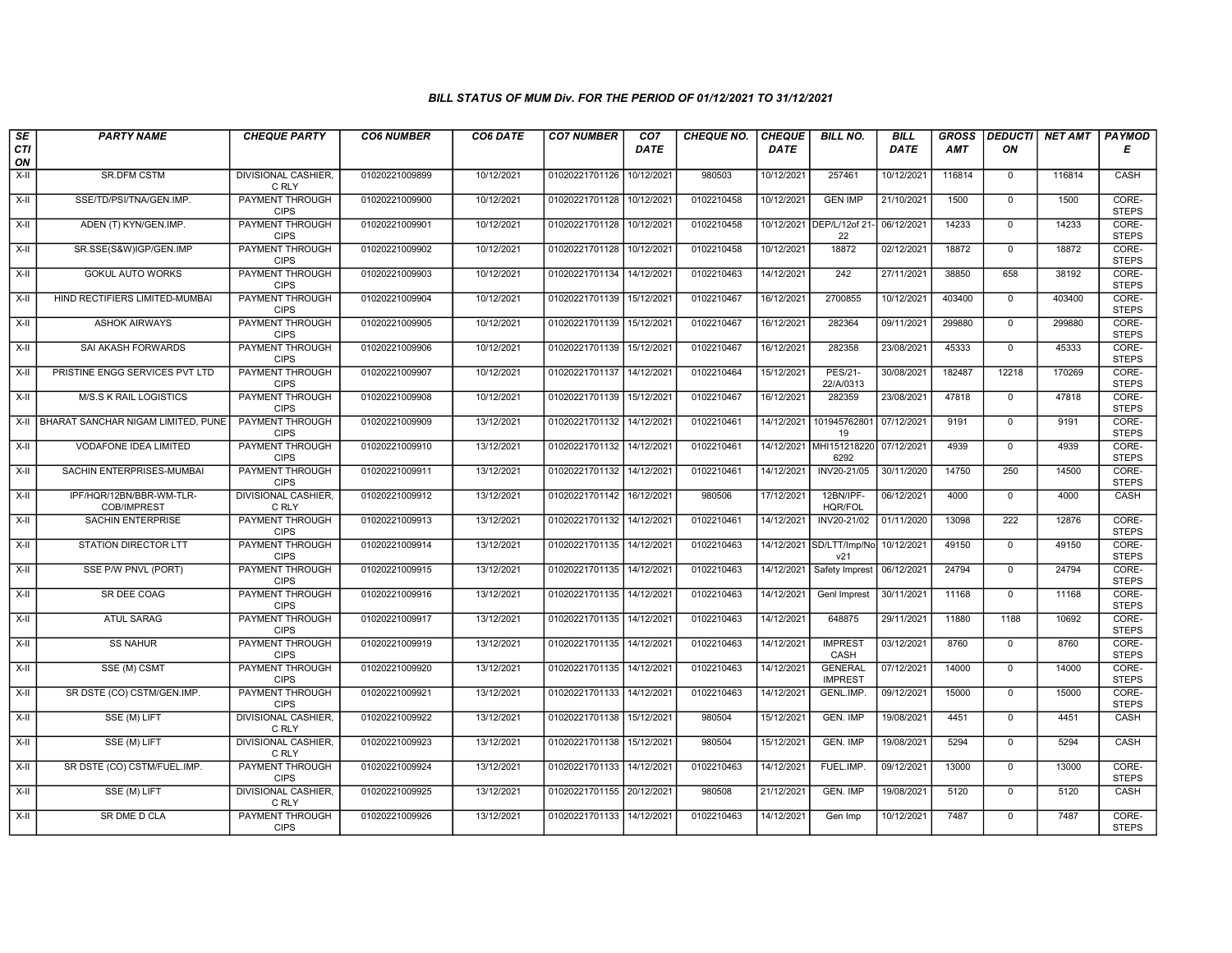| SE        | <b>PARTY NAME</b>                       | <b>CHEQUE PARTY</b>                   | <b>CO6 NUMBER</b> | CO6 DATE   | <b>CO7 NUMBER</b>         | CO <sub>7</sub> | <b>CHEQUE NO.</b> | <b>CHEQUE</b> | <b>BILL NO.</b>                            | <b>BILL</b> | <b>GROSS</b> | <b>DEDUCTI</b> | NET AMT | <b>PAYMOD</b>         |
|-----------|-----------------------------------------|---------------------------------------|-------------------|------------|---------------------------|-----------------|-------------------|---------------|--------------------------------------------|-------------|--------------|----------------|---------|-----------------------|
| CTI<br>ON |                                         |                                       |                   |            |                           | <b>DATE</b>     |                   | DATE          |                                            | <b>DATE</b> | AMT          | ON             |         | Е                     |
| $X-H$     | <b>SR.DFM CSTM</b>                      | DIVISIONAL CASHIER,<br>C RLY          | 01020221009899    | 10/12/2021 | 01020221701126            | 10/12/2021      | 980503            | 10/12/2021    | 257461                                     | 10/12/2021  | 116814       | $\mathbf 0$    | 116814  | CASH                  |
| $X-H$     | SSE/TD/PSI/TNA/GEN.IMP.                 | <b>PAYMENT THROUGH</b><br><b>CIPS</b> | 01020221009900    | 10/12/2021 | 01020221701128 10/12/2021 |                 | 0102210458        | 10/12/2021    | <b>GEN IMP</b>                             | 21/10/2021  | 1500         | $\overline{0}$ | 1500    | CORE-<br><b>STEPS</b> |
| X-II      | ADEN (T) KYN/GEN.IMP.                   | PAYMENT THROUGH<br><b>CIPS</b>        | 01020221009901    | 10/12/2021 | 01020221701128 10/12/2021 |                 | 0102210458        |               | 10/12/2021 DEP/L/12of 21<br>22             | 06/12/2021  | 14233        | $\mathbf 0$    | 14233   | CORE-<br><b>STEPS</b> |
| $X-H$     | SR.SSE(S&W)IGP/GEN.IMP                  | PAYMENT THROUGH<br><b>CIPS</b>        | 01020221009902    | 10/12/2021 | 01020221701128            | 10/12/2021      | 0102210458        | 10/12/2021    | 18872                                      | 02/12/2021  | 18872        | $\overline{0}$ | 18872   | CORE-<br><b>STEPS</b> |
| $X-H$     | <b>GOKUL AUTO WORKS</b>                 | <b>PAYMENT THROUGH</b><br><b>CIPS</b> | 01020221009903    | 10/12/2021 | 01020221701134 14/12/2021 |                 | 0102210463        | 14/12/2021    | $\frac{242}{ }$                            | 27/11/2021  | 38850        | 658            | 38192   | CORE-<br><b>STEPS</b> |
| $X-H$     | HIND RECTIFIERS LIMITED-MUMBAI          | PAYMENT THROUGH<br><b>CIPS</b>        | 01020221009904    | 10/12/2021 | 01020221701139 15/12/2021 |                 | 0102210467        | 16/12/2021    | 2700855                                    | 10/12/2021  | 403400       | $\overline{0}$ | 403400  | CORE-<br><b>STEPS</b> |
| X-II      | <b>ASHOK AIRWAYS</b>                    | PAYMENT THROUGH<br><b>CIPS</b>        | 01020221009905    | 10/12/2021 | 01020221701139 15/12/2021 |                 | 0102210467        | 16/12/2021    | 282364                                     | 09/11/2021  | 299880       | $\mathbf{0}$   | 299880  | CORE-<br><b>STEPS</b> |
| X-II      | SAI AKASH FORWARDS                      | PAYMENT THROUGH<br><b>CIPS</b>        | 01020221009906    | 10/12/2021 | 01020221701139 15/12/2021 |                 | 0102210467        | 16/12/2021    | 282358                                     | 23/08/2021  | 45333        | $\mathbf 0$    | 45333   | CORE-<br><b>STEPS</b> |
| X-II      | PRISTINE ENGG SERVICES PVT LTD          | <b>PAYMENT THROUGH</b><br><b>CIPS</b> | 01020221009907    | 10/12/2021 | 01020221701137            | 14/12/2021      | 0102210464        | 15/12/2021    | <b>PES/21-</b><br>22/A/0313                | 30/08/2021  | 182487       | 12218          | 170269  | CORE-<br><b>STEPS</b> |
| $X-H$     | <b>M/S.S K RAIL LOGISTICS</b>           | <b>PAYMENT THROUGH</b><br><b>CIPS</b> | 01020221009908    | 10/12/2021 | 01020221701139 15/12/2021 |                 | 0102210467        | 16/12/2021    | 282359                                     | 23/08/2021  | 47818        | $\overline{0}$ | 47818   | CORE-<br><b>STEPS</b> |
| X-II      | BHARAT SANCHAR NIGAM LIMITED, PUNE      | PAYMENT THROUGH<br><b>CIPS</b>        | 01020221009909    | 13/12/2021 | 01020221701132            | 14/12/2021      | 0102210461        | 14/12/2021    | 101945762801<br>19                         | 07/12/2021  | 9191         | $\mathbf 0$    | 9191    | CORE-<br><b>STEPS</b> |
| $X-II$    | <b>VODAFONE IDEA LIMITED</b>            | <b>PAYMENT THROUGH</b><br><b>CIPS</b> | 01020221009910    | 13/12/2021 | 01020221701132 14/12/2021 |                 | 0102210461        |               | 14/12/2021 MHI151218220<br>6292            | 07/12/2021  | 4939         | $\overline{0}$ | 4939    | CORE-<br><b>STEPS</b> |
| X-II      | SACHIN ENTERPRISES-MUMBAI               | PAYMENT THROUGH<br><b>CIPS</b>        | 01020221009911    | 13/12/2021 | 01020221701132 14/12/2021 |                 | 0102210461        | 14/12/2021    | INV20-21/05                                | 30/11/2020  | 14750        | 250            | 14500   | CORE-<br><b>STEPS</b> |
| $X-H$     | IPF/HQR/12BN/BBR-WM-TLR-<br>COB/IMPREST | <b>DIVISIONAL CASHIER,</b><br>C RLY   | 01020221009912    | 13/12/2021 | 01020221701142 16/12/2021 |                 | 980506            | 17/12/2021    | 12BN/IPF-<br><b>HQR/FOL</b>                | 06/12/2021  | 4000         | $\overline{0}$ | 4000    | CASH                  |
| X-II      | SACHIN ENTERPRISE                       | <b>PAYMENT THROUGH</b><br><b>CIPS</b> | 01020221009913    | 13/12/2021 | 01020221701132 14/12/2021 |                 | 0102210461        | 14/12/2021    | INV20-21/02                                | 01/11/2020  | 13098        | 222            | 12876   | CORE-<br><b>STEPS</b> |
| $X-H$     | <b>STATION DIRECTOR LTT</b>             | PAYMENT THROUGH<br><b>CIPS</b>        | 01020221009914    | 13/12/2021 | 01020221701135 14/12/2021 |                 | 0102210463        |               | 14/12/2021 SD/LTT/Imp/No 10/12/2021<br>v21 |             | 49150        | $\overline{0}$ | 49150   | CORE-<br><b>STEPS</b> |
| $X-II$    | SSE P/W PNVL (PORT)                     | <b>PAYMENT THROUGH</b><br><b>CIPS</b> | 01020221009915    | 13/12/2021 | 01020221701135 14/12/2021 |                 | 0102210463        | 14/12/2021    | Safety Imprest                             | 06/12/2021  | 24794        | $\overline{0}$ | 24794   | CORE-<br><b>STEPS</b> |
| X-II      | SR DEE COAG                             | PAYMENT THROUGH<br><b>CIPS</b>        | 01020221009916    | 13/12/2021 | 01020221701135 14/12/2021 |                 | 0102210463        | 14/12/2021    | Genl Imprest                               | 30/11/2021  | 11168        | $\mathbf 0$    | 11168   | CORE-<br><b>STEPS</b> |
| X-II      | <b>ATUL SARAG</b>                       | <b>PAYMENT THROUGH</b><br><b>CIPS</b> | 01020221009917    | 13/12/2021 | 01020221701135 14/12/2021 |                 | 0102210463        | 14/12/2021    | 648875                                     | 29/11/2021  | 11880        | 1188           | 10692   | CORE-<br><b>STEPS</b> |
| X-II      | <b>SS NAHUR</b>                         | <b>PAYMENT THROUGH</b><br><b>CIPS</b> | 01020221009919    | 13/12/2021 | 01020221701135 14/12/2021 |                 | 0102210463        | 14/12/2021    | <b>IMPREST</b><br>CASH                     | 03/12/2021  | 8760         | $\mathbf 0$    | 8760    | CORE-<br><b>STEPS</b> |
| $X-H$     | SSE (M) CSMT                            | PAYMENT THROUGH<br><b>CIPS</b>        | 01020221009920    | 13/12/2021 | 01020221701135 14/12/2021 |                 | 0102210463        | 14/12/2021    | <b>GENERAL</b><br><b>IMPREST</b>           | 07/12/2021  | 14000        | $\overline{0}$ | 14000   | CORE-<br><b>STEPS</b> |
| $X-H$     | SR DSTE (CO) CSTM/GEN.IMP.              | <b>PAYMENT THROUGH</b><br><b>CIPS</b> | 01020221009921    | 13/12/2021 | 01020221701133 14/12/2021 |                 | 0102210463        | 14/12/2021    | GENL.IMP.                                  | 09/12/2021  | 15000        | $\mathbf 0$    | 15000   | CORE-<br><b>STEPS</b> |
| X-II      | SSE (M) LIFT                            | DIVISIONAL CASHIER.<br>C RLY          | 01020221009922    | 13/12/2021 | 01020221701138            | 15/12/2021      | 980504            | 15/12/2021    | GEN. IMP                                   | 19/08/2021  | 4451         | $\mathbf 0$    | 4451    | CASH                  |
| X-II      | SSE (M) LIFT                            | <b>DIVISIONAL CASHIER,</b><br>C RLY   | 01020221009923    | 13/12/2021 | 01020221701138 15/12/2021 |                 | 980504            | 15/12/2021    | <b>GEN. IMP</b>                            | 19/08/2021  | 5294         | $\mathbf{0}$   | 5294    | CASH                  |
| $X-II$    | SR DSTE (CO) CSTM/FUEL.IMP.             | <b>PAYMENT THROUGH</b><br><b>CIPS</b> | 01020221009924    | 13/12/2021 | 01020221701133 14/12/2021 |                 | 0102210463        | 14/12/2021    | FUEL.IMP.                                  | 09/12/2021  | 13000        | $\mathbf 0$    | 13000   | CORE-<br><b>STEPS</b> |
| $X-H$     | SSE (M) LIFT                            | <b>DIVISIONAL CASHIER,</b><br>C RLY   | 01020221009925    | 13/12/2021 | 01020221701155 20/12/2021 |                 | 980508            | 21/12/2021    | GEN. IMP                                   | 19/08/2021  | 5120         | $\overline{0}$ | 5120    | CASH                  |
| X-II      | <b>SR DME D CLA</b>                     | <b>PAYMENT THROUGH</b><br><b>CIPS</b> | 01020221009926    | 13/12/2021 | 01020221701133 14/12/2021 |                 | 0102210463        | 14/12/2021    | Gen Imp                                    | 10/12/2021  | 7487         | $\mathbf 0$    | 7487    | CORE-<br><b>STEPS</b> |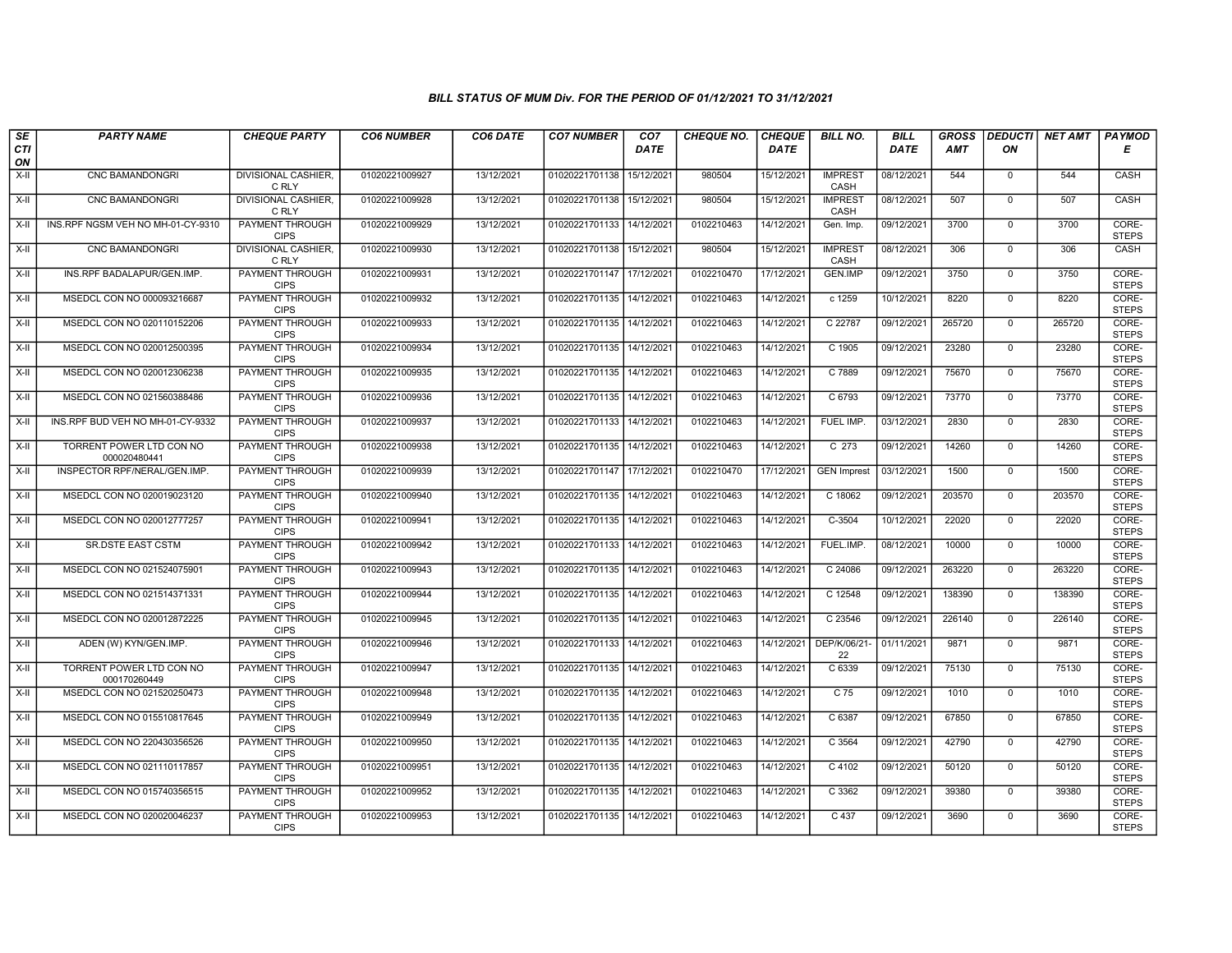| SE        | <b>PARTY NAME</b>                        | <b>CHEQUE PARTY</b>                   | <b>CO6 NUMBER</b> | CO6 DATE   | <b>CO7 NUMBER</b>         | CO <sub>7</sub> | CHEQUE NO. | <b>CHEQUE</b> | <b>BILL NO.</b>        | <b>BILL</b> | <b>GROSS</b>   | <b>DEDUCTI</b>                | NET AMT        | PAYMOD                         |
|-----------|------------------------------------------|---------------------------------------|-------------------|------------|---------------------------|-----------------|------------|---------------|------------------------|-------------|----------------|-------------------------------|----------------|--------------------------------|
| CTI<br>ON |                                          |                                       |                   |            |                           | <b>DATE</b>     |            | <b>DATE</b>   |                        | <b>DATE</b> | <b>AMT</b>     | ON                            |                | Е                              |
| $X-H$     | CNC BAMANDONGRI                          | DIVISIONAL CASHIER,<br>C RLY          | 01020221009927    | 13/12/2021 | 01020221701138            | 15/12/2021      | 980504     | 15/12/2021    | <b>IMPREST</b><br>CASH | 08/12/2021  | 544            | $\mathbf{0}$                  | 544            | CASH                           |
| $X-H$     | <b>CNC BAMANDONGRI</b>                   | <b>DIVISIONAL CASHIER.</b><br>C RLY   | 01020221009928    | 13/12/2021 | 01020221701138 15/12/2021 |                 | 980504     | 15/12/2021    | <b>IMPREST</b><br>CASH | 08/12/2021  | 507            | $\overline{0}$                | 507            | CASH                           |
| X-II      | INS.RPF NGSM VEH NO MH-01-CY-9310        | PAYMENT THROUGH<br><b>CIPS</b>        | 01020221009929    | 13/12/2021 | 01020221701133 14/12/2021 |                 | 0102210463 | 14/12/2021    | Gen. Imp.              | 09/12/2021  | 3700           | $\mathbf 0$                   | 3700           | CORE-<br><b>STEPS</b>          |
| $X-H$     | CNC BAMANDONGRI                          | DIVISIONAL CASHIER,<br>C RLY          | 01020221009930    | 13/12/2021 | 01020221701138            | 15/12/2021      | 980504     | 15/12/2021    | <b>IMPREST</b><br>CASH | 08/12/2021  | 306            | $\overline{0}$                | 306            | CASH                           |
| $X-H$     | INS.RPF BADALAPUR/GEN.IMP.               | <b>PAYMENT THROUGH</b><br><b>CIPS</b> | 01020221009931    | 13/12/2021 | 01020221701147 17/12/2021 |                 | 0102210470 | 17/12/2021    | <b>GEN.IMP</b>         | 09/12/2021  | 3750           | $\overline{0}$                | 3750           | CORE-<br><b>STEPS</b>          |
| $X-H$     | MSEDCL CON NO 000093216687               | <b>PAYMENT THROUGH</b><br><b>CIPS</b> | 01020221009932    | 13/12/2021 | 01020221701135 14/12/2021 |                 | 0102210463 | 14/12/2021    | $c$ 1259               | 10/12/2021  | 8220           | $\overline{0}$                | 8220           | CORE-<br><b>STEPS</b>          |
| X-II      | MSEDCL CON NO 020110152206               | <b>PAYMENT THROUGH</b><br><b>CIPS</b> | 01020221009933    | 13/12/2021 | 01020221701135 14/12/2021 |                 | 0102210463 | 14/12/2021    | C 22787                | 09/12/2021  | 265720         | $\mathbf{0}$                  | 265720         | CORE-<br><b>STEPS</b>          |
| X-II      | MSEDCL CON NO 020012500395               | PAYMENT THROUGH<br><b>CIPS</b>        | 01020221009934    | 13/12/2021 | 01020221701135 14/12/202  |                 | 0102210463 | 14/12/2021    | C 1905                 | 09/12/2021  | 23280          | $\mathbf 0$                   | 23280          | CORE-<br><b>STEPS</b>          |
| $X-H$     | MSEDCL CON NO 020012306238               | <b>PAYMENT THROUGH</b><br><b>CIPS</b> | 01020221009935    | 13/12/2021 | 01020221701135 14/12/2021 |                 | 0102210463 | 14/12/2021    | C 7889                 | 09/12/2021  | 75670          | $\mathbf 0$                   | 75670          | CORE-<br><b>STEPS</b>          |
| $X-H$     | MSEDCL CON NO 021560388486               | <b>PAYMENT THROUGH</b><br><b>CIPS</b> | 01020221009936    | 13/12/2021 | 01020221701135 14/12/2021 |                 | 0102210463 | 14/12/2021    | C 6793                 | 09/12/2021  | 73770          | $\mathbf 0$                   | 73770          | CORE-<br><b>STEPS</b>          |
| $X-H$     | INS.RPF BUD VEH NO MH-01-CY-9332         | PAYMENT THROUGH<br><b>CIPS</b>        | 01020221009937    | 13/12/2021 | 01020221701133            | 14/12/2021      | 0102210463 | 14/12/2021    | FUEL IMP.              | 03/12/2021  | 2830           | $\mathbf 0$                   | 2830           | CORE-<br><b>STEPS</b>          |
| $X-II$    | TORRENT POWER LTD CON NO<br>000020480441 | <b>PAYMENT THROUGH</b><br><b>CIPS</b> | 01020221009938    | 13/12/2021 | 01020221701135 14/12/2021 |                 | 0102210463 | 14/12/2021    | $C$ 273                | 09/12/2021  | 14260          | $\overline{0}$                | 14260          | CORE-<br><b>STEPS</b>          |
| X-II      | INSPECTOR RPF/NERAL/GEN.IMP.             | <b>PAYMENT THROUGH</b><br><b>CIPS</b> | 01020221009939    | 13/12/2021 | 01020221701147 17/12/2021 |                 | 0102210470 | 17/12/2021    | <b>GEN Imprest</b>     | 03/12/2021  | 1500<br>203570 | $\mathbf 0$<br>$\overline{0}$ | 1500<br>203570 | CORE-<br><b>STEPS</b><br>CORE- |
| $X-H$     | MSEDCL CON NO 020019023120               | <b>PAYMENT THROUGH</b><br><b>CIPS</b> | 01020221009940    | 13/12/2021 | 01020221701135 14/12/2021 |                 | 0102210463 | 14/12/2021    | C 18062                | 09/12/2021  |                |                               |                | <b>STEPS</b>                   |
| X-II      | MSEDCL CON NO 020012777257               | PAYMENT THROUGH<br><b>CIPS</b>        | 01020221009941    | 13/12/2021 | 01020221701135 14/12/2021 |                 | 0102210463 | 14/12/2021    | C-3504                 | 10/12/2021  | 22020          | $\Omega$                      | 22020          | CORE-<br><b>STEPS</b>          |
| $X-II$    | <b>SR.DSTE EAST CSTM</b>                 | <b>PAYMENT THROUGH</b><br><b>CIPS</b> | 01020221009942    | 13/12/2021 | 01020221701133 14/12/2021 |                 | 0102210463 | 14/12/2021    | FUEL.IMP.              | 08/12/2021  | 10000          | $\overline{0}$                | 10000          | CORE-<br><b>STEPS</b>          |
| $X-II$    | MSEDCL CON NO 021524075901               | <b>PAYMENT THROUGH</b><br><b>CIPS</b> | 01020221009943    | 13/12/2021 | 01020221701135 14/12/2021 |                 | 0102210463 | 14/12/2021    | C 24086                | 09/12/2021  | 263220         | $\mathbf{0}$                  | 263220         | CORE-<br><b>STEPS</b>          |
| X-II      | MSEDCL CON NO 021514371331               | <b>PAYMENT THROUGH</b><br><b>CIPS</b> | 01020221009944    | 13/12/2021 | 01020221701135 14/12/2021 |                 | 0102210463 | 14/12/2021    | C 12548                | 09/12/2021  | 138390         | $\mathbf 0$                   | 138390         | CORE-<br><b>STEPS</b>          |
| $X-H$     | MSEDCL CON NO 020012872225               | PAYMENT THROUGH<br><b>CIPS</b>        | 01020221009945    | 13/12/2021 | 01020221701135 14/12/2021 |                 | 0102210463 | 14/12/2021    | C 23546                | 09/12/2021  | 226140         | $\Omega$                      | 226140         | CORE-<br><b>STEPS</b>          |
| X-II      | ADEN (W) KYN/GEN.IMP.                    | PAYMENT THROUGH<br><b>CIPS</b>        | 01020221009946    | 13/12/2021 | 01020221701133 14/12/2021 |                 | 0102210463 | 14/12/2021    | DEP/K/06/21-<br>22     | 01/11/2021  | 9871           | $\mathbf 0$                   | 9871           | CORE-<br><b>STEPS</b>          |
| $X-H$     | TORRENT POWER LTD CON NO<br>000170260449 | PAYMENT THROUGH<br><b>CIPS</b>        | 01020221009947    | 13/12/2021 | 01020221701135 14/12/2021 |                 | 0102210463 | 14/12/2021    | C 6339                 | 09/12/2021  | 75130          | $\overline{0}$                | 75130          | CORE-<br><b>STEPS</b>          |
| $X-H$     | MSEDCL CON NO 021520250473               | <b>PAYMENT THROUGH</b><br><b>CIPS</b> | 01020221009948    | 13/12/2021 | 01020221701135 14/12/2021 |                 | 0102210463 | 14/12/2021    | $C$ 75                 | 09/12/2021  | 1010           | $\mathbf 0$                   | 1010           | CORE-<br><b>STEPS</b>          |
| X-II      | MSEDCL CON NO 015510817645               | PAYMENT THROUGH<br><b>CIPS</b>        | 01020221009949    | 13/12/2021 | 01020221701135 14/12/202  |                 | 0102210463 | 14/12/2021    | C 6387                 | 09/12/2021  | 67850          | $\mathbf 0$                   | 67850          | CORE-<br><b>STEPS</b>          |
| X-II      | MSEDCL CON NO 220430356526               | PAYMENT THROUGH<br><b>CIPS</b>        | 01020221009950    | 13/12/2021 | 01020221701135 14/12/2021 |                 | 0102210463 | 14/12/2021    | C 3564                 | 09/12/2021  | 42790          | $\mathbf{0}$                  | 42790          | CORE-<br><b>STEPS</b>          |
| $X-II$    | MSEDCL CON NO 021110117857               | <b>PAYMENT THROUGH</b><br><b>CIPS</b> | 01020221009951    | 13/12/2021 | 01020221701135 14/12/2021 |                 | 0102210463 | 14/12/2021    | C 4102                 | 09/12/2021  | 50120          | $\mathbf 0$                   | 50120          | CORE-<br><b>STEPS</b>          |
| $X-H$     | MSEDCL CON NO 015740356515               | PAYMENT THROUGH<br><b>CIPS</b>        | 01020221009952    | 13/12/2021 | 01020221701135 14/12/2021 |                 | 0102210463 | 14/12/2021    | C 3362                 | 09/12/2021  | 39380          | $\mathbf 0$                   | 39380          | CORE-<br><b>STEPS</b>          |
| X-II      | MSEDCL CON NO 020020046237               | <b>PAYMENT THROUGH</b><br><b>CIPS</b> | 01020221009953    | 13/12/2021 | 01020221701135 14/12/2021 |                 | 0102210463 | 14/12/2021    | $C$ 437                | 09/12/2021  | 3690           | $\mathbf{0}$                  | 3690           | CORE-<br><b>STEPS</b>          |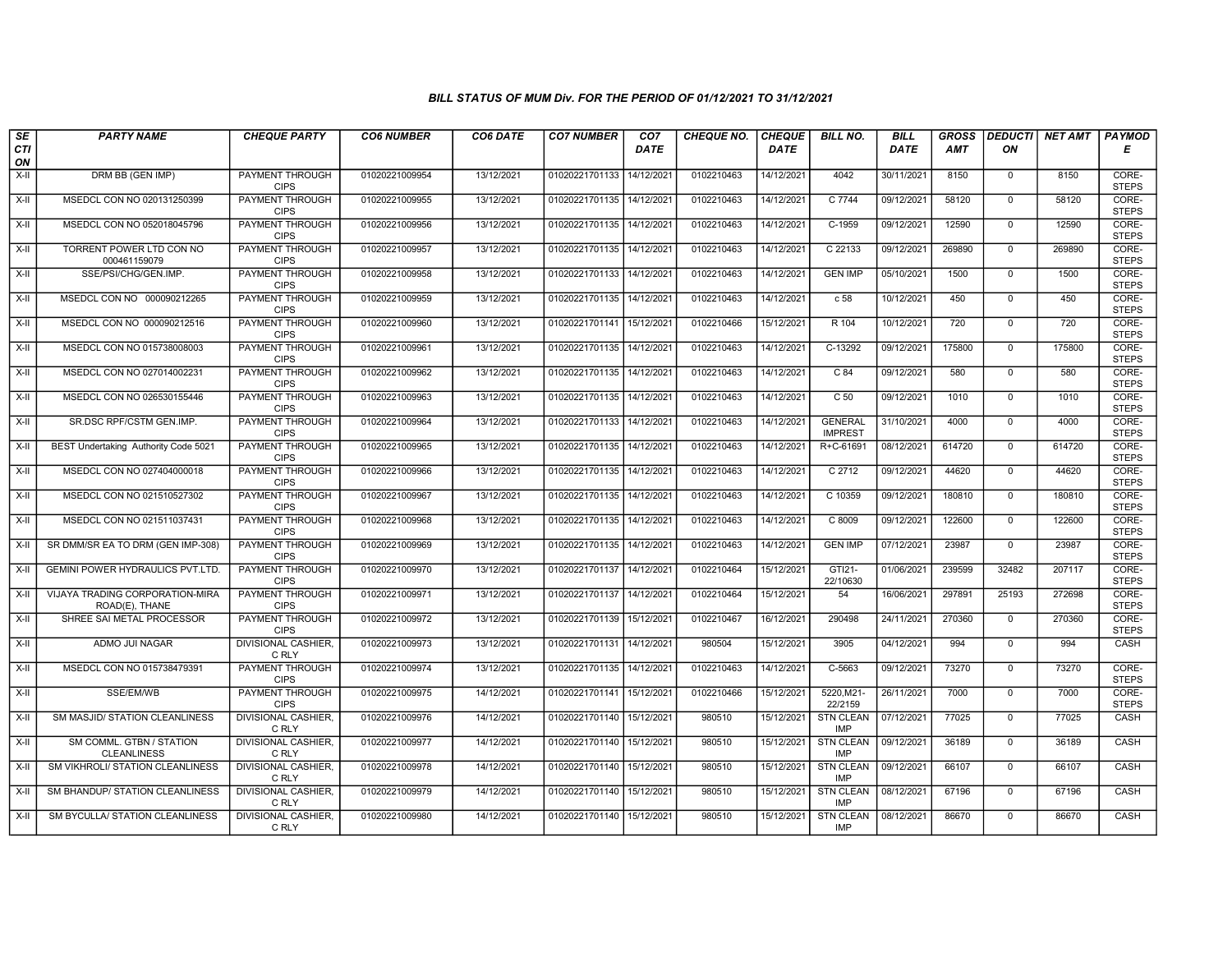| $\sqrt{SE}$ | <b>PARTY NAME</b>                                 | <b>CHEQUE PARTY</b>                   | <b>CO6 NUMBER</b> | CO6 DATE   | <b>CO7 NUMBER</b>         | CO <sub>7</sub>        | <b>CHEQUE NO.</b> | <b>CHEQUE</b> | <b>BILL NO.</b>                  | <b>BILL</b> | <b>GROSS</b> |                | DEDUCTI NET AMT | <b>PAYMOD</b>         |
|-------------|---------------------------------------------------|---------------------------------------|-------------------|------------|---------------------------|------------------------|-------------------|---------------|----------------------------------|-------------|--------------|----------------|-----------------|-----------------------|
| CTI<br>ON   |                                                   |                                       |                   |            |                           | <b>DATE</b>            |                   | <b>DATE</b>   |                                  | <b>DATE</b> | AMT          | ON             |                 | Е                     |
| $X-H$       | DRM BB (GEN IMP)                                  | <b>PAYMENT THROUGH</b><br><b>CIPS</b> | 01020221009954    | 13/12/2021 | 01020221701133            | 14/12/2021             | 0102210463        | 14/12/2021    | 4042                             | 30/11/2021  | 8150         | $\mathbf{0}$   | 8150            | CORE-<br><b>STEPS</b> |
| X-II        | MSEDCL CON NO 020131250399                        | <b>PAYMENT THROUGH</b><br><b>CIPS</b> | 01020221009955    | 13/12/2021 | 01020221701135            | 14/12/2021             | 0102210463        | 14/12/2021    | C 7744                           | 09/12/2021  | 58120        | $\Omega$       | 58120           | CORE-<br><b>STEPS</b> |
| X-II        | MSEDCL CON NO 052018045796                        | PAYMENT THROUGH<br><b>CIPS</b>        | 01020221009956    | 13/12/2021 | 01020221701135            | 14/12/202 <sup>-</sup> | 0102210463        | 14/12/2021    | C-1959                           | 09/12/2021  | 12590        | $\mathbf 0$    | 12590           | CORE-<br><b>STEPS</b> |
| X-II        | TORRENT POWER LTD CON NO<br>000461159079          | <b>PAYMENT THROUGH</b><br><b>CIPS</b> | 01020221009957    | 13/12/2021 | 01020221701135            | 14/12/2021             | 0102210463        | 14/12/2021    | C 22133                          | 09/12/2021  | 269890       | $\mathbf 0$    | 269890          | CORE-<br><b>STEPS</b> |
| X-II        | SSE/PSI/CHG/GEN.IMP.                              | <b>PAYMENT THROUGH</b><br><b>CIPS</b> | 01020221009958    | 13/12/2021 | 01020221701133            | 14/12/2021             | 0102210463        | 14/12/2021    | <b>GEN IMP</b>                   | 05/10/2021  | 1500         | $\mathbf 0$    | 1500            | CORE-<br><b>STEPS</b> |
| X-II        | MSEDCL CON NO 000090212265                        | <b>PAYMENT THROUGH</b><br><b>CIPS</b> | 01020221009959    | 13/12/2021 | 01020221701135            | 14/12/2021             | 0102210463        | 14/12/2021    | c <sub>58</sub>                  | 10/12/2021  | 450          | $\Omega$       | 450             | CORE-<br><b>STEPS</b> |
| X-II        | MSEDCL CON NO 000090212516                        | PAYMENT THROUGH<br><b>CIPS</b>        | 01020221009960    | 13/12/2021 | 01020221701141            | 15/12/202 <sup>-</sup> | 0102210466        | 15/12/2021    | R 104                            | 10/12/2021  | 720          | $\mathbf 0$    | 720             | CORE-<br><b>STEPS</b> |
| $X-H$       | MSEDCL CON NO 015738008003                        | <b>PAYMENT THROUGH</b><br><b>CIPS</b> | 01020221009961    | 13/12/2021 | 01020221701135            | 14/12/2021             | 0102210463        | 14/12/2021    | C-13292                          | 09/12/2021  | 175800       | $\overline{0}$ | 175800          | CORE-<br><b>STEPS</b> |
| X-II        | MSEDCL CON NO 027014002231                        | <b>PAYMENT THROUGH</b><br><b>CIPS</b> | 01020221009962    | 13/12/2021 | 01020221701135            | 14/12/2021             | 0102210463        | 14/12/2021    | $C_84$                           | 09/12/2021  | 580          | $\mathbf{0}$   | 580             | CORE-<br><b>STEPS</b> |
| $X-H$       | MSEDCL CON NO 026530155446                        | <b>PAYMENT THROUGH</b><br><b>CIPS</b> | 01020221009963    | 13/12/2021 | 01020221701135 14/12/2021 |                        | 0102210463        | 14/12/2021    | $\overline{C}$ 50                | 09/12/2021  | 1010         | $\overline{0}$ | 1010            | CORE-<br><b>STEPS</b> |
| X-II        | SR.DSC RPF/CSTM GEN.IMP.                          | <b>PAYMENT THROUGH</b><br><b>CIPS</b> | 01020221009964    | 13/12/2021 | 01020221701133            | 14/12/202 <sup>-</sup> | 0102210463        | 14/12/2021    | <b>GENERAL</b><br><b>IMPREST</b> | 31/10/2021  | 4000         | $\mathbf 0$    | 4000            | CORE-<br><b>STEPS</b> |
| X-II        | BEST Undertaking Authority Code 5021              | PAYMENT THROUGH<br><b>CIPS</b>        | 01020221009965    | 13/12/2021 | 01020221701135            | 14/12/2021             | 0102210463        | 14/12/2021    | R+C-61691                        | 08/12/2021  | 614720       | $\mathbf{0}$   | 614720          | CORE-<br><b>STEPS</b> |
| $X-H$       | MSEDCL CON NO 027404000018                        | <b>PAYMENT THROUGH</b><br><b>CIPS</b> | 01020221009966    | 13/12/2021 | 01020221701135            | 14/12/2021             | 0102210463        | 14/12/2021    | C 2712                           | 09/12/2021  | 44620        | $\overline{0}$ | 44620           | CORE-<br><b>STEPS</b> |
| X-II        | MSEDCL CON NO 021510527302                        | <b>PAYMENT THROUGH</b><br><b>CIPS</b> | 01020221009967    | 13/12/2021 | 01020221701135            | 14/12/2021             | 0102210463        | 14/12/2021    | C 10359                          | 09/12/2021  | 180810       | $\mathbf{0}$   | 180810          | CORE-<br><b>STEPS</b> |
| X-II        | MSEDCL CON NO 021511037431                        | PAYMENT THROUGH<br><b>CIPS</b>        | 01020221009968    | 13/12/2021 | 01020221701135            | 14/12/202 <sup>-</sup> | 0102210463        | 14/12/2021    | C 8009                           | 09/12/2021  | 122600       | $\Omega$       | 122600          | CORE-<br><b>STEPS</b> |
| X-II        | SR DMM/SR EA TO DRM (GEN IMP-308)                 | PAYMENT THROUGH<br><b>CIPS</b>        | 01020221009969    | 13/12/2021 | 01020221701135            | 14/12/2021             | 0102210463        | 14/12/2021    | <b>GEN IMP</b>                   | 07/12/2021  | 23987        | $\mathbf{0}$   | 23987           | CORE-<br><b>STEPS</b> |
| X-II        | GEMINI POWER HYDRAULICS PVT.LTD.                  | <b>PAYMENT THROUGH</b><br><b>CIPS</b> | 01020221009970    | 13/12/2021 | 01020221701137            | 14/12/2021             | 0102210464        | 15/12/2021    | GTI21-<br>22/10630               | 01/06/2021  | 239599       | 32482          | 207117          | CORE-<br><b>STEPS</b> |
| X-II        | VIJAYA TRADING CORPORATION-MIRA<br>ROAD(E), THANE | <b>PAYMENT THROUGH</b><br><b>CIPS</b> | 01020221009971    | 13/12/2021 | 01020221701137            | 14/12/2021             | 0102210464        | 15/12/2021    | 54                               | 16/06/2021  | 297891       | 25193          | 272698          | CORE-<br><b>STEPS</b> |
| X-II        | SHREE SAI METAL PROCESSOR                         | <b>PAYMENT THROUGH</b><br><b>CIPS</b> | 01020221009972    | 13/12/2021 | 01020221701139            | 15/12/2021             | 0102210467        | 16/12/2021    | 290498                           | 24/11/2021  | 270360       | $\mathbf 0$    | 270360          | CORE-<br><b>STEPS</b> |
| X-II        | ADMO JUI NAGAR                                    | DIVISIONAL CASHIER,<br>C RLY          | 01020221009973    | 13/12/2021 | 01020221701131 14/12/2021 |                        | 980504            | 15/12/2021    | 3905                             | 04/12/2021  | 994          | $\Omega$       | 994             | CASH                  |
| X-II        | MSEDCL CON NO 015738479391                        | <b>PAYMENT THROUGH</b><br><b>CIPS</b> | 01020221009974    | 13/12/2021 | 01020221701135            | 14/12/2021             | 0102210463        | 14/12/2021    | $C - 5663$                       | 09/12/2021  | 73270        | $\mathbf 0$    | 73270           | CORE-<br><b>STEPS</b> |
| X-II        | SSE/EM/WB                                         | PAYMENT THROUGH<br><b>CIPS</b>        | 01020221009975    | 14/12/2021 | 01020221701141 15/12/2021 |                        | 0102210466        | 15/12/2021    | 5220, M21-<br>22/2159            | 26/11/2021  | 7000         | $\Omega$       | 7000            | CORE-<br><b>STEPS</b> |
| X-II        | SM MASJID/ STATION CLEANLINESS                    | DIVISIONAL CASHIER,<br>C RLY          | 01020221009976    | 14/12/2021 | 01020221701140            | 15/12/2021             | 980510            | 15/12/2021    | <b>STN CLEAN</b><br><b>IMP</b>   | 07/12/2021  | 77025        | $\mathbf 0$    | 77025           | CASH                  |
| X-II        | SM COMML. GTBN / STATION<br><b>CLEANLINESS</b>    | <b>DIVISIONAL CASHIER,</b><br>C RLY   | 01020221009977    | 14/12/2021 | 01020221701140            | 15/12/2021             | 980510            | 15/12/2021    | <b>STN CLEAN</b><br>IMP          | 09/12/2021  | 36189        | $\Omega$       | 36189           | CASH                  |
| X-II        | SM VIKHROLI/ STATION CLEANLINESS                  | DIVISIONAL CASHIER,<br>C RLY          | 01020221009978    | 14/12/2021 | 01020221701140            | 15/12/2021             | 980510            | 15/12/2021    | <b>STN CLEAN</b><br><b>IMP</b>   | 09/12/2021  | 66107        | $\mathbf 0$    | 66107           | CASH                  |
| X-II        | SM BHANDUP/ STATION CLEANLINESS                   | <b>DIVISIONAL CASHIER,</b><br>C RLY   | 01020221009979    | 14/12/2021 | 01020221701140            | 15/12/2021             | 980510            | 15/12/2021    | <b>STN CLEAN</b><br><b>IMP</b>   | 08/12/2021  | 67196        | $\mathbf 0$    | 67196           | CASH                  |
| X-II        | SM BYCULLA/ STATION CLEANLINESS                   | DIVISIONAL CASHIER,<br>C RLY          | 01020221009980    | 14/12/2021 | 01020221701140 15/12/2021 |                        | 980510            | 15/12/2021    | <b>STN CLEAN</b><br><b>IMP</b>   | 08/12/2021  | 86670        | $\mathbf 0$    | 86670           | CASH                  |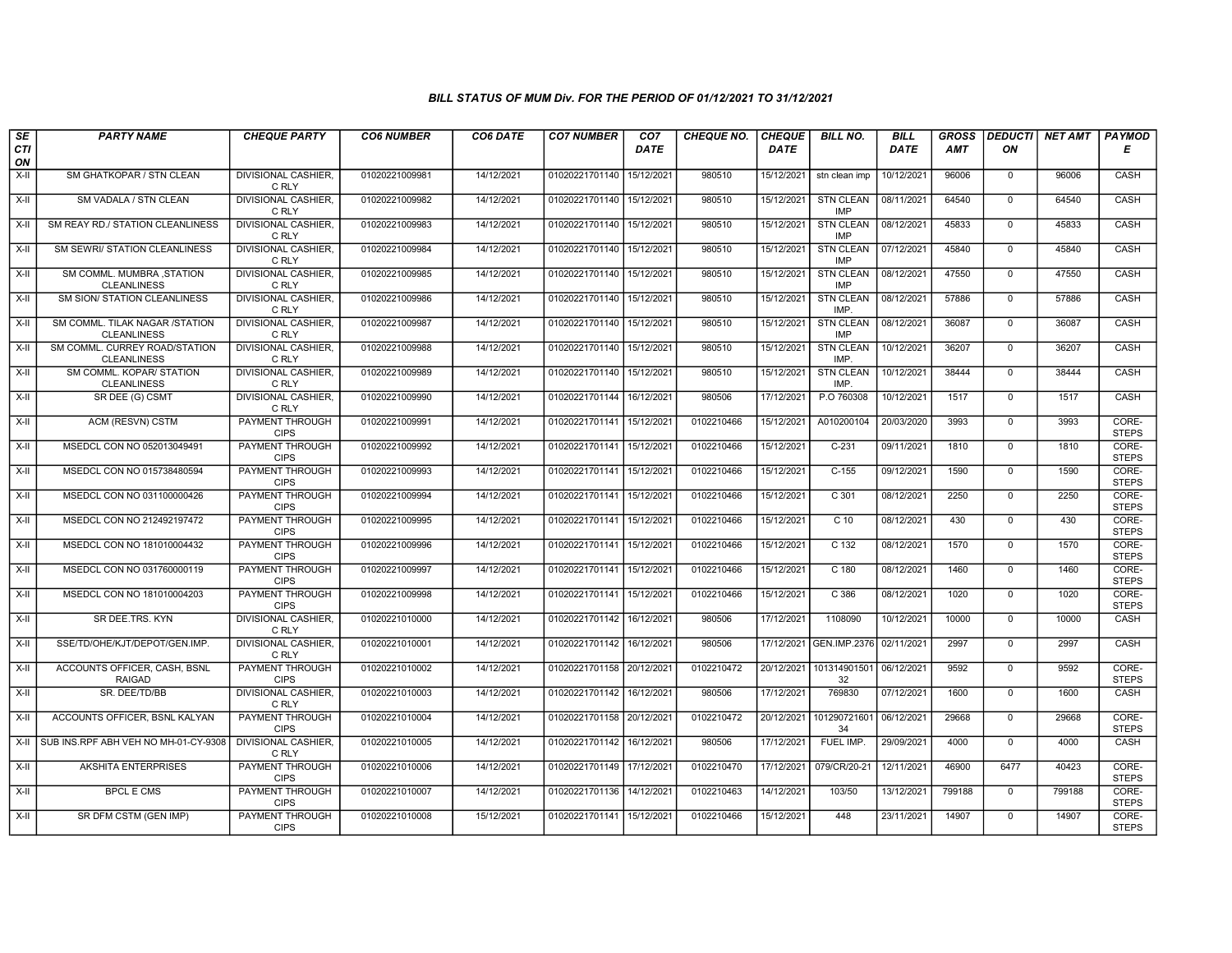| SE<br><b>CTI</b> | <b>PARTY NAME</b>                                    | <b>CHEQUE PARTY</b>                   | <b>CO6 NUMBER</b> | CO6 DATE   | <b>CO7 NUMBER</b>         | CO7<br><b>DATE</b> | <b>CHEQUE NO.</b> | <b>CHEQUE</b><br><b>DATE</b> | <b>BILL NO.</b>                | <b>BILL</b><br>DATE | <b>GROSS</b><br>AMT | <b>DEDUCTI</b><br>ON | <b>NET AMT</b> | <b>PAYMOD</b><br>Е    |
|------------------|------------------------------------------------------|---------------------------------------|-------------------|------------|---------------------------|--------------------|-------------------|------------------------------|--------------------------------|---------------------|---------------------|----------------------|----------------|-----------------------|
| ON               |                                                      |                                       |                   |            |                           |                    |                   |                              |                                |                     |                     |                      |                |                       |
| $X-H$            | SM GHATKOPAR / STN CLEAN                             | <b>DIVISIONAL CASHIER.</b><br>C RLY   | 01020221009981    | 14/12/2021 | 01020221701140            | 15/12/2021         | 980510            | 15/12/2021                   | stn clean imp                  | 10/12/2021          | 96006               | $\mathbf 0$          | 96006          | CASH                  |
| $X-H$            | SM VADALA / STN CLEAN                                | <b>DIVISIONAL CASHIER,</b><br>C RLY   | 01020221009982    | 14/12/2021 | 01020221701140 15/12/2021 |                    | 980510            | 15/12/2021                   | <b>STN CLEAN</b><br><b>IMP</b> | 08/11/2021          | 64540               | $\mathbf 0$          | 64540          | CASH                  |
| X-II             | SM REAY RD./ STATION CLEANLINESS                     | <b>DIVISIONAL CASHIER.</b><br>C RLY   | 01020221009983    | 14/12/2021 | 01020221701140 15/12/2021 |                    | 980510            | 15/12/2021                   | <b>STN CLEAN</b><br><b>IMP</b> | 08/12/2021          | 45833               | $\Omega$             | 45833          | CASH                  |
| $X-II$           | SM SEWRI/ STATION CLEANLINESS                        | DIVISIONAL CASHIER,<br>C RLY          | 01020221009984    | 14/12/2021 | 01020221701140 15/12/2021 |                    | 980510            | 15/12/2021                   | <b>STN CLEAN</b><br><b>IMP</b> | 07/12/2021          | 45840               | $\mathbf 0$          | 45840          | CASH                  |
| $X-H$            | SM COMML. MUMBRA, STATION<br><b>CLEANLINESS</b>      | <b>DIVISIONAL CASHIER,</b><br>C RLY   | 01020221009985    | 14/12/2021 | 01020221701140 15/12/2021 |                    | 980510            | 15/12/2021                   | <b>STN CLEAN</b><br>IMP        | 08/12/2021          | 47550               | $\mathbf 0$          | 47550          | CASH                  |
| $X-H$            | <b>SM SION/ STATION CLEANLINESS</b>                  | <b>DIVISIONAL CASHIER,</b><br>C RLY   | 01020221009986    | 14/12/2021 | 01020221701140 15/12/2021 |                    | 980510            | 15/12/2021                   | <b>STN CLEAN</b><br><b>IMP</b> | 08/12/2021          | 57886               | $\Omega$             | 57886          | CASH                  |
| X-II             | SM COMML. TILAK NAGAR /STATION<br><b>CLEANLINESS</b> | <b>DIVISIONAL CASHIER.</b><br>C RLY   | 01020221009987    | 14/12/2021 | 01020221701140 15/12/2021 |                    | 980510            | 15/12/2021                   | <b>STN CLEAN</b><br><b>IMP</b> | 08/12/2021          | 36087               | $\mathbf 0$          | 36087          | CASH                  |
| $X-H$            | SM COMML. CURREY ROAD/STATION<br><b>CLEANLINESS</b>  | DIVISIONAL CASHIER,<br>C RLY          | 01020221009988    | 14/12/2021 | 01020221701140 15/12/2021 |                    | 980510            | 15/12/2021                   | <b>STN CLEAN</b><br><b>IMP</b> | 10/12/2021          | 36207               | $\overline{0}$       | 36207          | CASH                  |
| $X-H$            | SM COMML. KOPAR/ STATION<br><b>CLEANLINESS</b>       | <b>DIVISIONAL CASHIER,</b><br>C RLY   | 01020221009989    | 14/12/2021 | 01020221701140 15/12/2021 |                    | 980510            | 15/12/2021                   | <b>STN CLEAN</b><br>IMP.       | 10/12/2021          | 38444               | $\mathbf 0$          | 38444          | CASH                  |
| X-II             | SR DEE (G) CSMT                                      | <b>DIVISIONAL CASHIER,</b><br>C RLY   | 01020221009990    | 14/12/2021 | 01020221701144 16/12/2021 |                    | 980506            | 17/12/2021                   | P.O 760308                     | 10/12/2021          | 1517                | $\mathbf 0$          | 1517           | CASH                  |
| $X-H$            | ACM (RESVN) CSTM                                     | PAYMENT THROUGH<br><b>CIPS</b>        | 01020221009991    | 14/12/2021 | 01020221701141            | 15/12/2021         | 0102210466        | 15/12/2021                   | A010200104                     | 20/03/2020          | 3993                | $\mathbf{0}$         | 3993           | CORE-<br><b>STEPS</b> |
| $X-II$           | MSEDCL CON NO 052013049491                           | <b>PAYMENT THROUGH</b><br><b>CIPS</b> | 01020221009992    | 14/12/2021 | 01020221701141 15/12/2021 |                    | 0102210466        | 15/12/2021                   | $C-231$                        | 09/11/2021          | 1810                | $\overline{0}$       | 1810           | CORE-<br><b>STEPS</b> |
| X-II             | MSEDCL CON NO 015738480594                           | <b>PAYMENT THROUGH</b><br><b>CIPS</b> | 01020221009993    | 14/12/2021 | 01020221701141 15/12/202  |                    | 0102210466        | 15/12/2021                   | $C-155$                        | 09/12/2021          | 1590                | $\mathbf 0$          | 1590           | CORE-<br><b>STEPS</b> |
| $X-H$            | MSEDCL CON NO 031100000426                           | PAYMENT THROUGH<br><b>CIPS</b>        | 01020221009994    | 14/12/2021 | 01020221701141            | 15/12/2021         | 0102210466        | 15/12/2021                   | $C$ 301                        | 08/12/2021          | 2250                | $\overline{0}$       | 2250           | CORE-<br><b>STEPS</b> |
| X-II             | MSEDCL CON NO 212492197472                           | <b>PAYMENT THROUGH</b><br><b>CIPS</b> | 01020221009995    | 14/12/2021 | 01020221701141            | 15/12/2021         | 0102210466        | 15/12/2021                   | $C$ 10                         | 08/12/2021          | 430                 | $\mathbf 0$          | 430            | CORE-<br><b>STEPS</b> |
| X-II             | MSEDCL CON NO 181010004432                           | PAYMENT THROUGH<br><b>CIPS</b>        | 01020221009996    | 14/12/2021 | 01020221701141 15/12/2021 |                    | 0102210466        | 15/12/2021                   | C 132                          | 08/12/2021          | 1570                | $\mathbf 0$          | 1570           | CORE-<br><b>STEPS</b> |
| $X-H$            | MSEDCL CON NO 031760000119                           | <b>PAYMENT THROUGH</b><br><b>CIPS</b> | 01020221009997    | 14/12/2021 | 01020221701141 15/12/2021 |                    | 0102210466        | 15/12/2021                   | $C$ 180                        | 08/12/2021          | 1460                | $\overline{0}$       | 1460           | CORE-<br><b>STEPS</b> |
| X-II             | MSEDCL CON NO 181010004203                           | <b>PAYMENT THROUGH</b><br><b>CIPS</b> | 01020221009998    | 14/12/2021 | 01020221701141 15/12/2021 |                    | 0102210466        | 15/12/2021                   | C <sub>386</sub>               | 08/12/2021          | 1020                | $\Omega$             | 1020           | CORE-<br><b>STEPS</b> |
| X-II             | SR DEE.TRS. KYN                                      | DIVISIONAL CASHIER.<br>C RLY          | 01020221010000    | 14/12/2021 | 01020221701142 16/12/2021 |                    | 980506            | 17/12/2021                   | 1108090                        | 10/12/2021          | 10000               | $\mathbf 0$          | 10000          | CASH                  |
| $X-H$            | SSE/TD/OHE/KJT/DEPOT/GEN.IMP.                        | <b>DIVISIONAL CASHIER.</b><br>C RLY   | 01020221010001    | 14/12/2021 | 01020221701142 16/12/2021 |                    | 980506            | 17/12/2021                   | GEN.IMP.2376                   | 02/11/2021          | 2997                | $\Omega$             | 2997           | CASH                  |
| $X-II$           | ACCOUNTS OFFICER, CASH, BSNL<br><b>RAIGAD</b>        | <b>PAYMENT THROUGH</b><br><b>CIPS</b> | 01020221010002    | 14/12/2021 | 01020221701158 20/12/2021 |                    | 0102210472        | 20/12/2021                   | 101314901501<br>32             | 06/12/2021          | 9592                | $\Omega$             | 9592           | CORE-<br><b>STEPS</b> |
| $X-H$            | SR. DEE/TD/BB                                        | <b>DIVISIONAL CASHIER,</b><br>C RLY   | 01020221010003    | 14/12/2021 | 01020221701142 16/12/2021 |                    | 980506            | 17/12/2021                   | 769830                         | 07/12/2021          | 1600                | $\mathbf{0}$         | 1600           | <b>CASH</b>           |
| X-II             | ACCOUNTS OFFICER, BSNL KALYAN                        | <b>PAYMENT THROUGH</b><br><b>CIPS</b> | 01020221010004    | 14/12/2021 | 01020221701158 20/12/2021 |                    | 0102210472        | 20/12/2021                   | 101290721601<br>34             | 06/12/2021          | 29668               | $\Omega$             | 29668          | CORE-<br><b>STEPS</b> |
| X-II             | SUB INS.RPF ABH VEH NO MH-01-CY-9308                 | <b>DIVISIONAL CASHIER.</b><br>C RLY   | 01020221010005    | 14/12/2021 | 01020221701142            | 16/12/2021         | 980506            | 17/12/2021                   | FUEL IMP.                      | 29/09/2021          | 4000                | $\mathbf{0}$         | 4000           | CASH                  |
| $X-II$           | <b>AKSHITA ENTERPRISES</b>                           | <b>PAYMENT THROUGH</b><br><b>CIPS</b> | 01020221010006    | 14/12/2021 | 01020221701149 17/12/2021 |                    | 0102210470        | 17/12/2021                   | 079/CR/20-21                   | 12/11/2021          | 46900               | 6477                 | 40423          | CORE-<br><b>STEPS</b> |
| $X-H$            | <b>BPCL E CMS</b>                                    | <b>PAYMENT THROUGH</b><br><b>CIPS</b> | 01020221010007    | 14/12/2021 | 01020221701136 14/12/2021 |                    | 0102210463        | 14/12/2021                   | 103/50                         | 13/12/2021          | 799188              | $\Omega$             | 799188         | CORE-<br><b>STEPS</b> |
| X-II             | SR DFM CSTM (GEN IMP)                                | <b>PAYMENT THROUGH</b><br><b>CIPS</b> | 01020221010008    | 15/12/2021 | 01020221701141 15/12/2021 |                    | 0102210466        | 15/12/2021                   | 448                            | 23/11/2021          | 14907               | $\overline{0}$       | 14907          | CORE-<br><b>STEPS</b> |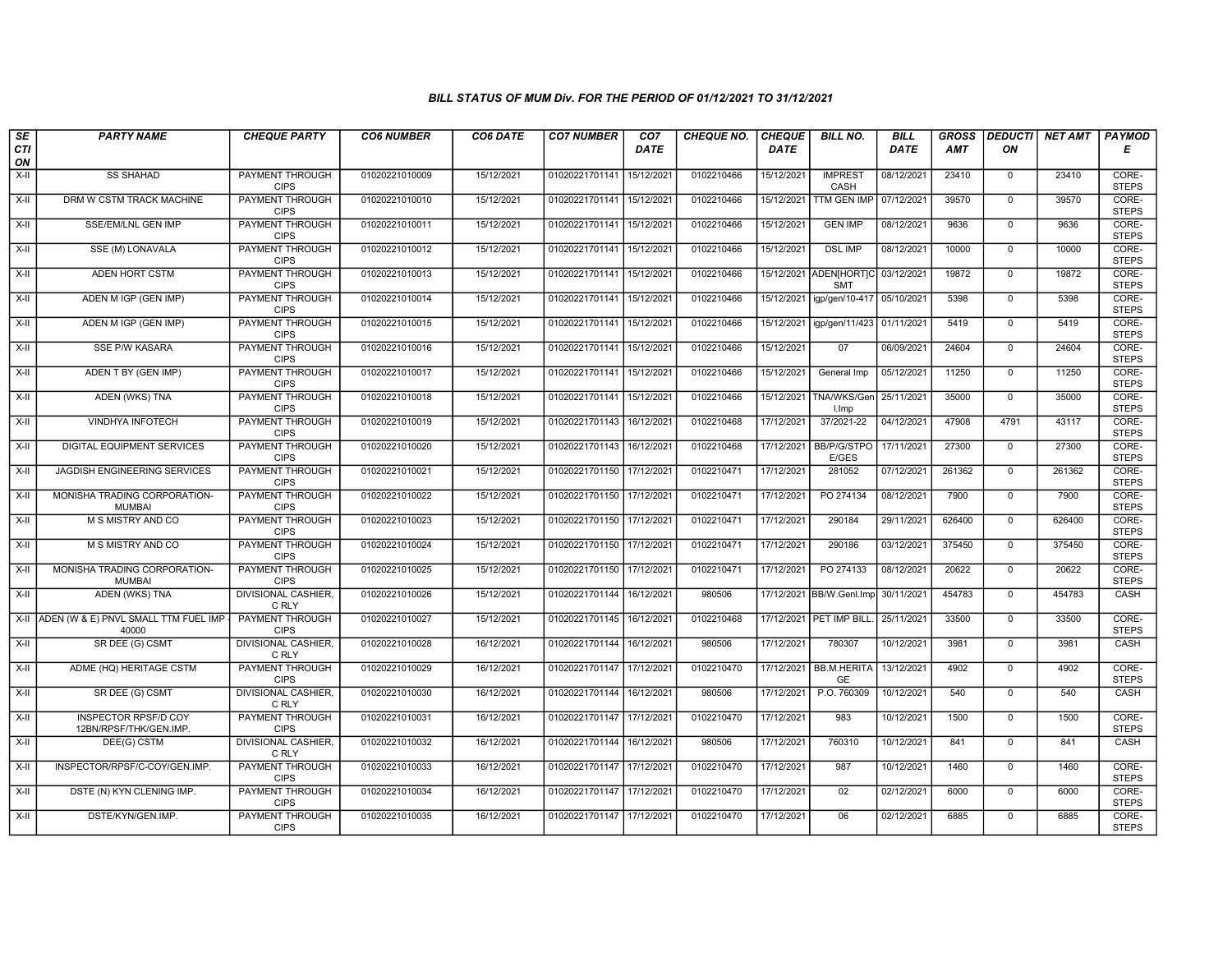| SE        | <b>PARTY NAME</b>                                     | <b>CHEQUE PARTY</b>                   | <b>CO6 NUMBER</b> | CO6 DATE   | <b>CO7 NUMBER</b>         | CO7        | <b>CHEQUE NO.</b> | <b>CHEQUE</b> | <b>BILL NO.</b>                                 | <b>BILL</b> | <b>GROSS</b> | <b>DEDUCTI</b> | <b>NET AMT</b> | <b>PAYMOD</b>         |
|-----------|-------------------------------------------------------|---------------------------------------|-------------------|------------|---------------------------|------------|-------------------|---------------|-------------------------------------------------|-------------|--------------|----------------|----------------|-----------------------|
| CTI<br>ON |                                                       |                                       |                   |            |                           | DATE       |                   | <b>DATE</b>   |                                                 | DATE        | AMT          | ON             |                | Е                     |
| $X-H$     | <b>SS SHAHAD</b>                                      | <b>PAYMENT THROUGH</b><br><b>CIPS</b> | 01020221010009    | 15/12/2021 | 01020221701141            | 15/12/2021 | 0102210466        | 15/12/2021    | <b>IMPREST</b><br>CASH                          | 08/12/2021  | 23410        | $\mathbf 0$    | 23410          | CORE-<br><b>STEPS</b> |
| $X-H$     | DRM W CSTM TRACK MACHINE                              | <b>PAYMENT THROUGH</b><br><b>CIPS</b> | 01020221010010    | 15/12/2021 | 01020221701141 15/12/2021 |            | 0102210466        | 15/12/2021    | <b>TTM GEN IMP</b>                              | 07/12/2021  | 39570        | $\mathbf{0}$   | 39570          | CORE-<br><b>STEPS</b> |
| X-II      | SSE/EM/LNL GEN IMP                                    | PAYMENT THROUGH<br><b>CIPS</b>        | 01020221010011    | 15/12/2021 | 01020221701141 15/12/2021 |            | 0102210466        | 15/12/2021    | <b>GEN IMP</b>                                  | 08/12/2021  | 9636         | $\mathbf 0$    | 9636           | CORE-<br><b>STEPS</b> |
| $X-II$    | SSE (M) LONAVALA                                      | PAYMENT THROUGH<br><b>CIPS</b>        | 01020221010012    | 15/12/2021 | 01020221701141            | 15/12/2021 | 0102210466        | 15/12/2021    | <b>DSL IMP</b>                                  | 08/12/2021  | 10000        | $\mathbf{0}$   | 10000          | CORE-<br><b>STEPS</b> |
| $X-H$     | ADEN HORT CSTM                                        | <b>PAYMENT THROUGH</b><br><b>CIPS</b> | 01020221010013    | 15/12/2021 | 01020221701141 15/12/2021 |            | 0102210466        |               | 15/12/2021 ADEN[HORT]C 03/12/2021<br><b>SMT</b> |             | 19872        | $\mathbf 0$    | 19872          | CORE-<br><b>STEPS</b> |
| X-II      | ADEN M IGP (GEN IMP)                                  | <b>PAYMENT THROUGH</b><br><b>CIPS</b> | 01020221010014    | 15/12/2021 | 01020221701141 15/12/2021 |            | 0102210466        | 15/12/2021    | igp/gen/10-417                                  | 05/10/2021  | 5398         | $\mathbf 0$    | 5398           | CORE-<br><b>STEPS</b> |
| X-II      | ADEN M IGP (GEN IMP)                                  | PAYMENT THROUGH<br><b>CIPS</b>        | 01020221010015    | 15/12/2021 | 01020221701141 15/12/2021 |            | 0102210466        | 15/12/2021    | igp/gen/11/423                                  | 01/11/2021  | 5419         | $\mathbf{0}$   | 5419           | CORE-<br><b>STEPS</b> |
| $X-H$     | <b>SSE P/W KASARA</b>                                 | <b>PAYMENT THROUGH</b><br><b>CIPS</b> | 01020221010016    | 15/12/2021 | 01020221701141 15/12/2021 |            | 0102210466        | 15/12/2021    | 07                                              | 06/09/2021  | 24604        | $\overline{0}$ | 24604          | CORE-<br><b>STEPS</b> |
| X-II      | ADEN T BY (GEN IMP)                                   | <b>PAYMENT THROUGH</b><br><b>CIPS</b> | 01020221010017    | 15/12/2021 | 01020221701141            | 15/12/2021 | 0102210466        | 15/12/2021    | General Imp                                     | 05/12/2021  | 11250        | $\mathbf{0}$   | 11250          | CORE-<br><b>STEPS</b> |
| $X-H$     | ADEN (WKS) TNA                                        | <b>PAYMENT THROUGH</b><br><b>CIPS</b> | 01020221010018    | 15/12/2021 | 01020221701141 15/12/2021 |            | 0102210466        | 15/12/2021    | TNA/WKS/Gen<br>I.Imp                            | 25/11/2021  | 35000        | $\overline{0}$ | 35000          | CORE-<br><b>STEPS</b> |
| X-II      | VINDHYA INFOTECH                                      | PAYMENT THROUGH<br><b>CIPS</b>        | 01020221010019    | 15/12/2021 | 01020221701143            | 16/12/2021 | 0102210468        | 17/12/2021    | 37/2021-22                                      | 04/12/2021  | 47908        | 4791           | 43117          | CORE-<br><b>STEPS</b> |
| $X-II$    | <b>DIGITAL EQUIPMENT SERVICES</b>                     | <b>PAYMENT THROUGH</b><br><b>CIPS</b> | 01020221010020    | 15/12/2021 | 01020221701143 16/12/2021 |            | 0102210468        | 17/12/2021    | <b>BB/P/G/STPO</b><br>E/GES                     | 17/11/2021  | 27300        | $\overline{0}$ | 27300          | CORE-<br><b>STEPS</b> |
| X-II      | JAGDISH ENGINEERING SERVICES                          | <b>PAYMENT THROUGH</b><br><b>CIPS</b> | 01020221010021    | 15/12/2021 | 01020221701150 17/12/2021 |            | 0102210471        | 17/12/2021    | 281052                                          | 07/12/2021  | 261362       | $\mathbf 0$    | 261362         | CORE-<br><b>STEPS</b> |
| $X-H$     | MONISHA TRADING CORPORATION-<br><b>MUMBAI</b>         | <b>PAYMENT THROUGH</b><br><b>CIPS</b> | 01020221010022    | 15/12/2021 | 01020221701150 17/12/2021 |            | 0102210471        | 17/12/2021    | PO 274134                                       | 08/12/2021  | 7900         | $\overline{0}$ | 7900           | CORE-<br><b>STEPS</b> |
| X-II      | M S MISTRY AND CO                                     | PAYMENT THROUGH<br><b>CIPS</b>        | 01020221010023    | 15/12/2021 | 01020221701150 17/12/2021 |            | 0102210471        | 17/12/2021    | 290184                                          | 29/11/2021  | 626400       | $\mathbf{0}$   | 626400         | CORE-<br><b>STEPS</b> |
| X-II      | M S MISTRY AND CO                                     | PAYMENT THROUGH<br><b>CIPS</b>        | 01020221010024    | 15/12/2021 | 01020221701150 17/12/2021 |            | 0102210471        | 17/12/2021    | 290186                                          | 03/12/2021  | 375450       | $\mathbf 0$    | 375450         | CORE-<br><b>STEPS</b> |
| $X-H$     | MONISHA TRADING CORPORATION-<br><b>MUMBAI</b>         | <b>PAYMENT THROUGH</b><br><b>CIPS</b> | 01020221010025    | 15/12/2021 | 01020221701150 17/12/2021 |            | 0102210471        | 17/12/2021    | PO 274133                                       | 08/12/2021  | 20622        | $\overline{0}$ | 20622          | CORE-<br><b>STEPS</b> |
| $X-H$     | ADEN (WKS) TNA                                        | <b>DIVISIONAL CASHIER,</b><br>C RLY   | 01020221010026    | 15/12/2021 | 01020221701144 16/12/2021 |            | 980506            |               | 17/12/2021 BB/W.Genl.Imp                        | 30/11/2021  | 454783       | $\mathbf{0}$   | 454783         | <b>CASH</b>           |
| X-II      | ADEN (W & E) PNVL SMALL TTM FUEL IMP<br>40000         | PAYMENT THROUGH<br><b>CIPS</b>        | 01020221010027    | 15/12/2021 | 01020221701145 16/12/2021 |            | 0102210468        |               | 17/12/2021   PET IMP BILL                       | 25/11/2021  | 33500        | $\mathbf{0}$   | 33500          | CORE-<br><b>STEPS</b> |
| $X-H$     | SR DEE (G) CSMT                                       | <b>DIVISIONAL CASHIER,</b><br>C RLY   | 01020221010028    | 16/12/2021 | 01020221701144            | 16/12/2021 | 980506            | 17/12/2021    | 780307                                          | 10/12/2021  | 3981         | $\overline{0}$ | 3981           | CASH                  |
| $X-II$    | ADME (HQ) HERITAGE CSTM                               | <b>PAYMENT THROUGH</b><br><b>CIPS</b> | 01020221010029    | 16/12/2021 | 01020221701147 17/12/2021 |            | 0102210470        |               | 17/12/2021 BB.M.HERITA<br><b>GE</b>             | 13/12/2021  | 4902         | $\mathbf 0$    | 4902           | CORE-<br><b>STEPS</b> |
| $X-H$     | SR DEE (G) CSMT                                       | <b>DIVISIONAL CASHIER,</b><br>C RLY   | 01020221010030    | 16/12/2021 | 01020221701144 16/12/2021 |            | 980506            | 17/12/2021    | P.O. 760309                                     | 10/12/2021  | 540          | $\mathbf{0}$   | 540            | CASH                  |
| X-II      | <b>INSPECTOR RPSF/D COY</b><br>12BN/RPSF/THK/GEN.IMP. | <b>PAYMENT THROUGH</b><br><b>CIPS</b> | 01020221010031    | 16/12/2021 | 01020221701147 17/12/2021 |            | 0102210470        | 17/12/2021    | 983                                             | 10/12/2021  | 1500         | $\mathbf 0$    | 1500           | CORE-<br><b>STEPS</b> |
| X-II      | DEE(G) CSTM                                           | DIVISIONAL CASHIER,<br>C RLY          | 01020221010032    | 16/12/2021 | 01020221701144            | 16/12/2021 | 980506            | 17/12/2021    | 760310                                          | 10/12/2021  | 841          | $\mathbf{0}$   | 841            | CASH                  |
| $X-H$     | INSPECTOR/RPSF/C-COY/GEN.IMP.                         | <b>PAYMENT THROUGH</b><br><b>CIPS</b> | 01020221010033    | 16/12/2021 | 01020221701147 17/12/2021 |            | 0102210470        | 17/12/2021    | 987                                             | 10/12/2021  | 1460         | $\overline{0}$ | 1460           | CORE-<br><b>STEPS</b> |
| $X-H$     | DSTE (N) KYN CLENING IMP.                             | <b>PAYMENT THROUGH</b><br><b>CIPS</b> | 01020221010034    | 16/12/2021 | 01020221701147 17/12/2021 |            | 0102210470        | 17/12/2021    | 02                                              | 02/12/2021  | 6000         | $\overline{0}$ | 6000           | CORE-<br><b>STEPS</b> |
| $X-H$     | DSTE/KYN/GEN.IMP.                                     | PAYMENT THROUGH<br><b>CIPS</b>        | 01020221010035    | 16/12/2021 | 01020221701147 17/12/2021 |            | 0102210470        | 17/12/2021    | 06                                              | 02/12/2021  | 6885         | $\overline{0}$ | 6885           | CORE-<br><b>STEPS</b> |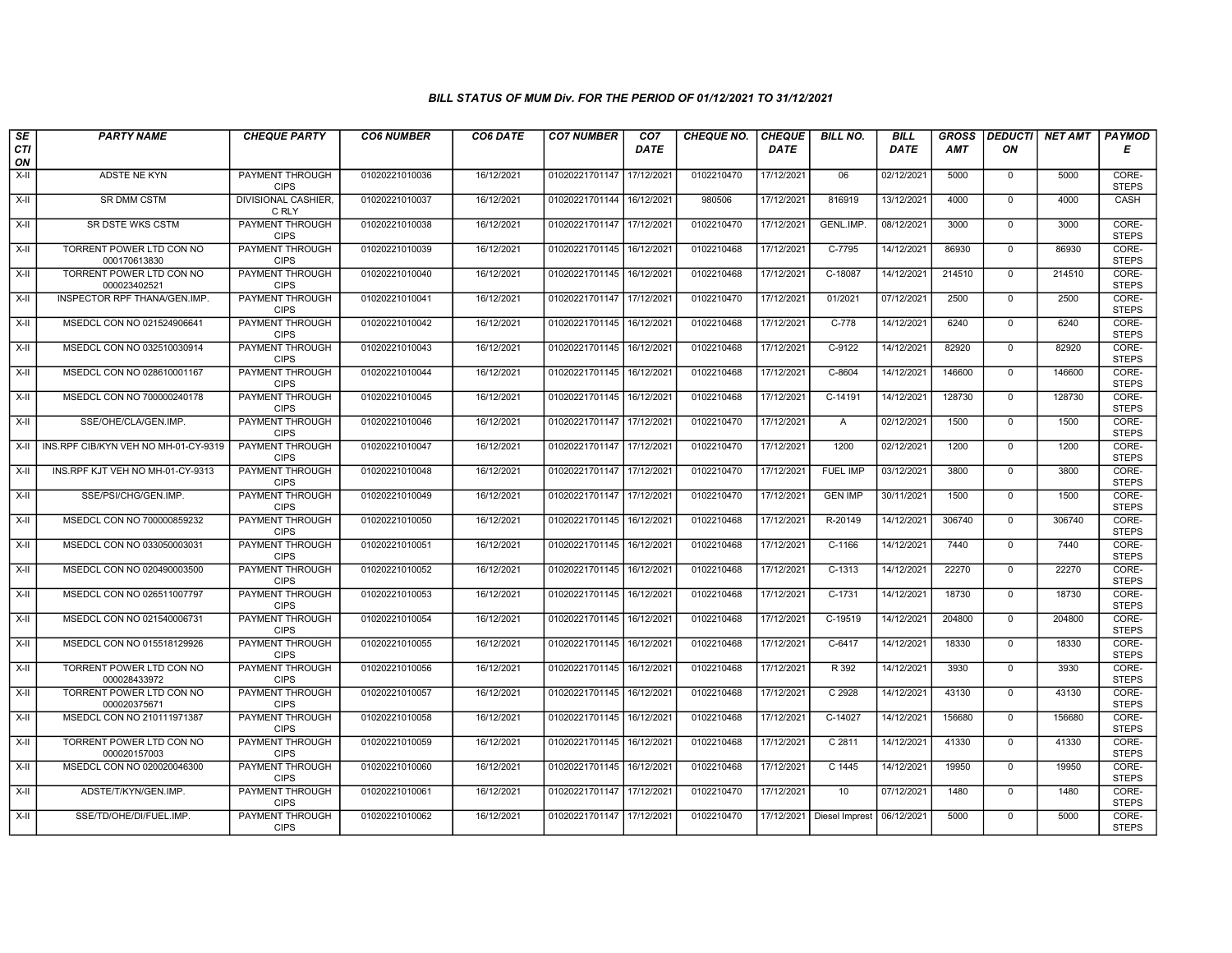| SE               | <b>PARTY NAME</b>                        | <b>CHEQUE PARTY</b>                   | <b>CO6 NUMBER</b> | CO6 DATE   | <b>CO7 NUMBER</b>         | CO <sub>7</sub>        | <b>CHEQUE NO.</b> | <b>CHEQUE</b> | <b>BILL NO.</b>   | <b>BILL</b> | <b>GROSS</b> | <b>DEDUCTI</b> | <b>NET AMT</b> | PAYMOD                |
|------------------|------------------------------------------|---------------------------------------|-------------------|------------|---------------------------|------------------------|-------------------|---------------|-------------------|-------------|--------------|----------------|----------------|-----------------------|
| <b>CTI</b><br>ON |                                          |                                       |                   |            |                           | <b>DATE</b>            |                   | <b>DATE</b>   |                   | DATE        | <b>AMT</b>   | ON             |                | Е                     |
| $X-H$            | ADSTE NE KYN                             | <b>PAYMENT THROUGH</b><br><b>CIPS</b> | 01020221010036    | 16/12/2021 | 01020221701147            | 17/12/2021             | 0102210470        | 17/12/2021    | 06                | 02/12/2021  | 5000         | $\mathbf 0$    | 5000           | CORE-<br><b>STEPS</b> |
| $X-H$            | <b>SR DMM CSTM</b>                       | <b>DIVISIONAL CASHIER.</b><br>C RLY   | 01020221010037    | 16/12/2021 | 01020221701144 16/12/2021 |                        | 980506            | 17/12/2021    | 816919            | 13/12/2021  | 4000         | $\Omega$       | 4000           | CASH                  |
| X-II             | SR DSTE WKS CSTM                         | PAYMENT THROUGH<br><b>CIPS</b>        | 01020221010038    | 16/12/2021 | 01020221701147 17/12/202  |                        | 0102210470        | 17/12/2021    | GENL.IMP.         | 08/12/2021  | 3000         | $\mathbf 0$    | 3000           | CORE-<br><b>STEPS</b> |
| $X-H$            | TORRENT POWER LTD CON NO<br>000170613830 | <b>PAYMENT THROUGH</b><br><b>CIPS</b> | 01020221010039    | 16/12/2021 | 01020221701145            | 16/12/2021             | 0102210468        | 17/12/2021    | C-7795            | 14/12/2021  | 86930        | $\overline{0}$ | 86930          | CORE-<br><b>STEPS</b> |
| $X-H$            | TORRENT POWER LTD CON NO<br>000023402521 | <b>PAYMENT THROUGH</b><br><b>CIPS</b> | 01020221010040    | 16/12/2021 | 01020221701145 16/12/2021 |                        | 0102210468        | 17/12/2021    | C-18087           | 14/12/2021  | 214510       | $\mathbf 0$    | 214510         | CORE-<br><b>STEPS</b> |
| X-II             | INSPECTOR RPF THANA/GEN.IMP.             | <b>PAYMENT THROUGH</b><br><b>CIPS</b> | 01020221010041    | 16/12/2021 | 01020221701147 17/12/2021 |                        | 0102210470        | 17/12/2021    | 01/2021           | 07/12/2021  | 2500         | $\mathbf{0}$   | 2500           | CORE-<br><b>STEPS</b> |
| $X-H$            | MSEDCL CON NO 021524906641               | PAYMENT THROUGH<br><b>CIPS</b>        | 01020221010042    | 16/12/2021 | 01020221701145            | 16/12/2021             | 0102210468        | 17/12/2021    | C-778             | 14/12/2021  | 6240         | $\Omega$       | 6240           | CORE-<br><b>STEPS</b> |
| $X-II$           | MSEDCL CON NO 032510030914               | PAYMENT THROUGH<br><b>CIPS</b>        | 01020221010043    | 16/12/2021 | 01020221701145            | 16/12/202              | 0102210468        | 17/12/2021    | C-9122            | 14/12/2021  | 82920        | $\mathbf 0$    | 82920          | CORE-<br><b>STEPS</b> |
| $X-H$            | MSEDCL CON NO 028610001167               | <b>PAYMENT THROUGH</b><br><b>CIPS</b> | 01020221010044    | 16/12/2021 | 01020221701145 16/12/2021 |                        | 0102210468        | 17/12/2021    | $C-8604$          | 14/12/2021  | 146600       | $\overline{0}$ | 146600         | CORE-<br><b>STEPS</b> |
| $X-H$            | MSEDCL CON NO 700000240178               | <b>PAYMENT THROUGH</b><br><b>CIPS</b> | 01020221010045    | 16/12/2021 | 01020221701145            | 16/12/2021             | 0102210468        | 17/12/2021    | $C-14191$         | 14/12/2021  | 128730       | $\mathbf 0$    | 128730         | CORE-<br><b>STEPS</b> |
| X-II             | SSE/OHE/CLA/GEN.IMP.                     | <b>PAYMENT THROUGH</b><br><b>CIPS</b> | 01020221010046    | 16/12/2021 | 01020221701147 17/12/2021 |                        | 0102210470        | 17/12/2021    | A                 | 02/12/2021  | 1500         | $\mathbf{0}$   | 1500           | CORE-<br><b>STEPS</b> |
| $X-H$            | INS.RPF CIB/KYN VEH NO MH-01-CY-9319     | PAYMENT THROUGH<br><b>CIPS</b>        | 01020221010047    | 16/12/2021 | 01020221701147 17/12/202  |                        | 0102210470        | 17/12/2021    | 1200              | 02/12/2021  | 1200         | $\mathbf 0$    | 1200           | CORE-<br><b>STEPS</b> |
| X-II             | INS.RPF KJT VEH NO MH-01-CY-9313         | <b>PAYMENT THROUGH</b><br><b>CIPS</b> | 01020221010048    | 16/12/2021 | 01020221701147            | 17/12/202 <sup>-</sup> | 0102210470        | 17/12/2021    | <b>FUEL IMP</b>   | 03/12/2021  | 3800         | $\mathbf 0$    | 3800           | CORE-<br><b>STEPS</b> |
| $X-H$            | SSE/PSI/CHG/GEN.IMP.                     | <b>PAYMENT THROUGH</b><br><b>CIPS</b> | 01020221010049    | 16/12/2021 | 01020221701147 17/12/2021 |                        | 0102210470        | 17/12/2021    | <b>GEN IMP</b>    | 30/11/2021  | 1500         | $\mathbf 0$    | 1500           | CORE-<br><b>STEPS</b> |
| X-II             | MSEDCL CON NO 700000859232               | PAYMENT THROUGH<br><b>CIPS</b>        | 01020221010050    | 16/12/2021 | 01020221701145            | 16/12/2021             | 0102210468        | 17/12/2021    | R-20149           | 14/12/2021  | 306740       | $\mathbf 0$    | 306740         | CORE-<br><b>STEPS</b> |
| $X-H$            | MSEDCL CON NO 033050003031               | <b>PAYMENT THROUGH</b><br><b>CIPS</b> | 01020221010051    | 16/12/2021 | 01020221701145 16/12/2021 |                        | 0102210468        | 17/12/2021    | C-1166            | 14/12/2021  | 7440         | $\overline{0}$ | 7440           | CORE-<br><b>STEPS</b> |
| X-II             | MSEDCL CON NO 020490003500               | <b>PAYMENT THROUGH</b><br><b>CIPS</b> | 01020221010052    | 16/12/2021 | 01020221701145 16/12/202  |                        | 0102210468        | 17/12/2021    | $C-1313$          | 14/12/2021  | 22270        | $\mathbf 0$    | 22270          | CORE-<br><b>STEPS</b> |
| X-II             | MSEDCL CON NO 026511007797               | <b>PAYMENT THROUGH</b><br><b>CIPS</b> | 01020221010053    | 16/12/2021 | 01020221701145            | 16/12/2021             | 0102210468        | 17/12/2021    | $C-1731$          | 14/12/2021  | 18730        | $\mathbf 0$    | 18730          | CORE-<br><b>STEPS</b> |
| $X-H$            | MSEDCL CON NO 021540006731               | <b>PAYMENT THROUGH</b><br><b>CIPS</b> | 01020221010054    | 16/12/2021 | 01020221701145            | 16/12/2021             | 0102210468        | 17/12/2021    | C-19519           | 14/12/2021  | 204800       | $\Omega$       | 204800         | CORE-<br><b>STEPS</b> |
| X-II             | MSEDCL CON NO 015518129926               | <b>PAYMENT THROUGH</b><br><b>CIPS</b> | 01020221010055    | 16/12/2021 | 01020221701145            | 16/12/2021             | 0102210468        | 17/12/2021    | C-6417            | 14/12/2021  | 18330        | $\mathbf 0$    | 18330          | CORE-<br><b>STEPS</b> |
| $X-II$           | TORRENT POWER LTD CON NO<br>000028433972 | <b>PAYMENT THROUGH</b><br><b>CIPS</b> | 01020221010056    | 16/12/2021 | 01020221701145            | 16/12/2021             | 0102210468        | 17/12/2021    | R 392             | 14/12/2021  | 3930         | $\overline{0}$ | 3930           | CORE-<br><b>STEPS</b> |
| X-II             | TORRENT POWER LTD CON NO<br>000020375671 | PAYMENT THROUGH<br><b>CIPS</b>        | 01020221010057    | 16/12/2021 | 01020221701145 16/12/202  |                        | 0102210468        | 17/12/2021    | C <sub>2928</sub> | 14/12/2021  | 43130        | $\mathbf 0$    | 43130          | CORE-<br><b>STEPS</b> |
| X-II             | MSEDCL CON NO 210111971387               | PAYMENT THROUGH<br><b>CIPS</b>        | 01020221010058    | 16/12/2021 | 01020221701145            | 16/12/202              | 0102210468        | 17/12/2021    | C-14027           | 14/12/2021  | 156680       | $\mathbf 0$    | 156680         | CORE-<br><b>STEPS</b> |
| $X-II$           | TORRENT POWER LTD CON NO<br>000020157003 | <b>PAYMENT THROUGH</b><br><b>CIPS</b> | 01020221010059    | 16/12/2021 | 01020221701145            | 16/12/2021             | 0102210468        | 17/12/2021    | C 2811            | 14/12/2021  | 41330        | $\mathbf 0$    | 41330          | CORE-<br><b>STEPS</b> |
| $X-H$            | MSEDCL CON NO 020020046300               | PAYMENT THROUGH<br><b>CIPS</b>        | 01020221010060    | 16/12/2021 | 01020221701145            | 16/12/2021             | 0102210468        | 17/12/2021    | C 1445            | 14/12/2021  | 19950        | $\mathbf 0$    | 19950          | CORE-<br><b>STEPS</b> |
| $X-H$            | ADSTE/T/KYN/GEN.IMP.                     | <b>PAYMENT THROUGH</b><br><b>CIPS</b> | 01020221010061    | 16/12/2021 | 01020221701147 17/12/2021 |                        | 0102210470        | 17/12/2021    | 10                | 07/12/2021  | 1480         | $\mathbf 0$    | 1480           | CORE-<br><b>STEPS</b> |
| X-II             | SSE/TD/OHE/DI/FUEL.IMP.                  | PAYMENT THROUGH<br><b>CIPS</b>        | 01020221010062    | 16/12/2021 | 01020221701147 17/12/2021 |                        | 0102210470        | 17/12/2021    | Diesel Imprest    | 06/12/2021  | 5000         | $\mathbf 0$    | 5000           | CORE-<br><b>STEPS</b> |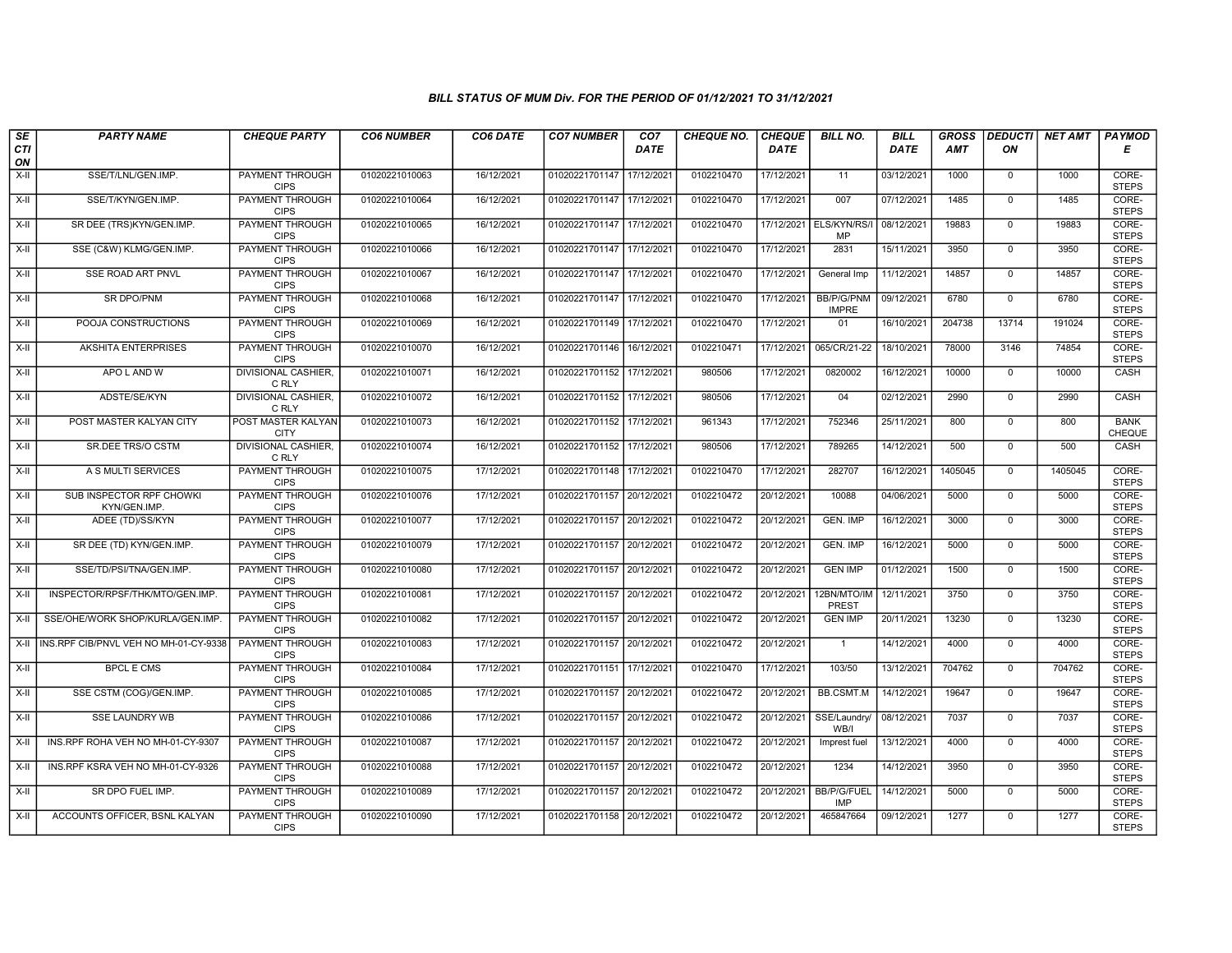| SE                 | <b>PARTY NAME</b>                            | <b>CHEQUE PARTY</b>                   | <b>CO6 NUMBER</b> | CO6 DATE   | <b>CO7 NUMBER</b>         | CO <sub>7</sub> | <b>CHEQUE NO.</b> | <b>CHEQUE</b> | <b>BILL NO.</b>                   | <b>BILL</b> | <b>GROSS</b> |                | DEDUCTI NET AMT | <b>PAYMOD</b>         |
|--------------------|----------------------------------------------|---------------------------------------|-------------------|------------|---------------------------|-----------------|-------------------|---------------|-----------------------------------|-------------|--------------|----------------|-----------------|-----------------------|
| <b>CTI</b><br>ON   |                                              |                                       |                   |            |                           | <b>DATE</b>     |                   | <b>DATE</b>   |                                   | <b>DATE</b> | <b>AMT</b>   | ON             |                 | Е                     |
| $X-H$              | SSE/T/LNL/GEN.IMP.                           | <b>PAYMENT THROUGH</b><br><b>CIPS</b> | 01020221010063    | 16/12/2021 | 01020221701147 17/12/2021 |                 | 0102210470        | 17/12/2021    | 11                                | 03/12/2021  | 1000         | $\overline{0}$ | 1000            | CORE-<br><b>STEPS</b> |
| $X-H$              | SSE/T/KYN/GEN.IMP.                           | <b>PAYMENT THROUGH</b><br><b>CIPS</b> | 01020221010064    | 16/12/2021 | 01020221701147 17/12/2021 |                 | 0102210470        | 17/12/2021    | 007                               | 07/12/2021  | 1485         | $\Omega$       | 1485            | CORE-<br><b>STEPS</b> |
| X-II               | SR DEE (TRS)KYN/GEN.IMP.                     | PAYMENT THROUGH<br><b>CIPS</b>        | 01020221010065    | 16/12/2021 | 01020221701147 17/12/2021 |                 | 0102210470        | 17/12/2021    | ELS/KYN/RS/I<br>MP                | 08/12/2021  | 19883        | $\mathbf 0$    | 19883           | CORE-<br><b>STEPS</b> |
| $X-H$              | SSE (C&W) KLMG/GEN.IMP.                      | PAYMENT THROUGH<br><b>CIPS</b>        | 01020221010066    | 16/12/2021 | 01020221701147 17/12/2021 |                 | 0102210470        | 17/12/2021    | 2831                              | 15/11/2021  | 3950         | $\mathbf 0$    | 3950            | CORE-<br><b>STEPS</b> |
| $X-H$              | <b>SSE ROAD ART PNVL</b>                     | <b>PAYMENT THROUGH</b><br><b>CIPS</b> | 01020221010067    | 16/12/2021 | 01020221701147 17/12/2021 |                 | 0102210470        | 17/12/2021    | General Imp                       | 11/12/2021  | 14857        | $\mathbf 0$    | 14857           | CORE-<br><b>STEPS</b> |
| $X-H$              | <b>SR DPO/PNM</b>                            | <b>PAYMENT THROUGH</b><br><b>CIPS</b> | 01020221010068    | 16/12/2021 | 01020221701147 17/12/2021 |                 | 0102210470        | 17/12/2021    | <b>BB/P/G/PNM</b><br><b>IMPRE</b> | 09/12/2021  | 6780         | $\Omega$       | 6780            | CORE-<br><b>STEPS</b> |
| X-II               | POOJA CONSTRUCTIONS                          | PAYMENT THROUGH<br><b>CIPS</b>        | 01020221010069    | 16/12/2021 | 01020221701149 17/12/2021 |                 | 0102210470        | 17/12/2021    | 01                                | 16/10/2021  | 204738       | 13714          | 191024          | CORE-<br><b>STEPS</b> |
| $X-H$              | AKSHITA ENTERPRISES                          | <b>PAYMENT THROUGH</b><br><b>CIPS</b> | 01020221010070    | 16/12/2021 | 01020221701146 16/12/2021 |                 | 0102210471        | 17/12/2021    | 065/CR/21-22                      | 18/10/2021  | 78000        | 3146           | 74854           | CORE-<br><b>STEPS</b> |
| X-II               | APO L AND W                                  | <b>DIVISIONAL CASHIER,</b><br>C RLY   | 01020221010071    | 16/12/2021 | 01020221701152 17/12/2021 |                 | 980506            | 17/12/2021    | 0820002                           | 16/12/2021  | 10000        | $\mathbf 0$    | 10000           | CASH                  |
| $\overline{x}$ -II | ADSTE/SE/KYN                                 | <b>DIVISIONAL CASHIER,</b><br>C RLY   | 01020221010072    | 16/12/2021 | 01020221701152 17/12/2021 |                 | 980506            | 17/12/2021    | 04                                | 02/12/2021  | 2990         | $\overline{0}$ | 2990            | CASH                  |
| X-II               | POST MASTER KALYAN CITY                      | POST MASTER KALYAN<br><b>CITY</b>     | 01020221010073    | 16/12/2021 | 01020221701152            | 17/12/2021      | 961343            | 17/12/2021    | 752346                            | 25/11/2021  | 800          | $\mathbf 0$    | 800             | <b>BANK</b><br>CHEQUE |
| X-II               | SR.DEE TRS/O CSTM                            | DIVISIONAL CASHIER,<br>C RLY          | 01020221010074    | 16/12/2021 | 01020221701152 17/12/2021 |                 | 980506            | 17/12/2021    | 789265                            | 14/12/2021  | 500          | $\mathbf{0}$   | 500             | CASH                  |
| $X-H$              | A S MULTI SERVICES                           | <b>PAYMENT THROUGH</b><br><b>CIPS</b> | 01020221010075    | 17/12/2021 | 01020221701148 17/12/2021 |                 | 0102210470        | 17/12/2021    | 282707                            | 16/12/2021  | 1405045      | $\overline{0}$ | 1405045         | CORE-<br><b>STEPS</b> |
| X-II               | SUB INSPECTOR RPF CHOWKI<br>KYN/GEN.IMP      | <b>PAYMENT THROUGH</b><br><b>CIPS</b> | 01020221010076    | 17/12/2021 | 01020221701157 20/12/2021 |                 | 0102210472        | 20/12/2021    | 10088                             | 04/06/2021  | 5000         | $\mathbf{0}$   | 5000            | CORE-<br><b>STEPS</b> |
| $X-H$              | ADEE (TD)/SS/KYN                             | PAYMENT THROUGH<br><b>CIPS</b>        | 01020221010077    | 17/12/2021 | 01020221701157 20/12/2021 |                 | 0102210472        | 20/12/2021    | <b>GEN. IMP</b>                   | 16/12/2021  | 3000         | $\Omega$       | 3000            | CORE-<br><b>STEPS</b> |
| X-II               | SR DEE (TD) KYN/GEN.IMP.                     | <b>PAYMENT THROUGH</b><br><b>CIPS</b> | 01020221010079    | 17/12/2021 | 01020221701157 20/12/2021 |                 | 0102210472        | 20/12/2021    | <b>GEN. IMP</b>                   | 16/12/2021  | 5000         | $\mathbf{0}$   | 5000            | CORE-<br><b>STEPS</b> |
| X-II               | SSE/TD/PSI/TNA/GEN.IMP.                      | PAYMENT THROUGH<br><b>CIPS</b>        | 01020221010080    | 17/12/2021 | 01020221701157 20/12/2021 |                 | 0102210472        | 20/12/2021    | <b>GEN IMP</b>                    | 01/12/2021  | 1500         | $\mathbf 0$    | 1500            | CORE-<br><b>STEPS</b> |
| X-II               | INSPECTOR/RPSF/THK/MTO/GEN.IMP.              | <b>PAYMENT THROUGH</b><br><b>CIPS</b> | 01020221010081    | 17/12/2021 | 01020221701157 20/12/2021 |                 | 0102210472        | 20/12/2021    | 12BN/MTO/IM<br>PREST              | 12/11/2021  | 3750         | $\mathbf 0$    | 3750            | CORE-<br><b>STEPS</b> |
| $X-II$             | SSE/OHE/WORK SHOP/KURLA/GEN.IMP.             | PAYMENT THROUGH<br><b>CIPS</b>        | 01020221010082    | 17/12/2021 | 01020221701157 20/12/2021 |                 | 0102210472        | 20/12/2021    | <b>GEN IMP</b>                    | 20/11/2021  | 13230        | $\mathbf 0$    | 13230           | CORE-<br><b>STEPS</b> |
|                    | X-II   INS.RPF CIB/PNVL VEH NO MH-01-CY-9338 | PAYMENT THROUGH<br><b>CIPS</b>        | 01020221010083    | 17/12/2021 | 01020221701157 20/12/2021 |                 | 0102210472        | 20/12/2021    | $\overline{1}$                    | 14/12/2021  | 4000         | $\Omega$       | 4000            | CORE-<br><b>STEPS</b> |
| $X-H$              | <b>BPCL E CMS</b>                            | <b>PAYMENT THROUGH</b><br><b>CIPS</b> | 01020221010084    | 17/12/2021 | 01020221701151 17/12/2021 |                 | 0102210470        | 17/12/2021    | 103/50                            | 13/12/2021  | 704762       | $\mathbf 0$    | 704762          | CORE-<br><b>STEPS</b> |
| X-II               | SSE CSTM (COG)/GEN.IMP.                      | <b>PAYMENT THROUGH</b><br><b>CIPS</b> | 01020221010085    | 17/12/2021 | 01020221701157 20/12/2021 |                 | 0102210472        | 20/12/2021    | <b>BB.CSMT.M</b>                  | 14/12/2021  | 19647        | $\Omega$       | 19647           | CORE-<br><b>STEPS</b> |
| X-II               | SSE LAUNDRY WB                               | PAYMENT THROUGH<br><b>CIPS</b>        | 01020221010086    | 17/12/2021 | 01020221701157 20/12/2021 |                 | 0102210472        | 20/12/2021    | SSE/Laundry<br>WB/I               | 08/12/2021  | 7037         | $\mathbf 0$    | 7037            | CORE-<br><b>STEPS</b> |
| $X-II$             | INS.RPF ROHA VEH NO MH-01-CY-9307            | PAYMENT THROUGH<br><b>CIPS</b>        | 01020221010087    | 17/12/2021 | 01020221701157 20/12/2021 |                 | 0102210472        | 20/12/2021    | Imprest fuel                      | 13/12/2021  | 4000         | $\Omega$       | 4000            | CORE-<br><b>STEPS</b> |
| X-II               | INS.RPF KSRA VEH NO MH-01-CY-9326            | PAYMENT THROUGH<br><b>CIPS</b>        | 01020221010088    | 17/12/2021 | 01020221701157 20/12/2021 |                 | 0102210472        | 20/12/2021    | 1234                              | 14/12/2021  | 3950         | $\Omega$       | 3950            | CORE-<br><b>STEPS</b> |
| $X-H$              | SR DPO FUEL IMP.                             | <b>PAYMENT THROUGH</b><br><b>CIPS</b> | 01020221010089    | 17/12/2021 | 01020221701157 20/12/2021 |                 | 0102210472        | 20/12/2021    | <b>BB/P/G/FUEL</b><br><b>IMP</b>  | 14/12/2021  | 5000         | $\overline{0}$ | 5000            | CORE-<br><b>STEPS</b> |
| X-II               | ACCOUNTS OFFICER, BSNL KALYAN                | <b>PAYMENT THROUGH</b><br><b>CIPS</b> | 01020221010090    | 17/12/2021 | 01020221701158 20/12/2021 |                 | 0102210472        | 20/12/2021    | 465847664                         | 09/12/2021  | 1277         | $\mathbf 0$    | 1277            | CORE-<br><b>STEPS</b> |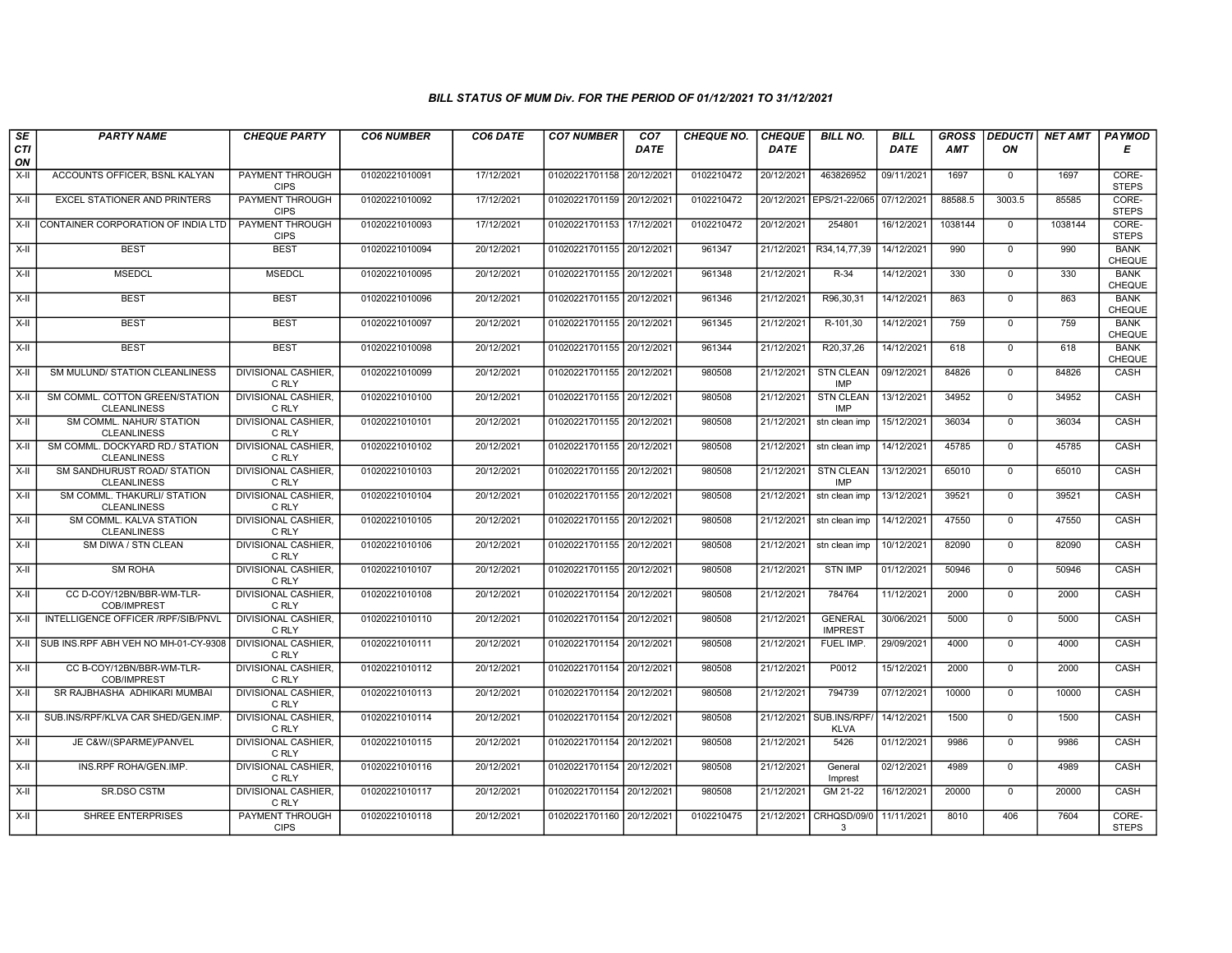| SE               | <b>PARTY NAME</b>                                     | <b>CHEQUE PARTY</b>                   | <b>CO6 NUMBER</b> | CO6 DATE   | <b>CO7 NUMBER</b>         | CO <sub>7</sub> | <b>CHEQUE NO.</b> | <b>CHEQUE</b> | <b>BILL NO.</b>                  | <b>BILL</b> | <b>GROSS</b> | <b>DEDUCTI</b> | NET AMT | <b>PAYMOD</b>                |
|------------------|-------------------------------------------------------|---------------------------------------|-------------------|------------|---------------------------|-----------------|-------------------|---------------|----------------------------------|-------------|--------------|----------------|---------|------------------------------|
| <b>CTI</b><br>ON |                                                       |                                       |                   |            |                           | DATE            |                   | <b>DATE</b>   |                                  | <b>DATE</b> | <b>AMT</b>   | ON             |         | Е                            |
| X-II             | ACCOUNTS OFFICER, BSNL KALYAN                         | <b>PAYMENT THROUGH</b><br><b>CIPS</b> | 01020221010091    | 17/12/2021 | 01020221701158 20/12/2021 |                 | 0102210472        | 20/12/2021    | 463826952                        | 09/11/2021  | 1697         | $\mathbf 0$    | 1697    | CORE-<br><b>STEPS</b>        |
| $X-H$            | <b>EXCEL STATIONER AND PRINTERS</b>                   | <b>PAYMENT THROUGH</b><br><b>CIPS</b> | 01020221010092    | 17/12/2021 | 01020221701159 20/12/2021 |                 | 0102210472        | 20/12/2021    | EPS/21-22/065                    | 07/12/2021  | 88588.5      | 3003.5         | 85585   | CORE-<br><b>STEPS</b>        |
| X-II             | CONTAINER CORPORATION OF INDIA LTD                    | PAYMENT THROUGH<br><b>CIPS</b>        | 01020221010093    | 17/12/2021 | 01020221701153 17/12/2021 |                 | 0102210472        | 20/12/2021    | 254801                           | 16/12/2021  | 1038144      | $\mathbf 0$    | 1038144 | CORE-<br><b>STEPS</b>        |
| $X-II$           | <b>BEST</b>                                           | <b>BEST</b>                           | 01020221010094    | 20/12/2021 | 01020221701155 20/12/2021 |                 | 961347            | 21/12/2021    | R34, 14, 77, 39                  | 14/12/2021  | 990          | $\mathsf{O}$   | 990     | <b>BANK</b><br><b>CHEQUE</b> |
| $X-H$            | <b>MSEDCL</b>                                         | <b>MSEDCL</b>                         | 01020221010095    | 20/12/2021 | 01020221701155 20/12/2021 |                 | 961348            | 21/12/2021    | $R-34$                           | 14/12/2021  | 330          | $\Omega$       | 330     | <b>BANK</b><br><b>CHEQUE</b> |
| X-II             | <b>BEST</b>                                           | <b>BEST</b>                           | 01020221010096    | 20/12/2021 | 01020221701155 20/12/2021 |                 | 961346            | 21/12/2021    | R96,30,31                        | 14/12/2021  | 863          | $\mathbf{0}$   | 863     | <b>BANK</b><br><b>CHEQUE</b> |
| X-II             | <b>BEST</b>                                           | <b>BEST</b>                           | 01020221010097    | 20/12/2021 | 01020221701155 20/12/2021 |                 | 961345            | 21/12/2021    | R-101.30                         | 14/12/2021  | 759          | $\Omega$       | 759     | <b>BANK</b><br>CHEQUE        |
| X-II             | <b>BEST</b>                                           | <b>BEST</b>                           | 01020221010098    | 20/12/2021 | 01020221701155 20/12/2021 |                 | 961344            | 21/12/2021    | R20,37,26                        | 14/12/2021  | 618          | $\mathbf 0$    | 618     | <b>BANK</b><br><b>CHEQUE</b> |
| $X-H$            | SM MULUND/ STATION CLEANLINESS                        | <b>DIVISIONAL CASHIER.</b><br>C RLY   | 01020221010099    | 20/12/2021 | 01020221701155 20/12/2021 |                 | 980508            | 21/12/2021    | <b>STN CLEAN</b><br>IMP          | 09/12/2021  | 84826        | $\Omega$       | 84826   | CASH                         |
| $X-H$            | SM COMML. COTTON GREEN/STATION<br><b>CLEANLINESS</b>  | <b>DIVISIONAL CASHIER.</b><br>C RLY   | 01020221010100    | 20/12/2021 | 01020221701155 20/12/2021 |                 | 980508            | 21/12/2021    | <b>STN CLEAN</b><br><b>IMP</b>   | 13/12/2021  | 34952        | $\Omega$       | 34952   | CASH                         |
| X-II             | SM COMML. NAHUR/ STATION<br><b>CLEANLINESS</b>        | DIVISIONAL CASHIER.<br>C RLY          | 01020221010101    | 20/12/2021 | 01020221701155 20/12/2021 |                 | 980508            | 21/12/2021    | stn clean imp                    | 15/12/2021  | 36034        | $\mathbf 0$    | 36034   | CASH                         |
| $X-II$           | SM COMML, DOCKYARD RD./ STATION<br><b>CLEANLINESS</b> | <b>DIVISIONAL CASHIER.</b><br>C RLY   | 01020221010102    | 20/12/2021 | 01020221701155 20/12/2021 |                 | 980508            | 21/12/2021    | stn clean imp                    | 14/12/2021  | 45785        | $\Omega$       | 45785   | CASH                         |
| X-II             | SM SANDHURUST ROAD/ STATION<br><b>CLEANLINESS</b>     | <b>DIVISIONAL CASHIER.</b><br>C RLY   | 01020221010103    | 20/12/2021 | 01020221701155 20/12/2021 |                 | 980508            | 21/12/2021    | <b>STN CLEAN</b><br><b>IMP</b>   | 13/12/2021  | 65010        | $\mathbf 0$    | 65010   | <b>CASH</b>                  |
| $X-H$            | SM COMML. THAKURLI/ STATION<br><b>CLEANLINESS</b>     | <b>DIVISIONAL CASHIER.</b><br>C RLY   | 01020221010104    | 20/12/2021 | 01020221701155 20/12/2021 |                 | 980508            | 21/12/2021    | stn clean imp                    | 13/12/2021  | 39521        | $\mathbf 0$    | 39521   | CASH                         |
| X-II             | SM COMML, KALVA STATION<br><b>CLEANLINESS</b>         | <b>DIVISIONAL CASHIER.</b><br>C RLY   | 01020221010105    | 20/12/2021 | 01020221701155 20/12/2021 |                 | 980508            | 21/12/2021    | stn clean imp                    | 14/12/2021  | 47550        | $\Omega$       | 47550   | CASH                         |
| $X-II$           | SM DIWA / STN CLEAN                                   | <b>DIVISIONAL CASHIER.</b><br>C RLY   | 01020221010106    | 20/12/2021 | 01020221701155 20/12/2021 |                 | 980508            | 21/12/2021    | stn clean imp                    | 10/12/2021  | 82090        | $\mathbf 0$    | 82090   | CASH                         |
| X-II             | <b>SM ROHA</b>                                        | <b>DIVISIONAL CASHIER.</b><br>C RLY   | 01020221010107    | 20/12/2021 | 01020221701155 20/12/2021 |                 | 980508            | 21/12/2021    | <b>STN IMP</b>                   | 01/12/2021  | 50946        | $\Omega$       | 50946   | CASH                         |
| X-II             | CC D-COY/12BN/BBR-WM-TLR-<br>COB/IMPREST              | <b>DIVISIONAL CASHIER</b><br>C RLY    | 01020221010108    | 20/12/2021 | 01020221701154 20/12/2021 |                 | 980508            | 21/12/2021    | 784764                           | 11/12/2021  | 2000         | $\mathbf 0$    | 2000    | CASH                         |
| X-II             | INTELLIGENCE OFFICER /RPF/SIB/PNVL                    | <b>DIVISIONAL CASHIER.</b><br>C RLY   | 01020221010110    | 20/12/2021 | 01020221701154 20/12/2021 |                 | 980508            | 21/12/2021    | <b>GENERAL</b><br><b>IMPREST</b> | 30/06/2021  | 5000         | $\Omega$       | 5000    | CASH                         |
| X-II             | SUB INS.RPF ABH VEH NO MH-01-CY-9308                  | <b>DIVISIONAL CASHIER.</b><br>C RLY   | 01020221010111    | 20/12/2021 | 01020221701154 20/12/2021 |                 | 980508            | 21/12/2021    | FUEL IMP.                        | 29/09/2021  | 4000         | $\mathbf 0$    | 4000    | CASH                         |
| $X-H$            | CC B-COY/12BN/BBR-WM-TLR-<br>COB/IMPREST              | <b>DIVISIONAL CASHIER.</b><br>C RLY   | 01020221010112    | 20/12/2021 | 01020221701154 20/12/2021 |                 | 980508            | 21/12/2021    | P0012                            | 15/12/2021  | 2000         | $\overline{0}$ | 2000    | CASH                         |
| X-II             | SR RAJBHASHA ADHIKARI MUMBAI                          | <b>DIVISIONAL CASHIER,</b><br>C RLY   | 01020221010113    | 20/12/2021 | 01020221701154 20/12/2021 |                 | 980508            | 21/12/2021    | 794739                           | 07/12/2021  | 10000        | $\Omega$       | 10000   | CASH                         |
| X-II             | SUB.INS/RPF/KLVA CAR SHED/GEN.IMP.                    | DIVISIONAL CASHIER.<br>C RLY          | 01020221010114    | 20/12/2021 | 01020221701154 20/12/2021 |                 | 980508            | 21/12/2021    | SUB.INS/RPF<br><b>KLVA</b>       | 14/12/2021  | 1500         | $\mathbf 0$    | 1500    | CASH                         |
| $X-H$            | JE C&W/(SPARME)/PANVEL                                | DIVISIONAL CASHIER.<br>C RLY          | 01020221010115    | 20/12/2021 | 01020221701154 20/12/2021 |                 | 980508            | 21/12/2021    | 5426                             | 01/12/2021  | 9986         | $\Omega$       | 9986    | CASH                         |
| X-II             | INS.RPF ROHA/GEN.IMP.                                 | <b>DIVISIONAL CASHIER.</b><br>C RLY   | 01020221010116    | 20/12/2021 | 01020221701154 20/12/2021 |                 | 980508            | 21/12/2021    | General<br>Imprest               | 02/12/2021  | 4989         | $\mathbf 0$    | 4989    | CASH                         |
| $X-H$            | <b>SR.DSO CSTM</b>                                    | <b>DIVISIONAL CASHIER.</b><br>C RLY   | 01020221010117    | 20/12/2021 | 01020221701154 20/12/2021 |                 | 980508            | 21/12/2021    | GM 21-22                         | 16/12/2021  | 20000        | $\Omega$       | 20000   | CASH                         |
| X-II             | SHREE ENTERPRISES                                     | PAYMENT THROUGH<br><b>CIPS</b>        | 01020221010118    | 20/12/2021 | 01020221701160 20/12/2021 |                 | 0102210475        | 21/12/2021    | CRHQSD/09/0<br>3                 | 11/11/2021  | 8010         | 406            | 7604    | CORE-<br><b>STEPS</b>        |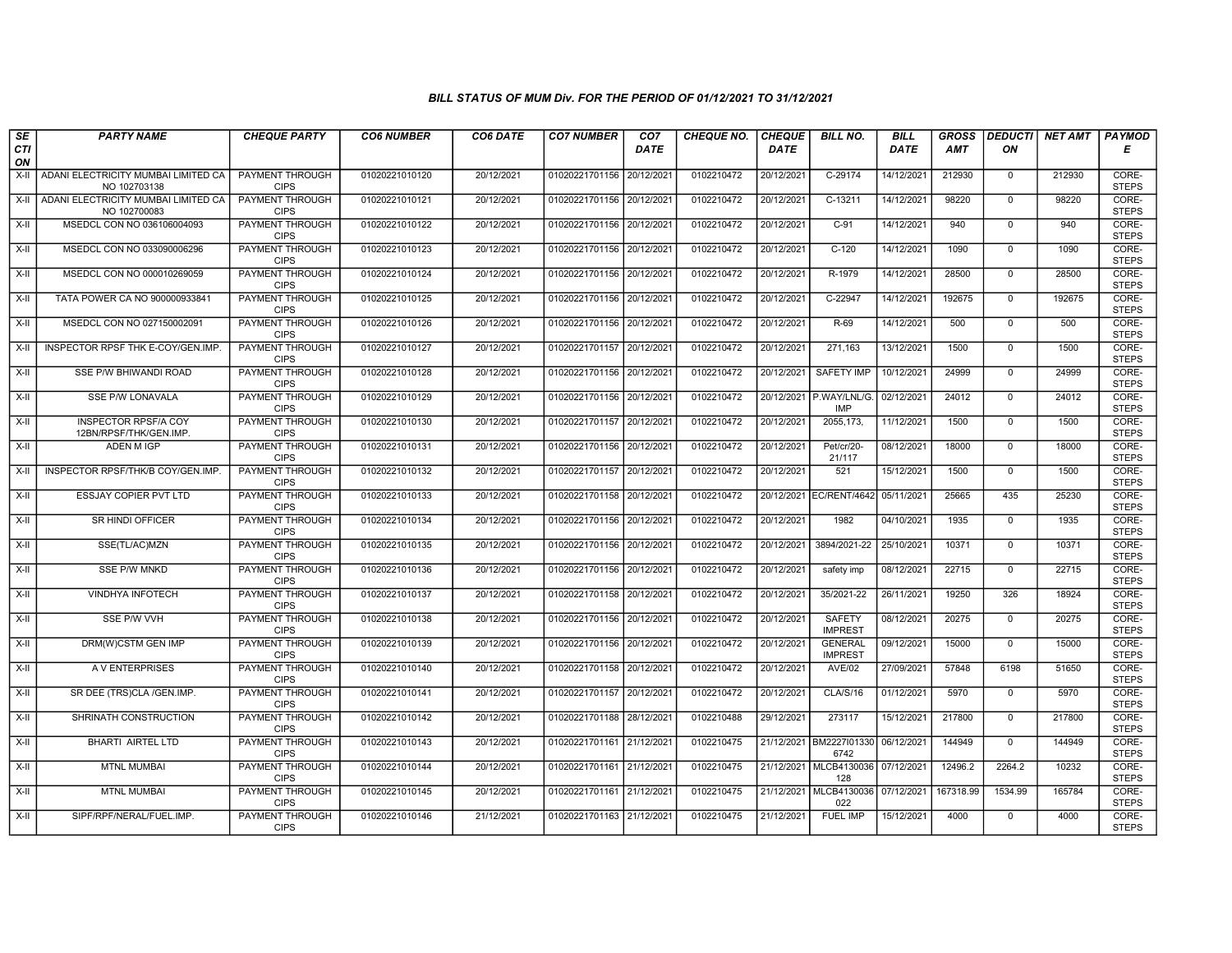| SE        | <b>PARTY NAME</b>                                     | <b>CHEQUE PARTY</b>                   | <b>CO6 NUMBER</b> | CO6 DATE   | <b>CO7 NUMBER</b>         | CO7        | <b>CHEQUE NO.</b> | <b>CHEQUE</b> | <b>BILL NO.</b>                       | <b>BILL</b> | <b>GROSS</b> |                | DEDUCTI NET AMT | <b>PAYMOD</b>         |
|-----------|-------------------------------------------------------|---------------------------------------|-------------------|------------|---------------------------|------------|-------------------|---------------|---------------------------------------|-------------|--------------|----------------|-----------------|-----------------------|
| CTI<br>ON |                                                       |                                       |                   |            |                           | DATE       |                   | <b>DATE</b>   |                                       | DATE        | AMT          | ON             |                 | Е                     |
| X-II      | ADANI ELECTRICITY MUMBAI LIMITED CA<br>NO 102703138   | <b>PAYMENT THROUGH</b><br><b>CIPS</b> | 01020221010120    | 20/12/2021 | 01020221701156            | 20/12/2021 | 0102210472        | 20/12/2021    | $C-29174$                             | 14/12/2021  | 212930       | $\mathbf{0}$   | 212930          | CORE-<br><b>STEPS</b> |
| $X-H$     | ADANI ELECTRICITY MUMBAI LIMITED CA<br>NO 102700083   | <b>PAYMENT THROUGH</b><br><b>CIPS</b> | 01020221010121    | 20/12/2021 | 01020221701156 20/12/2021 |            | 0102210472        | 20/12/2021    | C-13211                               | 14/12/2021  | 98220        | $\Omega$       | 98220           | CORE-<br><b>STEPS</b> |
| X-II      | MSEDCL CON NO 036106004093                            | PAYMENT THROUGH<br><b>CIPS</b>        | 01020221010122    | 20/12/2021 | 01020221701156 20/12/2021 |            | 0102210472        | 20/12/2021    | $C-91$                                | 14/12/2021  | 940          | $\mathbf 0$    | 940             | CORE-<br><b>STEPS</b> |
| $X-H$     | MSEDCL CON NO 033090006296                            | <b>PAYMENT THROUGH</b><br><b>CIPS</b> | 01020221010123    | 20/12/2021 | 01020221701156 20/12/2021 |            | 0102210472        | 20/12/2021    | $C-120$                               | 14/12/2021  | 1090         | $\overline{0}$ | 1090            | CORE-<br><b>STEPS</b> |
| $X-H$     | MSEDCL CON NO 000010269059                            | <b>PAYMENT THROUGH</b><br><b>CIPS</b> | 01020221010124    | 20/12/2021 | 01020221701156 20/12/2021 |            | 0102210472        | 20/12/2021    | R-1979                                | 14/12/2021  | 28500        | $\Omega$       | 28500           | CORE-<br><b>STEPS</b> |
| X-II      | TATA POWER CA NO 900000933841                         | <b>PAYMENT THROUGH</b><br><b>CIPS</b> | 01020221010125    | 20/12/2021 | 01020221701156 20/12/2021 |            | 0102210472        | 20/12/2021    | C-22947                               | 14/12/2021  | 192675       | $\mathbf{0}$   | 192675          | CORE-<br><b>STEPS</b> |
| $X-H$     | MSEDCL CON NO 027150002091                            | PAYMENT THROUGH<br><b>CIPS</b>        | 01020221010126    | 20/12/2021 | 01020221701156 20/12/2021 |            | 0102210472        | 20/12/2021    | R-69                                  | 14/12/2021  | 500          | $\Omega$       | 500             | CORE-<br><b>STEPS</b> |
| $X-II$    | INSPECTOR RPSF THK E-COY/GEN.IMP.                     | PAYMENT THROUGH<br><b>CIPS</b>        | 01020221010127    | 20/12/2021 | 01020221701157            | 20/12/2021 | 0102210472        | 20/12/2021    | 271,163                               | 13/12/2021  | 1500         | $\mathbf 0$    | 1500            | CORE-<br><b>STEPS</b> |
| $X-H$     | SSE P/W BHIWANDI ROAD                                 | <b>PAYMENT THROUGH</b><br><b>CIPS</b> | 01020221010128    | 20/12/2021 | 01020221701156 20/12/2021 |            | 0102210472        | 20/12/2021    | <b>SAFETY IMP</b>                     | 10/12/2021  | 24999        | $\Omega$       | 24999           | CORE-<br><b>STEPS</b> |
| $X-H$     | <b>SSE P/W LONAVALA</b>                               | <b>PAYMENT THROUGH</b><br><b>CIPS</b> | 01020221010129    | 20/12/2021 | 01020221701156 20/12/2021 |            | 0102210472        |               | 20/12/2021 P.WAY/LNL/G.<br><b>IMP</b> | 02/12/2021  | 24012        | $\mathbf 0$    | 24012           | CORE-<br><b>STEPS</b> |
| X-II      | <b>INSPECTOR RPSF/A COY</b><br>12BN/RPSF/THK/GEN.IMP. | PAYMENT THROUGH<br><b>CIPS</b>        | 01020221010130    | 20/12/2021 | 01020221701157            | 20/12/2021 | 0102210472        | 20/12/2021    | 2055, 173,                            | 11/12/2021  | 1500         | $\mathbf 0$    | 1500            | CORE-<br><b>STEPS</b> |
| X-II      | ADEN M IGP                                            | PAYMENT THROUGH<br><b>CIPS</b>        | 01020221010131    | 20/12/2021 | 01020221701156 20/12/2021 |            | 0102210472        | 20/12/2021    | Pet/cr/20-<br>21/117                  | 08/12/2021  | 18000        | $\Omega$       | 18000           | CORE-<br><b>STEPS</b> |
| X-II      | INSPECTOR RPSF/THK/B COY/GEN.IMP.                     | <b>PAYMENT THROUGH</b><br><b>CIPS</b> | 01020221010132    | 20/12/2021 | 01020221701157 20/12/2021 |            | 0102210472        | 20/12/2021    | 521                                   | 15/12/2021  | 1500         | $\mathbf 0$    | 1500            | CORE-<br><b>STEPS</b> |
| $X-H$     | <b>ESSJAY COPIER PVT LTD</b>                          | <b>PAYMENT THROUGH</b><br><b>CIPS</b> | 01020221010133    | 20/12/2021 | 01020221701158 20/12/2021 |            | 0102210472        |               | 20/12/2021 EC/RENT/4642               | 05/11/2021  | 25665        | 435            | 25230           | CORE-<br><b>STEPS</b> |
| X-II      | SR HINDI OFFICER                                      | PAYMENT THROUGH<br><b>CIPS</b>        | 01020221010134    | 20/12/2021 | 01020221701156 20/12/2021 |            | 0102210472        | 20/12/2021    | 1982                                  | 04/10/2021  | 1935         | $\mathbf 0$    | 1935            | CORE-<br><b>STEPS</b> |
| X-II      | SSE(TL/AC)MZN                                         | <b>PAYMENT THROUGH</b><br><b>CIPS</b> | 01020221010135    | 20/12/2021 | 01020221701156 20/12/2021 |            | 0102210472        | 20/12/2021    | 3894/2021-22                          | 25/10/2021  | 10371        | $\overline{0}$ | 10371           | CORE-<br><b>STEPS</b> |
| X-II      | <b>SSE P/W MNKD</b>                                   | <b>PAYMENT THROUGH</b><br><b>CIPS</b> | 01020221010136    | 20/12/2021 | 01020221701156 20/12/2021 |            | 0102210472        | 20/12/2021    | safety imp                            | 08/12/2021  | 22715        | $\Omega$       | 22715           | CORE-<br><b>STEPS</b> |
| X-II      | VINDHYA INFOTECH                                      | <b>PAYMENT THROUGH</b><br><b>CIPS</b> | 01020221010137    | 20/12/2021 | 01020221701158 20/12/2021 |            | 0102210472        | 20/12/2021    | 35/2021-22                            | 26/11/2021  | 19250        | 326            | 18924           | CORE-<br><b>STEPS</b> |
| X-II      | SSE P/W VVH                                           | PAYMENT THROUGH<br><b>CIPS</b>        | 01020221010138    | 20/12/2021 | 01020221701156 20/12/2021 |            | 0102210472        | 20/12/2021    | SAFETY<br><b>IMPREST</b>              | 08/12/2021  | 20275        | $\Omega$       | 20275           | CORE-<br><b>STEPS</b> |
| X-II      | DRM(W)CSTM GEN IMP                                    | PAYMENT THROUGH<br><b>CIPS</b>        | 01020221010139    | 20/12/2021 | 01020221701156 20/12/2021 |            | 0102210472        | 20/12/2021    | <b>GENERAL</b><br><b>IMPREST</b>      | 09/12/2021  | 15000        | $\overline{0}$ | 15000           | CORE-<br><b>STEPS</b> |
| $X-H$     | A V ENTERPRISES                                       | <b>PAYMENT THROUGH</b><br><b>CIPS</b> | 01020221010140    | 20/12/2021 | 01020221701158 20/12/2021 |            | 0102210472        | 20/12/2021    | <b>AVE/02</b>                         | 27/09/2021  | 57848        | 6198           | 51650           | CORE-<br><b>STEPS</b> |
| X-II      | SR DEE (TRS)CLA /GEN.IMP.                             | <b>PAYMENT THROUGH</b><br><b>CIPS</b> | 01020221010141    | 20/12/2021 | 01020221701157 20/12/2021 |            | 0102210472        | 20/12/2021    | <b>CLA/S/16</b>                       | 01/12/2021  | 5970         | $\mathbf{0}$   | 5970            | CORE-<br><b>STEPS</b> |
| $X-II$    | SHRINATH CONSTRUCTION                                 | PAYMENT THROUGH<br><b>CIPS</b>        | 01020221010142    | 20/12/2021 | 01020221701188 28/12/202  |            | 0102210488        | 29/12/2021    | 273117                                | 15/12/2021  | 217800       | $\mathbf 0$    | 217800          | CORE-<br><b>STEPS</b> |
| $X-H$     | BHARTI AIRTEL LTD                                     | PAYMENT THROUGH<br><b>CIPS</b>        | 01020221010143    | 20/12/2021 | 01020221701161 21/12/2021 |            | 0102210475        |               | 21/12/2021 BM2227l01330<br>6742       | 06/12/2021  | 144949       | $\Omega$       | 144949          | CORE-<br><b>STEPS</b> |
| X-II      | <b>MTNL MUMBAI</b>                                    | PAYMENT THROUGH<br><b>CIPS</b>        | 01020221010144    | 20/12/2021 | 01020221701161 21/12/202  |            | 0102210475        |               | 21/12/2021 MLCB4130036<br>128         | 07/12/2021  | 12496.2      | 2264.2         | 10232           | CORE-<br><b>STEPS</b> |
| X-II      | <b>MTNL MUMBAI</b>                                    | <b>PAYMENT THROUGH</b><br><b>CIPS</b> | 01020221010145    | 20/12/2021 | 01020221701161 21/12/2021 |            | 0102210475        | 21/12/2021    | MLCB4130036<br>022                    | 07/12/2021  | 167318.99    | 1534.99        | 165784          | CORE-<br><b>STEPS</b> |
| X-II      | SIPF/RPF/NERAL/FUEL.IMP.                              | PAYMENT THROUGH<br><b>CIPS</b>        | 01020221010146    | 21/12/2021 | 01020221701163 21/12/2021 |            | 0102210475        | 21/12/2021    | <b>FUEL IMP</b>                       | 15/12/2021  | 4000         | $\mathbf 0$    | 4000            | CORE-<br><b>STEPS</b> |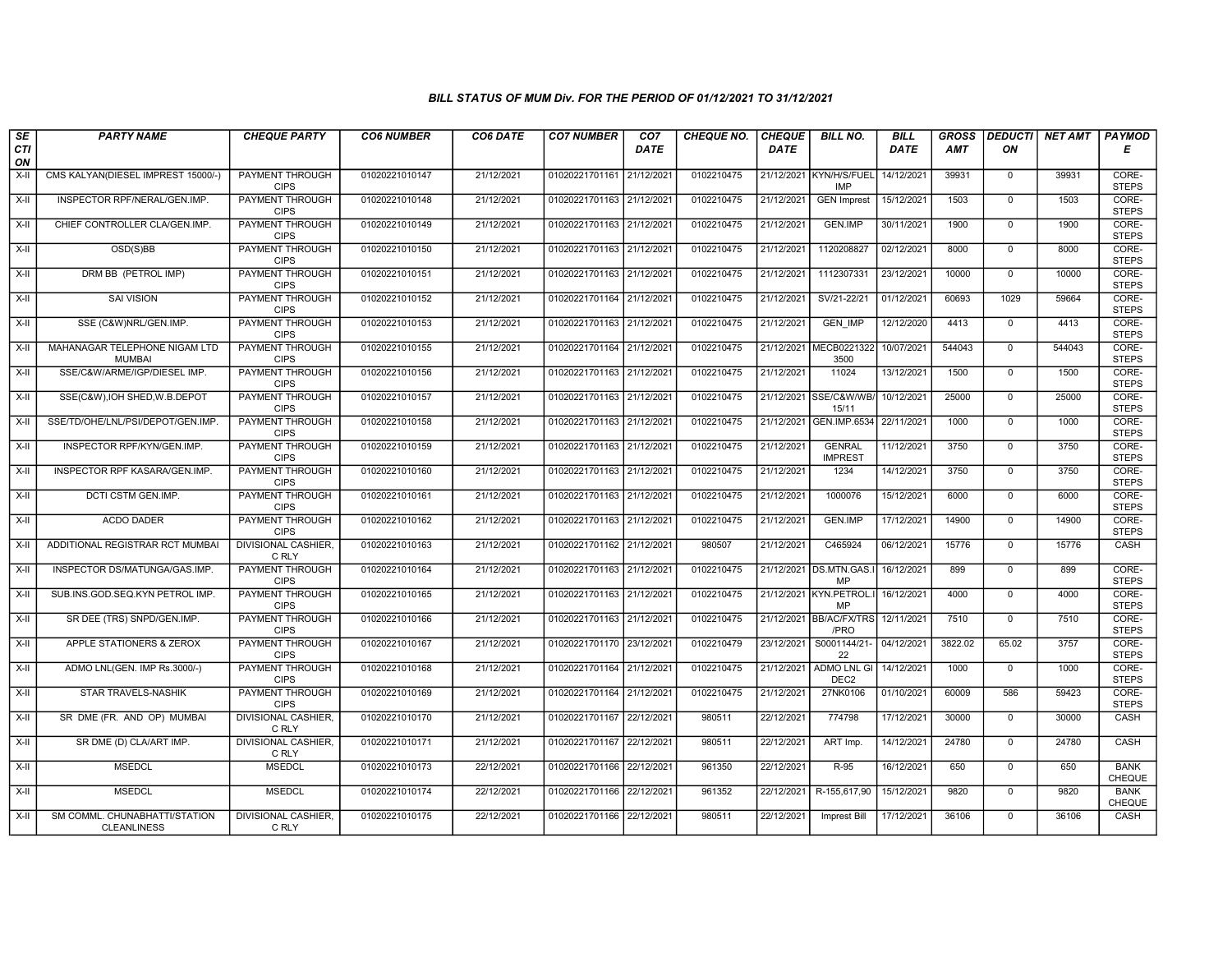| SE        | <b>PARTY NAME</b>                                   | <b>CHEQUE PARTY</b>                   | <b>CO6 NUMBER</b> | CO6 DATE   | <b>CO7 NUMBER</b>         | CO7         | <b>CHEQUE NO.</b> | <b>CHEQUE</b> | <b>BILL NO.</b>                       | <b>BILL</b> | <b>GROSS</b> | <b>DEDUCTI</b> | <b>NET AMT</b> | <b>PAYMOD</b>                |
|-----------|-----------------------------------------------------|---------------------------------------|-------------------|------------|---------------------------|-------------|-------------------|---------------|---------------------------------------|-------------|--------------|----------------|----------------|------------------------------|
| CTI<br>ON |                                                     |                                       |                   |            |                           | <b>DATE</b> |                   | <b>DATE</b>   |                                       | DATE        | AMT          | ON             |                | Е                            |
| X-II      | CMS KALYAN(DIESEL IMPREST 15000/-)                  | <b>PAYMENT THROUGH</b><br><b>CIPS</b> | 01020221010147    | 21/12/2021 | 01020221701161 21/12/2021 |             | 0102210475        |               | 21/12/2021 KYN/H/S/FUEL<br><b>IMP</b> | 14/12/2021  | 39931        | $\mathbf 0$    | 39931          | CORE-<br><b>STEPS</b>        |
| X-II      | INSPECTOR RPF/NERAL/GEN.IMP.                        | <b>PAYMENT THROUGH</b><br><b>CIPS</b> | 01020221010148    | 21/12/2021 | 01020221701163 21/12/2021 |             | 0102210475        | 21/12/2021    | <b>GEN Imprest</b>                    | 15/12/2021  | 1503         | $\Omega$       | 1503           | CORE-<br><b>STEPS</b>        |
| X-II      | CHIEF CONTROLLER CLA/GEN.IMP.                       | PAYMENT THROUGH<br><b>CIPS</b>        | 01020221010149    | 21/12/2021 | 01020221701163 21/12/2021 |             | 0102210475        | 21/12/2021    | <b>GEN.IMP</b>                        | 30/11/2021  | 1900         | $\mathbf{0}$   | 1900           | CORE-<br><b>STEPS</b>        |
| $X-H$     | OSD(S)BB                                            | <b>PAYMENT THROUGH</b><br><b>CIPS</b> | 01020221010150    | 21/12/2021 | 01020221701163 21/12/2021 |             | 0102210475        | 21/12/2021    | 1120208827                            | 02/12/2021  | 8000         | $\overline{0}$ | 8000           | CORE-<br><b>STEPS</b>        |
| $X-H$     | DRM BB (PETROL IMP)                                 | <b>PAYMENT THROUGH</b><br><b>CIPS</b> | 01020221010151    | 21/12/2021 | 01020221701163 21/12/2021 |             | 0102210475        | 21/12/2021    | 1112307331                            | 23/12/2021  | 10000        | $\mathbf 0$    | 10000          | CORE-<br><b>STEPS</b>        |
| X-II      | <b>SAI VISION</b>                                   | <b>PAYMENT THROUGH</b><br><b>CIPS</b> | 01020221010152    | 21/12/2021 | 01020221701164 21/12/2021 |             | 0102210475        | 21/12/2021    | SV/21-22/21                           | 01/12/2021  | 60693        | 1029           | 59664          | CORE-<br><b>STEPS</b>        |
| X-II      | SSE (C&W)NRL/GEN.IMP.                               | PAYMENT THROUGH<br><b>CIPS</b>        | 01020221010153    | 21/12/2021 | 01020221701163            | 21/12/2021  | 0102210475        | 21/12/2021    | <b>GEN IMP</b>                        | 12/12/2020  | 4413         | $\mathbf{0}$   | 4413           | CORE-<br><b>STEPS</b>        |
| X-II      | MAHANAGAR TELEPHONE NIGAM LTD<br><b>MUMBAI</b>      | <b>PAYMENT THROUGH</b><br><b>CIPS</b> | 01020221010155    | 21/12/2021 | 01020221701164 21/12/2021 |             | 0102210475        | 21/12/2021    | MECB0221322<br>3500                   | 10/07/2021  | 544043       | $\mathbf 0$    | 544043         | CORE-<br><b>STEPS</b>        |
| $X-H$     | SSE/C&W/ARME/IGP/DIESEL IMP.                        | <b>PAYMENT THROUGH</b><br><b>CIPS</b> | 01020221010156    | 21/12/2021 | 01020221701163 21/12/2021 |             | 0102210475        | 21/12/2021    | 11024                                 | 13/12/2021  | 1500         | $\overline{0}$ | 1500           | CORE-<br><b>STEPS</b>        |
| $X-H$     | SSE(C&W), IOH SHED, W.B. DEPOT                      | <b>PAYMENT THROUGH</b><br><b>CIPS</b> | 01020221010157    | 21/12/2021 | 01020221701163 21/12/2021 |             | 0102210475        |               | 21/12/2021 SSE/C&W/WB/<br>15/11       | 10/12/2021  | 25000        | $\mathbf 0$    | 25000          | CORE-<br><b>STEPS</b>        |
| X-II      | SSE/TD/OHE/LNL/PSI/DEPOT/GEN.IMP.                   | PAYMENT THROUGH<br><b>CIPS</b>        | 01020221010158    | 21/12/2021 | 01020221701163 21/12/2021 |             | 0102210475        | 21/12/2021    | GEN.IMP.6534                          | 22/11/2021  | 1000         | $\mathbf{0}$   | 1000           | CORE-<br><b>STEPS</b>        |
| X-II      | INSPECTOR RPF/KYN/GEN.IMP.                          | PAYMENT THROUGH<br><b>CIPS</b>        | 01020221010159    | 21/12/2021 | 01020221701163 21/12/2021 |             | 0102210475        | 21/12/2021    | <b>GENRAL</b><br><b>IMPREST</b>       | 11/12/2021  | 3750         | $\Omega$       | 3750           | CORE-<br><b>STEPS</b>        |
| X-II      | INSPECTOR RPF KASARA/GEN.IMP.                       | <b>PAYMENT THROUGH</b><br><b>CIPS</b> | 01020221010160    | 21/12/2021 | 01020221701163 21/12/202  |             | 0102210475        | 21/12/2021    | 1234                                  | 14/12/2021  | 3750         | $\mathbf{0}$   | 3750           | CORE-<br><b>STEPS</b>        |
| $X-H$     | DCTI CSTM GEN.IMP.                                  | <b>PAYMENT THROUGH</b><br><b>CIPS</b> | 01020221010161    | 21/12/2021 | 01020221701163 21/12/2021 |             | 0102210475        | 21/12/2021    | 1000076                               | 15/12/2021  | 6000         | $\overline{0}$ | 6000           | CORE-<br><b>STEPS</b>        |
| X-II      | ACDO DADER                                          | PAYMENT THROUGH<br><b>CIPS</b>        | 01020221010162    | 21/12/2021 | 01020221701163 21/12/2021 |             | 0102210475        | 21/12/2021    | <b>GEN.IMP</b>                        | 17/12/2021  | 14900        | $\mathbf{0}$   | 14900          | CORE-<br><b>STEPS</b>        |
| $X-II$    | ADDITIONAL REGISTRAR RCT MUMBAI                     | <b>DIVISIONAL CASHIER,</b><br>C RLY   | 01020221010163    | 21/12/2021 | 01020221701162 21/12/2021 |             | 980507            | 21/12/2021    | C465924                               | 06/12/2021  | 15776        | $\overline{0}$ | 15776          | CASH                         |
| X-II      | INSPECTOR DS/MATUNGA/GAS.IMP                        | <b>PAYMENT THROUGH</b><br><b>CIPS</b> | 01020221010164    | 21/12/2021 | 01020221701163 21/12/2021 |             | 0102210475        | 21/12/2021    | <b>DS.MTN.GAS.</b><br>MP              | 16/12/2021  | 899          | $\mathbf{0}$   | 899            | CORE-<br><b>STEPS</b>        |
| X-II      | SUB.INS.GOD.SEQ.KYN PETROL IMP                      | PAYMENT THROUGH<br><b>CIPS</b>        | 01020221010165    | 21/12/2021 | 01020221701163 21/12/202  |             | 0102210475        |               | 21/12/2021 KYN.PETROL.I<br>MP         | 16/12/2021  | 4000         | $\mathbf 0$    | 4000           | CORE-<br><b>STEPS</b>        |
| $X-II$    | SR DEE (TRS) SNPD/GEN.IMP.                          | PAYMENT THROUGH<br><b>CIPS</b>        | 01020221010166    | 21/12/2021 | 01020221701163 21/12/2021 |             | 0102210475        |               | 21/12/2021 BB/AC/FX/TRS<br>/PRO       | 12/11/2021  | 7510         | $\Omega$       | 7510           | CORE-<br><b>STEPS</b>        |
| X-II      | APPLE STATIONERS & ZEROX                            | PAYMENT THROUGH<br><b>CIPS</b>        | 01020221010167    | 21/12/2021 | 01020221701170 23/12/2021 |             | 0102210479        | 23/12/2021    | S0001144/21-<br>22                    | 04/12/2021  | 3822.02      | 65.02          | 3757           | CORE-<br><b>STEPS</b>        |
| $X-H$     | ADMO LNL(GEN. IMP Rs.3000/-)                        | <b>PAYMENT THROUGH</b><br><b>CIPS</b> | 01020221010168    | 21/12/2021 | 01020221701164 21/12/2021 |             | 0102210475        | 21/12/2021    | ADMO LNL GI<br>DEC <sub>2</sub>       | 14/12/2021  | 1000         | $\overline{0}$ | 1000           | CORE-<br><b>STEPS</b>        |
| X-II      | <b>STAR TRAVELS-NASHIK</b>                          | <b>PAYMENT THROUGH</b><br><b>CIPS</b> | 01020221010169    | 21/12/2021 | 01020221701164 21/12/2021 |             | 0102210475        | 21/12/2021    | 27NK0106                              | 01/10/2021  | 60009        | 586            | 59423          | CORE-<br><b>STEPS</b>        |
| X-II      | SR DME (FR. AND OP) MUMBAI                          | DIVISIONAL CASHIER<br>C RLY           | 01020221010170    | 21/12/2021 | 01020221701167 22/12/2021 |             | 980511            | 22/12/2021    | 774798                                | 17/12/2021  | 30000        | $\mathbf 0$    | 30000          | CASH                         |
| $X-H$     | SR DME (D) CLA/ART IMP.                             | <b>DIVISIONAL CASHIER,</b><br>C RLY   | 01020221010171    | 21/12/2021 | 01020221701167            | 22/12/2021  | 980511            | 22/12/2021    | ART Imp.                              | 14/12/2021  | 24780        | $\mathbf{0}$   | 24780          | CASH                         |
| X-II      | <b>MSEDCL</b>                                       | <b>MSEDCL</b>                         | 01020221010173    | 22/12/2021 | 01020221701166 22/12/2021 |             | 961350            | 22/12/2021    | R-95                                  | 16/12/2021  | 650          | $\Omega$       | 650            | <b>BANK</b><br><b>CHEQUE</b> |
| $X-H$     | <b>MSEDCL</b>                                       | <b>MSEDCL</b>                         | 01020221010174    | 22/12/2021 | 01020221701166 22/12/2021 |             | 961352            | 22/12/2021    | R-155,617,90                          | 15/12/2021  | 9820         | 0              | 9820           | <b>BANK</b><br>CHEQUE        |
| X-II      | SM COMML. CHUNABHATTI/STATION<br><b>CLEANLINESS</b> | <b>DIVISIONAL CASHIER,</b><br>C RLY   | 01020221010175    | 22/12/2021 | 01020221701166 22/12/2021 |             | 980511            | 22/12/2021    | Imprest Bill                          | 17/12/2021  | 36106        | $\mathbf 0$    | 36106          | CASH                         |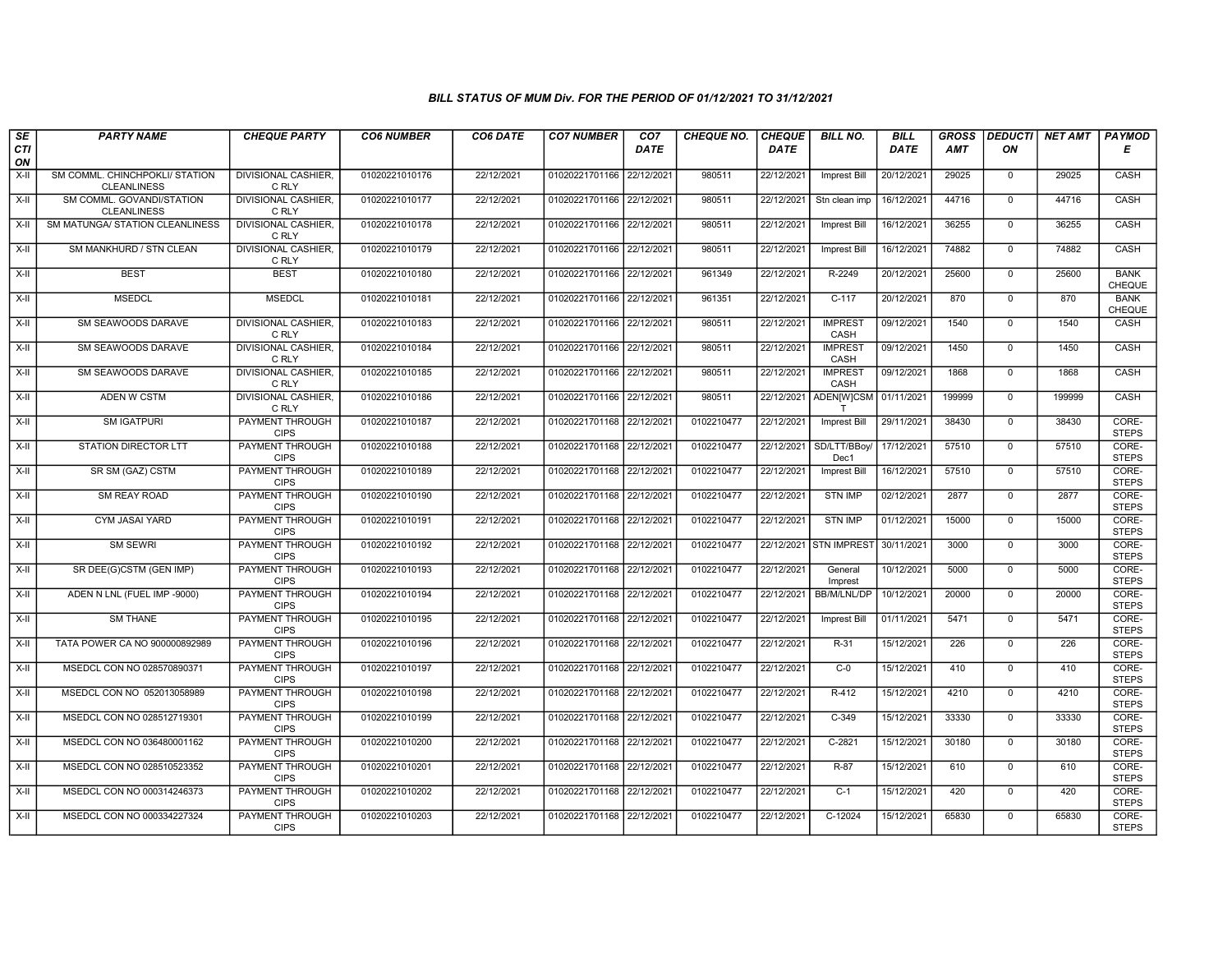| SE<br>CTI<br>ON | <b>PARTY NAME</b>                                    | <b>CHEQUE PARTY</b>                   | <b>CO6 NUMBER</b> | CO6 DATE   | <b>CO7 NUMBER</b>         | CO <sub>7</sub><br>DATE | <b>CHEQUE NO.</b> | <b>CHEQUE</b><br><b>DATE</b> | <b>BILL NO.</b>        | <b>BILL</b><br><b>DATE</b> | <b>GROSS</b><br>AMT | <b>DEDUCTI</b><br>ON | NET AMT | <b>PAYMOD</b><br>Е    |
|-----------------|------------------------------------------------------|---------------------------------------|-------------------|------------|---------------------------|-------------------------|-------------------|------------------------------|------------------------|----------------------------|---------------------|----------------------|---------|-----------------------|
| $X-H$           | SM COMML. CHINCHPOKLI/ STATION<br><b>CLEANLINESS</b> | <b>DIVISIONAL CASHIER.</b><br>C RLY   | 01020221010176    | 22/12/2021 | 01020221701166 22/12/2021 |                         | 980511            | 22/12/2021                   | <b>Imprest Bill</b>    | 20/12/2021                 | 29025               | $\mathbf{0}$         | 29025   | CASH                  |
| X-II            | SM COMML, GOVANDI/STATION<br><b>CLEANLINESS</b>      | <b>DIVISIONAL CASHIER.</b><br>C RLY   | 01020221010177    | 22/12/2021 | 01020221701166 22/12/2021 |                         | 980511            | 22/12/2021                   | Stn clean imp          | 16/12/2021                 | 44716               | $\Omega$             | 44716   | CASH                  |
| $X-II$          | SM MATUNGA/ STATION CLEANLINESS                      | <b>DIVISIONAL CASHIER.</b><br>C RLY   | 01020221010178    | 22/12/2021 | 01020221701166 22/12/2021 |                         | 980511            | 22/12/2021                   | Imprest Bill           | 16/12/2021                 | 36255               | $\mathbf 0$          | 36255   | CASH                  |
| X-II            | SM MANKHURD / STN CLEAN                              | <b>DIVISIONAL CASHIER,</b><br>C RLY   | 01020221010179    | 22/12/2021 | 01020221701166 22/12/2021 |                         | 980511            | 22/12/2021                   | <b>Imprest Bill</b>    | 16/12/2021                 | 74882               | $\mathbf 0$          | 74882   | CASH                  |
| X-II            | <b>BEST</b>                                          | <b>BEST</b>                           | 01020221010180    | 22/12/2021 | 01020221701166 22/12/2021 |                         | 961349            | 22/12/2021                   | R-2249                 | 20/12/2021                 | 25600               | $\overline{0}$       | 25600   | <b>BANK</b><br>CHEQUE |
| X-II            | <b>MSEDCL</b>                                        | <b>MSEDCL</b>                         | 01020221010181    | 22/12/2021 | 01020221701166 22/12/2021 |                         | 961351            | 22/12/2021                   | $C-117$                | 20/12/2021                 | 870                 | $\overline{0}$       | 870     | <b>BANK</b><br>CHEQUE |
| X-II            | SM SEAWOODS DARAVE                                   | <b>DIVISIONAL CASHIER,</b><br>C RLY   | 01020221010183    | 22/12/2021 | 01020221701166 22/12/2021 |                         | 980511            | 22/12/2021                   | <b>IMPREST</b><br>CASH | 09/12/2021                 | 1540                | $\mathbf 0$          | 1540    | CASH                  |
| $X-II$          | SM SEAWOODS DARAVE                                   | <b>DIVISIONAL CASHIER.</b><br>C RLY   | 01020221010184    | 22/12/2021 | 01020221701166 22/12/2021 |                         | 980511            | 22/12/2021                   | <b>IMPREST</b><br>CASH | 09/12/2021                 | 1450                | $\mathbf 0$          | 1450    | CASH                  |
| X-II            | SM SEAWOODS DARAVE                                   | <b>DIVISIONAL CASHIER,</b><br>C RLY   | 01020221010185    | 22/12/2021 | 01020221701166 22/12/2021 |                         | 980511            | 22/12/2021                   | <b>IMPREST</b><br>CASH | 09/12/2021                 | 1868                | $\mathbf{0}$         | 1868    | CASH                  |
| X-II            | <b>ADEN W CSTM</b>                                   | <b>DIVISIONAL CASHIER</b><br>C RLY    | 01020221010186    | 22/12/2021 | 01020221701166 22/12/2021 |                         | 980511            | 22/12/2021                   | ADEN[W]CSM 01/11/2021  |                            | 199999              | $\Omega$             | 199999  | <b>CASH</b>           |
| X-II            | <b>SM IGATPURI</b>                                   | PAYMENT THROUGH<br><b>CIPS</b>        | 01020221010187    | 22/12/2021 | 01020221701168 22/12/2021 |                         | 0102210477        | 22/12/2021                   | <b>Imprest Bill</b>    | 29/11/2021                 | 38430               | $\mathbf 0$          | 38430   | CORE-<br><b>STEPS</b> |
| X-II            | <b>STATION DIRECTOR LTT</b>                          | PAYMENT THROUGH<br><b>CIPS</b>        | 01020221010188    | 22/12/2021 | 01020221701168 22/12/2021 |                         | 0102210477        | 22/12/2021                   | SD/LTT/BBoy/<br>Dec1   | 17/12/2021                 | 57510               | $\mathbf 0$          | 57510   | CORE-<br><b>STEPS</b> |
| $X-II$          | SR SM (GAZ) CSTM                                     | PAYMENT THROUGH<br><b>CIPS</b>        | 01020221010189    | 22/12/2021 | 01020221701168 22/12/2021 |                         | 0102210477        | 22/12/2021                   | Imprest Bill           | 16/12/2021                 | 57510               | $\overline{0}$       | 57510   | CORE-<br><b>STEPS</b> |
| X-II            | SM REAY ROAD                                         | <b>PAYMENT THROUGH</b><br><b>CIPS</b> | 01020221010190    | 22/12/2021 | 01020221701168 22/12/2021 |                         | 0102210477        | 22/12/2021                   | <b>STN IMP</b>         | 02/12/2021                 | 2877                | $\mathbf 0$          | 2877    | CORE-<br><b>STEPS</b> |
| $X-II$          | CYM JASAI YARD                                       | PAYMENT THROUGH<br><b>CIPS</b>        | 01020221010191    | 22/12/2021 | 01020221701168 22/12/2021 |                         | 0102210477        | 22/12/2021                   | <b>STN IMP</b>         | 01/12/2021                 | 15000               | $\mathbf 0$          | 15000   | CORE-<br><b>STEPS</b> |
| $X-H$           | <b>SM SEWRI</b>                                      | <b>PAYMENT THROUGH</b><br><b>CIPS</b> | 01020221010192    | 22/12/2021 | 01020221701168 22/12/2021 |                         | 0102210477        | 22/12/2021                   | <b>STN IMPREST</b>     | 30/11/2021                 | 3000                | $\overline{0}$       | 3000    | CORE-<br><b>STEPS</b> |
| X-II            | SR DEE(G)CSTM (GEN IMP)                              | PAYMENT THROUGH<br><b>CIPS</b>        | 01020221010193    | 22/12/2021 | 01020221701168 22/12/2021 |                         | 0102210477        | 22/12/2021                   | General<br>Imprest     | 10/12/2021                 | 5000                | $\mathbf 0$          | 5000    | CORE-<br><b>STEPS</b> |
| $X-H$           | ADEN N LNL (FUEL IMP -9000)                          | <b>PAYMENT THROUGH</b><br><b>CIPS</b> | 01020221010194    | 22/12/2021 | 01020221701168 22/12/2021 |                         | 0102210477        | 22/12/2021                   | <b>BB/M/LNL/DP</b>     | 10/12/2021                 | 20000               | $\overline{0}$       | 20000   | CORE-<br><b>STEPS</b> |
| X-II            | <b>SM THANE</b>                                      | PAYMENT THROUGH<br><b>CIPS</b>        | 01020221010195    | 22/12/2021 | 01020221701168 22/12/2021 |                         | 0102210477        | 22/12/2021                   | <b>Imprest Bill</b>    | 01/11/2021                 | 5471                | $\mathbf 0$          | 5471    | CORE-<br><b>STEPS</b> |
| X-II            | TATA POWER CA NO 900000892989                        | PAYMENT THROUGH<br><b>CIPS</b>        | 01020221010196    | 22/12/2021 | 01020221701168 22/12/2021 |                         | 0102210477        | 22/12/2021                   | $R-31$                 | 15/12/2021                 | 226                 | $\mathbf{0}$         | 226     | CORE-<br><b>STEPS</b> |
| $X-H$           | MSEDCL CON NO 028570890371                           | PAYMENT THROUGH<br><b>CIPS</b>        | 01020221010197    | 22/12/2021 | 01020221701168 22/12/2021 |                         | 0102210477        | 22/12/2021                   | $C-0$                  | 15/12/2021                 | 410                 | $\overline{0}$       | 410     | CORE-<br><b>STEPS</b> |
| X-II            | MSEDCL CON NO 052013058989                           | <b>PAYMENT THROUGH</b><br><b>CIPS</b> | 01020221010198    | 22/12/2021 | 01020221701168 22/12/2021 |                         | 0102210477        | 22/12/2021                   | $R-412$                | 15/12/2021                 | 4210                | $\mathbf{0}$         | 4210    | CORE-<br><b>STEPS</b> |
| $X-H$           | MSEDCL CON NO 028512719301                           | PAYMENT THROUGH<br><b>CIPS</b>        | 01020221010199    | 22/12/2021 | 01020221701168 22/12/202  |                         | 0102210477        | 22/12/2021                   | $C-349$                | 15/12/2021                 | 33330               | $\mathbf 0$          | 33330   | CORE-<br><b>STEPS</b> |
| X-II            | MSEDCL CON NO 036480001162                           | PAYMENT THROUGH<br><b>CIPS</b>        | 01020221010200    | 22/12/2021 | 01020221701168 22/12/2021 |                         | 0102210477        | 22/12/2021                   | $C-2821$               | 15/12/2021                 | 30180               | $\mathbf{0}$         | 30180   | CORE-<br><b>STEPS</b> |
| X-II            | MSEDCL CON NO 028510523352                           | PAYMENT THROUGH<br><b>CIPS</b>        | 01020221010201    | 22/12/2021 | 01020221701168 22/12/2021 |                         | 0102210477        | 22/12/2021                   | R-87                   | 15/12/2021                 | 610                 | $\mathbf 0$          | 610     | CORE-<br><b>STEPS</b> |
| $X-H$           | MSEDCL CON NO 000314246373                           | PAYMENT THROUGH<br><b>CIPS</b>        | 01020221010202    | 22/12/2021 | 01020221701168 22/12/2021 |                         | 0102210477        | 22/12/2021                   | $C-1$                  | 15/12/2021                 | 420                 | $\overline{0}$       | 420     | CORE-<br><b>STEPS</b> |
| X-II            | MSEDCL CON NO 000334227324                           | <b>PAYMENT THROUGH</b><br><b>CIPS</b> | 01020221010203    | 22/12/2021 | 01020221701168 22/12/2021 |                         | 0102210477        | 22/12/2021                   | $C-12024$              | 15/12/2021                 | 65830               | $\mathbf 0$          | 65830   | CORE-<br><b>STEPS</b> |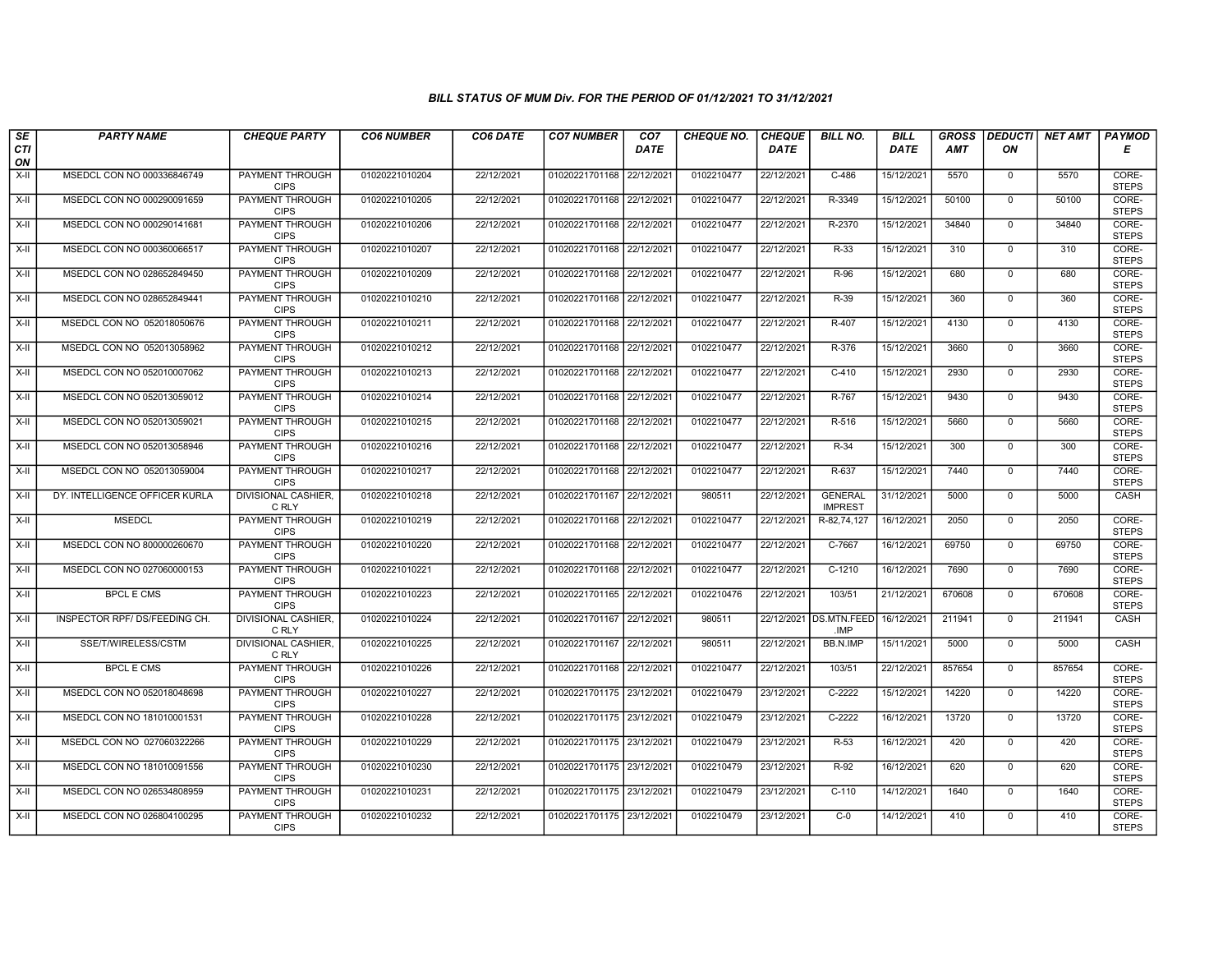| $\sqrt{SE}$ | <b>PARTY NAME</b>              | <b>CHEQUE PARTY</b>                   | <b>CO6 NUMBER</b> | CO6 DATE   | <b>CO7 NUMBER</b>         | CO <sub>7</sub> | <b>CHEQUE NO.</b> | <b>CHEQUE</b> | <b>BILL NO.</b>                  | <b>BILL</b> | <b>GROSS</b> |              | DEDUCTI NET AMT | <b>PAYMOD</b>         |
|-------------|--------------------------------|---------------------------------------|-------------------|------------|---------------------------|-----------------|-------------------|---------------|----------------------------------|-------------|--------------|--------------|-----------------|-----------------------|
| CTI<br>ON   |                                |                                       |                   |            |                           | <b>DATE</b>     |                   | <b>DATE</b>   |                                  | DATE        | AMT          | ON           |                 | Е                     |
| X-II        | MSEDCL CON NO 000336846749     | <b>PAYMENT THROUGH</b><br><b>CIPS</b> | 01020221010204    | 22/12/2021 | 01020221701168 22/12/202  |                 | 0102210477        | 22/12/2021    | $C-486$                          | 15/12/2021  | 5570         | $\mathbf 0$  | 5570            | CORE-<br><b>STEPS</b> |
| X-II        | MSEDCL CON NO 000290091659     | PAYMENT THROUGH<br><b>CIPS</b>        | 01020221010205    | 22/12/2021 | 01020221701168 22/12/2021 |                 | 0102210477        | 22/12/2021    | R-3349                           | 15/12/2021  | 50100        | $\mathbf{0}$ | 50100           | CORE-<br><b>STEPS</b> |
| $X-H$       | MSEDCL CON NO 000290141681     | PAYMENT THROUGH<br><b>CIPS</b>        | 01020221010206    | 22/12/2021 | 01020221701168 22/12/2021 |                 | 0102210477        | 22/12/2021    | R-2370                           | 15/12/2021  | 34840        | $\Omega$     | 34840           | CORE-<br><b>STEPS</b> |
| X-II        | MSEDCL CON NO 000360066517     | PAYMENT THROUGH<br><b>CIPS</b>        | 01020221010207    | 22/12/2021 | 01020221701168 22/12/2021 |                 | 0102210477        | 22/12/2021    | R-33                             | 15/12/2021  | 310          | $\mathbf{0}$ | 310             | CORE-<br><b>STEPS</b> |
| X-II        | MSEDCL CON NO 028652849450     | <b>PAYMENT THROUGH</b><br><b>CIPS</b> | 01020221010209    | 22/12/2021 | 01020221701168 22/12/2021 |                 | 0102210477        | 22/12/2021    | $R-96$                           | 15/12/2021  | 680          | $\mathbf 0$  | 680             | CORE-<br><b>STEPS</b> |
| X-II        | MSEDCL CON NO 028652849441     | <b>PAYMENT THROUGH</b><br><b>CIPS</b> | 01020221010210    | 22/12/2021 | 01020221701168 22/12/2021 |                 | 0102210477        | 22/12/2021    | $R-39$                           | 15/12/2021  | 360          | $\Omega$     | 360             | CORE-<br><b>STEPS</b> |
| X-II        | MSEDCL CON NO 052018050676     | PAYMENT THROUGH<br><b>CIPS</b>        | 01020221010211    | 22/12/2021 | 01020221701168            | 22/12/2021      | 0102210477        | 22/12/2021    | R-407                            | 15/12/2021  | 4130         | $\mathbf 0$  | 4130            | CORE-<br><b>STEPS</b> |
| $X-H$       | MSEDCL CON NO 052013058962     | <b>PAYMENT THROUGH</b><br><b>CIPS</b> | 01020221010212    | 22/12/2021 | 01020221701168 22/12/2021 |                 | 0102210477        | 22/12/2021    | R-376                            | 15/12/2021  | 3660         | $\mathbf 0$  | 3660            | CORE-<br><b>STEPS</b> |
| X-II        | MSEDCL CON NO 052010007062     | <b>PAYMENT THROUGH</b><br><b>CIPS</b> | 01020221010213    | 22/12/2021 | 01020221701168 22/12/2021 |                 | 0102210477        | 22/12/2021    | $C-410$                          | 15/12/2021  | 2930         | $\mathbf{0}$ | 2930            | CORE-<br><b>STEPS</b> |
| X-II        | MSEDCL CON NO 052013059012     | <b>PAYMENT THROUGH</b><br><b>CIPS</b> | 01020221010214    | 22/12/2021 | 01020221701168 22/12/2021 |                 | 0102210477        | 22/12/2021    | R-767                            | 15/12/2021  | 9430         | $\mathbf 0$  | 9430            | CORE-<br><b>STEPS</b> |
| X-II        | MSEDCL CON NO 052013059021     | PAYMENT THROUGH<br><b>CIPS</b>        | 01020221010215    | 22/12/2021 | 01020221701168            | 22/12/2021      | 0102210477        | 22/12/2021    | R-516                            | 15/12/2021  | 5660         | $\Omega$     | 5660            | CORE-<br><b>STEPS</b> |
| X-II        | MSEDCL CON NO 052013058946     | <b>PAYMENT THROUGH</b><br><b>CIPS</b> | 01020221010216    | 22/12/2021 | 01020221701168 22/12/2021 |                 | 0102210477        | 22/12/2021    | $R-34$                           | 15/12/2021  | 300          | $\mathbf 0$  | 300             | CORE-<br><b>STEPS</b> |
| X-II        | MSEDCL CON NO 052013059004     | <b>PAYMENT THROUGH</b><br><b>CIPS</b> | 01020221010217    | 22/12/2021 | 01020221701168 22/12/202  |                 | 0102210477        | 22/12/2021    | R-637                            | 15/12/2021  | 7440         | $\mathbf 0$  | 7440            | CORE-<br><b>STEPS</b> |
| X-II        | DY. INTELLIGENCE OFFICER KURLA | <b>DIVISIONAL CASHIER,</b><br>C RLY   | 01020221010218    | 22/12/2021 | 01020221701167 22/12/2021 |                 | 980511            | 22/12/2021    | <b>GENERAL</b><br><b>IMPREST</b> | 31/12/2021  | 5000         | $\mathbf{0}$ | 5000            | <b>CASH</b>           |
| X-II        | <b>MSEDCL</b>                  | PAYMENT THROUGH<br><b>CIPS</b>        | 01020221010219    | 22/12/2021 | 01020221701168 22/12/2021 |                 | 0102210477        | 22/12/2021    | R-82,74,127                      | 16/12/2021  | 2050         | $\mathbf 0$  | 2050            | CORE-<br><b>STEPS</b> |
| X-II        | MSEDCL CON NO 800000260670     | PAYMENT THROUGH<br><b>CIPS</b>        | 01020221010220    | 22/12/2021 | 01020221701168 22/12/202  |                 | 0102210477        | 22/12/2021    | C-7667                           | 16/12/2021  | 69750        | $\mathbf 0$  | 69750           | CORE-<br><b>STEPS</b> |
| $X-H$       | MSEDCL CON NO 027060000153     | <b>PAYMENT THROUGH</b><br><b>CIPS</b> | 01020221010221    | 22/12/2021 | 01020221701168 22/12/2021 |                 | 0102210477        | 22/12/2021    | $C-1210$                         | 16/12/2021  | 7690         | $\mathbf 0$  | 7690            | CORE-<br><b>STEPS</b> |
| X-II        | <b>BPCL E CMS</b>              | <b>PAYMENT THROUGH</b><br><b>CIPS</b> | 01020221010223    | 22/12/2021 | 01020221701165 22/12/2021 |                 | 0102210476        | 22/12/2021    | 103/51                           | 21/12/2021  | 670608       | $\mathbf 0$  | 670608          | CORE-<br><b>STEPS</b> |
| X-II        | INSPECTOR RPF/ DS/FEEDING CH   | DIVISIONAL CASHIER,<br>C RLY          | 01020221010224    | 22/12/2021 | 01020221701167 22/12/2021 |                 | 980511            | 22/12/2021    | <b>DS.MTN.FEED</b><br>.IMP       | 16/12/2021  | 211941       | $\mathbf 0$  | 211941          | CASH                  |
| X-II        | SSE/T/WIRELESS/CSTM            | <b>DIVISIONAL CASHIER,</b><br>C RLY   | 01020221010225    | 22/12/2021 | 01020221701167 22/12/2021 |                 | 980511            | 22/12/2021    | BB.N.IMP                         | 15/11/2021  | 5000         | $\Omega$     | 5000            | CASH                  |
| X-II        | <b>BPCL E CMS</b>              | <b>PAYMENT THROUGH</b><br><b>CIPS</b> | 01020221010226    | 22/12/2021 | 01020221701168 22/12/2021 |                 | 0102210477        | 22/12/2021    | 103/51                           | 22/12/2021  | 857654       | $\mathbf 0$  | 857654          | CORE-<br><b>STEPS</b> |
| X-II        | MSEDCL CON NO 052018048698     | <b>PAYMENT THROUGH</b><br><b>CIPS</b> | 01020221010227    | 22/12/2021 | 01020221701175 23/12/2021 |                 | 0102210479        | 23/12/2021    | $C-2222$                         | 15/12/2021  | 14220        | $\mathbf{0}$ | 14220           | CORE-<br><b>STEPS</b> |
| X-II        | MSEDCL CON NO 181010001531     | PAYMENT THROUGH<br><b>CIPS</b>        | 01020221010228    | 22/12/2021 | 01020221701175 23/12/2021 |                 | 0102210479        | 23/12/2021    | $C-2222$                         | 16/12/2021  | 13720        | $\Omega$     | 13720           | CORE-<br><b>STEPS</b> |
| X-II        | MSEDCL CON NO 027060322266     | PAYMENT THROUGH<br><b>CIPS</b>        | 01020221010229    | 22/12/2021 | 01020221701175 23/12/202  |                 | 0102210479        | 23/12/2021    | R-53                             | 16/12/2021  | 420          | $\mathbf 0$  | 420             | CORE-<br><b>STEPS</b> |
| X-II        | MSEDCL CON NO 181010091556     | <b>PAYMENT THROUGH</b><br><b>CIPS</b> | 01020221010230    | 22/12/2021 | 01020221701175 23/12/2021 |                 | 0102210479        | 23/12/2021    | $R-92$                           | 16/12/2021  | 620          | $\mathbf 0$  | 620             | CORE-<br><b>STEPS</b> |
| X-II        | MSEDCL CON NO 026534808959     | <b>PAYMENT THROUGH</b><br><b>CIPS</b> | 01020221010231    | 22/12/2021 | 01020221701175 23/12/2021 |                 | 0102210479        | 23/12/2021    | $C-110$                          | 14/12/2021  | 1640         | $\Omega$     | 1640            | CORE-<br><b>STEPS</b> |
| X-II        | MSEDCL CON NO 026804100295     | <b>PAYMENT THROUGH</b><br><b>CIPS</b> | 01020221010232    | 22/12/2021 | 01020221701175 23/12/2021 |                 | 0102210479        | 23/12/2021    | $C-0$                            | 14/12/2021  | 410          | $\mathbf{0}$ | 410             | CORE-<br><b>STEPS</b> |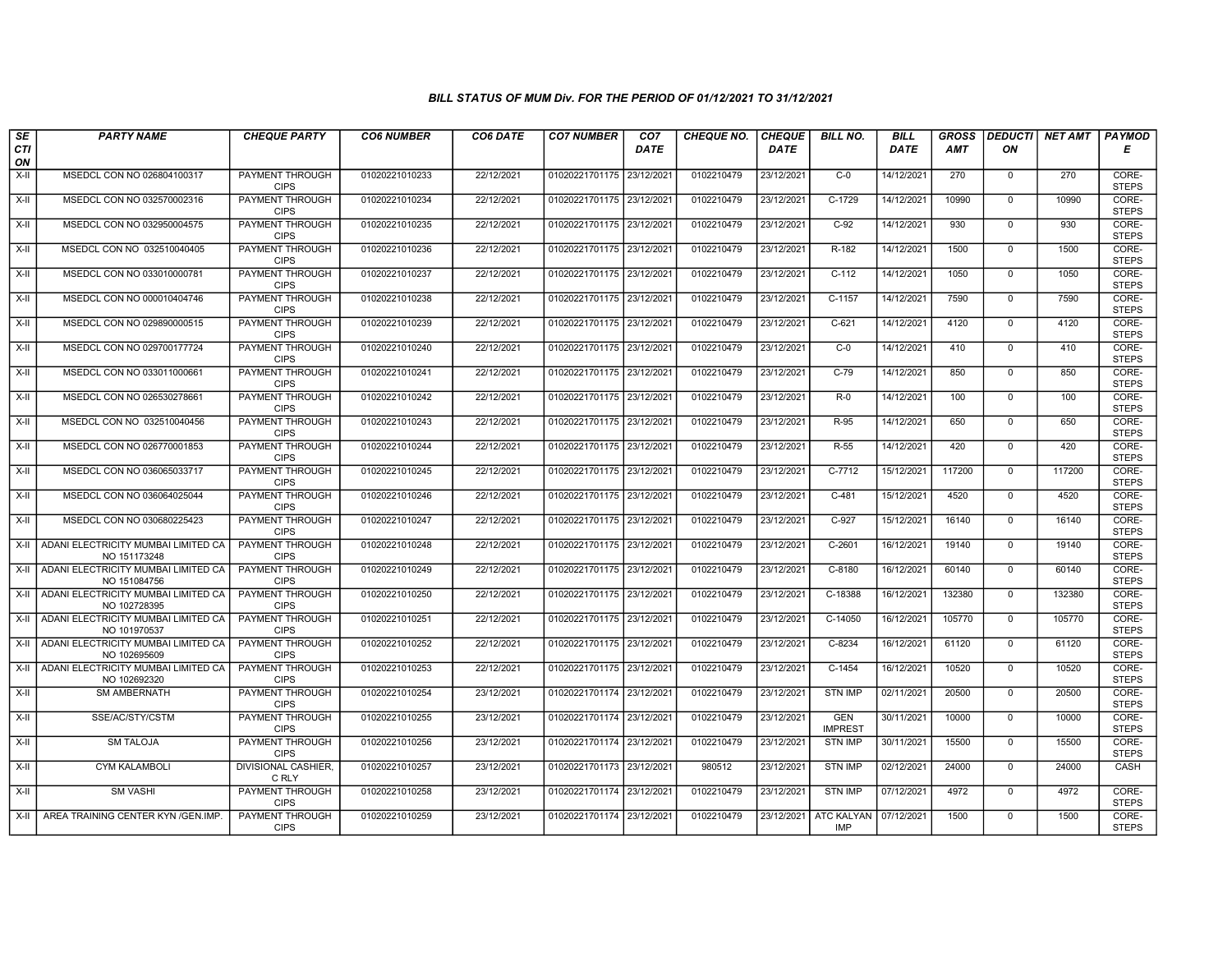| SE               | <b>PARTY NAME</b>                                   | <b>CHEQUE PARTY</b>                   | <b>CO6 NUMBER</b> | CO6 DATE   | <b>CO7 NUMBER</b>         | CO <sub>7</sub> | <b>CHEQUE NO.</b> | <b>CHEQUE</b> | <b>BILL NO.</b>              | <b>BILL</b> | <b>GROSS</b> |              | DEDUCTI  NET AMT | <b>PAYMOD</b>         |
|------------------|-----------------------------------------------------|---------------------------------------|-------------------|------------|---------------------------|-----------------|-------------------|---------------|------------------------------|-------------|--------------|--------------|------------------|-----------------------|
| <b>CTI</b><br>ON |                                                     |                                       |                   |            |                           | <b>DATE</b>     |                   | <b>DATE</b>   |                              | DATE        | <b>AMT</b>   | ON           |                  | Е                     |
| $X-H$            | MSEDCL CON NO 026804100317                          | <b>PAYMENT THROUGH</b><br><b>CIPS</b> | 01020221010233    | 22/12/2021 | 01020221701175 23/12/2021 |                 | 0102210479        | 23/12/2021    | $C-0$                        | 14/12/2021  | 270          | $\mathbf 0$  | 270              | CORE-<br><b>STEPS</b> |
| $X-H$            | MSEDCL CON NO 032570002316                          | <b>PAYMENT THROUGH</b><br><b>CIPS</b> | 01020221010234    | 22/12/2021 | 01020221701175 23/12/2021 |                 | 0102210479        | 23/12/2021    | $C-1729$                     | 14/12/2021  | 10990        | $\mathbf 0$  | 10990            | CORE-<br><b>STEPS</b> |
| X-II             | MSEDCL CON NO 032950004575                          | PAYMENT THROUGH<br><b>CIPS</b>        | 01020221010235    | 22/12/2021 | 01020221701175 23/12/2021 |                 | 0102210479        | 23/12/2021    | $C-92$                       | 14/12/2021  | 930          | $\mathbf 0$  | 930              | CORE-<br><b>STEPS</b> |
| $X-H$            | MSEDCL CON NO 032510040405                          | <b>PAYMENT THROUGH</b><br><b>CIPS</b> | 01020221010236    | 22/12/2021 | 01020221701175 23/12/2021 |                 | 0102210479        | 23/12/2021    | R-182                        | 14/12/2021  | 1500         | $\mathbf 0$  | 1500             | CORE-<br><b>STEPS</b> |
| $X-II$           | MSEDCL CON NO 033010000781                          | PAYMENT THROUGH<br><b>CIPS</b>        | 01020221010237    | 22/12/2021 | 01020221701175 23/12/2021 |                 | 0102210479        | 23/12/2021    | $C-112$                      | 14/12/2021  | 1050         | $\mathbf 0$  | 1050             | CORE-<br><b>STEPS</b> |
| $X-II$           | MSEDCL CON NO 000010404746                          | <b>PAYMENT THROUGH</b><br><b>CIPS</b> | 01020221010238    | 22/12/2021 | 01020221701175 23/12/2021 |                 | 0102210479        | 23/12/2021    | C-1157                       | 14/12/2021  | 7590         | $\mathbf{0}$ | 7590             | CORE-<br><b>STEPS</b> |
| X-II             | MSEDCL CON NO 029890000515                          | <b>PAYMENT THROUGH</b><br><b>CIPS</b> | 01020221010239    | 22/12/2021 | 01020221701175 23/12/2021 |                 | 0102210479        | 23/12/2021    | $C-621$                      | 14/12/2021  | 4120         | $\Omega$     | 4120             | CORE-<br><b>STEPS</b> |
| X-II             | MSEDCL CON NO 029700177724                          | <b>PAYMENT THROUGH</b><br><b>CIPS</b> | 01020221010240    | 22/12/2021 | 01020221701175 23/12/2021 |                 | 0102210479        | 23/12/2021    | $C-0$                        | 14/12/2021  | 410          | $\mathbf 0$  | 410              | CORE-<br><b>STEPS</b> |
| $X-H$            | MSEDCL CON NO 033011000661                          | <b>PAYMENT THROUGH</b><br><b>CIPS</b> | 01020221010241    | 22/12/2021 | 01020221701175 23/12/2021 |                 | 0102210479        | 23/12/2021    | $C-79$                       | 14/12/2021  | 850          | $\Omega$     | 850              | CORE-<br><b>STEPS</b> |
| X-II             | MSEDCL CON NO 026530278661                          | <b>PAYMENT THROUGH</b><br><b>CIPS</b> | 01020221010242    | 22/12/2021 | 01020221701175 23/12/2021 |                 | 0102210479        | 23/12/2021    | $R-0$                        | 14/12/2021  | 100          | $\Omega$     | 100              | CORE-<br><b>STEPS</b> |
| $X-II$           | MSEDCL CON NO 032510040456                          | PAYMENT THROUGH<br><b>CIPS</b>        | 01020221010243    | 22/12/2021 | 01020221701175 23/12/2021 |                 | 0102210479        | 23/12/2021    | R-95                         | 14/12/2021  | 650          | $\mathbf 0$  | 650              | CORE-<br><b>STEPS</b> |
| X-II             | MSEDCL CON NO 026770001853                          | PAYMENT THROUGH<br><b>CIPS</b>        | 01020221010244    | 22/12/2021 | 01020221701175 23/12/2021 |                 | 0102210479        | 23/12/2021    | R-55                         | 14/12/2021  | 420          | $\Omega$     | 420              | CORE-<br><b>STEPS</b> |
| X-II             | MSEDCL CON NO 036065033717                          | <b>PAYMENT THROUGH</b><br><b>CIPS</b> | 01020221010245    | 22/12/2021 | 01020221701175 23/12/2021 |                 | 0102210479        | 23/12/2021    | $C-7712$                     | 15/12/2021  | 117200       | $\mathbf 0$  | 117200           | CORE-<br><b>STEPS</b> |
| $X-H$            | MSEDCL CON NO 036064025044                          | <b>PAYMENT THROUGH</b><br><b>CIPS</b> | 01020221010246    | 22/12/2021 | 01020221701175 23/12/2021 |                 | 0102210479        | 23/12/2021    | $C-481$                      | 15/12/2021  | 4520         | $\mathbf{0}$ | 4520             | CORE-<br><b>STEPS</b> |
| X-II             | MSEDCL CON NO 030680225423                          | PAYMENT THROUGH<br><b>CIPS</b>        | 01020221010247    | 22/12/2021 | 01020221701175 23/12/2021 |                 | 0102210479        | 23/12/2021    | C-927                        | 15/12/2021  | 16140        | $\mathbf 0$  | 16140            | CORE-<br><b>STEPS</b> |
| $X-H$            | ADANI ELECTRICITY MUMBAI LIMITED CA<br>NO 151173248 | PAYMENT THROUGH<br><b>CIPS</b>        | 01020221010248    | 22/12/2021 | 01020221701175 23/12/2021 |                 | 0102210479        | 23/12/2021    | $C-2601$                     | 16/12/2021  | 19140        | $\mathbf 0$  | 19140            | CORE-<br><b>STEPS</b> |
| X-II             | ADANI ELECTRICITY MUMBAI LIMITED CA<br>NO 151084756 | PAYMENT THROUGH<br><b>CIPS</b>        | 01020221010249    | 22/12/2021 | 01020221701175 23/12/2021 |                 | 0102210479        | 23/12/2021    | $C-8180$                     | 16/12/2021  | 60140        | $\mathbf 0$  | 60140            | CORE-<br><b>STEPS</b> |
| X-II             | ADANI ELECTRICITY MUMBAI LIMITED CA<br>NO 102728395 | <b>PAYMENT THROUGH</b><br><b>CIPS</b> | 01020221010250    | 22/12/2021 | 01020221701175 23/12/2021 |                 | 0102210479        | 23/12/2021    | C-18388                      | 16/12/2021  | 132380       | $\mathbf 0$  | 132380           | CORE-<br><b>STEPS</b> |
| $X-H$            | ADANI ELECTRICITY MUMBAI LIMITED CA<br>NO 101970537 | PAYMENT THROUGH<br><b>CIPS</b>        | 01020221010251    | 22/12/2021 | 01020221701175 23/12/2021 |                 | 0102210479        | 23/12/2021    | C-14050                      | 16/12/2021  | 105770       | $\Omega$     | 105770           | CORE-<br><b>STEPS</b> |
| X-II             | ADANI ELECTRICITY MUMBAI LIMITED CA<br>NO 102695609 | PAYMENT THROUGH<br><b>CIPS</b>        | 01020221010252    | 22/12/2021 | 01020221701175 23/12/2021 |                 | 0102210479        | 23/12/2021    | C-8234                       | 16/12/2021  | 61120        | $\mathbf 0$  | 61120            | CORE-<br><b>STEPS</b> |
| $X-H$            | ADANI ELECTRICITY MUMBAI LIMITED CA<br>NO 102692320 | <b>PAYMENT THROUGH</b><br><b>CIPS</b> | 01020221010253    | 22/12/2021 | 01020221701175 23/12/2021 |                 | 0102210479        | 23/12/2021    | $C-1454$                     | 16/12/2021  | 10520        | $\mathbf 0$  | 10520            | CORE-<br><b>STEPS</b> |
| $X-II$           | <b>SM AMBERNATH</b>                                 | PAYMENT THROUGH<br><b>CIPS</b>        | 01020221010254    | 23/12/2021 | 01020221701174 23/12/2021 |                 | 0102210479        | 23/12/2021    | <b>STN IMP</b>               | 02/11/2021  | 20500        | $\Omega$     | 20500            | CORE-<br><b>STEPS</b> |
| $X-II$           | SSE/AC/STY/CSTM                                     | PAYMENT THROUGH<br><b>CIPS</b>        | 01020221010255    | 23/12/2021 | 01020221701174 23/12/2021 |                 | 0102210479        | 23/12/2021    | <b>GEN</b><br><b>IMPREST</b> | 30/11/2021  | 10000        | $\mathbf 0$  | 10000            | CORE-<br><b>STEPS</b> |
| $X-H$            | <b>SM TALOJA</b>                                    | PAYMENT THROUGH<br><b>CIPS</b>        | 01020221010256    | 23/12/2021 | 01020221701174 23/12/2021 |                 | 0102210479        | 23/12/2021    | <b>STN IMP</b>               | 30/11/2021  | 15500        | $\Omega$     | 15500            | CORE-<br><b>STEPS</b> |
| X-II             | <b>CYM KALAMBOLI</b>                                | DIVISIONAL CASHIER,<br>C RLY          | 01020221010257    | 23/12/2021 | 01020221701173 23/12/2021 |                 | 980512            | 23/12/2021    | <b>STN IMP</b>               | 02/12/2021  | 24000        | $\mathbf 0$  | 24000            | <b>CASH</b>           |
| $X-H$            | <b>SM VASHI</b>                                     | <b>PAYMENT THROUGH</b><br><b>CIPS</b> | 01020221010258    | 23/12/2021 | 01020221701174 23/12/2021 |                 | 0102210479        | 23/12/2021    | <b>STN IMP</b>               | 07/12/2021  | 4972         | $\mathbf 0$  | 4972             | CORE-<br><b>STEPS</b> |
|                  | X-II   AREA TRAINING CENTER KYN /GEN.IMP.           | <b>PAYMENT THROUGH</b><br><b>CIPS</b> | 01020221010259    | 23/12/2021 | 01020221701174 23/12/2021 |                 | 0102210479        | 23/12/2021    | ATC KALYAN<br><b>IMP</b>     | 07/12/2021  | 1500         | $\mathbf{0}$ | 1500             | CORE-<br><b>STEPS</b> |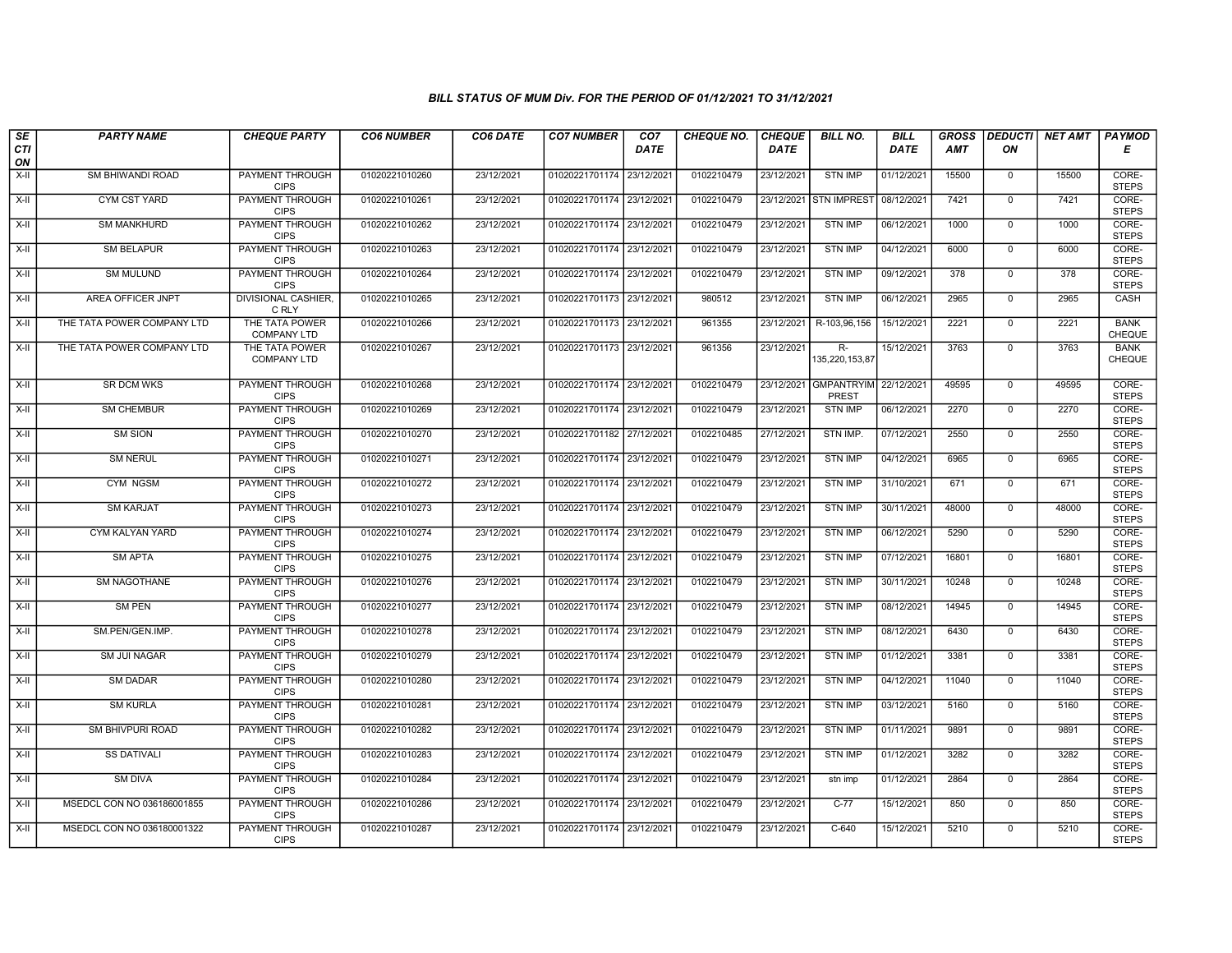| SE        | <b>PARTY NAME</b>          | <b>CHEQUE PARTY</b>                   | <b>CO6 NUMBER</b> | CO6 DATE   | <b>CO7 NUMBER</b>         | CO <sub>7</sub> | <b>CHEQUE NO.</b> | <b>CHEQUE</b> | <b>BILL NO.</b>            | <b>BILL</b> | <b>GROSS</b> |                | DEDUCTI NET AMT | <b>PAYMOD</b>                |
|-----------|----------------------------|---------------------------------------|-------------------|------------|---------------------------|-----------------|-------------------|---------------|----------------------------|-------------|--------------|----------------|-----------------|------------------------------|
| CTI<br>ON |                            |                                       |                   |            |                           | <b>DATE</b>     |                   | <b>DATE</b>   |                            | DATE        | <b>AMT</b>   | ON             |                 | Е                            |
| $X-H$     | <b>SM BHIWANDI ROAD</b>    | PAYMENT THROUGH<br><b>CIPS</b>        | 01020221010260    | 23/12/2021 | 01020221701174 23/12/2021 |                 | 0102210479        | 23/12/2021    | <b>STN IMP</b>             | 01/12/2021  | 15500        | $\mathbf 0$    | 15500           | CORE-<br><b>STEPS</b>        |
| $X-H$     | <b>CYM CST YARD</b>        | <b>PAYMENT THROUGH</b><br><b>CIPS</b> | 01020221010261    | 23/12/2021 | 01020221701174 23/12/2021 |                 | 0102210479        |               | 23/12/2021 STN IMPREST     | 08/12/2021  | 7421         | $\mathbf 0$    | 7421            | CORE-<br><b>STEPS</b>        |
| $X-H$     | <b>SM MANKHURD</b>         | <b>PAYMENT THROUGH</b><br><b>CIPS</b> | 01020221010262    | 23/12/2021 | 01020221701174 23/12/2021 |                 | 0102210479        | 23/12/2021    | <b>STN IMP</b>             | 06/12/2021  | 1000         | $\mathsf 0$    | 1000            | CORE-<br><b>STEPS</b>        |
| X-II      | <b>SM BELAPUR</b>          | PAYMENT THROUGH<br><b>CIPS</b>        | 01020221010263    | 23/12/2021 | 01020221701174 23/12/2021 |                 | 0102210479        | 23/12/2021    | <b>STN IMP</b>             | 04/12/2021  | 6000         | $\mathbf{0}$   | 6000            | CORE-<br><b>STEPS</b>        |
| X-II      | <b>SM MULUND</b>           | <b>PAYMENT THROUGH</b><br><b>CIPS</b> | 01020221010264    | 23/12/2021 | 01020221701174 23/12/2021 |                 | 0102210479        | 23/12/2021    | <b>STN IMP</b>             | 09/12/2021  | 378          | $\mathbf 0$    | 378             | CORE-<br><b>STEPS</b>        |
| X-II      | AREA OFFICER JNPT          | <b>DIVISIONAL CASHIER</b><br>C RLY    | 01020221010265    | 23/12/2021 | 01020221701173 23/12/2021 |                 | 980512            | 23/12/2021    | <b>STN IMP</b>             | 06/12/2021  | 2965         | $\mathbf{0}$   | 2965            | CASH                         |
| $X-II$    | THE TATA POWER COMPANY LTD | THE TATA POWER<br><b>COMPANY LTD</b>  | 01020221010266    | 23/12/2021 | 01020221701173 23/12/2021 |                 | 961355            | 23/12/2021    | R-103,96,156               | 15/12/2021  | 2221         | $\mathbf 0$    | 2221            | <b>BANK</b><br><b>CHEQUE</b> |
| X-II      | THE TATA POWER COMPANY LTD | THE TATA POWER<br><b>COMPANY LTD</b>  | 01020221010267    | 23/12/2021 | 01020221701173 23/12/2021 |                 | 961356            | 23/12/2021    | $R-$<br>135,220,153,87     | 15/12/2021  | 3763         | $\mathbf 0$    | 3763            | <b>BANK</b><br>CHEQUE        |
| X-II      | <b>SR DCM WKS</b>          | PAYMENT THROUGH<br><b>CIPS</b>        | 01020221010268    | 23/12/2021 | 01020221701174 23/12/2021 |                 | 0102210479        | 23/12/2021    | <b>GMPANTRYIM</b><br>PREST | 22/12/2021  | 49595        | $\mathbf 0$    | 49595           | CORE-<br><b>STEPS</b>        |
| $X-II$    | <b>SM CHEMBUR</b>          | PAYMENT THROUGH<br><b>CIPS</b>        | 01020221010269    | 23/12/2021 | 01020221701174 23/12/2021 |                 | 0102210479        | 23/12/2021    | <b>STN IMP</b>             | 06/12/2021  | 2270         | $\mathbf 0$    | 2270            | CORE-<br><b>STEPS</b>        |
| $X-II$    | <b>SM SION</b>             | <b>PAYMENT THROUGH</b><br><b>CIPS</b> | 01020221010270    | 23/12/2021 | 01020221701182 27/12/2021 |                 | 0102210485        | 27/12/2021    | STN IMP.                   | 07/12/2021  | 2550         | $\mathbf{0}$   | 2550            | CORE-<br><b>STEPS</b>        |
| $X-H$     | <b>SM NERUL</b>            | <b>PAYMENT THROUGH</b><br><b>CIPS</b> | 01020221010271    | 23/12/2021 | 01020221701174 23/12/2021 |                 | 0102210479        | 23/12/2021    | <b>STN IMP</b>             | 04/12/2021  | 6965         | $\overline{0}$ | 6965            | CORE-<br><b>STEPS</b>        |
| X-II      | CYM NGSM                   | PAYMENT THROUGH<br><b>CIPS</b>        | 01020221010272    | 23/12/2021 | 01020221701174 23/12/2021 |                 | 0102210479        | 23/12/2021    | <b>STN IMP</b>             | 31/10/2021  | 671          | $\mathbf{0}$   | 671             | CORE-<br><b>STEPS</b>        |
| $X-H$     | <b>SM KARJAT</b>           | <b>PAYMENT THROUGH</b><br><b>CIPS</b> | 01020221010273    | 23/12/2021 | 01020221701174 23/12/2021 |                 | 0102210479        | 23/12/2021    | <b>STN IMP</b>             | 30/11/2021  | 48000        | $\mathbf 0$    | 48000           | CORE-<br><b>STEPS</b>        |
| X-II      | <b>CYM KALYAN YARD</b>     | <b>PAYMENT THROUGH</b><br><b>CIPS</b> | 01020221010274    | 23/12/2021 | 01020221701174 23/12/2021 |                 | 0102210479        | 23/12/2021    | <b>STN IMP</b>             | 06/12/2021  | 5290         | $\mathbf 0$    | 5290            | CORE-<br><b>STEPS</b>        |
| $X-H$     | <b>SM APTA</b>             | <b>PAYMENT THROUGH</b><br><b>CIPS</b> | 01020221010275    | 23/12/2021 | 01020221701174 23/12/2021 |                 | 0102210479        | 23/12/2021    | <b>STN IMP</b>             | 07/12/2021  | 16801        | $\mathbf 0$    | 16801           | CORE-<br><b>STEPS</b>        |
| X-II      | SM NAGOTHANE               | PAYMENT THROUGH<br><b>CIPS</b>        | 01020221010276    | 23/12/2021 | 01020221701174 23/12/2021 |                 | 0102210479        | 23/12/2021    | <b>STN IMP</b>             | 30/11/2021  | 10248        | $\mathbf 0$    | 10248           | CORE-<br><b>STEPS</b>        |
| X-II      | <b>SM PEN</b>              | PAYMENT THROUGH<br><b>CIPS</b>        | 01020221010277    | 23/12/2021 | 01020221701174 23/12/2021 |                 | 0102210479        | 23/12/2021    | <b>STN IMP</b>             | 08/12/2021  | 14945        | $\mathbf 0$    | 14945           | CORE-<br><b>STEPS</b>        |
| $X-II$    | SM.PEN/GEN.IMP.            | PAYMENT THROUGH<br><b>CIPS</b>        | 01020221010278    | 23/12/2021 | 01020221701174 23/12/2021 |                 | 0102210479        | 23/12/2021    | <b>STN IMP</b>             | 08/12/2021  | 6430         | 0              | 6430            | CORE-<br><b>STEPS</b>        |
| $X-H$     | <b>SM JUI NAGAR</b>        | <b>PAYMENT THROUGH</b><br><b>CIPS</b> | 01020221010279    | 23/12/2021 | 01020221701174 23/12/2021 |                 | 0102210479        | 23/12/2021    | <b>STN IMP</b>             | 01/12/2021  | 3381         | $\mathbf 0$    | 3381            | CORE-<br><b>STEPS</b>        |
| $X-H$     | <b>SM DADAR</b>            | <b>PAYMENT THROUGH</b><br><b>CIPS</b> | 01020221010280    | 23/12/2021 | 01020221701174 23/12/2021 |                 | 0102210479        | 23/12/2021    | <b>STN IMP</b>             | 04/12/2021  | 11040        | $\mathbf 0$    | 11040           | CORE-<br><b>STEPS</b>        |
| X-II      | <b>SM KURLA</b>            | PAYMENT THROUGH<br><b>CIPS</b>        | 01020221010281    | 23/12/2021 | 01020221701174 23/12/2021 |                 | 0102210479        | 23/12/2021    | <b>STN IMP</b>             | 03/12/2021  | 5160         | $\mathbf 0$    | 5160            | CORE-<br><b>STEPS</b>        |
| X-II      | SM BHIVPURI ROAD           | PAYMENT THROUGH<br><b>CIPS</b>        | 01020221010282    | 23/12/2021 | 01020221701174 23/12/2021 |                 | 0102210479        | 23/12/2021    | <b>STN IMP</b>             | 01/11/2021  | 9891         | $\mathbf 0$    | 9891            | CORE-<br><b>STEPS</b>        |
| $X-H$     | <b>SS DATIVALI</b>         | <b>PAYMENT THROUGH</b><br><b>CIPS</b> | 01020221010283    | 23/12/2021 | 01020221701174 23/12/2021 |                 | 0102210479        | 23/12/2021    | <b>STN IMP</b>             | 01/12/2021  | 3282         | $\overline{0}$ | 3282            | CORE-<br><b>STEPS</b>        |
| X-II      | <b>SM DIVA</b>             | <b>PAYMENT THROUGH</b><br><b>CIPS</b> | 01020221010284    | 23/12/2021 | 01020221701174 23/12/2021 |                 | 0102210479        | 23/12/2021    | stn imp                    | 01/12/2021  | 2864         | $\mathbf 0$    | 2864            | CORE-<br><b>STEPS</b>        |
| X-II      | MSEDCL CON NO 036186001855 | PAYMENT THROUGH<br><b>CIPS</b>        | 01020221010286    | 23/12/2021 | 01020221701174 23/12/2021 |                 | 0102210479        | 23/12/2021    | $C-77$                     | 15/12/2021  | 850          | $\mathbf 0$    | 850             | CORE-<br><b>STEPS</b>        |
| $X-H$     | MSEDCL CON NO 036180001322 | PAYMENT THROUGH<br><b>CIPS</b>        | 01020221010287    | 23/12/2021 | 01020221701174 23/12/2021 |                 | 0102210479        | 23/12/2021    | $C-640$                    | 15/12/2021  | 5210         | 0              | 5210            | CORE-<br><b>STEPS</b>        |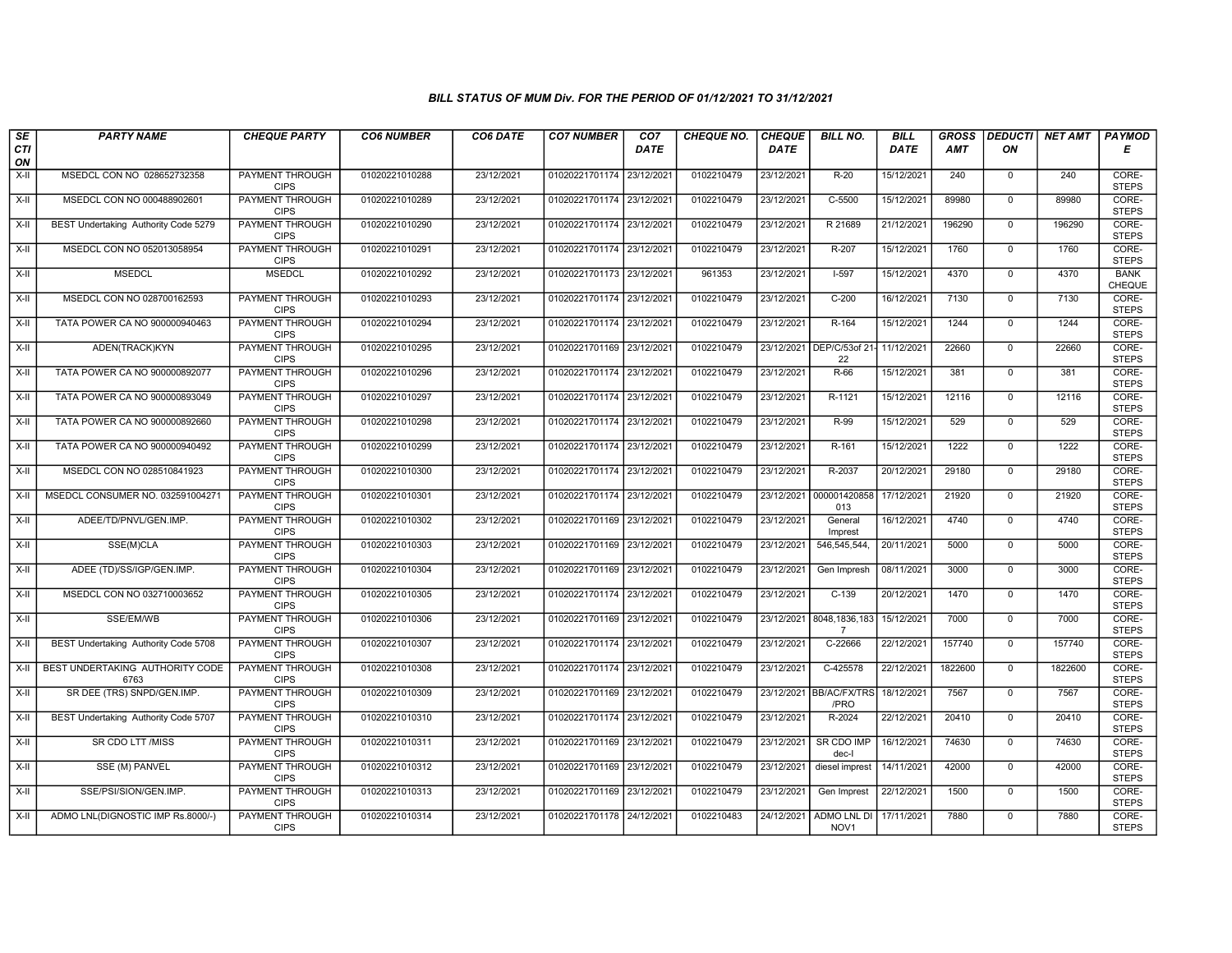| SE               | <b>PARTY NAME</b>                       | <b>CHEQUE PARTY</b>                   | <b>CO6 NUMBER</b> | CO6 DATE   | <b>CO7 NUMBER</b>         | CO <sub>7</sub> | <b>CHEQUE NO.</b> | <b>CHEQUE</b> | <b>BILL NO.</b>                            | <b>BILL</b> | <b>GROSS</b> | <b>DEDUCTI</b> | <b>NET AMT</b> | <b>PAYMOD</b>                |
|------------------|-----------------------------------------|---------------------------------------|-------------------|------------|---------------------------|-----------------|-------------------|---------------|--------------------------------------------|-------------|--------------|----------------|----------------|------------------------------|
| <b>CTI</b><br>ON |                                         |                                       |                   |            |                           | <b>DATE</b>     |                   | DATE          |                                            | DATE        | AMT          | ON             |                | Е                            |
| $X-H$            | MSEDCL CON NO 028652732358              | <b>PAYMENT THROUGH</b><br><b>CIPS</b> | 01020221010288    | 23/12/2021 | 01020221701174 23/12/2021 |                 | 0102210479        | 23/12/2021    | $R-20$                                     | 15/12/2021  | 240          | $\overline{0}$ | 240            | CORE-<br><b>STEPS</b>        |
| $X-H$            | MSEDCL CON NO 000488902601              | <b>PAYMENT THROUGH</b><br><b>CIPS</b> | 01020221010289    | 23/12/2021 | 01020221701174 23/12/2021 |                 | 0102210479        | 23/12/2021    | $C-5500$                                   | 15/12/2021  | 89980        | $\overline{0}$ | 89980          | CORE-<br><b>STEPS</b>        |
| X-II             | BEST Undertaking Authority Code 5279    | PAYMENT THROUGH<br><b>CIPS</b>        | 01020221010290    | 23/12/2021 | 01020221701174 23/12/2021 |                 | 0102210479        | 23/12/2021    | R 21689                                    | 21/12/2021  | 196290       | $\mathbf 0$    | 196290         | CORE-<br><b>STEPS</b>        |
| $X-II$           | MSEDCL CON NO 052013058954              | <b>PAYMENT THROUGH</b><br><b>CIPS</b> | 01020221010291    | 23/12/2021 | 01020221701174 23/12/2021 |                 | 0102210479        | 23/12/2021    | R-207                                      | 15/12/2021  | 1760         | $\overline{0}$ | 1760           | CORE-<br><b>STEPS</b>        |
| $X-H$            | <b>MSEDCL</b>                           | <b>MSEDCL</b>                         | 01020221010292    | 23/12/2021 | 01020221701173 23/12/2021 |                 | 961353            | 23/12/2021    | $1-597$                                    | 15/12/2021  | 4370         | $\overline{0}$ | 4370           | <b>BANK</b><br><b>CHEQUE</b> |
| $X-H$            | MSEDCL CON NO 028700162593              | <b>PAYMENT THROUGH</b><br><b>CIPS</b> | 01020221010293    | 23/12/2021 | 01020221701174 23/12/2021 |                 | 0102210479        | 23/12/2021    | $C-200$                                    | 16/12/2021  | 7130         | $\overline{0}$ | 7130           | CORE-<br><b>STEPS</b>        |
| X-II             | TATA POWER CA NO 900000940463           | <b>PAYMENT THROUGH</b><br><b>CIPS</b> | 01020221010294    | 23/12/2021 | 01020221701174 23/12/2021 |                 | 0102210479        | 23/12/2021    | $R-164$                                    | 15/12/2021  | 1244         | $\mathbf 0$    | 1244           | CORE-<br><b>STEPS</b>        |
| $X-H$            | ADEN(TRACK)KYN                          | <b>PAYMENT THROUGH</b><br><b>CIPS</b> | 01020221010295    | 23/12/2021 | 01020221701169 23/12/2021 |                 | 0102210479        |               | 23/12/2021 DEP/C/53of 21- 11/12/2021<br>22 |             | 22660        | $\overline{0}$ | 22660          | CORE-<br><b>STEPS</b>        |
| X-II             | TATA POWER CA NO 900000892077           | <b>PAYMENT THROUGH</b><br><b>CIPS</b> | 01020221010296    | 23/12/2021 | 01020221701174 23/12/2021 |                 | 0102210479        | 23/12/2021    | $R-66$                                     | 15/12/2021  | 381          | $\mathbf 0$    | 381            | CORE-<br><b>STEPS</b>        |
| $X-H$            | TATA POWER CA NO 900000893049           | <b>PAYMENT THROUGH</b><br><b>CIPS</b> | 01020221010297    | 23/12/2021 | 01020221701174 23/12/2021 |                 | 0102210479        | 23/12/2021    | $R-1121$                                   | 15/12/2021  | 12116        | $\overline{0}$ | 12116          | CORE-<br><b>STEPS</b>        |
| X-II             | TATA POWER CA NO 900000892660           | <b>PAYMENT THROUGH</b><br><b>CIPS</b> | 01020221010298    | 23/12/2021 | 01020221701174 23/12/2021 |                 | 0102210479        | 23/12/2021    | R-99                                       | 15/12/2021  | 529          | $\mathbf 0$    | 529            | CORE-<br><b>STEPS</b>        |
| X-II             | TATA POWER CA NO 900000940492           | PAYMENT THROUGH<br><b>CIPS</b>        | 01020221010299    | 23/12/2021 | 01020221701174 23/12/2021 |                 | 0102210479        | 23/12/2021    | R-161                                      | 15/12/2021  | 1222         | $\mathbf 0$    | 1222           | CORE-<br><b>STEPS</b>        |
| $X-H$            | MSEDCL CON NO 028510841923              | <b>PAYMENT THROUGH</b><br><b>CIPS</b> | 01020221010300    | 23/12/2021 | 01020221701174 23/12/2021 |                 | 0102210479        | 23/12/2021    | R-2037                                     | 20/12/2021  | 29180        | $\overline{0}$ | 29180          | CORE-<br><b>STEPS</b>        |
| X-II             | MSEDCL CONSUMER NO. 032591004271        | <b>PAYMENT THROUGH</b><br><b>CIPS</b> | 01020221010301    | 23/12/2021 | 01020221701174 23/12/2021 |                 | 0102210479        | 23/12/2021    | 000001420858<br>013                        | 17/12/2021  | 21920        | $\overline{0}$ | 21920          | CORE-<br><b>STEPS</b>        |
| X-II             | ADEE/TD/PNVL/GEN.IMP.                   | <b>PAYMENT THROUGH</b><br><b>CIPS</b> | 01020221010302    | 23/12/2021 | 01020221701169 23/12/2021 |                 | 0102210479        | 23/12/2021    | General<br>Imprest                         | 16/12/2021  | 4740         | $\Omega$       | 4740           | CORE-<br><b>STEPS</b>        |
| X-II             | SSE(M)CLA                               | <b>PAYMENT THROUGH</b><br><b>CIPS</b> | 01020221010303    | 23/12/2021 | 01020221701169 23/12/2021 |                 | 0102210479        | 23/12/2021    | 546,545,544,                               | 20/11/2021  | 5000         | $\overline{0}$ | 5000           | CORE-<br><b>STEPS</b>        |
| X-II             | ADEE (TD)/SS/IGP/GEN.IMP.               | <b>PAYMENT THROUGH</b><br><b>CIPS</b> | 01020221010304    | 23/12/2021 | 01020221701169 23/12/2021 |                 | 0102210479        | 23/12/2021    | Gen Impresh                                | 08/11/2021  | 3000         | $\overline{0}$ | 3000           | CORE-<br><b>STEPS</b>        |
| $X-H$            | MSEDCL CON NO 032710003652              | <b>PAYMENT THROUGH</b><br><b>CIPS</b> | 01020221010305    | 23/12/2021 | 01020221701174 23/12/2021 |                 | 0102210479        | 23/12/2021    | $C-139$                                    | 20/12/2021  | 1470         | $\overline{0}$ | 1470           | CORE-<br><b>STEPS</b>        |
| $X-H$            | SSE/EM/WB                               | PAYMENT THROUGH<br><b>CIPS</b>        | 01020221010306    | 23/12/2021 | 01020221701169 23/12/2021 |                 | 0102210479        | 23/12/2021    | 8048, 1836, 183<br>$\overline{7}$          | 15/12/2021  | 7000         | $\mathbf 0$    | 7000           | CORE-<br><b>STEPS</b>        |
| X-II             | BEST Undertaking Authority Code 5708    | <b>PAYMENT THROUGH</b><br><b>CIPS</b> | 01020221010307    | 23/12/2021 | 01020221701174 23/12/2021 |                 | 0102210479        | 23/12/2021    | C-22666                                    | 22/12/2021  | 157740       | $\overline{0}$ | 157740         | CORE-<br><b>STEPS</b>        |
| X-II             | BEST UNDERTAKING AUTHORITY CODE<br>6763 | <b>PAYMENT THROUGH</b><br><b>CIPS</b> | 01020221010308    | 23/12/2021 | 01020221701174 23/12/2021 |                 | 0102210479        | 23/12/2021    | C-425578                                   | 22/12/2021  | 1822600      | $\overline{0}$ | 1822600        | CORE-<br><b>STEPS</b>        |
| X-II             | SR DEE (TRS) SNPD/GEN.IMP.              | <b>PAYMENT THROUGH</b><br><b>CIPS</b> | 01020221010309    | 23/12/2021 | 01020221701169 23/12/2021 |                 | 0102210479        | 23/12/2021    | <b>BB/AC/FX/TRS</b><br>/PRO                | 18/12/2021  | 7567         | $\Omega$       | 7567           | CORE-<br><b>STEPS</b>        |
| $X-H$            | BEST Undertaking Authority Code 5707    | PAYMENT THROUGH<br><b>CIPS</b>        | 01020221010310    | 23/12/2021 | 01020221701174 23/12/2021 |                 | 0102210479        | 23/12/2021    | R-2024                                     | 22/12/2021  | 20410        | $\mathbf 0$    | 20410          | CORE-<br><b>STEPS</b>        |
| X-II             | SR CDO LTT /MISS                        | <b>PAYMENT THROUGH</b><br><b>CIPS</b> | 01020221010311    | 23/12/2021 | 01020221701169 23/12/2021 |                 | 0102210479        | 23/12/2021    | SR CDO IMP<br>dec-l                        | 16/12/2021  | 74630        | $\overline{0}$ | 74630          | CORE-<br><b>STEPS</b>        |
| $X-H$            | SSE (M) PANVEL                          | PAYMENT THROUGH<br><b>CIPS</b>        | 01020221010312    | 23/12/2021 | 01020221701169 23/12/2021 |                 | 0102210479        | 23/12/2021    | diesel imprest                             | 14/11/2021  | 42000        | $\Omega$       | 42000          | CORE-<br><b>STEPS</b>        |
| $X-H$            | SSE/PSI/SION/GEN.IMP.                   | PAYMENT THROUGH<br><b>CIPS</b>        | 01020221010313    | 23/12/2021 | 01020221701169 23/12/2021 |                 | 0102210479        | 23/12/2021    | Gen Imprest                                | 22/12/2021  | 1500         | $\overline{0}$ | 1500           | CORE-<br><b>STEPS</b>        |
| X-II             | ADMO LNL(DIGNOSTIC IMP Rs.8000/-)       | <b>PAYMENT THROUGH</b><br><b>CIPS</b> | 01020221010314    | 23/12/2021 | 01020221701178 24/12/2021 |                 | 0102210483        | 24/12/2021    | <b>ADMO LNL DI</b><br>NOV <sub>1</sub>     | 17/11/2021  | 7880         | $\mathbf{0}$   | 7880           | CORE-<br><b>STEPS</b>        |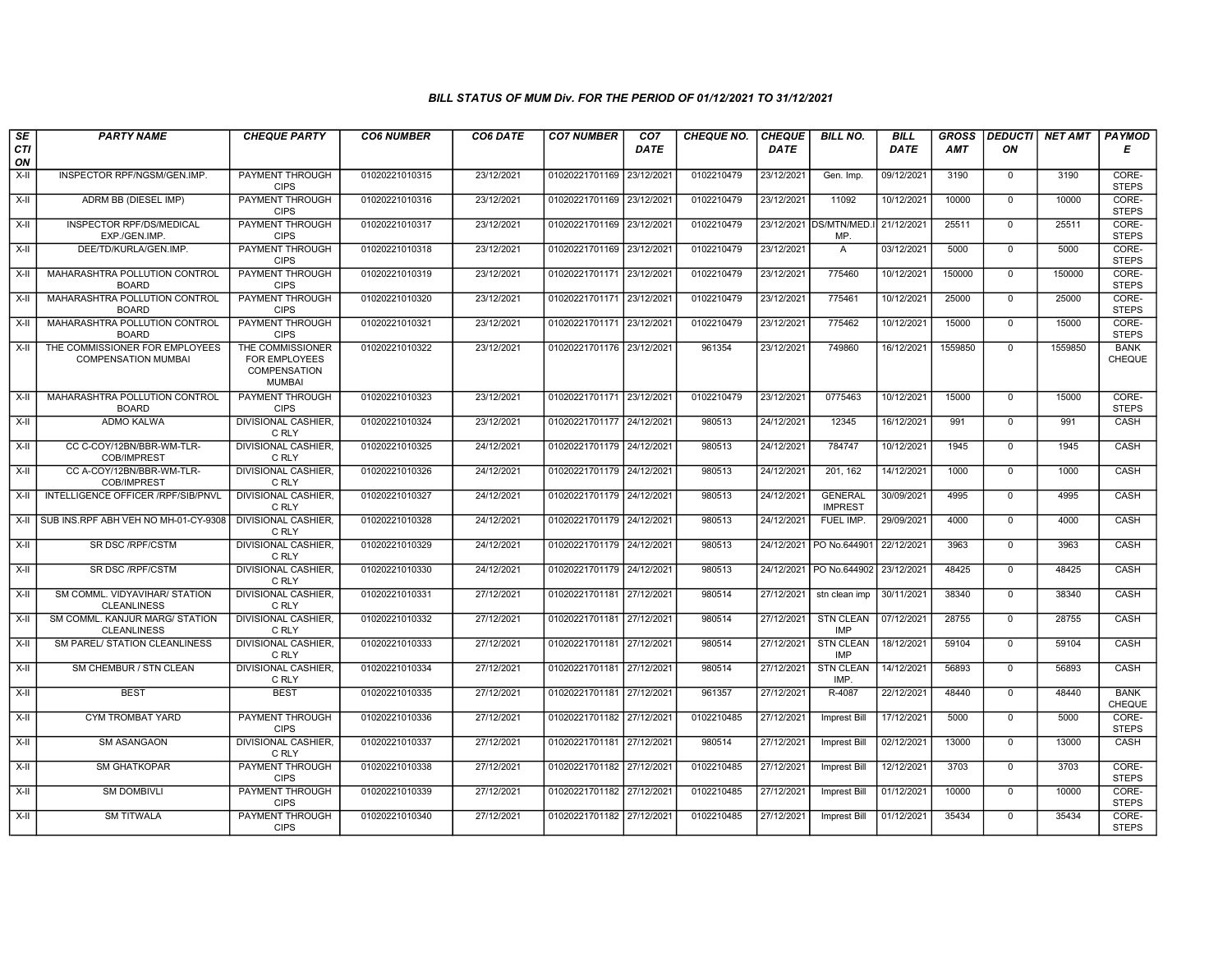| SE               | <b>PARTY NAME</b>                                            | <b>CHEQUE PARTY</b>                                                | <b>CO6 NUMBER</b> | CO6 DATE   | <b>CO7 NUMBER</b>         | CO <sub>7</sub> | <b>CHEQUE NO.</b> | <b>CHEQUE</b> | <b>BILL NO.</b>                  | <b>BILL</b> | <b>GROSS</b> | <b>DEDUCTI</b> | <b>NET AMT</b> | PAYMOD                       |
|------------------|--------------------------------------------------------------|--------------------------------------------------------------------|-------------------|------------|---------------------------|-----------------|-------------------|---------------|----------------------------------|-------------|--------------|----------------|----------------|------------------------------|
| <b>CTI</b><br>ON |                                                              |                                                                    |                   |            |                           | <b>DATE</b>     |                   | <b>DATE</b>   |                                  | DATE        | <b>AMT</b>   | ON             |                | Е                            |
| X-II             | INSPECTOR RPF/NGSM/GEN.IMP.                                  | <b>PAYMENT THROUGH</b><br><b>CIPS</b>                              | 01020221010315    | 23/12/2021 | 01020221701169            | 23/12/2021      | 0102210479        | 23/12/2021    | Gen. Imp.                        | 09/12/2021  | 3190         | $\mathbf{0}$   | 3190           | CORE-<br><b>STEPS</b>        |
| $X-H$            | ADRM BB (DIESEL IMP)                                         | <b>PAYMENT THROUGH</b><br><b>CIPS</b>                              | 01020221010316    | 23/12/2021 | 01020221701169 23/12/2021 |                 | 0102210479        | 23/12/2021    | 11092                            | 10/12/2021  | 10000        | $\mathbf 0$    | 10000          | CORE-<br><b>STEPS</b>        |
| X-II             | <b>INSPECTOR RPF/DS/MEDICAL</b><br>EXP./GEN.IMP              | PAYMENT THROUGH<br><b>CIPS</b>                                     | 01020221010317    | 23/12/2021 | 01020221701169 23/12/2021 |                 | 0102210479        |               | 23/12/2021 DS/MTN/MED.<br>MP.    | 21/12/2021  | 25511        | $\Omega$       | 25511          | CORE-<br><b>STEPS</b>        |
| $X-II$           | DEE/TD/KURLA/GEN.IMP.                                        | PAYMENT THROUGH<br><b>CIPS</b>                                     | 01020221010318    | 23/12/2021 | 01020221701169 23/12/2021 |                 | 0102210479        | 23/12/2021    | A                                | 03/12/2021  | 5000         | $\mathbf 0$    | 5000           | CORE-<br><b>STEPS</b>        |
| $X-H$            | MAHARASHTRA POLLUTION CONTROL<br><b>BOARD</b>                | <b>PAYMENT THROUGH</b><br><b>CIPS</b>                              | 01020221010319    | 23/12/2021 | 01020221701171 23/12/2021 |                 | 0102210479        | 23/12/2021    | 775460                           | 10/12/2021  | 150000       | $\mathbf 0$    | 150000         | CORE-<br><b>STEPS</b>        |
| $X-II$           | MAHARASHTRA POLLUTION CONTROL<br><b>BOARD</b>                | <b>PAYMENT THROUGH</b><br><b>CIPS</b>                              | 01020221010320    | 23/12/2021 | 01020221701171 23/12/2021 |                 | 0102210479        | 23/12/2021    | 775461                           | 10/12/2021  | 25000        | $\mathbf 0$    | 25000          | CORE-<br><b>STEPS</b>        |
| $X-II$           | MAHARASHTRA POLLUTION CONTROL<br><b>BOARD</b>                | PAYMENT THROUGH<br><b>CIPS</b>                                     | 01020221010321    | 23/12/2021 | 01020221701171 23/12/2021 |                 | 0102210479        | 23/12/2021    | 775462                           | 10/12/2021  | 15000        | $\mathbf{0}$   | 15000          | CORE-<br><b>STEPS</b>        |
| $X-H$            | THE COMMISSIONER FOR EMPLOYEES<br><b>COMPENSATION MUMBAI</b> | THE COMMISSIONER<br>FOR EMPLOYEES<br>COMPENSATION<br><b>MUMBAI</b> | 01020221010322    | 23/12/2021 | 01020221701176 23/12/2021 |                 | 961354            | 23/12/2021    | 749860                           | 16/12/2021  | 1559850      | $\overline{0}$ | 1559850        | <b>BANK</b><br>CHEQUE        |
| $X-II$           | MAHARASHTRA POLLUTION CONTROL<br><b>BOARD</b>                | PAYMENT THROUGH<br><b>CIPS</b>                                     | 01020221010323    | 23/12/2021 | 01020221701171 23/12/2021 |                 | 0102210479        | 23/12/2021    | 0775463                          | 10/12/2021  | 15000        | $\mathbf{0}$   | 15000          | CORE-<br><b>STEPS</b>        |
| $X-H$            | <b>ADMO KALWA</b>                                            | <b>DIVISIONAL CASHIER.</b><br>C RLY                                | 01020221010324    | 23/12/2021 | 01020221701177 24/12/2021 |                 | 980513            | 24/12/2021    | 12345                            | 16/12/2021  | 991          | $\overline{0}$ | 991            | CASH                         |
| $X-H$            | CC C-COY/12BN/BBR-WM-TLR-<br><b>COB/IMPREST</b>              | <b>DIVISIONAL CASHIER</b><br>C RLY                                 | 01020221010325    | 24/12/2021 | 01020221701179 24/12/2021 |                 | 980513            | 24/12/2021    | 784747                           | 10/12/2021  | 1945         | $\mathbf 0$    | 1945           | CASH                         |
| X-II             | CC A-COY/12BN/BBR-WM-TLR-<br>COB/IMPREST                     | <b>DIVISIONAL CASHIER,</b><br>C RLY                                | 01020221010326    | 24/12/2021 | 01020221701179 24/12/2021 |                 | 980513            | 24/12/2021    | 201, 162                         | 14/12/2021  | 1000         | $\mathbf{0}$   | 1000           | CASH                         |
| $X-II$           | INTELLIGENCE OFFICER /RPF/SIB/PNVL                           | <b>DIVISIONAL CASHIER</b><br>C RLY                                 | 01020221010327    | 24/12/2021 | 01020221701179 24/12/2021 |                 | 980513            | 24/12/2021    | <b>GENERAL</b><br><b>IMPREST</b> | 30/09/2021  | 4995         | $\mathbf 0$    | 4995           | CASH                         |
| $X-H$            | SUB INS.RPF ABH VEH NO MH-01-CY-9308                         | <b>DIVISIONAL CASHIER.</b><br>C RLY                                | 01020221010328    | 24/12/2021 | 01020221701179 24/12/2021 |                 | 980513            | 24/12/2021    | FUEL IMP.                        | 29/09/2021  | 4000         | $\Omega$       | 4000           | CASH                         |
| X-II             | SR DSC /RPF/CSTM                                             | <b>DIVISIONAL CASHIER,</b><br>C RLY                                | 01020221010329    | 24/12/2021 | 01020221701179 24/12/2021 |                 | 980513            | 24/12/2021    | PO No.644901                     | 22/12/2021  | 3963         | $\mathbf{0}$   | 3963           | CASH                         |
| $X-H$            | SR DSC /RPF/CSTM                                             | <b>DIVISIONAL CASHIER.</b><br>C RLY                                | 01020221010330    | 24/12/2021 | 01020221701179 24/12/2021 |                 | 980513            | 24/12/2021    | PO No.644902                     | 23/12/2021  | 48425        | $\Omega$       | 48425          | CASH                         |
| X-II             | SM COMML. VIDYAVIHAR/ STATION<br><b>CLEANLINESS</b>          | <b>DIVISIONAL CASHIER</b><br>C RLY                                 | 01020221010331    | 27/12/2021 | 01020221701181 27/12/2021 |                 | 980514            | 27/12/2021    | stn clean imp                    | 30/11/2021  | 38340        | $\Omega$       | 38340          | CASH                         |
| $X-II$           | SM COMML. KANJUR MARG/ STATION<br><b>CLEANLINESS</b>         | <b>DIVISIONAL CASHIER</b><br>C RLY                                 | 01020221010332    | 27/12/2021 | 01020221701181 27/12/2021 |                 | 980514            | 27/12/2021    | <b>STN CLEAN</b><br><b>IMP</b>   | 07/12/2021  | 28755        | $\mathbf{0}$   | 28755          | CASH                         |
| $X-H$            | <b>SM PAREL/ STATION CLEANLINESS</b>                         | <b>DIVISIONAL CASHIER.</b><br>C RLY                                | 01020221010333    | 27/12/2021 | 01020221701181 27/12/2021 |                 | 980514            | 27/12/2021    | <b>STN CLEAN</b><br>IMP          | 18/12/2021  | 59104        | $\Omega$       | 59104          | CASH                         |
| X-II             | SM CHEMBUR / STN CLEAN                                       | <b>DIVISIONAL CASHIER</b><br>C RLY                                 | 01020221010334    | 27/12/2021 | 01020221701181 27/12/2021 |                 | 980514            | 27/12/2021    | <b>STN CLEAN</b><br>IMP.         | 14/12/2021  | 56893        | $\mathbf 0$    | 56893          | CASH                         |
| X-II             | <b>BEST</b>                                                  | <b>BEST</b>                                                        | 01020221010335    | 27/12/2021 | 01020221701181 27/12/2021 |                 | 961357            | 27/12/2021    | R-4087                           | 22/12/2021  | 48440        | $\mathbf{0}$   | 48440          | <b>BANK</b><br><b>CHEQUE</b> |
| $X-II$           | CYM TROMBAT YARD                                             | PAYMENT THROUGH<br><b>CIPS</b>                                     | 01020221010336    | 27/12/2021 | 01020221701182 27/12/2021 |                 | 0102210485        | 27/12/2021    | <b>Imprest Bill</b>              | 17/12/2021  | 5000         | $\overline{0}$ | 5000           | CORE-<br><b>STEPS</b>        |
| $X-II$           | <b>SM ASANGAON</b>                                           | <b>DIVISIONAL CASHIER,</b><br>C RLY                                | 01020221010337    | 27/12/2021 | 01020221701181 27/12/2021 |                 | 980514            | 27/12/2021    | <b>Imprest Bill</b>              | 02/12/2021  | 13000        | $\mathbf 0$    | 13000          | CASH                         |
| $X-H$            | <b>SM GHATKOPAR</b>                                          | <b>PAYMENT THROUGH</b><br><b>CIPS</b>                              | 01020221010338    | 27/12/2021 | 01020221701182 27/12/2021 |                 | 0102210485        | 27/12/2021    | <b>Imprest Bill</b>              | 12/12/2021  | 3703         | $\mathbf{0}$   | 3703           | CORE-<br><b>STEPS</b>        |
| X-II             | <b>SM DOMBIVLI</b>                                           | <b>PAYMENT THROUGH</b><br><b>CIPS</b>                              | 01020221010339    | 27/12/2021 | 01020221701182 27/12/2021 |                 | 0102210485        | 27/12/2021    | <b>Imprest Bill</b>              | 01/12/2021  | 10000        | $\mathbf{0}$   | 10000          | CORE-<br><b>STEPS</b>        |
| $X-H$            | <b>SM TITWALA</b>                                            | PAYMENT THROUGH<br><b>CIPS</b>                                     | 01020221010340    | 27/12/2021 | 01020221701182 27/12/2021 |                 | 0102210485        | 27/12/2021    | <b>Imprest Bill</b>              | 01/12/2021  | 35434        | $\mathbf{0}$   | 35434          | CORE-<br><b>STEPS</b>        |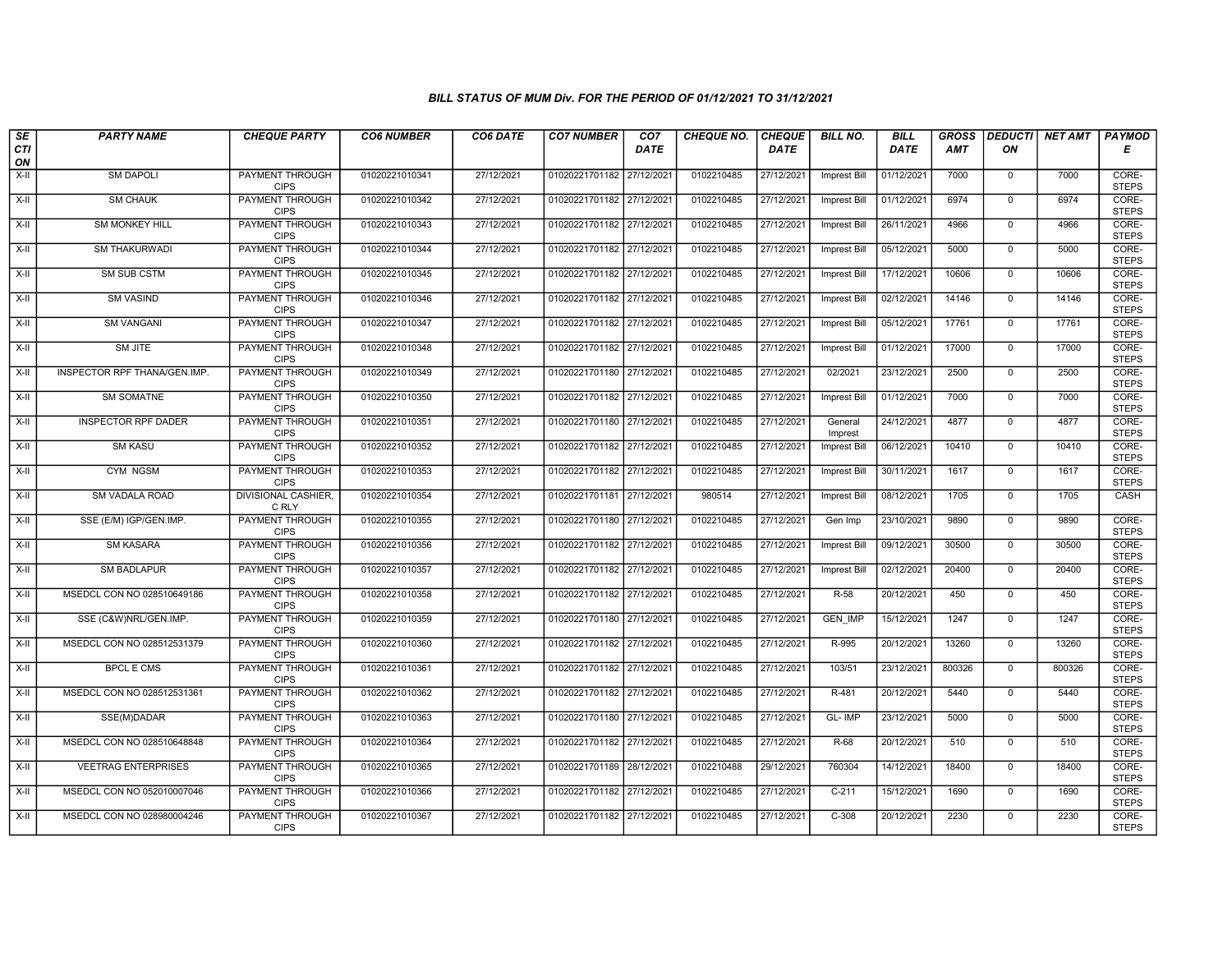| SE        | <b>PARTY NAME</b>            | <b>CHEQUE PARTY</b>                   | <b>CO6 NUMBER</b> | CO6 DATE   | <b>CO7 NUMBER</b>         | CO7         | <b>CHEQUE NO.</b> | <b>CHEQUE</b> | <b>BILL NO.</b>     | <b>BILL</b> | <b>GROSS</b> | <b>DEDUCTI</b> | <b>NET AMT</b> | <b>PAYMOD</b>         |
|-----------|------------------------------|---------------------------------------|-------------------|------------|---------------------------|-------------|-------------------|---------------|---------------------|-------------|--------------|----------------|----------------|-----------------------|
| CTI<br>ON |                              |                                       |                   |            |                           | <b>DATE</b> |                   | <b>DATE</b>   |                     | DATE        | AMT          | ON             |                | Е                     |
| $X-H$     | <b>SM DAPOLI</b>             | <b>PAYMENT THROUGH</b><br><b>CIPS</b> | 01020221010341    | 27/12/2021 | 01020221701182 27/12/2021 |             | 0102210485        | 27/12/2021    | <b>Imprest Bill</b> | 01/12/2021  | 7000         | $\mathbf 0$    | 7000           | CORE-<br><b>STEPS</b> |
| $X-H$     | <b>SM CHAUK</b>              | PAYMENT THROUGH<br><b>CIPS</b>        | 01020221010342    | 27/12/2021 | 01020221701182 27/12/2021 |             | 0102210485        | 27/12/2021    | <b>Imprest Bill</b> | 01/12/2021  | 6974         | $\overline{0}$ | 6974           | CORE-<br><b>STEPS</b> |
| X-II      | <b>SM MONKEY HILL</b>        | PAYMENT THROUGH<br><b>CIPS</b>        | 01020221010343    | 27/12/2021 | 01020221701182 27/12/2021 |             | 0102210485        | 27/12/2021    | <b>Imprest Bill</b> | 26/11/2021  | 4966         | $\mathbf 0$    | 4966           | CORE-<br><b>STEPS</b> |
| $X-II$    | SM THAKURWADI                | PAYMENT THROUGH<br><b>CIPS</b>        | 01020221010344    | 27/12/2021 | 01020221701182 27/12/2021 |             | 0102210485        | 27/12/2021    | <b>Imprest Bill</b> | 05/12/2021  | 5000         | $\mathbf 0$    | 5000           | CORE-<br><b>STEPS</b> |
| $X-H$     | SM SUB CSTM                  | <b>PAYMENT THROUGH</b><br><b>CIPS</b> | 01020221010345    | 27/12/2021 | 01020221701182 27/12/2021 |             | 0102210485        | 27/12/2021    | <b>Imprest Bill</b> | 17/12/2021  | 10606        | $\mathsf{O}$   | 10606          | CORE-<br><b>STEPS</b> |
| X-II      | <b>SM VASIND</b>             | <b>PAYMENT THROUGH</b><br><b>CIPS</b> | 01020221010346    | 27/12/2021 | 01020221701182 27/12/2021 |             | 0102210485        | 27/12/2021    | Imprest Bill        | 02/12/2021  | 14146        | $\mathbf 0$    | 14146          | CORE-<br><b>STEPS</b> |
| X-II      | <b>SM VANGANI</b>            | PAYMENT THROUGH<br><b>CIPS</b>        | 01020221010347    | 27/12/2021 | 01020221701182 27/12/2021 |             | 0102210485        | 27/12/2021    | <b>Imprest Bill</b> | 05/12/2021  | 17761        | $\mathbf 0$    | 17761          | CORE-<br><b>STEPS</b> |
| $X-H$     | SM JITE                      | <b>PAYMENT THROUGH</b><br><b>CIPS</b> | 01020221010348    | 27/12/2021 | 01020221701182 27/12/2021 |             | 0102210485        | 27/12/2021    | <b>Imprest Bill</b> | 01/12/2021  | 17000        | $\overline{0}$ | 17000          | CORE-<br><b>STEPS</b> |
| X-II      | INSPECTOR RPF THANA/GEN.IMP. | <b>PAYMENT THROUGH</b><br><b>CIPS</b> | 01020221010349    | 27/12/2021 | 01020221701180 27/12/2021 |             | 0102210485        | 27/12/2021    | 02/2021             | 23/12/2021  | 2500         | $\mathbf 0$    | 2500           | CORE-<br><b>STEPS</b> |
| $X-H$     | <b>SM SOMATNE</b>            | <b>PAYMENT THROUGH</b><br><b>CIPS</b> | 01020221010350    | 27/12/2021 | 01020221701182 27/12/2021 |             | 0102210485        | 27/12/2021    | Imprest Bill        | 01/12/2021  | 7000         | $\overline{0}$ | 7000           | CORE-<br><b>STEPS</b> |
| X-II      | INSPECTOR RPF DADER          | PAYMENT THROUGH<br><b>CIPS</b>        | 01020221010351    | 27/12/2021 | 01020221701180 27/12/2021 |             | 0102210485        | 27/12/2021    | General<br>Imprest  | 24/12/2021  | 4877         | $\mathbf 0$    | 4877           | CORE-<br><b>STEPS</b> |
| $X-H$     | <b>SM KASU</b>               | <b>PAYMENT THROUGH</b><br><b>CIPS</b> | 01020221010352    | 27/12/2021 | 01020221701182 27/12/2021 |             | 0102210485        | 27/12/2021    | <b>Imprest Bill</b> | 06/12/2021  | 10410        | $\overline{0}$ | 10410          | CORE-<br><b>STEPS</b> |
| $X-H$     | CYM NGSM                     | <b>PAYMENT THROUGH</b><br><b>CIPS</b> | 01020221010353    | 27/12/2021 | 01020221701182 27/12/2021 |             | 0102210485        | 27/12/2021    | <b>Imprest Bill</b> | 30/11/2021  | 1617         | $\mathbf{0}$   | 1617           | CORE-<br><b>STEPS</b> |
| $X-H$     | <b>SM VADALA ROAD</b>        | <b>DIVISIONAL CASHIER,</b><br>C RLY   | 01020221010354    | 27/12/2021 | 01020221701181 27/12/2021 |             | 980514            | 27/12/2021    | <b>Imprest Bill</b> | 08/12/2021  | 1705         | $\overline{0}$ | 1705           | <b>CASH</b>           |
| X-II      | SSE (E/M) IGP/GEN.IMP.       | PAYMENT THROUGH<br><b>CIPS</b>        | 01020221010355    | 27/12/2021 | 01020221701180 27/12/2021 |             | 0102210485        | 27/12/2021    | Gen Imp             | 23/10/2021  | 9890         | $\mathbf 0$    | 9890           | CORE-<br><b>STEPS</b> |
| X-II      | SM KASARA                    | PAYMENT THROUGH<br><b>CIPS</b>        | 01020221010356    | 27/12/2021 | 01020221701182 27/12/2021 |             | 0102210485        | 27/12/2021    | Imprest Bill        | 09/12/2021  | 30500        | $\mathbf{0}$   | 30500          | CORE-<br><b>STEPS</b> |
| $X-H$     | <b>SM BADLAPUR</b>           | <b>PAYMENT THROUGH</b><br><b>CIPS</b> | 01020221010357    | 27/12/2021 | 01020221701182 27/12/2021 |             | 0102210485        | 27/12/2021    | Imprest Bill        | 02/12/2021  | 20400        | $\overline{0}$ | 20400          | CORE-<br><b>STEPS</b> |
| X-II      | MSEDCL CON NO 028510649186   | <b>PAYMENT THROUGH</b><br><b>CIPS</b> | 01020221010358    | 27/12/2021 | 01020221701182 27/12/2021 |             | 0102210485        | 27/12/2021    | $R-58$              | 20/12/2021  | 450          | $\mathbf{0}$   | 450            | CORE-<br><b>STEPS</b> |
| X-II      | SSE (C&W)NRL/GEN.IMP.        | PAYMENT THROUGH<br><b>CIPS</b>        | 01020221010359    | 27/12/2021 | 01020221701180 27/12/2021 |             | 0102210485        | 27/12/2021    | GEN_IMP             | 15/12/2021  | 1247         | $\mathsf{O}$   | 1247           | CORE-<br><b>STEPS</b> |
| $X-H$     | MSEDCL CON NO 028512531379   | PAYMENT THROUGH<br><b>CIPS</b>        | 01020221010360    | 27/12/2021 | 01020221701182 27/12/2021 |             | 0102210485        | 27/12/2021    | R-995               | 20/12/2021  | 13260        | $\overline{0}$ | 13260          | CORE-<br><b>STEPS</b> |
| X-II      | <b>BPCL E CMS</b>            | PAYMENT THROUGH<br><b>CIPS</b>        | 01020221010361    | 27/12/2021 | 01020221701182 27/12/2021 |             | 0102210485        | 27/12/2021    | 103/51              | 23/12/2021  | 800326       | $\mathbf 0$    | 800326         | CORE-<br><b>STEPS</b> |
| X-II      | MSEDCL CON NO 028512531361   | <b>PAYMENT THROUGH</b><br><b>CIPS</b> | 01020221010362    | 27/12/2021 | 01020221701182 27/12/2021 |             | 0102210485        | 27/12/2021    | R-481               | 20/12/2021  | 5440         | $\mathbf 0$    | 5440           | CORE-<br><b>STEPS</b> |
| X-II      | SSE(M)DADAR                  | PAYMENT THROUGH<br><b>CIPS</b>        | 01020221010363    | 27/12/2021 | 01020221701180 27/12/2021 |             | 0102210485        | 27/12/2021    | GL-IMP              | 23/12/2021  | 5000         | $\mathbf 0$    | 5000           | CORE-<br><b>STEPS</b> |
| X-II      | MSEDCL CON NO 028510648848   | PAYMENT THROUGH<br><b>CIPS</b>        | 01020221010364    | 27/12/2021 | 01020221701182 27/12/2021 |             | 0102210485        | 27/12/2021    | R-68                | 20/12/2021  | 510          | $\mathbf 0$    | 510            | CORE-<br><b>STEPS</b> |
| $X-H$     | <b>VEETRAG ENTERPRISES</b>   | PAYMENT THROUGH<br><b>CIPS</b>        | 01020221010365    | 27/12/2021 | 01020221701189 28/12/2021 |             | 0102210488        | 29/12/2021    | 760304              | 14/12/2021  | 18400        | $\overline{0}$ | 18400          | CORE-<br><b>STEPS</b> |
| $X-H$     | MSEDCL CON NO 052010007046   | <b>PAYMENT THROUGH</b><br><b>CIPS</b> | 01020221010366    | 27/12/2021 | 01020221701182 27/12/2021 |             | 0102210485        | 27/12/2021    | $C-211$             | 15/12/2021  | 1690         | $\overline{0}$ | 1690           | CORE-<br><b>STEPS</b> |
| $X-H$     | MSEDCL CON NO 028980004246   | PAYMENT THROUGH<br><b>CIPS</b>        | 01020221010367    | 27/12/2021 | 01020221701182 27/12/2021 |             | 0102210485        | 27/12/2021    | $C-308$             | 20/12/2021  | 2230         | $\overline{0}$ | 2230           | CORE-<br><b>STEPS</b> |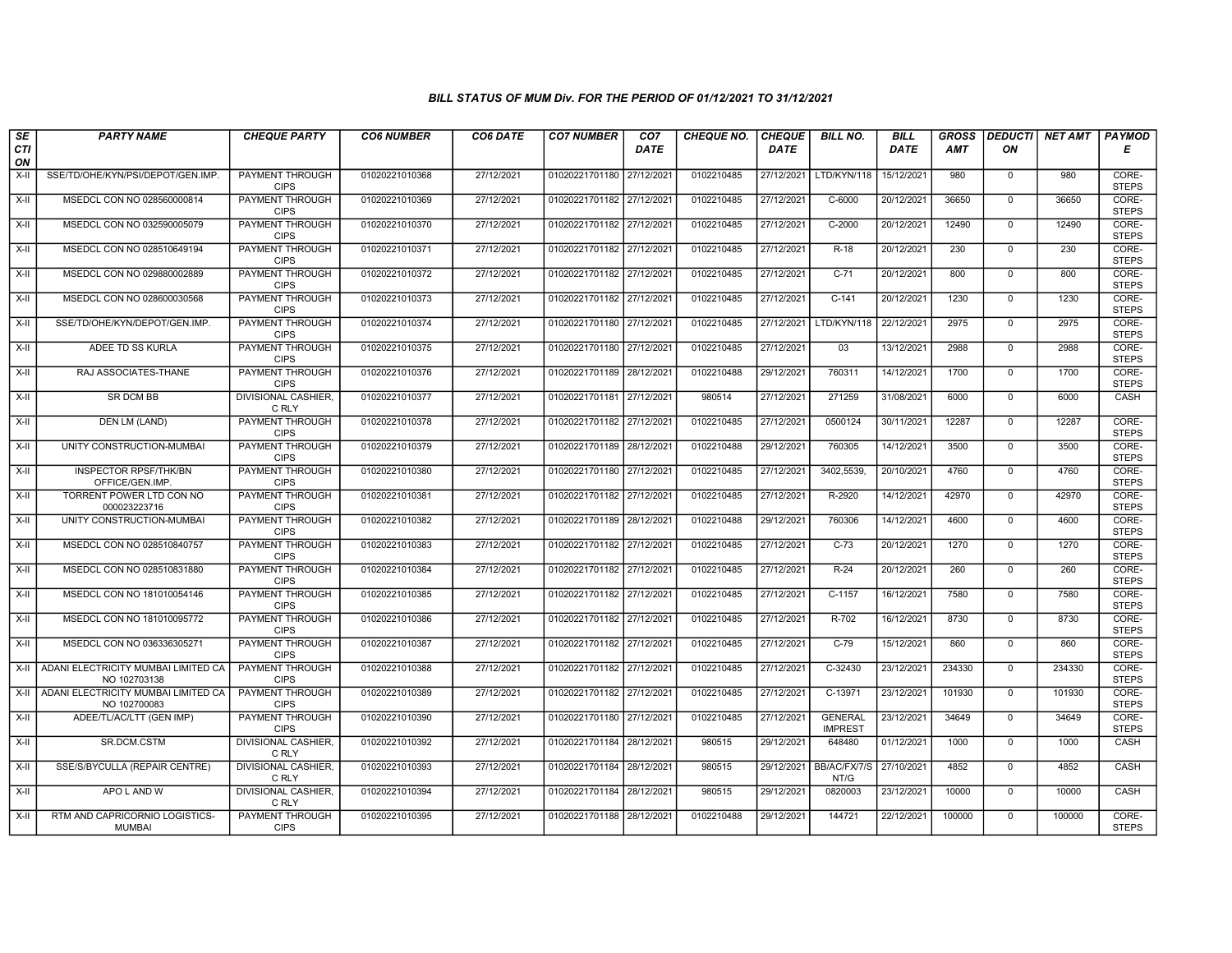| SE               | <b>PARTY NAME</b>                                   | <b>CHEQUE PARTY</b>                   | <b>CO6 NUMBER</b> | CO6 DATE   | <b>CO7 NUMBER</b>         | CO7         | <b>CHEQUE NO.</b> | <b>CHEQUE</b> | <b>BILL NO.</b>                  | <b>BILL</b> | <b>GROSS</b> |                | DEDUCTI NET AMT | <b>PAYMOD</b>         |
|------------------|-----------------------------------------------------|---------------------------------------|-------------------|------------|---------------------------|-------------|-------------------|---------------|----------------------------------|-------------|--------------|----------------|-----------------|-----------------------|
| <b>CTI</b><br>ON |                                                     |                                       |                   |            |                           | <b>DATE</b> |                   | <b>DATE</b>   |                                  | DATE        | <b>AMT</b>   | ON             |                 | Е                     |
| $X-H$            | SSE/TD/OHE/KYN/PSI/DEPOT/GEN.IMP.                   | <b>PAYMENT THROUGH</b><br><b>CIPS</b> | 01020221010368    | 27/12/2021 | 01020221701180 27/12/2021 |             | 0102210485        | 27/12/2021    | LTD/KYN/118                      | 15/12/2021  | 980          | $\mathbf 0$    | 980             | CORE-<br><b>STEPS</b> |
| $X-H$            | MSEDCL CON NO 028560000814                          | <b>PAYMENT THROUGH</b><br><b>CIPS</b> | 01020221010369    | 27/12/2021 | 01020221701182 27/12/2021 |             | 0102210485        | 27/12/2021    | $C - 6000$                       | 20/12/2021  | 36650        | $\mathbf 0$    | 36650           | CORE-<br><b>STEPS</b> |
| X-II             | MSEDCL CON NO 032590005079                          | PAYMENT THROUGH<br><b>CIPS</b>        | 01020221010370    | 27/12/2021 | 01020221701182 27/12/2021 |             | 0102210485        | 27/12/2021    | C-2000                           | 20/12/2021  | 12490        | $\mathbf 0$    | 12490           | CORE-<br><b>STEPS</b> |
| $X-H$            | MSEDCL CON NO 028510649194                          | <b>PAYMENT THROUGH</b><br><b>CIPS</b> | 01020221010371    | 27/12/2021 | 01020221701182 27/12/2021 |             | 0102210485        | 27/12/2021    | $R-18$                           | 20/12/2021  | 230          | $\overline{0}$ | 230             | CORE-<br><b>STEPS</b> |
| X-II             | MSEDCL CON NO 029880002889                          | <b>PAYMENT THROUGH</b><br><b>CIPS</b> | 01020221010372    | 27/12/2021 | 01020221701182 27/12/2021 |             | 0102210485        | 27/12/2021    | $C-71$                           | 20/12/2021  | 800          | $\mathbf{0}$   | 800             | CORE-<br><b>STEPS</b> |
| X-II             | MSEDCL CON NO 028600030568                          | <b>PAYMENT THROUGH</b><br><b>CIPS</b> | 01020221010373    | 27/12/2021 | 01020221701182 27/12/2021 |             | 0102210485        | 27/12/2021    | $C-141$                          | 20/12/2021  | 1230         | $\mathbf{0}$   | 1230            | CORE-<br><b>STEPS</b> |
| X-II             | SSE/TD/OHE/KYN/DEPOT/GEN.IMP.                       | PAYMENT THROUGH<br><b>CIPS</b>        | 01020221010374    | 27/12/2021 | 01020221701180 27/12/2021 |             | 0102210485        | 27/12/2021    | LTD/KYN/118                      | 22/12/2021  | 2975         | $\Omega$       | 2975            | CORE-<br><b>STEPS</b> |
| X-II             | ADEE TD SS KURLA                                    | <b>PAYMENT THROUGH</b><br><b>CIPS</b> | 01020221010375    | 27/12/2021 | 01020221701180 27/12/2021 |             | 0102210485        | 27/12/2021    | 03                               | 13/12/2021  | 2988         | $\mathbf 0$    | 2988            | CORE-<br><b>STEPS</b> |
| $X-H$            | RAJ ASSOCIATES-THANE                                | <b>PAYMENT THROUGH</b><br><b>CIPS</b> | 01020221010376    | 27/12/2021 | 01020221701189 28/12/2021 |             | 0102210488        | 29/12/2021    | 760311                           | 14/12/2021  | 1700         | $\overline{0}$ | 1700            | CORE-<br><b>STEPS</b> |
| X-II             | <b>SR DCM BB</b>                                    | <b>DIVISIONAL CASHIER,</b><br>C RLY   | 01020221010377    | 27/12/2021 | 01020221701181 27/12/2021 |             | 980514            | 27/12/2021    | 271259                           | 31/08/2021  | 6000         | $\mathbf 0$    | 6000            | CASH                  |
| X-II             | DEN LM (LAND)                                       | PAYMENT THROUGH<br><b>CIPS</b>        | 01020221010378    | 27/12/2021 | 01020221701182 27/12/2021 |             | 0102210485        | 27/12/2021    | 0500124                          | 30/11/2021  | 12287        | $\mathbf{0}$   | 12287           | CORE-<br><b>STEPS</b> |
| X-II             | UNITY CONSTRUCTION-MUMBAI                           | PAYMENT THROUGH<br><b>CIPS</b>        | 01020221010379    | 27/12/2021 | 01020221701189 28/12/2021 |             | 0102210488        | 29/12/2021    | 760305                           | 14/12/2021  | 3500         | $\Omega$       | 3500            | CORE-<br><b>STEPS</b> |
| X-II             | INSPECTOR RPSF/THK/BN<br>OFFICE/GEN.IMP.            | <b>PAYMENT THROUGH</b><br><b>CIPS</b> | 01020221010380    | 27/12/2021 | 01020221701180 27/12/2021 |             | 0102210485        | 27/12/2021    | 3402,5539,                       | 20/10/2021  | 4760         | $\mathbf 0$    | 4760            | CORE-<br><b>STEPS</b> |
| $X-H$            | TORRENT POWER LTD CON NO<br>000023223716            | <b>PAYMENT THROUGH</b><br><b>CIPS</b> | 01020221010381    | 27/12/2021 | 01020221701182 27/12/2021 |             | 0102210485        | 27/12/2021    | R-2920                           | 14/12/2021  | 42970        | $\mathbf{0}$   | 42970           | CORE-<br><b>STEPS</b> |
| $X-H$            | UNITY CONSTRUCTION-MUMBAI                           | PAYMENT THROUGH<br><b>CIPS</b>        | 01020221010382    | 27/12/2021 | 01020221701189 28/12/2021 |             | 0102210488        | 29/12/2021    | 760306                           | 14/12/2021  | 4600         | $\mathbf 0$    | 4600            | CORE-<br><b>STEPS</b> |
| $X-H$            | MSEDCL CON NO 028510840757                          | <b>PAYMENT THROUGH</b><br><b>CIPS</b> | 01020221010383    | 27/12/2021 | 01020221701182 27/12/2021 |             | 0102210485        | 27/12/2021    | $C-73$                           | 20/12/2021  | 1270         | $\overline{0}$ | 1270            | CORE-<br><b>STEPS</b> |
| X-II             | MSEDCL CON NO 028510831880                          | <b>PAYMENT THROUGH</b><br><b>CIPS</b> | 01020221010384    | 27/12/2021 | 01020221701182 27/12/2021 |             | 0102210485        | 27/12/2021    | $R-24$                           | 20/12/2021  | 260          | $\mathbf 0$    | 260             | CORE-<br><b>STEPS</b> |
| X-II             | MSEDCL CON NO 181010054146                          | <b>PAYMENT THROUGH</b><br><b>CIPS</b> | 01020221010385    | 27/12/2021 | 01020221701182 27/12/2021 |             | 0102210485        | 27/12/2021    | $C-1157$                         | 16/12/2021  | 7580         | $\mathbf 0$    | 7580            | CORE-<br><b>STEPS</b> |
| $X-H$            | MSEDCL CON NO 181010095772                          | PAYMENT THROUGH<br><b>CIPS</b>        | 01020221010386    | 27/12/2021 | 01020221701182 27/12/2021 |             | 0102210485        | 27/12/2021    | $R-702$                          | 16/12/2021  | 8730         | $\Omega$       | 8730            | CORE-<br><b>STEPS</b> |
| X-II             | MSEDCL CON NO 036336305271                          | PAYMENT THROUGH<br><b>CIPS</b>        | 01020221010387    | 27/12/2021 | 01020221701182 27/12/2021 |             | 0102210485        | 27/12/2021    | $C-79$                           | 15/12/2021  | 860          | $\mathbf 0$    | 860             | CORE-<br><b>STEPS</b> |
| $X-II$           | ADANI ELECTRICITY MUMBAI LIMITED CA<br>NO 102703138 | <b>PAYMENT THROUGH</b><br><b>CIPS</b> | 01020221010388    | 27/12/2021 | 01020221701182 27/12/2021 |             | 0102210485        | 27/12/2021    | C-32430                          | 23/12/2021  | 234330       | $\overline{0}$ | 234330          | CORE-<br><b>STEPS</b> |
| X-II             | ADANI ELECTRICITY MUMBAI LIMITED CA<br>NO 102700083 | <b>PAYMENT THROUGH</b><br><b>CIPS</b> | 01020221010389    | 27/12/2021 | 01020221701182 27/12/2021 |             | 0102210485        | 27/12/2021    | $C-13971$                        | 23/12/2021  | 101930       | $\mathbf{0}$   | 101930          | CORE-<br><b>STEPS</b> |
| X-II             | ADEE/TL/AC/LTT (GEN IMP)                            | PAYMENT THROUGH<br><b>CIPS</b>        | 01020221010390    | 27/12/2021 | 01020221701180 27/12/2021 |             | 0102210485        | 27/12/2021    | <b>GENERAL</b><br><b>IMPREST</b> | 23/12/2021  | 34649        | $\mathbf 0$    | 34649           | CORE-<br><b>STEPS</b> |
| X-II             | SR.DCM.CSTM                                         | DIVISIONAL CASHIER,<br>C RLY          | 01020221010392    | 27/12/2021 | 01020221701184 28/12/2021 |             | 980515            | 29/12/2021    | 648480                           | 01/12/2021  | 1000         | $\Omega$       | 1000            | CASH                  |
| X-II             | SSE/S/BYCULLA (REPAIR CENTRE)                       | DIVISIONAL CASHIER,<br>C RLY          | 01020221010393    | 27/12/2021 | 01020221701184 28/12/2021 |             | 980515            | 29/12/2021    | BB/AC/FX/7/S<br>NT/G             | 27/10/2021  | 4852         | $\mathbf 0$    | 4852            | <b>CASH</b>           |
| $X-H$            | APO L AND W                                         | <b>DIVISIONAL CASHIER,</b><br>C RLY   | 01020221010394    | 27/12/2021 | 01020221701184 28/12/2021 |             | 980515            | 29/12/2021    | 0820003                          | 23/12/2021  | 10000        | 0              | 10000           | CASH                  |
| X-II             | RTM AND CAPRICORNIO LOGISTICS-<br><b>MUMBAI</b>     | PAYMENT THROUGH<br><b>CIPS</b>        | 01020221010395    | 27/12/2021 | 01020221701188 28/12/2021 |             | 0102210488        | 29/12/2021    | 144721                           | 22/12/2021  | 100000       | $\mathbf 0$    | 100000          | CORE-<br><b>STEPS</b> |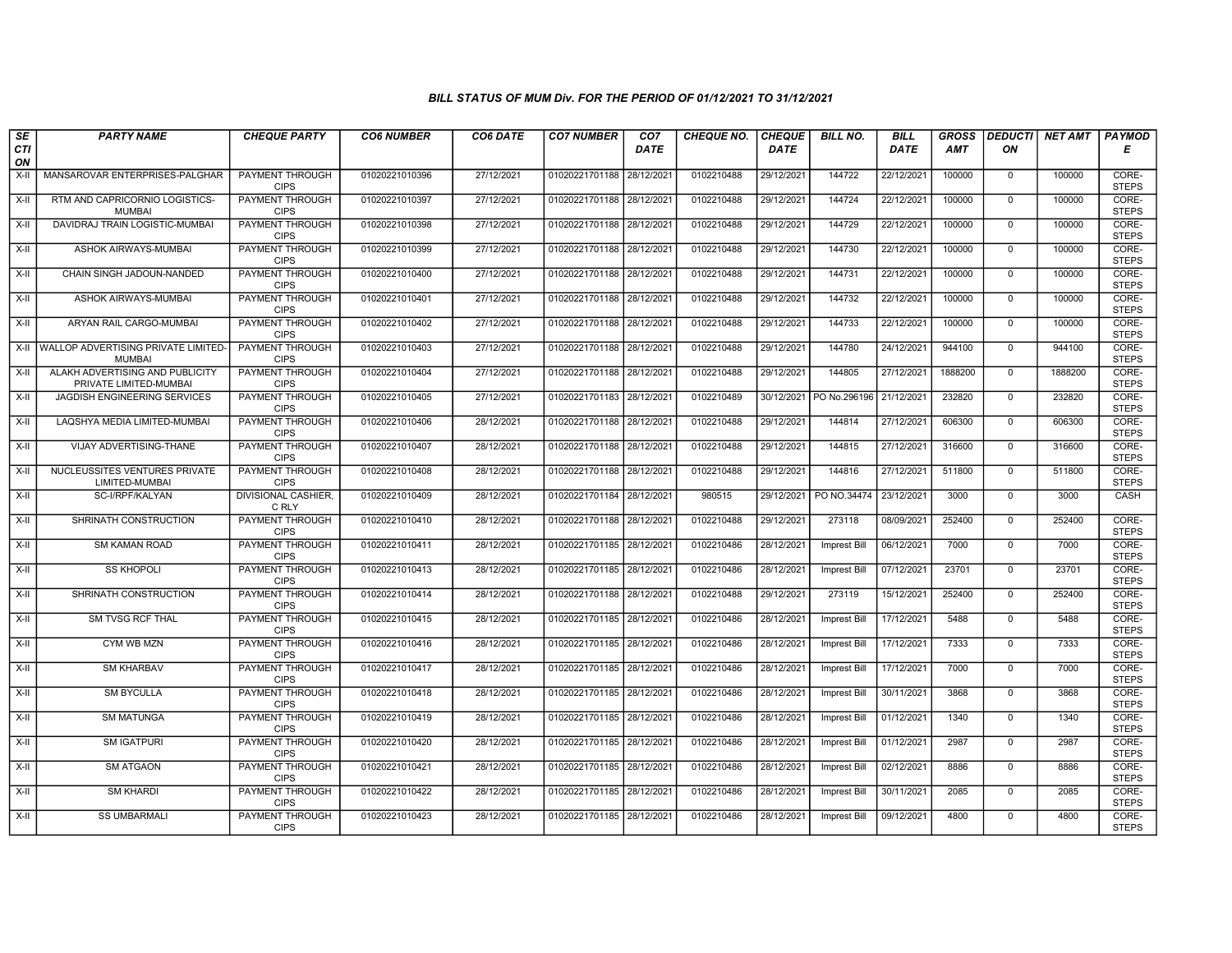| SE               | <b>PARTY NAME</b>                                         | <b>CHEQUE PARTY</b>                   | <b>CO6 NUMBER</b> | CO6 DATE   | <b>CO7 NUMBER</b>         | CO <sub>7</sub> | <b>CHEQUE NO.</b> | <b>CHEQUE</b> | <b>BILL NO.</b>         | <b>BILL</b> | <b>GROSS</b> |                | DEDUCTI NET AMT | <b>PAYMOD</b>         |
|------------------|-----------------------------------------------------------|---------------------------------------|-------------------|------------|---------------------------|-----------------|-------------------|---------------|-------------------------|-------------|--------------|----------------|-----------------|-----------------------|
| <b>CTI</b><br>ON |                                                           |                                       |                   |            |                           | <b>DATE</b>     |                   | <b>DATE</b>   |                         | DATE        | <b>AMT</b>   | ON             |                 | Е                     |
| $X-II$           | MANSAROVAR ENTERPRISES-PALGHAR                            | <b>PAYMENT THROUGH</b><br><b>CIPS</b> | 01020221010396    | 27/12/2021 | 01020221701188            | 28/12/2021      | 0102210488        | 29/12/2021    | 144722                  | 22/12/2021  | 100000       | $\mathbf 0$    | 100000          | CORE-<br><b>STEPS</b> |
| $X-II$           | RTM AND CAPRICORNIO LOGISTICS-<br><b>MUMBAI</b>           | PAYMENT THROUGH<br><b>CIPS</b>        | 01020221010397    | 27/12/2021 | 01020221701188 28/12/2021 |                 | 0102210488        | 29/12/2021    | 144724                  | 22/12/2021  | 100000       | $\mathbf{0}$   | 100000          | CORE-<br><b>STEPS</b> |
| X-II             | DAVIDRAJ TRAIN LOGISTIC-MUMBA                             | PAYMENT THROUGH<br><b>CIPS</b>        | 01020221010398    | 27/12/2021 | 01020221701188 28/12/2021 |                 | 0102210488        | 29/12/2021    | 144729                  | 22/12/2021  | 100000       | $\mathbf 0$    | 100000          | CORE-<br><b>STEPS</b> |
| $X-II$           | ASHOK AIRWAYS-MUMBAI                                      | <b>PAYMENT THROUGH</b><br><b>CIPS</b> | 01020221010399    | 27/12/2021 | 01020221701188 28/12/2021 |                 | 0102210488        | 29/12/2021    | 144730                  | 22/12/2021  | 100000       | $\overline{0}$ | 100000          | CORE-<br><b>STEPS</b> |
| $X-H$            | CHAIN SINGH JADOUN-NANDED                                 | <b>PAYMENT THROUGH</b><br><b>CIPS</b> | 01020221010400    | 27/12/2021 | 01020221701188 28/12/2021 |                 | 0102210488        | 29/12/2021    | 144731                  | 22/12/2021  | 100000       | $\mathbf{0}$   | 100000          | CORE-<br><b>STEPS</b> |
| X-II             | ASHOK AIRWAYS-MUMBAI                                      | <b>PAYMENT THROUGH</b><br><b>CIPS</b> | 01020221010401    | 27/12/2021 | 01020221701188 28/12/2021 |                 | 0102210488        | 29/12/2021    | 144732                  | 22/12/2021  | 100000       | $\mathbf{0}$   | 100000          | CORE-<br><b>STEPS</b> |
| X-II             | ARYAN RAIL CARGO-MUMBAI                                   | PAYMENT THROUGH<br><b>CIPS</b>        | 01020221010402    | 27/12/2021 | 01020221701188 28/12/2021 |                 | 0102210488        | 29/12/2021    | 144733                  | 22/12/2021  | 100000       | $\Omega$       | 100000          | CORE-<br><b>STEPS</b> |
| X-II             | WALLOP ADVERTISING PRIVATE LIMITED<br><b>MUMBAI</b>       | PAYMENT THROUGH<br><b>CIPS</b>        | 01020221010403    | 27/12/2021 | 01020221701188 28/12/2021 |                 | 0102210488        | 29/12/2021    | 144780                  | 24/12/2021  | 944100       | $\mathbf 0$    | 944100          | CORE-<br><b>STEPS</b> |
| $X-H$            | ALAKH ADVERTISING AND PUBLICITY<br>PRIVATE LIMITED-MUMBAI | <b>PAYMENT THROUGH</b><br><b>CIPS</b> | 01020221010404    | 27/12/2021 | 01020221701188 28/12/2021 |                 | 0102210488        | 29/12/2021    | 144805                  | 27/12/2021  | 1888200      | $\mathbf{0}$   | 1888200         | CORE-<br><b>STEPS</b> |
| $X-H$            | <b>JAGDISH ENGINEERING SERVICES</b>                       | <b>PAYMENT THROUGH</b><br><b>CIPS</b> | 01020221010405    | 27/12/2021 | 01020221701183 28/12/2021 |                 | 0102210489        |               | 30/12/2021 PO No.296196 | 21/12/2021  | 232820       | $\mathbf 0$    | 232820          | CORE-<br><b>STEPS</b> |
| $X-H$            | LAQSHYA MEDIA LIMITED-MUMBAI                              | PAYMENT THROUGH<br><b>CIPS</b>        | 01020221010406    | 28/12/2021 | 01020221701188 28/12/2021 |                 | 0102210488        | 29/12/2021    | 144814                  | 27/12/2021  | 606300       | $\mathbf 0$    | 606300          | CORE-<br><b>STEPS</b> |
| $X-H$            | VIJAY ADVERTISING-THANE                                   | PAYMENT THROUGH<br><b>CIPS</b>        | 01020221010407    | 28/12/2021 | 01020221701188 28/12/2021 |                 | 0102210488        | 29/12/2021    | 144815                  | 27/12/2021  | 316600       | $\Omega$       | 316600          | CORE-<br><b>STEPS</b> |
| $X-II$           | NUCLEUSSITES VENTURES PRIVATE<br>LIMITED-MUMBAI           | <b>PAYMENT THROUGH</b><br><b>CIPS</b> | 01020221010408    | 28/12/2021 | 01020221701188 28/12/2021 |                 | 0102210488        | 29/12/2021    | 144816                  | 27/12/2021  | 511800       | $\mathbf 0$    | 511800          | CORE-<br><b>STEPS</b> |
| $X-H$            | SC-I/RPF/KALYAN                                           | <b>DIVISIONAL CASHIER.</b><br>C RLY   | 01020221010409    | 28/12/2021 | 01020221701184 28/12/2021 |                 | 980515            | 29/12/2021    | PO NO.34474             | 23/12/2021  | 3000         | $\overline{0}$ | 3000            | CASH                  |
| X-II             | SHRINATH CONSTRUCTION                                     | PAYMENT THROUGH<br><b>CIPS</b>        | 01020221010410    | 28/12/2021 | 01020221701188 28/12/2021 |                 | 0102210488        | 29/12/2021    | 273118                  | 08/09/2021  | 252400       | $\mathbf 0$    | 252400          | CORE-<br><b>STEPS</b> |
| $X-II$           | SM KAMAN ROAD                                             | PAYMENT THROUGH<br><b>CIPS</b>        | 01020221010411    | 28/12/2021 | 01020221701185 28/12/2021 |                 | 0102210486        | 28/12/2021    | Imprest Bill            | 06/12/2021  | 7000         | $\overline{0}$ | 7000            | CORE-<br><b>STEPS</b> |
| X-II             | <b>SS KHOPOLI</b>                                         | PAYMENT THROUGH<br><b>CIPS</b>        | 01020221010413    | 28/12/2021 | 01020221701185 28/12/2021 |                 | 0102210486        | 28/12/2021    | <b>Imprest Bill</b>     | 07/12/2021  | 23701        | $\mathbf{0}$   | 23701           | CORE-<br><b>STEPS</b> |
| X-II             | SHRINATH CONSTRUCTION                                     | <b>PAYMENT THROUGH</b><br><b>CIPS</b> | 01020221010414    | 28/12/2021 | 01020221701188 28/12/2021 |                 | 0102210488        | 29/12/2021    | 273119                  | 15/12/2021  | 252400       | $\mathbf 0$    | 252400          | CORE-<br><b>STEPS</b> |
| $X-II$           | <b>SM TVSG RCF THAL</b>                                   | PAYMENT THROUGH<br><b>CIPS</b>        | 01020221010415    | 28/12/2021 | 01020221701185 28/12/2021 |                 | 0102210486        | 28/12/2021    | <b>Imprest Bill</b>     | 17/12/2021  | 5488         | $\Omega$       | 5488            | CORE-<br><b>STEPS</b> |
| X-II             | CYM WB MZN                                                | <b>PAYMENT THROUGH</b><br><b>CIPS</b> | 01020221010416    | 28/12/2021 | 01020221701185 28/12/2021 |                 | 0102210486        | 28/12/2021    | <b>Imprest Bill</b>     | 17/12/2021  | 7333         | $\mathbf 0$    | 7333            | CORE-<br><b>STEPS</b> |
| $X-H$            | <b>SM KHARBAV</b>                                         | <b>PAYMENT THROUGH</b><br><b>CIPS</b> | 01020221010417    | 28/12/2021 | 01020221701185 28/12/2021 |                 | 0102210486        | 28/12/2021    | Imprest Bill            | 17/12/2021  | 7000         | $\overline{0}$ | 7000            | CORE-<br><b>STEPS</b> |
| X-II             | <b>SM BYCULLA</b>                                         | <b>PAYMENT THROUGH</b><br><b>CIPS</b> | 01020221010418    | 28/12/2021 | 01020221701185 28/12/2021 |                 | 0102210486        | 28/12/2021    | <b>Imprest Bill</b>     | 30/11/2021  | 3868         | $\mathbf{0}$   | 3868            | CORE-<br><b>STEPS</b> |
| X-II             | <b>SM MATUNGA</b>                                         | PAYMENT THROUGH<br><b>CIPS</b>        | 01020221010419    | 28/12/2021 | 01020221701185 28/12/202  |                 | 0102210486        | 28/12/2021    | Imprest Bill            | 01/12/2021  | 1340         | $\mathbf 0$    | 1340            | CORE-<br><b>STEPS</b> |
| $X-H$            | <b>SM IGATPURI</b>                                        | PAYMENT THROUGH<br><b>CIPS</b>        | 01020221010420    | 28/12/2021 | 01020221701185 28/12/2021 |                 | 0102210486        | 28/12/2021    | <b>Imprest Bill</b>     | 01/12/2021  | 2987         | $\Omega$       | 2987            | CORE-<br><b>STEPS</b> |
| X-II             | <b>SM ATGAON</b>                                          | PAYMENT THROUGH<br><b>CIPS</b>        | 01020221010421    | 28/12/2021 | 01020221701185 28/12/202  |                 | 0102210486        | 28/12/2021    | Imprest Bill            | 02/12/2021  | 8886         | $\mathbf 0$    | 8886            | CORE-<br><b>STEPS</b> |
| $X-H$            | <b>SM KHARDI</b>                                          | <b>PAYMENT THROUGH</b><br><b>CIPS</b> | 01020221010422    | 28/12/2021 | 01020221701185 28/12/2021 |                 | 0102210486        | 28/12/2021    | Imprest Bill            | 30/11/2021  | 2085         | 0              | 2085            | CORE-<br><b>STEPS</b> |
| X-II             | <b>SS UMBARMALI</b>                                       | <b>PAYMENT THROUGH</b><br><b>CIPS</b> | 01020221010423    | 28/12/2021 | 01020221701185 28/12/2021 |                 | 0102210486        | 28/12/2021    | Imprest Bill            | 09/12/2021  | 4800         | $\mathbf 0$    | 4800            | CORE-<br><b>STEPS</b> |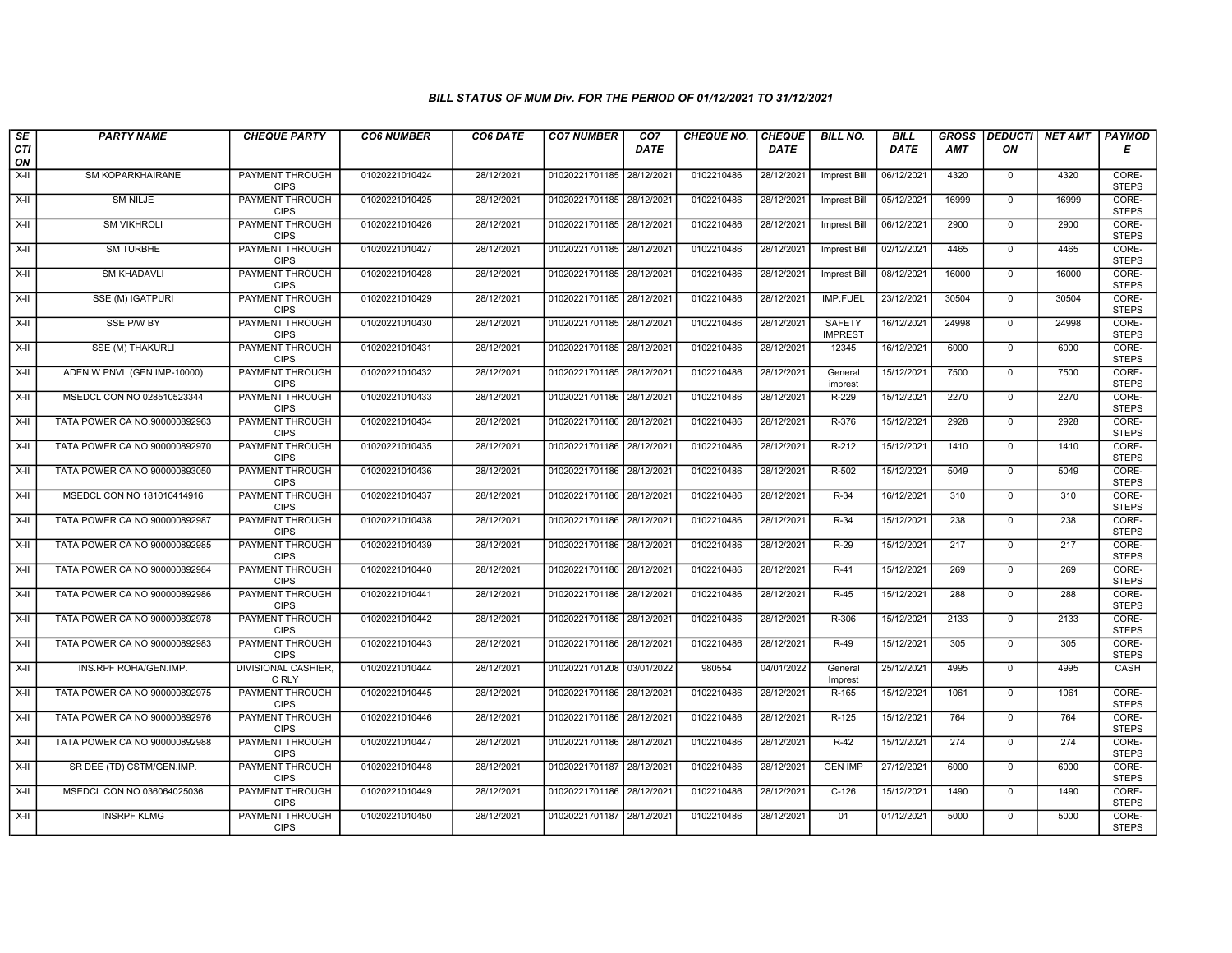| SE                 | <b>PARTY NAME</b>             | <b>CHEQUE PARTY</b>                   | <b>CO6 NUMBER</b> | CO6 DATE   | <b>CO7 NUMBER</b>         | CO <sub>7</sub> | <b>CHEQUE NO.</b> | <b>CHEQUE</b> | <b>BILL NO.</b>                 | <b>BILL</b> | <b>GROSS</b> |                | DEDUCTI NET AMT | <b>PAYMOD</b>         |
|--------------------|-------------------------------|---------------------------------------|-------------------|------------|---------------------------|-----------------|-------------------|---------------|---------------------------------|-------------|--------------|----------------|-----------------|-----------------------|
| <b>CTI</b><br>ON   |                               |                                       |                   |            |                           | <b>DATE</b>     |                   | <b>DATE</b>   |                                 | <b>DATE</b> | <b>AMT</b>   | ON             |                 | Е                     |
| $X-H$              | SM KOPARKHAIRANE              | <b>PAYMENT THROUGH</b><br><b>CIPS</b> | 01020221010424    | 28/12/2021 | 01020221701185 28/12/2021 |                 | 0102210486        | 28/12/2021    | Imprest Bill                    | 06/12/2021  | 4320         | $\mathbf{0}$   | 4320            | CORE-<br><b>STEPS</b> |
| $\overline{x}$ -II | <b>SM NILJE</b>               | <b>PAYMENT THROUGH</b><br><b>CIPS</b> | 01020221010425    | 28/12/2021 | 01020221701185 28/12/2021 |                 | 0102210486        | 28/12/2021    | <b>Imprest Bill</b>             | 05/12/2021  | 16999        | $\overline{0}$ | 16999           | CORE-<br><b>STEPS</b> |
| X-II               | <b>SM VIKHROLI</b>            | PAYMENT THROUGH<br><b>CIPS</b>        | 01020221010426    | 28/12/2021 | 01020221701185 28/12/2021 |                 | 0102210486        | 28/12/2021    | <b>Imprest Bill</b>             | 06/12/2021  | 2900         | $\mathbf 0$    | 2900            | CORE-<br><b>STEPS</b> |
| $X-H$              | <b>SM TURBHE</b>              | <b>PAYMENT THROUGH</b><br><b>CIPS</b> | 01020221010427    | 28/12/2021 | 01020221701185 28/12/2021 |                 | 0102210486        | 28/12/2021    | <b>Imprest Bill</b>             | 02/12/2021  | 4465         | $\mathsf{O}$   | 4465            | CORE-<br><b>STEPS</b> |
| $X-H$              | <b>SM KHADAVLI</b>            | <b>PAYMENT THROUGH</b><br><b>CIPS</b> | 01020221010428    | 28/12/2021 | 01020221701185 28/12/2021 |                 | 0102210486        | 28/12/2021    | <b>Imprest Bill</b>             | 08/12/2021  | 16000        | $\mathbf{0}$   | 16000           | CORE-<br><b>STEPS</b> |
| $X-H$              | <b>SSE (M) IGATPURI</b>       | <b>PAYMENT THROUGH</b><br><b>CIPS</b> | 01020221010429    | 28/12/2021 | 01020221701185 28/12/2021 |                 | 0102210486        | 28/12/2021    | <b>IMP.FUEL</b>                 | 23/12/2021  | 30504        | $\overline{0}$ | 30504           | CORE-<br><b>STEPS</b> |
| $X-H$              | SSE P/W BY                    | PAYMENT THROUGH<br><b>CIPS</b>        | 01020221010430    | 28/12/2021 | 01020221701185 28/12/2021 |                 | 0102210486        | 28/12/2021    | <b>SAFETY</b><br><b>IMPREST</b> | 16/12/2021  | 24998        | $\mathbf{0}$   | 24998           | CORE-<br><b>STEPS</b> |
| X-II               | SSE (M) THAKURLI              | <b>PAYMENT THROUGH</b><br><b>CIPS</b> | 01020221010431    | 28/12/2021 | 01020221701185 28/12/2021 |                 | 0102210486        | 28/12/2021    | 12345                           | 16/12/2021  | 6000         | $\mathbf 0$    | 6000            | CORE-<br><b>STEPS</b> |
| X-II               | ADEN W PNVL (GEN IMP-10000)   | <b>PAYMENT THROUGH</b><br><b>CIPS</b> | 01020221010432    | 28/12/2021 | 01020221701185 28/12/2021 |                 | 0102210486        | 28/12/2021    | General<br>imprest              | 15/12/2021  | 7500         | $\mathbf{0}$   | 7500            | CORE-<br><b>STEPS</b> |
| $X-H$              | MSEDCL CON NO 028510523344    | <b>PAYMENT THROUGH</b><br><b>CIPS</b> | 01020221010433    | 28/12/2021 | 01020221701186 28/12/2021 |                 | 0102210486        | 28/12/2021    | R-229                           | 15/12/2021  | 2270         | $\overline{0}$ | 2270            | CORE-<br><b>STEPS</b> |
| X-II               | TATA POWER CA NO.900000892963 | PAYMENT THROUGH<br><b>CIPS</b>        | 01020221010434    | 28/12/2021 | 01020221701186            | 28/12/2021      | 0102210486        | 28/12/2021    | R-376                           | 15/12/2021  | 2928         | $\mathbf{0}$   | 2928            | CORE-<br><b>STEPS</b> |
| $X-H$              | TATA POWER CA NO 900000892970 | PAYMENT THROUGH<br><b>CIPS</b>        | 01020221010435    | 28/12/2021 | 01020221701186 28/12/2021 |                 | 0102210486        | 28/12/2021    | $R-212$                         | 15/12/2021  | 1410         | $\overline{0}$ | 1410            | CORE-<br><b>STEPS</b> |
| X-II               | TATA POWER CA NO 900000893050 | <b>PAYMENT THROUGH</b><br><b>CIPS</b> | 01020221010436    | 28/12/2021 | 01020221701186 28/12/2021 |                 | 0102210486        | 28/12/2021    | R-502                           | 15/12/2021  | 5049         | $\mathbf 0$    | 5049            | CORE-<br><b>STEPS</b> |
| $X-H$              | MSEDCL CON NO 181010414916    | <b>PAYMENT THROUGH</b><br><b>CIPS</b> | 01020221010437    | 28/12/2021 | 01020221701186 28/12/2021 |                 | 0102210486        | 28/12/2021    | $R-34$                          | 16/12/2021  | 310          | $\mathbf{0}$   | 310             | CORE-<br><b>STEPS</b> |
| $X-II$             | TATA POWER CA NO 900000892987 | PAYMENT THROUGH<br><b>CIPS</b>        | 01020221010438    | 28/12/2021 | 01020221701186 28/12/2021 |                 | 0102210486        | 28/12/2021    | $R-34$                          | 15/12/2021  | 238          | $\mathbf{0}$   | 238             | CORE-<br><b>STEPS</b> |
| X-II               | TATA POWER CA NO 900000892985 | <b>PAYMENT THROUGH</b><br><b>CIPS</b> | 01020221010439    | 28/12/2021 | 01020221701186 28/12/2021 |                 | 0102210486        | 28/12/2021    | $R-29$                          | 15/12/2021  | 217          | $\overline{0}$ | 217             | CORE-<br><b>STEPS</b> |
| $X-H$              | TATA POWER CA NO 900000892984 | <b>PAYMENT THROUGH</b><br><b>CIPS</b> | 01020221010440    | 28/12/2021 | 01020221701186 28/12/2021 |                 | 0102210486        | 28/12/2021    | $R-41$                          | 15/12/2021  | 269          | $\mathbf{0}$   | 269             | CORE-<br><b>STEPS</b> |
| X-II               | TATA POWER CA NO 900000892986 | <b>PAYMENT THROUGH</b><br><b>CIPS</b> | 01020221010441    | 28/12/2021 | 01020221701186 28/12/2021 |                 | 0102210486        | 28/12/2021    | $R-45$                          | 15/12/2021  | 288          | $\mathbf 0$    | 288             | CORE-<br><b>STEPS</b> |
| X-II               | TATA POWER CA NO 900000892978 | PAYMENT THROUGH<br><b>CIPS</b>        | 01020221010442    | 28/12/2021 | 01020221701186 28/12/2021 |                 | 0102210486        | 28/12/2021    | R-306                           | 15/12/2021  | 2133         | $\mathbf 0$    | 2133            | CORE-<br><b>STEPS</b> |
| X-II               | TATA POWER CA NO 900000892983 | PAYMENT THROUGH<br><b>CIPS</b>        | 01020221010443    | 28/12/2021 | 01020221701186 28/12/2021 |                 | 0102210486        | 28/12/2021    | $R-49$                          | 15/12/2021  | 305          | $\mathbf{0}$   | 305             | CORE-<br><b>STEPS</b> |
| $X-H$              | INS.RPF ROHA/GEN.IMP.         | <b>DIVISIONAL CASHIER,</b><br>C RLY   | 01020221010444    | 28/12/2021 | 01020221701208 03/01/2022 |                 | 980554            | 04/01/2022    | General<br>Imprest              | 25/12/2021  | 4995         | $\overline{0}$ | 4995            | CASH                  |
| X-II               | TATA POWER CA NO 900000892975 | <b>PAYMENT THROUGH</b><br><b>CIPS</b> | 01020221010445    | 28/12/2021 | 01020221701186 28/12/2021 |                 | 0102210486        | 28/12/2021    | R-165                           | 15/12/2021  | 1061         | $\mathbf{0}$   | 1061            | CORE-<br><b>STEPS</b> |
| X-II               | TATA POWER CA NO 900000892976 | PAYMENT THROUGH<br><b>CIPS</b>        | 01020221010446    | 28/12/2021 | 01020221701186 28/12/2021 |                 | 0102210486        | 28/12/2021    | R-125                           | 15/12/2021  | 764          | $\mathbf 0$    | 764             | CORE-<br><b>STEPS</b> |
| $X-H$              | TATA POWER CA NO 900000892988 | PAYMENT THROUGH<br><b>CIPS</b>        | 01020221010447    | 28/12/2021 | 01020221701186 28/12/2021 |                 | 0102210486        | 28/12/2021    | $R-42$                          | 15/12/2021  | 274          | $\mathbf{0}$   | 274             | CORE-<br><b>STEPS</b> |
| $X-H$              | SR DEE (TD) CSTM/GEN.IMP.     | PAYMENT THROUGH<br><b>CIPS</b>        | 01020221010448    | 28/12/2021 | 01020221701187 28/12/2021 |                 | 0102210486        | 28/12/2021    | <b>GEN IMP</b>                  | 27/12/2021  | 6000         | $\mathbf{0}$   | 6000            | CORE-<br><b>STEPS</b> |
| $X-H$              | MSEDCL CON NO 036064025036    | <b>PAYMENT THROUGH</b><br><b>CIPS</b> | 01020221010449    | 28/12/2021 | 01020221701186 28/12/2021 |                 | 0102210486        | 28/12/2021    | $C-126$                         | 15/12/2021  | 1490         | $\mathbf{0}$   | 1490            | CORE-<br><b>STEPS</b> |
| $X-II$             | <b>INSRPF KLMG</b>            | <b>PAYMENT THROUGH</b><br><b>CIPS</b> | 01020221010450    | 28/12/2021 | 01020221701187 28/12/2021 |                 | 0102210486        | 28/12/2021    | 01                              | 01/12/2021  | 5000         | $\mathbf{0}$   | 5000            | CORE-<br><b>STEPS</b> |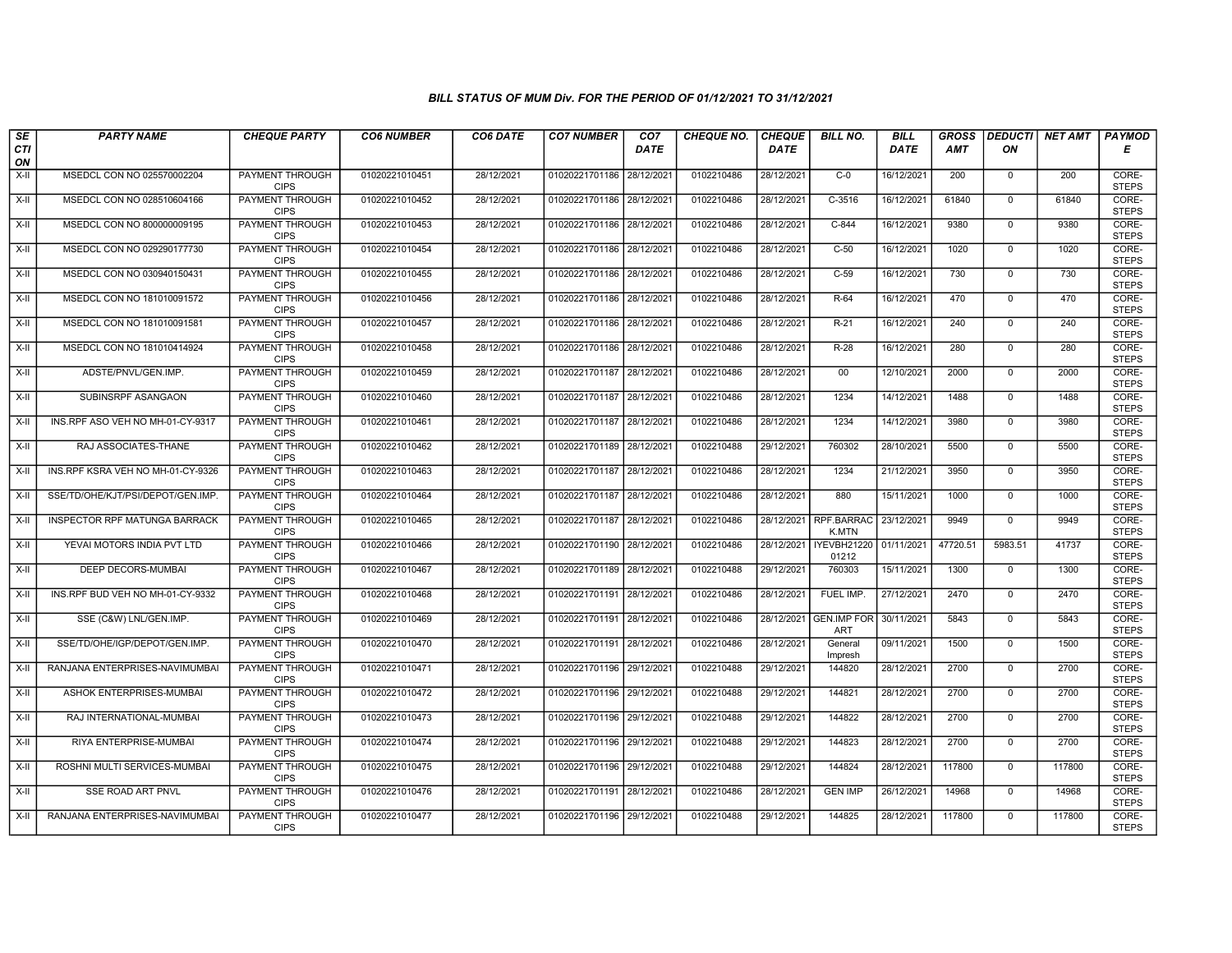| SE               | <b>PARTY NAME</b>                 | <b>CHEQUE PARTY</b>                   | <b>CO6 NUMBER</b> | CO6 DATE   | <b>CO7 NUMBER</b>         | CO <sub>7</sub> | <b>CHEQUE NO.</b> | <b>CHEQUE</b> | <b>BILL NO.</b>            | <b>BILL</b> | <b>GROSS</b> | <b>DEDUCTI</b> | <b>NET AMT</b> | <b>PAYMOD</b>         |
|------------------|-----------------------------------|---------------------------------------|-------------------|------------|---------------------------|-----------------|-------------------|---------------|----------------------------|-------------|--------------|----------------|----------------|-----------------------|
| <b>CTI</b><br>ON |                                   |                                       |                   |            |                           | DATE            |                   | <b>DATE</b>   |                            | DATE        | <b>AMT</b>   | ΟN             |                | Е                     |
| $X-H$            | MSEDCL CON NO 025570002204        | <b>PAYMENT THROUGH</b><br><b>CIPS</b> | 01020221010451    | 28/12/2021 | 01020221701186 28/12/2021 |                 | 0102210486        | 28/12/2021    | $C-0$                      | 16/12/2021  | 200          | $\mathbf 0$    | 200            | CORE-<br><b>STEPS</b> |
| $X-H$            | MSEDCL CON NO 028510604166        | <b>PAYMENT THROUGH</b><br><b>CIPS</b> | 01020221010452    | 28/12/2021 | 01020221701186 28/12/2021 |                 | 0102210486        | 28/12/2021    | $C-3516$                   | 16/12/2021  | 61840        | $\mathbf 0$    | 61840          | CORE-<br><b>STEPS</b> |
| X-II             | MSEDCL CON NO 800000009195        | PAYMENT THROUGH<br><b>CIPS</b>        | 01020221010453    | 28/12/2021 | 01020221701186 28/12/2021 |                 | 0102210486        | 28/12/2021    | C-844                      | 16/12/2021  | 9380         | $\mathbf 0$    | 9380           | CORE-<br><b>STEPS</b> |
| X-II             | MSEDCL CON NO 029290177730        | PAYMENT THROUGH<br><b>CIPS</b>        | 01020221010454    | 28/12/2021 | 01020221701186 28/12/2021 |                 | 0102210486        | 28/12/2021    | $C-50$                     | 16/12/2021  | 1020         | $\mathbf{0}$   | 1020           | CORE-<br><b>STEPS</b> |
| $X-H$            | MSEDCL CON NO 030940150431        | <b>PAYMENT THROUGH</b><br><b>CIPS</b> | 01020221010455    | 28/12/2021 | 01020221701186 28/12/2021 |                 | 0102210486        | 28/12/2021    | $C-59$                     | 16/12/2021  | 730          | $\mathbf 0$    | 730            | CORE-<br><b>STEPS</b> |
| $X-H$            | MSEDCL CON NO 181010091572        | <b>PAYMENT THROUGH</b><br><b>CIPS</b> | 01020221010456    | 28/12/2021 | 01020221701186 28/12/2021 |                 | 0102210486        | 28/12/2021    | $R-64$                     | 16/12/2021  | 470          | $\mathbf 0$    | 470            | CORE-<br><b>STEPS</b> |
| X-II             | MSEDCL CON NO 181010091581        | PAYMENT THROUGH<br><b>CIPS</b>        | 01020221010457    | 28/12/2021 | 01020221701186 28/12/2021 |                 | 0102210486        | 28/12/2021    | $R-21$                     | 16/12/2021  | 240          | $\mathbf{0}$   | 240            | CORE-<br><b>STEPS</b> |
| $X-H$            | MSEDCL CON NO 181010414924        | PAYMENT THROUGH<br><b>CIPS</b>        | 01020221010458    | 28/12/2021 | 01020221701186 28/12/2021 |                 | 0102210486        | 28/12/2021    | $R-28$                     | 16/12/2021  | 280          | $\overline{0}$ | 280            | CORE-<br><b>STEPS</b> |
| X-II             | ADSTE/PNVL/GEN.IMP.               | <b>PAYMENT THROUGH</b><br><b>CIPS</b> | 01020221010459    | 28/12/2021 | 01020221701187 28/12/2021 |                 | 0102210486        | 28/12/2021    | 00                         | 12/10/2021  | 2000         | $\mathbf 0$    | 2000           | CORE-<br><b>STEPS</b> |
| $X-H$            | SUBINSRPF ASANGAON                | <b>PAYMENT THROUGH</b><br><b>CIPS</b> | 01020221010460    | 28/12/2021 | 01020221701187 28/12/2021 |                 | 0102210486        | 28/12/2021    | 1234                       | 14/12/2021  | 1488         | $\mathbf 0$    | 1488           | CORE-<br><b>STEPS</b> |
| X-II             | INS.RPF ASO VEH NO MH-01-CY-9317  | <b>PAYMENT THROUGH</b><br><b>CIPS</b> | 01020221010461    | 28/12/2021 | 01020221701187 28/12/2021 |                 | 0102210486        | 28/12/2021    | 1234                       | 14/12/2021  | 3980         | $\mathbf{0}$   | 3980           | CORE-<br><b>STEPS</b> |
| $X-H$            | RAJ ASSOCIATES-THANE              | PAYMENT THROUGH<br><b>CIPS</b>        | 01020221010462    | 28/12/2021 | 01020221701189 28/12/2021 |                 | 0102210488        | 29/12/2021    | 760302                     | 28/10/2021  | 5500         | $\mathbf 0$    | 5500           | CORE-<br><b>STEPS</b> |
| X-II             | INS.RPF KSRA VEH NO MH-01-CY-9326 | <b>PAYMENT THROUGH</b><br><b>CIPS</b> | 01020221010463    | 28/12/2021 | 01020221701187 28/12/2021 |                 | 0102210486        | 28/12/2021    | 1234                       | 21/12/2021  | 3950         | $\mathbf 0$    | 3950           | CORE-<br><b>STEPS</b> |
| X-II             | SSE/TD/OHE/KJT/PSI/DEPOT/GEN.IMP. | <b>PAYMENT THROUGH</b><br><b>CIPS</b> | 01020221010464    | 28/12/2021 | 01020221701187 28/12/2021 |                 | 0102210486        | 28/12/2021    | 880                        | 15/11/2021  | 1000         | $\mathbf{0}$   | 1000           | CORE-<br><b>STEPS</b> |
| $X-II$           | INSPECTOR RPF MATUNGA BARRACK     | PAYMENT THROUGH<br><b>CIPS</b>        | 01020221010465    | 28/12/2021 | 01020221701187 28/12/2021 |                 | 0102210486        | 28/12/2021    | <b>RPF.BARRAC</b><br>K.MTN | 23/12/2021  | 9949         | $\mathbf 0$    | 9949           | CORE-<br><b>STEPS</b> |
| X-II             | YEVAI MOTORS INDIA PVT LTD        | PAYMENT THROUGH<br><b>CIPS</b>        | 01020221010466    | 28/12/2021 | 01020221701190 28/12/2021 |                 | 0102210486        | 28/12/2021    | IYEVBH21220<br>01212       | 01/11/2021  | 47720.51     | 5983.51        | 41737          | CORE-<br><b>STEPS</b> |
| $X-H$            | DEEP DECORS-MUMBAI                | <b>PAYMENT THROUGH</b><br><b>CIPS</b> | 01020221010467    | 28/12/2021 | 01020221701189 28/12/2021 |                 | 0102210488        | 29/12/2021    | 760303                     | 15/11/2021  | 1300         | $\overline{0}$ | 1300           | CORE-<br><b>STEPS</b> |
| X-II             | INS.RPF BUD VEH NO MH-01-CY-9332  | <b>PAYMENT THROUGH</b><br><b>CIPS</b> | 01020221010468    | 28/12/2021 | 01020221701191 28/12/2021 |                 | 0102210486        | 28/12/2021    | FUEL IMP.                  | 27/12/2021  | 2470         | $\mathbf 0$    | 2470           | CORE-<br><b>STEPS</b> |
| X-II             | SSE (C&W) LNL/GEN.IMP.            | PAYMENT THROUGH<br><b>CIPS</b>        | 01020221010469    | 28/12/2021 | 01020221701191 28/12/2021 |                 | 0102210486        | 28/12/2021    | <b>GEN.IMP FOR</b><br>ART  | 30/11/2021  | 5843         | $\mathbf 0$    | 5843           | CORE-<br><b>STEPS</b> |
| $X-II$           | SSE/TD/OHE/IGP/DEPOT/GEN.IMP.     | PAYMENT THROUGH<br><b>CIPS</b>        | 01020221010470    | 28/12/2021 | 01020221701191 28/12/2021 |                 | 0102210486        | 28/12/2021    | General<br>Impresh         | 09/11/2021  | 1500         | $\overline{0}$ | 1500           | CORE-<br><b>STEPS</b> |
| X-II             | RANJANA ENTERPRISES-NAVIMUMBAI    | PAYMENT THROUGH<br><b>CIPS</b>        | 01020221010471    | 28/12/2021 | 01020221701196 29/12/2021 |                 | 0102210488        | 29/12/2021    | 144820                     | 28/12/2021  | 2700         | $\mathbf{0}$   | 2700           | CORE-<br><b>STEPS</b> |
| X-II             | ASHOK ENTERPRISES-MUMBAI          | <b>PAYMENT THROUGH</b><br><b>CIPS</b> | 01020221010472    | 28/12/2021 | 01020221701196 29/12/2021 |                 | 0102210488        | 29/12/2021    | 144821                     | 28/12/2021  | 2700         | $\mathbf{0}$   | 2700           | CORE-<br><b>STEPS</b> |
| X-II             | RAJ INTERNATIONAL-MUMBAI          | PAYMENT THROUGH<br><b>CIPS</b>        | 01020221010473    | 28/12/2021 | 01020221701196 29/12/2021 |                 | 0102210488        | 29/12/2021    | 144822                     | 28/12/2021  | 2700         | $\mathbf 0$    | 2700           | CORE-<br><b>STEPS</b> |
| X-II             | RIYA ENTERPRISE-MUMBAI            | PAYMENT THROUGH<br><b>CIPS</b>        | 01020221010474    | 28/12/2021 | 01020221701196 29/12/2021 |                 | 0102210488        | 29/12/2021    | 144823                     | 28/12/2021  | 2700         | $\mathbf{0}$   | 2700           | CORE-<br><b>STEPS</b> |
| $X-H$            | ROSHNI MULTI SERVICES-MUMBAI      | <b>PAYMENT THROUGH</b><br><b>CIPS</b> | 01020221010475    | 28/12/2021 | 01020221701196 29/12/2021 |                 | 0102210488        | 29/12/2021    | 144824                     | 28/12/2021  | 117800       | $\mathbf 0$    | 117800         | CORE-<br><b>STEPS</b> |
| $X-II$           | <b>SSE ROAD ART PNVL</b>          | <b>PAYMENT THROUGH</b><br><b>CIPS</b> | 01020221010476    | 28/12/2021 | 01020221701191 28/12/2021 |                 | 0102210486        | 28/12/2021    | <b>GEN IMP</b>             | 26/12/2021  | 14968        | $\Omega$       | 14968          | CORE-<br><b>STEPS</b> |
| X-II             | RANJANA ENTERPRISES-NAVIMUMBAI    | <b>PAYMENT THROUGH</b><br><b>CIPS</b> | 01020221010477    | 28/12/2021 | 01020221701196 29/12/2021 |                 | 0102210488        | 29/12/2021    | 144825                     | 28/12/2021  | 117800       | $\overline{0}$ | 117800         | CORE-<br><b>STEPS</b> |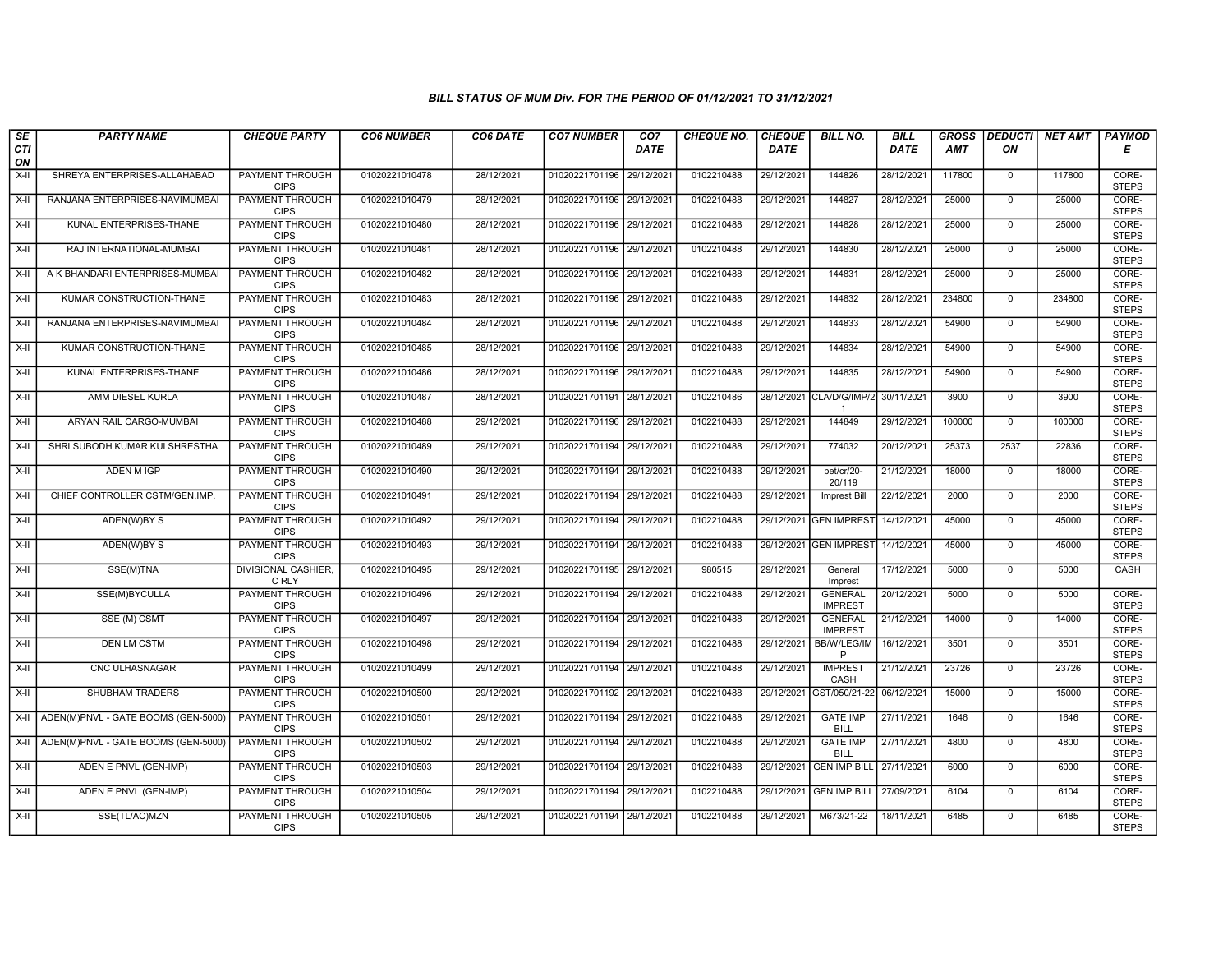| SE               | <b>PARTY NAME</b>                   | <b>CHEQUE PARTY</b>                   | <b>CO6 NUMBER</b> | CO6 DATE   | <b>CO7 NUMBER</b>         | CO7        | <b>CHEQUE NO.</b> | <b>CHEQUE</b> | <b>BILL NO.</b>                            | <b>BILL</b> | <b>GROSS</b> | <b>DEDUCTI</b> | <b>NET AMT</b> | <b>PAYMOD</b>         |
|------------------|-------------------------------------|---------------------------------------|-------------------|------------|---------------------------|------------|-------------------|---------------|--------------------------------------------|-------------|--------------|----------------|----------------|-----------------------|
| <b>CTI</b><br>ON |                                     |                                       |                   |            |                           | DATE       |                   | <b>DATE</b>   |                                            | DATE        | AMT          | ON             |                | Е                     |
| $X-H$            | SHREYA ENTERPRISES-ALLAHABAD        | <b>PAYMENT THROUGH</b><br><b>CIPS</b> | 01020221010478    | 28/12/2021 | 01020221701196            | 29/12/2021 | 0102210488        | 29/12/2021    | 144826                                     | 28/12/2021  | 117800       | $\mathbf 0$    | 117800         | CORE-<br><b>STEPS</b> |
| $X-H$            | RANJANA ENTERPRISES-NAVIMUMBAI      | <b>PAYMENT THROUGH</b><br><b>CIPS</b> | 01020221010479    | 28/12/2021 | 01020221701196 29/12/2021 |            | 0102210488        | 29/12/2021    | 144827                                     | 28/12/2021  | 25000        | $\mathbf 0$    | 25000          | CORE-<br><b>STEPS</b> |
| X-II             | KUNAL ENTERPRISES-THANE             | PAYMENT THROUGH<br><b>CIPS</b>        | 01020221010480    | 28/12/2021 | 01020221701196 29/12/2021 |            | 0102210488        | 29/12/2021    | 144828                                     | 28/12/2021  | 25000        | $\mathbf 0$    | 25000          | CORE-<br><b>STEPS</b> |
| $X-H$            | RAJ INTERNATIONAL-MUMBAI            | <b>PAYMENT THROUGH</b><br><b>CIPS</b> | 01020221010481    | 28/12/2021 | 01020221701196            | 29/12/2021 | 0102210488        | 29/12/2021    | 144830                                     | 28/12/2021  | 25000        | $\overline{0}$ | 25000          | CORE-<br><b>STEPS</b> |
| X-II             | A K BHANDARI ENTERPRISES-MUMBAI     | <b>PAYMENT THROUGH</b><br><b>CIPS</b> | 01020221010482    | 28/12/2021 | 01020221701196 29/12/2021 |            | 0102210488        | 29/12/2021    | 144831                                     | 28/12/2021  | 25000        | $\mathbf 0$    | 25000          | CORE-<br><b>STEPS</b> |
| X-II             | KUMAR CONSTRUCTION-THANE            | <b>PAYMENT THROUGH</b><br><b>CIPS</b> | 01020221010483    | 28/12/2021 | 01020221701196 29/12/2021 |            | 0102210488        | 29/12/2021    | 144832                                     | 28/12/2021  | 234800       | $\mathbf{0}$   | 234800         | CORE-<br><b>STEPS</b> |
| $X-H$            | RANJANA ENTERPRISES-NAVIMUMBAI      | <b>PAYMENT THROUGH</b><br><b>CIPS</b> | 01020221010484    | 28/12/2021 | 01020221701196            | 29/12/2021 | 0102210488        | 29/12/2021    | 144833                                     | 28/12/2021  | 54900        | $\mathbf 0$    | 54900          | CORE-<br><b>STEPS</b> |
| X-II             | KUMAR CONSTRUCTION-THANE            | PAYMENT THROUGH<br><b>CIPS</b>        | 01020221010485    | 28/12/2021 | 01020221701196 29/12/2021 |            | 0102210488        | 29/12/2021    | 144834                                     | 28/12/2021  | 54900        | $\mathbf 0$    | 54900          | CORE-<br><b>STEPS</b> |
| $X-H$            | KUNAL ENTERPRISES-THANE             | <b>PAYMENT THROUGH</b><br><b>CIPS</b> | 01020221010486    | 28/12/2021 | 01020221701196 29/12/2021 |            | 0102210488        | 29/12/2021    | 144835                                     | 28/12/2021  | 54900        | $\overline{0}$ | 54900          | CORE-<br><b>STEPS</b> |
| X-II             | AMM DIESEL KURLA                    | <b>PAYMENT THROUGH</b><br><b>CIPS</b> | 01020221010487    | 28/12/2021 | 01020221701191 28/12/2021 |            | 0102210486        |               | 28/12/2021 CLA/D/G/IMP/2<br>$\overline{1}$ | 30/11/2021  | 3900         | $\mathbf 0$    | 3900           | CORE-<br><b>STEPS</b> |
| X-II             | ARYAN RAIL CARGO-MUMBAI             | PAYMENT THROUGH<br><b>CIPS</b>        | 01020221010488    | 29/12/2021 | 01020221701196 29/12/2021 |            | 0102210488        | 29/12/2021    | 144849                                     | 29/12/2021  | 100000       | $\mathbf 0$    | 100000         | CORE-<br><b>STEPS</b> |
| X-II             | SHRI SUBODH KUMAR KULSHRESTHA       | <b>PAYMENT THROUGH</b><br><b>CIPS</b> | 01020221010489    | 29/12/2021 | 01020221701194 29/12/2021 |            | 0102210488        | 29/12/2021    | 774032                                     | 20/12/2021  | 25373        | 2537           | 22836          | CORE-<br><b>STEPS</b> |
| $X-H$            | <b>ADEN M IGP</b>                   | PAYMENT THROUGH<br><b>CIPS</b>        | 01020221010490    | 29/12/2021 | 01020221701194            | 29/12/2021 | 0102210488        | 29/12/2021    | pet/cr/20-<br>20/119                       | 21/12/2021  | 18000        | $\mathbf 0$    | 18000          | CORE-<br><b>STEPS</b> |
| $X-H$            | CHIEF CONTROLLER CSTM/GEN.IMP.      | <b>PAYMENT THROUGH</b><br><b>CIPS</b> | 01020221010491    | 29/12/2021 | 01020221701194 29/12/2021 |            | 0102210488        | 29/12/2021    | Imprest Bill                               | 22/12/2021  | 2000         | $\overline{0}$ | 2000           | CORE-<br><b>STEPS</b> |
| X-II             | ADEN(W)BY S                         | <b>PAYMENT THROUGH</b><br><b>CIPS</b> | 01020221010492    | 29/12/2021 | 01020221701194 29/12/2021 |            | 0102210488        |               | 29/12/2021 GEN IMPREST                     | 14/12/2021  | 45000        | $\mathbf 0$    | 45000          | CORE-<br><b>STEPS</b> |
| $X-II$           | ADEN(W)BY S                         | <b>PAYMENT THROUGH</b><br><b>CIPS</b> | 01020221010493    | 29/12/2021 | 01020221701194 29/12/2021 |            | 0102210488        |               | 29/12/2021 GEN IMPREST                     | 14/12/2021  | 45000        | $\overline{0}$ | 45000          | CORE-<br><b>STEPS</b> |
| X-II             | SSE(M)TNA                           | <b>DIVISIONAL CASHIER,</b><br>C RLY   | 01020221010495    | 29/12/2021 | 01020221701195 29/12/2021 |            | 980515            | 29/12/2021    | General<br>Imprest                         | 17/12/2021  | 5000         | $\mathbf{0}$   | 5000           | <b>CASH</b>           |
| X-II             | SSE(M)BYCULLA                       | PAYMENT THROUGH<br><b>CIPS</b>        | 01020221010496    | 29/12/2021 | 01020221701194 29/12/202  |            | 0102210488        | 29/12/2021    | <b>GENERAL</b><br><b>IMPREST</b>           | 20/12/2021  | 5000         | $\mathbf 0$    | 5000           | CORE-<br><b>STEPS</b> |
| X-II             | SSE (M) CSMT                        | <b>PAYMENT THROUGH</b><br><b>CIPS</b> | 01020221010497    | 29/12/2021 | 01020221701194 29/12/2021 |            | 0102210488        | 29/12/2021    | <b>GENERAL</b><br><b>IMPREST</b>           | 21/12/2021  | 14000        | $\mathbf 0$    | 14000          | CORE-<br><b>STEPS</b> |
| $X-H$            | <b>DEN LM CSTM</b>                  | <b>PAYMENT THROUGH</b><br><b>CIPS</b> | 01020221010498    | 29/12/2021 | 01020221701194 29/12/2021 |            | 0102210488        | 29/12/2021    | BB/W/LEG/IM<br>P                           | 16/12/2021  | 3501         | $\overline{0}$ | 3501           | CORE-<br><b>STEPS</b> |
| $X-H$            | CNC ULHASNAGAR                      | <b>PAYMENT THROUGH</b><br><b>CIPS</b> | 01020221010499    | 29/12/2021 | 01020221701194 29/12/2021 |            | 0102210488        | 29/12/2021    | <b>IMPREST</b><br>CASH                     | 21/12/2021  | 23726        | $\overline{0}$ | 23726          | CORE-<br><b>STEPS</b> |
| X-II             | <b>SHUBHAM TRADERS</b>              | <b>PAYMENT THROUGH</b><br><b>CIPS</b> | 01020221010500    | 29/12/2021 | 01020221701192 29/12/2021 |            | 0102210488        | 29/12/2021    | GST/050/21-22                              | 06/12/2021  | 15000        | $\mathbf{0}$   | 15000          | CORE-<br><b>STEPS</b> |
| X-II             | ADEN(M)PNVL - GATE BOOMS (GEN-5000) | PAYMENT THROUGH<br><b>CIPS</b>        | 01020221010501    | 29/12/2021 | 01020221701194            | 29/12/2021 | 0102210488        | 29/12/2021    | <b>GATE IMP</b><br><b>BILL</b>             | 27/11/2021  | 1646         | $\mathbf 0$    | 1646           | CORE-<br><b>STEPS</b> |
| X-II             | ADEN(M)PNVL - GATE BOOMS (GEN-5000) | PAYMENT THROUGH<br><b>CIPS</b>        | 01020221010502    | 29/12/2021 | 01020221701194            | 29/12/2021 | 0102210488        | 29/12/2021    | <b>GATE IMP</b><br><b>BILL</b>             | 27/11/2021  | 4800         | $\overline{0}$ | 4800           | CORE-<br><b>STEPS</b> |
| X-II             | ADEN E PNVL (GEN-IMP)               | PAYMENT THROUGH<br><b>CIPS</b>        | 01020221010503    | 29/12/2021 | 01020221701194 29/12/2021 |            | 0102210488        | 29/12/2021    | <b>GEN IMP BILL</b>                        | 27/11/2021  | 6000         | $\mathbf 0$    | 6000           | CORE-<br><b>STEPS</b> |
| $X-H$            | ADEN E PNVL (GEN-IMP)               | <b>PAYMENT THROUGH</b><br><b>CIPS</b> | 01020221010504    | 29/12/2021 | 01020221701194 29/12/2021 |            | 0102210488        | 29/12/2021    | <b>GEN IMP BILL</b>                        | 27/09/2021  | 6104         | $\mathbf 0$    | 6104           | CORE-<br><b>STEPS</b> |
| X-II             | SSE(TL/AC)MZN                       | <b>PAYMENT THROUGH</b><br><b>CIPS</b> | 01020221010505    | 29/12/2021 | 01020221701194 29/12/2021 |            | 0102210488        | 29/12/2021    | M673/21-22                                 | 18/11/2021  | 6485         | $\mathbf 0$    | 6485           | CORE-<br><b>STEPS</b> |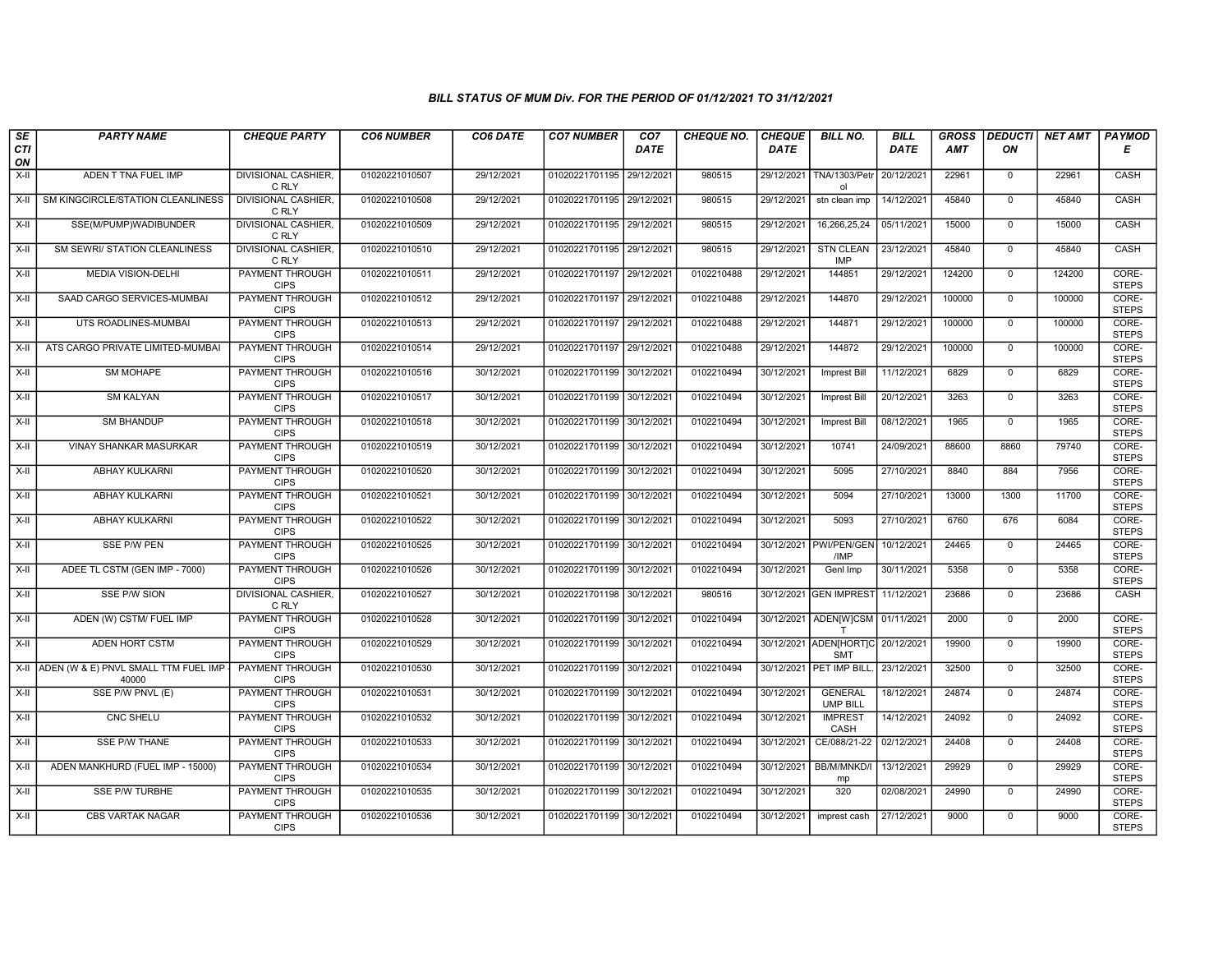| SE             | <b>PARTY NAME</b>                                  | <b>CHEQUE PARTY</b>                                      | <b>CO6 NUMBER</b>                | CO6 DATE                 | <b>CO7 NUMBER</b>                                      | CO7         | CHEQUE NO.               | <b>CHEQUE</b>            | <b>BILL NO.</b>                                 | <b>BILL</b>              | <b>GROSS</b>  | <b>DEDUCTI</b>      | <b>NET AMT</b> | <b>PAYMOD</b>                  |
|----------------|----------------------------------------------------|----------------------------------------------------------|----------------------------------|--------------------------|--------------------------------------------------------|-------------|--------------------------|--------------------------|-------------------------------------------------|--------------------------|---------------|---------------------|----------------|--------------------------------|
| CTI<br>ON      |                                                    |                                                          |                                  |                          |                                                        | <b>DATE</b> |                          | <b>DATE</b>              |                                                 | DATE                     | AMT           | ON                  |                | Е                              |
| X-II           | ADEN T TNA FUEL IMP                                | <b>DIVISIONAL CASHIER,</b><br>C RLY                      | 01020221010507                   | 29/12/2021               | 01020221701195 29/12/2021                              |             | 980515                   | 29/12/2021               | <b>TNA/1303/Petr</b><br>ol                      | 20/12/2021               | 22961         | $\mathbf 0$         | 22961          | <b>CASH</b>                    |
| X-II           | SM KINGCIRCLE/STATION CLEANLINESS                  | <b>DIVISIONAL CASHIER,</b><br>C RLY                      | 01020221010508                   | 29/12/2021               | 01020221701195 29/12/2021                              |             | 980515                   | 29/12/2021               | stn clean imp                                   | 14/12/2021               | 45840         | $\overline{0}$      | 45840          | CASH                           |
| X-II           | SSE(M/PUMP)WADIBUNDER                              | DIVISIONAL CASHIER,<br>C RLY                             | 01020221010509                   | 29/12/2021               | 01020221701195 29/12/2021                              |             | 980515                   | 29/12/2021               | 16,266,25,24                                    | 05/11/2021               | 15000         | $\mathbf 0$         | 15000          | CASH                           |
| $X-H$          | SM SEWRI/ STATION CLEANLINESS                      | DIVISIONAL CASHIER,<br>C RLY                             | 01020221010510                   | 29/12/2021               | 01020221701195 29/12/2021                              |             | 980515                   | 29/12/2021               | <b>STN CLEAN</b><br><b>IMP</b>                  | 23/12/2021               | 45840         | $\overline{0}$      | 45840          | CASH                           |
| $X-H$          | <b>MEDIA VISION-DELHI</b>                          | <b>PAYMENT THROUGH</b><br><b>CIPS</b>                    | 01020221010511                   | 29/12/2021               | 01020221701197 29/12/2021                              |             | 0102210488               | 29/12/2021               | 144851                                          | 29/12/2021               | 124200        | $\mathbf 0$         | 124200         | CORE-<br><b>STEPS</b>          |
| X-II           | SAAD CARGO SERVICES-MUMBAI                         | PAYMENT THROUGH<br><b>CIPS</b>                           | 01020221010512                   | 29/12/2021               | 01020221701197 29/12/2021                              |             | 0102210488               | 29/12/2021               | 144870                                          | 29/12/2021               | 100000        | $\mathbf{0}$        | 100000         | CORE-<br><b>STEPS</b>          |
| $X-II$         | UTS ROADLINES-MUMBAI                               | PAYMENT THROUGH<br><b>CIPS</b>                           | 01020221010513                   | 29/12/2021               | 01020221701197                                         | 29/12/2021  | 0102210488               | 29/12/2021               | 144871                                          | 29/12/2021               | 100000        | $\mathbf 0$         | 100000         | CORE-<br><b>STEPS</b>          |
| X-II           | ATS CARGO PRIVATE LIMITED-MUMBAI                   | <b>PAYMENT THROUGH</b><br><b>CIPS</b>                    | 01020221010514                   | 29/12/2021               | 01020221701197 29/12/2021                              |             | 0102210488               | 29/12/2021               | 144872                                          | 29/12/2021               | 100000        | $\overline{0}$      | 100000         | CORE-<br><b>STEPS</b>          |
| $X-H$          | <b>SM MOHAPE</b><br><b>SM KALYAN</b>               | <b>PAYMENT THROUGH</b><br><b>CIPS</b>                    | 01020221010516                   | 30/12/2021<br>30/12/2021 | 01020221701199 30/12/2021                              |             | 0102210494               | 30/12/2021               | <b>Imprest Bill</b>                             | 11/12/2021               | 6829<br>3263  | $\overline{0}$      | 6829<br>3263   | CORE-<br><b>STEPS</b>          |
| $X-H$          |                                                    | <b>PAYMENT THROUGH</b><br><b>CIPS</b><br>PAYMENT THROUGH | 01020221010517                   |                          | 01020221701199 30/12/2021                              |             | 0102210494               | 30/12/2021               | <b>Imprest Bill</b>                             | 20/12/2021               |               | $\mathbf 0$         |                | CORE-<br><b>STEPS</b><br>CORE- |
| X-II<br>$X-II$ | <b>SM BHANDUP</b><br>VINAY SHANKAR MASURKAR        | <b>CIPS</b><br>PAYMENT THROUGH                           | 01020221010518<br>01020221010519 | 30/12/2021<br>30/12/2021 | 01020221701199 30/12/2021<br>01020221701199 30/12/2021 |             | 0102210494<br>0102210494 | 30/12/2021<br>30/12/2021 | <b>Imprest Bill</b><br>10741                    | 08/12/2021<br>24/09/2021 | 1965<br>88600 | $\mathbf 0$<br>8860 | 1965<br>79740  | <b>STEPS</b><br>CORE-          |
| $X-H$          | <b>ABHAY KULKARNI</b>                              | <b>CIPS</b><br><b>PAYMENT THROUGH</b>                    | 01020221010520                   | 30/12/2021               | 01020221701199 30/12/2021                              |             | 0102210494               | 30/12/2021               | 5095                                            | 27/10/2021               | 8840          | 884                 | 7956           | <b>STEPS</b><br>CORE-          |
|                |                                                    | <b>CIPS</b>                                              |                                  |                          |                                                        |             |                          |                          |                                                 |                          |               |                     |                | <b>STEPS</b>                   |
| $X-H$          | <b>ABHAY KULKARNI</b>                              | <b>PAYMENT THROUGH</b><br><b>CIPS</b>                    | 01020221010521                   | 30/12/2021               | 01020221701199 30/12/2021                              |             | 0102210494               | 30/12/2021               | 5094                                            | 27/10/2021               | 13000         | 1300                | 11700          | CORE-<br><b>STEPS</b>          |
| X-II           | ABHAY KULKARNI                                     | PAYMENT THROUGH<br><b>CIPS</b>                           | 01020221010522                   | 30/12/2021               | 01020221701199 30/12/2021                              |             | 0102210494               | 30/12/2021               | 5093                                            | 27/10/2021               | 6760          | 676                 | 6084           | CORE-<br><b>STEPS</b>          |
| $X-H$          | SSE P/W PEN                                        | PAYMENT THROUGH<br><b>CIPS</b>                           | 01020221010525                   | 30/12/2021               | 01020221701199 30/12/2021                              |             | 0102210494               | 30/12/2021               | PWI/PEN/GEN<br>/IMP                             | 10/12/2021               | 24465         | $\overline{0}$      | 24465          | CORE-<br><b>STEPS</b>          |
| X-II           | ADEE TL CSTM (GEN IMP - 7000)                      | <b>PAYMENT THROUGH</b><br><b>CIPS</b>                    | 01020221010526                   | 30/12/2021               | 01020221701199 30/12/2021                              |             | 0102210494               | 30/12/2021               | Genl Imp                                        | 30/11/2021               | 5358          | $\mathbf{0}$        | 5358           | CORE-<br><b>STEPS</b>          |
| X-II           | <b>SSE P/W SION</b>                                | <b>DIVISIONAL CASHIER,</b><br>C RLY                      | 01020221010527                   | 30/12/2021               | 01020221701198 30/12/2021                              |             | 980516                   |                          | 30/12/2021 GEN IMPREST                          | 11/12/2021               | 23686         | $\mathbf{0}$        | 23686          | CASH                           |
| $X-H$          | ADEN (W) CSTM/ FUEL IMP                            | PAYMENT THROUGH<br><b>CIPS</b>                           | 01020221010528                   | 30/12/2021               | 01020221701199 30/12/2021                              |             | 0102210494               | 30/12/2021               | ADEN[W]CSM 01/11/2021                           |                          | 2000          | $\Omega$            | 2000           | CORE-<br><b>STEPS</b>          |
| X-II           | ADEN HORT CSTM                                     | <b>PAYMENT THROUGH</b><br><b>CIPS</b>                    | 01020221010529                   | 30/12/2021               | 01020221701199 30/12/2021                              |             | 0102210494               |                          | 30/12/2021 ADEN[HORT]C 20/12/2021<br><b>SMT</b> |                          | 19900         | $\mathbf 0$         | 19900          | CORE-<br><b>STEPS</b>          |
|                | X-II ADEN (W & E) PNVL SMALL TTM FUEL IMP<br>40000 | PAYMENT THROUGH<br><b>CIPS</b>                           | 01020221010530                   | 30/12/2021               | 01020221701199 30/12/2021                              |             | 0102210494               |                          | 30/12/2021 PET IMP BILL.                        | 23/12/2021               | 32500         | $\overline{0}$      | 32500          | CORE-<br><b>STEPS</b>          |
| X-II           | SSE P/W PNVL (E)                                   | <b>PAYMENT THROUGH</b><br><b>CIPS</b>                    | 01020221010531                   | 30/12/2021               | 01020221701199 30/12/2021                              |             | 0102210494               | 30/12/2021               | <b>GENERAL</b><br><b>UMP BILL</b>               | 18/12/2021               | 24874         | $\mathbf{0}$        | 24874          | CORE-<br><b>STEPS</b>          |
| X-II           | CNC SHELU                                          | PAYMENT THROUGH<br><b>CIPS</b>                           | 01020221010532                   | 30/12/2021               | 01020221701199 30/12/2021                              |             | 0102210494               | 30/12/2021               | <b>IMPREST</b><br>CASH                          | 14/12/2021               | 24092         | $\mathbf 0$         | 24092          | CORE-<br><b>STEPS</b>          |
| $X-H$          | <b>SSE P/W THANE</b>                               | <b>PAYMENT THROUGH</b><br><b>CIPS</b>                    | 01020221010533                   | 30/12/2021               | 01020221701199 30/12/2021                              |             | 0102210494               | 30/12/2021               | CE/088/21-22                                    | 02/12/2021               | 24408         | $\mathbf{0}$        | 24408          | CORE-<br><b>STEPS</b>          |
| X-II           | ADEN MANKHURD (FUEL IMP - 15000)                   | <b>PAYMENT THROUGH</b><br><b>CIPS</b>                    | 01020221010534                   | 30/12/2021               | 01020221701199 30/12/2021                              |             | 0102210494               | 30/12/2021               | BB/M/MNKD/I<br>mp                               | 13/12/2021               | 29929         | $\mathbf 0$         | 29929          | CORE-<br><b>STEPS</b>          |
| $X-H$          | SSE P/W TURBHE                                     | <b>PAYMENT THROUGH</b><br><b>CIPS</b>                    | 01020221010535                   | 30/12/2021               | 01020221701199 30/12/2021                              |             | 0102210494               | 30/12/2021               | 320                                             | 02/08/2021               | 24990         | $\overline{0}$      | 24990          | CORE-<br><b>STEPS</b>          |
| X-II           | <b>CBS VARTAK NAGAR</b>                            | <b>PAYMENT THROUGH</b><br><b>CIPS</b>                    | 01020221010536                   | 30/12/2021               | 01020221701199 30/12/2021                              |             | 0102210494               | 30/12/2021               | imprest cash                                    | 27/12/2021               | 9000          | $\overline{0}$      | 9000           | CORE-<br><b>STEPS</b>          |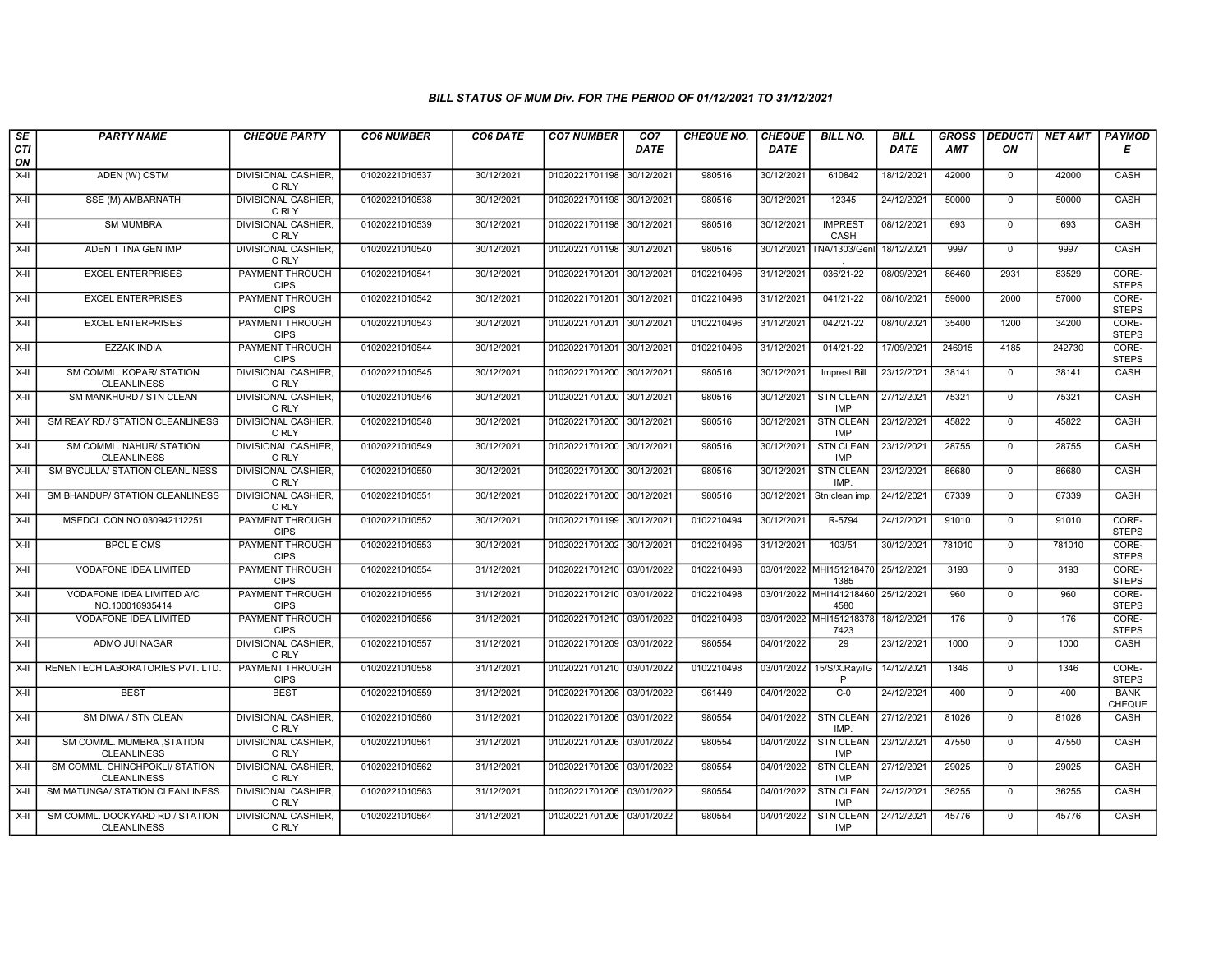| SE        | <b>PARTY NAME</b>                                     | <b>CHEQUE PARTY</b>                   | <b>CO6 NUMBER</b> | CO6 DATE   | <b>CO7 NUMBER</b>         | CO7         | <b>CHEQUE NO.</b> | <b>CHEQUE</b> | <b>BILL NO.</b>                 | <b>BILL</b> | <b>GROSS</b> | <b>DEDUCTI</b> | <b>NET AMT</b> | <b>PAYMOD</b>                |
|-----------|-------------------------------------------------------|---------------------------------------|-------------------|------------|---------------------------|-------------|-------------------|---------------|---------------------------------|-------------|--------------|----------------|----------------|------------------------------|
| CTI<br>ON |                                                       |                                       |                   |            |                           | <b>DATE</b> |                   | <b>DATE</b>   |                                 | DATE        | <b>AMT</b>   | ON             |                | Е                            |
| X-II      | ADEN (W) CSTM                                         | <b>DIVISIONAL CASHIER,</b><br>C RLY   | 01020221010537    | 30/12/2021 | 01020221701198            | 30/12/2021  | 980516            | 30/12/2021    | 610842                          | 18/12/2021  | 42000        | $\mathsf{O}$   | 42000          | CASH                         |
| X-II      | SSE (M) AMBARNATH                                     | <b>DIVISIONAL CASHIER.</b><br>C RLY   | 01020221010538    | 30/12/2021 | 01020221701198 30/12/2021 |             | 980516            | 30/12/2021    | 12345                           | 24/12/2021  | 50000        | $\mathbf 0$    | 50000          | CASH                         |
| X-II      | <b>SM MUMBRA</b>                                      | <b>DIVISIONAL CASHIER</b><br>C RLY    | 01020221010539    | 30/12/2021 | 01020221701198 30/12/2021 |             | 980516            | 30/12/2021    | <b>IMPREST</b><br>CASH          | 08/12/2021  | 693          | $\mathbf 0$    | 693            | CASH                         |
| $X-II$    | ADEN T TNA GEN IMP                                    | <b>DIVISIONAL CASHIER,</b><br>C RLY   | 01020221010540    | 30/12/2021 | 01020221701198 30/12/2021 |             | 980516            | 30/12/2021    | TNA/1303/Genl                   | 18/12/2021  | 9997         | $\overline{0}$ | 9997           | CASH                         |
| X-II      | <b>EXCEL ENTERPRISES</b>                              | <b>PAYMENT THROUGH</b><br><b>CIPS</b> | 01020221010541    | 30/12/2021 | 01020221701201 30/12/2021 |             | 0102210496        | 31/12/2021    | 036/21-22                       | 08/09/2021  | 86460        | 2931           | 83529          | CORE-<br><b>STEPS</b>        |
| X-II      | <b>EXCEL ENTERPRISES</b>                              | <b>PAYMENT THROUGH</b><br><b>CIPS</b> | 01020221010542    | 30/12/2021 | 01020221701201 30/12/2021 |             | 0102210496        | 31/12/2021    | 041/21-22                       | 08/10/2021  | 59000        | 2000           | 57000          | CORE-<br><b>STEPS</b>        |
| X-II      | <b>EXCEL ENTERPRISES</b>                              | PAYMENT THROUGH<br><b>CIPS</b>        | 01020221010543    | 30/12/2021 | 01020221701201            | 30/12/2021  | 0102210496        | 31/12/2021    | 042/21-22                       | 08/10/2021  | 35400        | 1200           | 34200          | CORE-<br><b>STEPS</b>        |
| X-II      | <b>EZZAK INDIA</b>                                    | PAYMENT THROUGH<br><b>CIPS</b>        | 01020221010544    | 30/12/2021 | 01020221701201            | 30/12/202   | 0102210496        | 31/12/2021    | 014/21-22                       | 17/09/2021  | 246915       | 4185           | 242730         | CORE-<br><b>STEPS</b>        |
| $X-H$     | SM COMML. KOPAR/ STATION<br><b>CLEANLINESS</b>        | <b>DIVISIONAL CASHIER.</b><br>C RLY   | 01020221010545    | 30/12/2021 | 01020221701200 30/12/2021 |             | 980516            | 30/12/2021    | <b>Imprest Bill</b>             | 23/12/2021  | 38141        | $\overline{0}$ | 38141          | CASH                         |
| $X-H$     | SM MANKHURD / STN CLEAN                               | <b>DIVISIONAL CASHIER,</b><br>C RLY   | 01020221010546    | 30/12/2021 | 01020221701200 30/12/2021 |             | 980516            | 30/12/2021    | <b>STN CLEAN</b><br>IMP         | 27/12/2021  | 75321        | $\mathbf 0$    | 75321          | CASH                         |
| X-II      | SM REAY RD./ STATION CLEANLINESS                      | <b>DIVISIONAL CASHIER,</b><br>C RLY   | 01020221010548    | 30/12/2021 | 01020221701200 30/12/2021 |             | 980516            | 30/12/2021    | <b>STN CLEAN</b><br><b>IMP</b>  | 23/12/2021  | 45822        | $\mathbf 0$    | 45822          | CASH                         |
| X-II      | SM COMML. NAHUR/ STATION<br><b>CLEANLINESS</b>        | <b>DIVISIONAL CASHIER,</b><br>C RLY   | 01020221010549    | 30/12/2021 | 01020221701200 30/12/2021 |             | 980516            | 30/12/2021    | <b>STN CLEAN</b><br><b>IMP</b>  | 23/12/2021  | 28755        | $\mathbf 0$    | 28755          | CASH                         |
| X-II      | SM BYCULLA/ STATION CLEANLINESS                       | <b>DIVISIONAL CASHIER</b><br>C RLY    | 01020221010550    | 30/12/2021 | 01020221701200 30/12/2021 |             | 980516            | 30/12/2021    | <b>STN CLEAN</b><br>IMP.        | 23/12/2021  | 86680        | $\mathbf 0$    | 86680          | <b>CASH</b>                  |
| $X-H$     | <b>SM BHANDUP/ STATION CLEANLINESS</b>                | <b>DIVISIONAL CASHIER,</b><br>C RLY   | 01020221010551    | 30/12/2021 | 01020221701200 30/12/2021 |             | 980516            | 30/12/2021    | Stn clean imp.                  | 24/12/2021  | 67339        | $\mathbf 0$    | 67339          | CASH                         |
| X-II      | MSEDCL CON NO 030942112251                            | PAYMENT THROUGH<br><b>CIPS</b>        | 01020221010552    | 30/12/2021 | 01020221701199 30/12/2021 |             | 0102210494        | 30/12/2021    | R-5794                          | 24/12/2021  | 91010        | $\mathbf 0$    | 91010          | CORE-<br><b>STEPS</b>        |
| $X-II$    | <b>BPCL E CMS</b>                                     | <b>PAYMENT THROUGH</b><br><b>CIPS</b> | 01020221010553    | 30/12/2021 | 01020221701202 30/12/2021 |             | 0102210496        | 31/12/2021    | 103/51                          | 30/12/2021  | 781010       | $\overline{0}$ | 781010         | CORE-<br><b>STEPS</b>        |
| X-II      | <b>VODAFONE IDEA LIMITED</b>                          | <b>PAYMENT THROUGH</b><br><b>CIPS</b> | 01020221010554    | 31/12/2021 | 01020221701210 03/01/2022 |             | 0102210498        |               | 03/01/2022 MHI151218470<br>1385 | 25/12/2021  | 3193         | $\mathbf 0$    | 3193           | CORE-<br><b>STEPS</b>        |
| X-II      | VODAFONE IDEA LIMITED A/C<br>NO.100016935414          | <b>PAYMENT THROUGH</b><br><b>CIPS</b> | 01020221010555    | 31/12/2021 | 01020221701210 03/01/2022 |             | 0102210498        |               | 03/01/2022 MHI141218460<br>4580 | 25/12/2021  | 960          | $\mathbf 0$    | 960            | CORE-<br><b>STEPS</b>        |
| $X-II$    | <b>VODAFONE IDEA LIMITED</b>                          | PAYMENT THROUGH<br><b>CIPS</b>        | 01020221010556    | 31/12/2021 | 01020221701210 03/01/2022 |             | 0102210498        |               | 03/01/2022 MHI151218378<br>7423 | 18/12/2021  | 176          | $\Omega$       | 176            | CORE-<br><b>STEPS</b>        |
| X-II      | ADMO JUI NAGAR                                        | DIVISIONAL CASHIER,<br>C RLY          | 01020221010557    | 31/12/2021 | 01020221701209 03/01/2022 |             | 980554            | 04/01/2022    | 29                              | 23/12/2021  | 1000         | $\mathbf{0}$   | 1000           | CASH                         |
| $X-II$    | RENENTECH LABORATORIES PVT. LTD.                      | <b>PAYMENT THROUGH</b><br><b>CIPS</b> | 01020221010558    | 31/12/2021 | 01020221701210 03/01/2022 |             | 0102210498        | 03/01/2022    | 15/S/X.Ray/IG<br>P              | 14/12/2021  | 1346         | $\overline{0}$ | 1346           | CORE-<br><b>STEPS</b>        |
| X-II      | <b>BEST</b>                                           | <b>BEST</b>                           | 01020221010559    | 31/12/2021 | 01020221701206 03/01/2022 |             | 961449            | 04/01/2022    | $C-0$                           | 24/12/2021  | 400          | $\Omega$       | 400            | <b>BANK</b><br><b>CHEQUE</b> |
| X-II      | SM DIWA / STN CLEAN                                   | <b>DIVISIONAL CASHIER</b><br>C RLY    | 01020221010560    | 31/12/2021 | 01020221701206 03/01/2022 |             | 980554            | 04/01/2022    | <b>STN CLEAN</b><br>IMP.        | 27/12/2021  | 81026        | $\mathbf 0$    | 81026          | CASH                         |
| X-II      | SM COMML. MUMBRA , STATION<br><b>CLEANLINESS</b>      | DIVISIONAL CASHIER,<br>C RLY          | 01020221010561    | 31/12/2021 | 01020221701206 03/01/2022 |             | 980554            | 04/01/2022    | <b>STN CLEAN</b><br><b>IMP</b>  | 23/12/2021  | 47550        | $\mathbf 0$    | 47550          | CASH                         |
| X-II      | SM COMML. CHINCHPOKLI/ STATION<br><b>CLEANLINESS</b>  | <b>DIVISIONAL CASHIER</b><br>C RLY    | 01020221010562    | 31/12/2021 | 01020221701206 03/01/2022 |             | 980554            | 04/01/2022    | <b>STN CLEAN</b><br><b>IMP</b>  | 27/12/2021  | 29025        | $\mathbf 0$    | 29025          | CASH                         |
| $X-H$     | SM MATUNGA/ STATION CLEANLINESS                       | <b>DIVISIONAL CASHIER</b><br>C RLY    | 01020221010563    | 31/12/2021 | 01020221701206 03/01/2022 |             | 980554            | 04/01/2022    | <b>STN CLEAN</b><br><b>IMP</b>  | 24/12/2021  | 36255        | $\mathsf{O}$   | 36255          | CASH                         |
| X-II      | SM COMML. DOCKYARD RD./ STATION<br><b>CLEANLINESS</b> | <b>DIVISIONAL CASHIER,</b><br>C RLY   | 01020221010564    | 31/12/2021 | 01020221701206 03/01/2022 |             | 980554            | 04/01/2022    | <b>STN CLEAN</b><br>IMP         | 24/12/2021  | 45776        | $\mathbf 0$    | 45776          | CASH                         |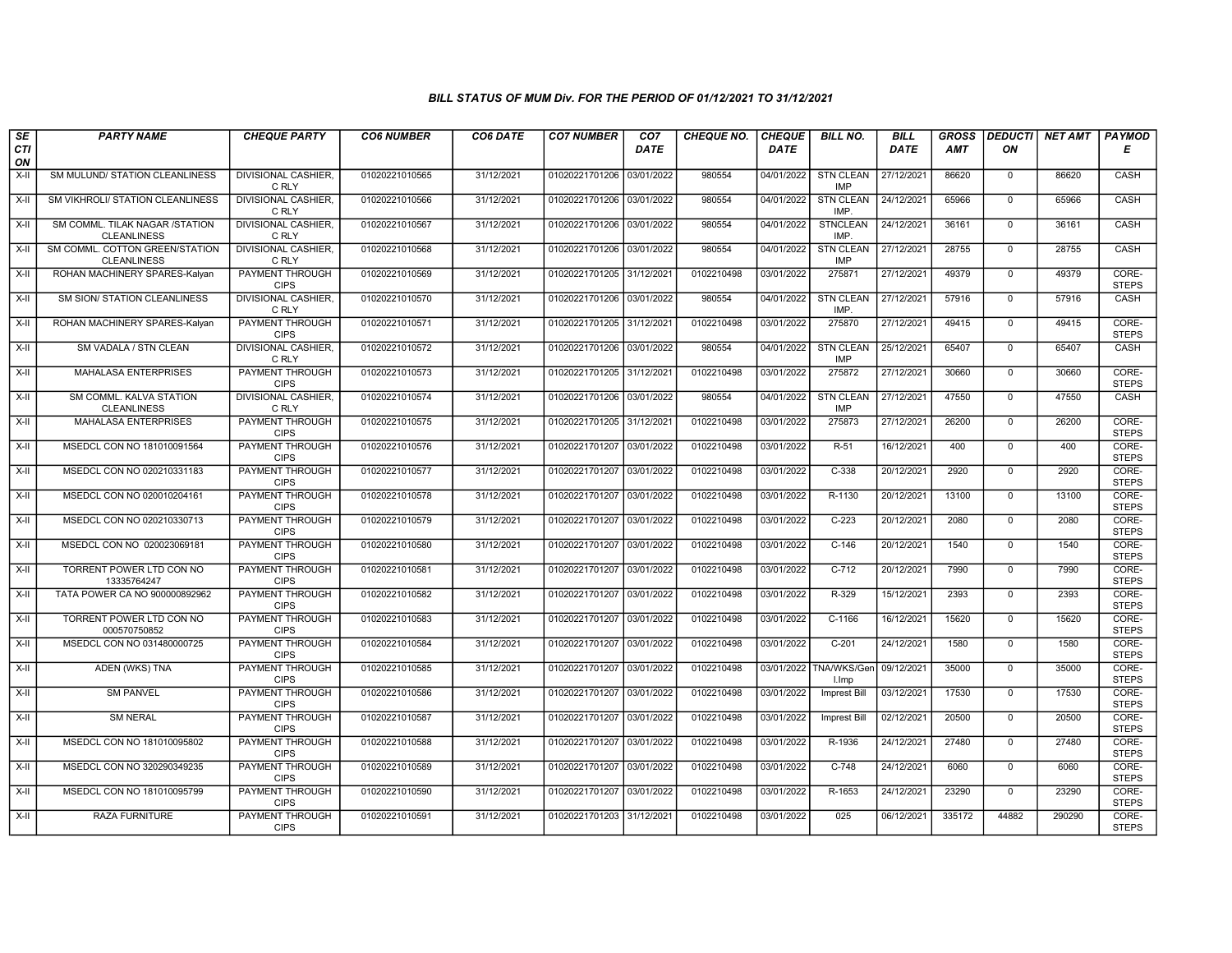| SE             | <b>PARTY NAME</b>                                        | <b>CHEQUE PARTY</b>                                             | <b>CO6 NUMBER</b>                | CO6 DATE                 | <b>CO7 NUMBER</b>                | CO7                      | <b>CHEQUE NO.</b>        | <b>CHEQUE</b>            | <b>BILL NO.</b>                | <b>BILL</b>              | <b>GROSS</b>   | <b>DEDUCTI</b>                | <b>NET AMT</b> | <b>PAYMOD</b>                  |
|----------------|----------------------------------------------------------|-----------------------------------------------------------------|----------------------------------|--------------------------|----------------------------------|--------------------------|--------------------------|--------------------------|--------------------------------|--------------------------|----------------|-------------------------------|----------------|--------------------------------|
| CTI<br>ON      |                                                          |                                                                 |                                  |                          |                                  | <b>DATE</b>              |                          | DATE                     |                                | DATE                     | AMT            | ON                            |                | Е                              |
| $X-H$          | SM MULUND/ STATION CLEANLINESS                           | <b>DIVISIONAL CASHIER,</b><br>C RLY                             | 01020221010565                   | 31/12/2021               | 01020221701206                   | 03/01/2022               | 980554                   | 04/01/2022               | <b>STN CLEAN</b><br><b>IMP</b> | 27/12/2021               | 86620          | $\mathbf 0$                   | 86620          | CASH                           |
| $X-H$          | <b>SM VIKHROLI/ STATION CLEANLINESS</b>                  | <b>DIVISIONAL CASHIER.</b><br>C RLY                             | 01020221010566                   | 31/12/2021               | 01020221701206 03/01/2022        |                          | 980554                   | 04/01/2022               | <b>STN CLEAN</b><br>IMP.       | 24/12/2021               | 65966          | $\Omega$                      | 65966          | <b>CASH</b>                    |
| X-II           | SM COMML. TILAK NAGAR /STATION<br><b>CLEANLINESS</b>     | DIVISIONAL CASHIER.<br>C RLY                                    | 01020221010567                   | 31/12/2021               | 01020221701206                   | 03/01/2022               | 980554                   | 04/01/2022               | <b>STNCLEAN</b><br>IMP.        | 24/12/2021               | 36161          | $\mathbf 0$                   | 36161          | CASH                           |
| $X-II$         | SM COMML. COTTON GREEN/STATION<br><b>CLEANLINESS</b>     | <b>DIVISIONAL CASHIER,</b><br>C RLY                             | 01020221010568                   | 31/12/2021               | 01020221701206                   | 03/01/2022               | 980554                   | 04/01/2022               | <b>STN CLEAN</b><br>IMP        | 27/12/2021               | 28755          | $\overline{0}$                | 28755          | CASH                           |
| X-II           | ROHAN MACHINERY SPARES-Kalyan                            | <b>PAYMENT THROUGH</b><br><b>CIPS</b>                           | 01020221010569                   | 31/12/2021               | 01020221701205 31/12/2021        |                          | 0102210498               | 03/01/2022               | 275871                         | 27/12/2021               | 49379          | $\mathbf 0$                   | 49379          | CORE-<br><b>STEPS</b>          |
| X-II           | SM SION/ STATION CLEANLINESS                             | <b>DIVISIONAL CASHIER,</b><br>C RLY                             | 01020221010570                   | 31/12/2021               | 01020221701206 03/01/2022        |                          | 980554                   | 04/01/2022               | <b>STN CLEAN</b><br>IMP        | 27/12/2021               | 57916          | $\mathbf{0}$                  | 57916          | CASH                           |
| X-II           | ROHAN MACHINERY SPARES-Kalyan                            | PAYMENT THROUGH<br><b>CIPS</b>                                  | 01020221010571                   | 31/12/2021               | 01020221701205                   | 31/12/2021               | 0102210498               | 03/01/2022               | 275870                         | 27/12/2021               | 49415          | $\Omega$                      | 49415          | CORE-<br><b>STEPS</b>          |
| $X-II$         | SM VADALA / STN CLEAN                                    | DIVISIONAL CASHIER<br>C RLY                                     | 01020221010572                   | 31/12/2021               | 01020221701206                   | 03/01/2022               | 980554                   | 04/01/2022               | <b>STN CLEAN</b><br><b>IMP</b> | 25/12/2021               | 65407          | $\mathbf 0$                   | 65407          | CASH                           |
| $X-H$          | <b>MAHALASA ENTERPRISES</b>                              | <b>PAYMENT THROUGH</b><br><b>CIPS</b>                           | 01020221010573                   | 31/12/2021               | 01020221701205 31/12/2021        |                          | 0102210498               | 03/01/2022               | 275872                         | 27/12/2021               | 30660          | $\overline{0}$                | 30660          | CORE-<br><b>STEPS</b>          |
| X-II           | SM COMML. KALVA STATION<br><b>CLEANLINESS</b>            | <b>DIVISIONAL CASHIER.</b><br>C RLY                             | 01020221010574                   | 31/12/2021               | 01020221701206 03/01/2022        |                          | 980554                   | 04/01/2022               | <b>STN CLEAN</b><br><b>IMP</b> | 27/12/2021               | 47550          | $\mathbf 0$                   | 47550          | CASH                           |
| X-II           | <b>MAHALASA ENTERPRISES</b>                              | PAYMENT THROUGH<br><b>CIPS</b>                                  | 01020221010575                   | 31/12/2021               | 01020221701205 31/12/2021        |                          | 0102210498               | 03/01/2022               | 275873                         | 27/12/2021               | 26200          | $\mathbf{0}$                  | 26200          | CORE-<br><b>STEPS</b>          |
| X-II           | MSEDCL CON NO 181010091564                               | PAYMENT THROUGH<br><b>CIPS</b>                                  | 01020221010576                   | 31/12/2021               | 01020221701207                   | 03/01/2022               | 0102210498               | 03/01/2022               | $R-51$                         | 16/12/2021               | 400            | $\Omega$                      | 400<br>2920    | CORE-<br><b>STEPS</b>          |
| $X-H$<br>$X-H$ | MSEDCL CON NO 020210331183<br>MSEDCL CON NO 020010204161 | <b>PAYMENT THROUGH</b><br><b>CIPS</b><br><b>PAYMENT THROUGH</b> | 01020221010577<br>01020221010578 | 31/12/2021<br>31/12/2021 | 01020221701207<br>01020221701207 | 03/01/2022<br>03/01/2022 | 0102210498<br>0102210498 | 03/01/2022<br>03/01/2022 | $C-338$<br>R-1130              | 20/12/2021<br>20/12/2021 | 2920<br>13100  | $\mathbf 0$<br>$\overline{0}$ | 13100          | CORE-<br><b>STEPS</b><br>CORE- |
|                |                                                          | <b>CIPS</b>                                                     |                                  |                          |                                  |                          |                          |                          |                                |                          |                |                               |                | <b>STEPS</b>                   |
| X-II           | MSEDCL CON NO 020210330713                               | <b>PAYMENT THROUGH</b><br><b>CIPS</b>                           | 01020221010579                   | 31/12/2021               | 01020221701207                   | 03/01/2022               | 0102210498               | 03/01/2022               | $C-223$                        | 20/12/2021               | 2080           | $\mathbf 0$                   | 2080           | CORE-<br><b>STEPS</b>          |
| $X-H$          | MSEDCL CON NO 020023069181                               | <b>PAYMENT THROUGH</b><br><b>CIPS</b>                           | 01020221010580                   | 31/12/2021               | 01020221701207                   | 03/01/2022               | 0102210498               | 03/01/2022               | $C-146$                        | 20/12/2021               | 1540           | $\overline{0}$                | 1540           | CORE-<br><b>STEPS</b>          |
| X-II           | TORRENT POWER LTD CON NO<br>13335764247                  | <b>PAYMENT THROUGH</b><br><b>CIPS</b>                           | 01020221010581                   | 31/12/2021               | 01020221701207                   | 03/01/2022               | 0102210498               | 03/01/2022               | $C-712$                        | 20/12/2021               | 7990           | $\mathbf{0}$                  | 7990           | CORE-<br><b>STEPS</b>          |
| X-II           | TATA POWER CA NO 900000892962                            | <b>PAYMENT THROUGH</b><br><b>CIPS</b>                           | 01020221010582                   | 31/12/2021               | 01020221701207                   | 03/01/2022               | 0102210498               | 03/01/2022               | R-329                          | 15/12/2021               | 2393           | $\mathbf 0$                   | 2393           | CORE-<br><b>STEPS</b>          |
| $X-H$          | TORRENT POWER LTD CON NO<br>000570750852                 | <b>PAYMENT THROUGH</b><br><b>CIPS</b>                           | 01020221010583                   | 31/12/2021               | 01020221701207                   | 03/01/2022               | 0102210498               | 03/01/2022               | $C-1166$                       | 16/12/2021               | 15620          | $\Omega$                      | 15620          | CORE-<br><b>STEPS</b>          |
| $X-H$          | MSEDCL CON NO 031480000725                               | PAYMENT THROUGH<br><b>CIPS</b><br><b>PAYMENT THROUGH</b>        | 01020221010584                   | 31/12/2021<br>31/12/2021 | 01020221701207                   | 03/01/2022               | 0102210498<br>0102210498 | 03/01/2022               | $C-201$<br>TNA/WKS/Gen         | 24/12/2021<br>09/12/2021 | 1580           | $\mathbf 0$<br>$\overline{0}$ | 1580<br>35000  | CORE-<br><b>STEPS</b><br>CORE- |
| $X-II$         | ADEN (WKS) TNA                                           | <b>CIPS</b>                                                     | 01020221010585                   |                          | 01020221701207                   | 03/01/2022               |                          | 03/01/2022               | I.Imp                          |                          | 35000<br>17530 |                               |                | <b>STEPS</b>                   |
| X-II           | <b>SM PANVEL</b>                                         | <b>PAYMENT THROUGH</b><br><b>CIPS</b>                           | 01020221010586                   | 31/12/2021               | 01020221701207                   | 03/01/2022               | 0102210498               | 03/01/2022               | Imprest Bill                   | 03/12/2021               |                | $\mathbf{0}$                  | 17530          | CORE-<br><b>STEPS</b>          |
| $X-H$          | <b>SM NERAL</b>                                          | PAYMENT THROUGH<br><b>CIPS</b>                                  | 01020221010587                   | 31/12/2021               | 01020221701207                   | 03/01/2022               | 0102210498               | 03/01/2022               | Imprest Bill                   | 02/12/2021               | 20500          | $\mathbf 0$                   | 20500          | CORE-<br><b>STEPS</b>          |
| $X-II$         | MSEDCL CON NO 181010095802                               | PAYMENT THROUGH<br><b>CIPS</b>                                  | 01020221010588                   | 31/12/2021               | 01020221701207                   | 03/01/2022               | 0102210498               | 03/01/2022               | R-1936                         | 24/12/2021               | 27480          | $\mathbf{0}$                  | 27480          | CORE-<br><b>STEPS</b>          |
| $X-H$          | MSEDCL CON NO 320290349235                               | PAYMENT THROUGH<br><b>CIPS</b>                                  | 01020221010589                   | 31/12/2021               | 01020221701207                   | 03/01/2022               | 0102210498               | 03/01/2022               | $C-748$                        | 24/12/2021               | 6060           | $\mathbf 0$                   | 6060           | CORE-<br><b>STEPS</b>          |
| $X-H$          | MSEDCL CON NO 181010095799                               | PAYMENT THROUGH<br><b>CIPS</b>                                  | 01020221010590                   | 31/12/2021               | 01020221701207                   | 03/01/2022               | 0102210498               | 03/01/2022               | R-1653                         | 24/12/2021               | 23290          | $\mathbf 0$                   | 23290          | CORE-<br><b>STEPS</b>          |
| X-II           | RAZA FURNITURE                                           | <b>PAYMENT THROUGH</b><br><b>CIPS</b>                           | 01020221010591                   | 31/12/2021               | 01020221701203 31/12/2021        |                          | 0102210498               | 03/01/2022               | $\overline{025}$               | 06/12/2021               | 335172         | 44882                         | 290290         | CORE-<br><b>STEPS</b>          |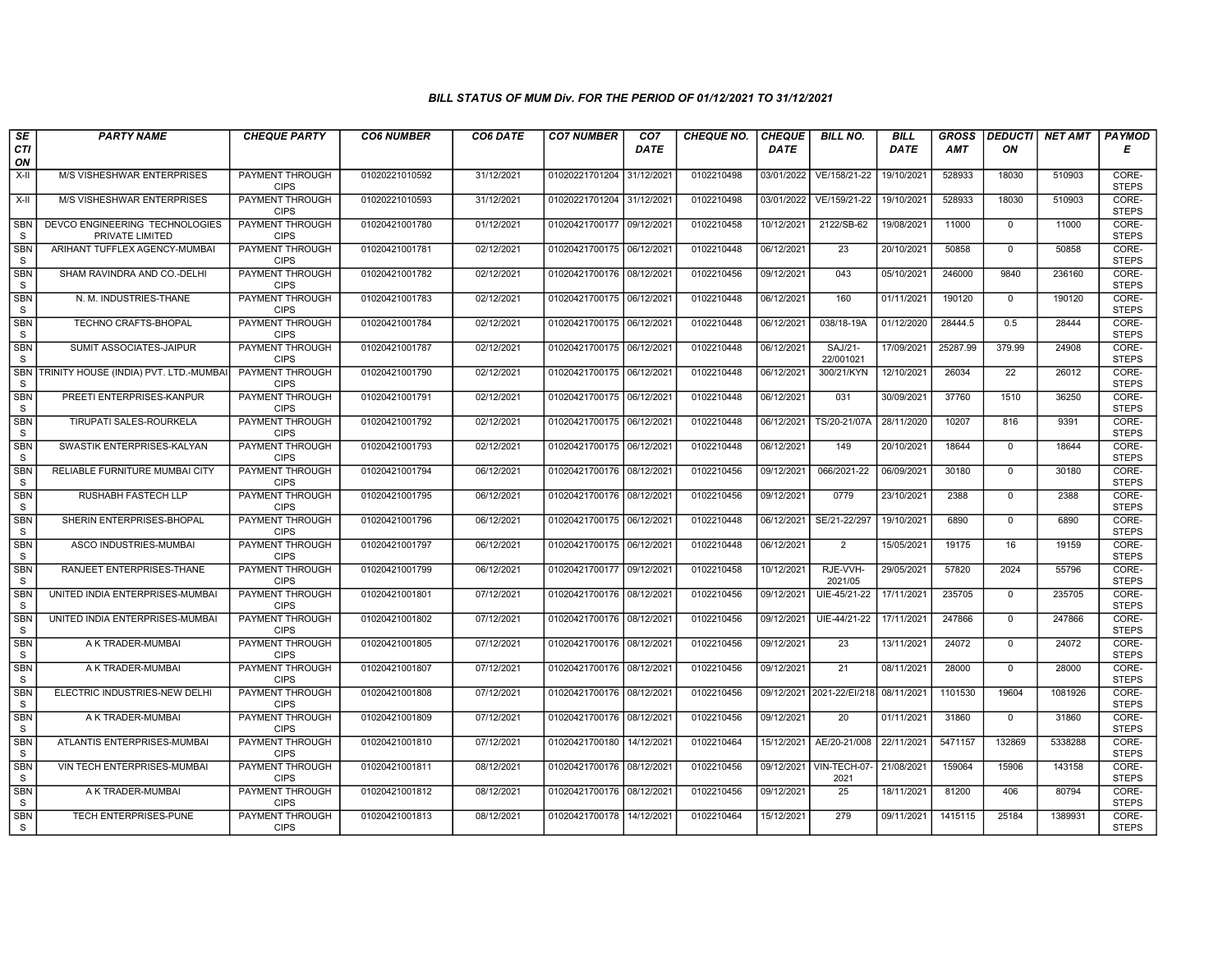| SE                         | <b>PARTY NAME</b>                                 | <b>CHEQUE PARTY</b>                   | <b>CO6 NUMBER</b> | CO6 DATE   | <b>CO7 NUMBER</b>         | CO <sub>7</sub> | <b>CHEQUE NO.</b> | <b>CHEQUE</b> | <b>BILL NO.</b>           | <b>BILL</b> | <b>GROSS</b> | <b>DEDUCTI</b>  | <b>NET AMT</b> | <b>PAYMOD</b>         |
|----------------------------|---------------------------------------------------|---------------------------------------|-------------------|------------|---------------------------|-----------------|-------------------|---------------|---------------------------|-------------|--------------|-----------------|----------------|-----------------------|
| CTI<br>ON                  |                                                   |                                       |                   |            |                           | <b>DATE</b>     |                   | <b>DATE</b>   |                           | DATE        | <b>AMT</b>   | ΟN              |                | Е                     |
| $X-H$                      | M/S VISHESHWAR ENTERPRISES                        | PAYMENT THROUGH<br><b>CIPS</b>        | 01020221010592    | 31/12/2021 | 01020221701204            | 31/12/202       | 0102210498        | 03/01/2022    | VE/158/21-22              | 19/10/2021  | 528933       | 18030           | 510903         | CORE-<br><b>STEPS</b> |
| $X-H$                      | <b>M/S VISHESHWAR ENTERPRISES</b>                 | <b>PAYMENT THROUGH</b><br><b>CIPS</b> | 01020221010593    | 31/12/2021 | 01020221701204 31/12/2021 |                 | 0102210498        | 03/01/2022    | VE/159/21-22              | 19/10/2021  | 528933       | 18030           | 510903         | CORE-<br><b>STEPS</b> |
| <b>SBN</b><br>S            | DEVCO ENGINEERING TECHNOLOGIES<br>PRIVATE LIMITED | PAYMENT THROUGH<br><b>CIPS</b>        | 01020421001780    | 01/12/2021 | 01020421700177 09/12/202  |                 | 0102210458        | 10/12/2021    | 2122/SB-62                | 19/08/2021  | 11000        | $\mathbf 0$     | 11000          | CORE-<br><b>STEPS</b> |
| <b>SBN</b><br>S            | ARIHANT TUFFLEX AGENCY-MUMBAI                     | <b>PAYMENT THROUGH</b><br><b>CIPS</b> | 01020421001781    | 02/12/2021 | 01020421700175 06/12/2021 |                 | 0102210448        | 06/12/2021    | 23                        | 20/10/2021  | 50858        | $\overline{0}$  | 50858          | CORE-<br><b>STEPS</b> |
| <b>SBN</b><br>S.           | SHAM RAVINDRA AND CO.-DELHI                       | <b>PAYMENT THROUGH</b><br><b>CIPS</b> | 01020421001782    | 02/12/2021 | 01020421700176 08/12/202  |                 | 0102210456        | 09/12/2021    | 043                       | 05/10/2021  | 246000       | 9840            | 236160         | CORE-<br><b>STEPS</b> |
| <b>SBN</b><br>S            | N. M. INDUSTRIES-THANE                            | <b>PAYMENT THROUGH</b><br><b>CIPS</b> | 01020421001783    | 02/12/2021 | 01020421700175 06/12/2021 |                 | 0102210448        | 06/12/2021    | 160                       | 01/11/2021  | 190120       | $\mathbf{0}$    | 190120         | CORE-<br><b>STEPS</b> |
| <b>SBN</b><br>S            | TECHNO CRAFTS-BHOPAL                              | PAYMENT THROUGH<br><b>CIPS</b>        | 01020421001784    | 02/12/2021 | 01020421700175 06/12/202  |                 | 0102210448        | 06/12/2021    | 038/18-19A                | 01/12/2020  | 28444.5      | 0.5             | 28444          | CORE-<br><b>STEPS</b> |
| <b>SBN</b><br>S            | SUMIT ASSOCIATES-JAIPUR                           | PAYMENT THROUGH<br><b>CIPS</b>        | 01020421001787    | 02/12/2021 | 01020421700175 06/12/202  |                 | 0102210448        | 06/12/2021    | SAJ/21-<br>22/001021      | 17/09/2021  | 25287.99     | 379.99          | 24908          | CORE-<br><b>STEPS</b> |
| <b>SBN</b><br><sub>S</sub> | TRINITY HOUSE (INDIA) PVT. LTD.-MUMBA             | PAYMENT THROUGH<br><b>CIPS</b>        | 01020421001790    | 02/12/2021 | 01020421700175 06/12/2021 |                 | 0102210448        | 06/12/2021    | 300/21/KYN                | 12/10/2021  | 26034        | $\overline{22}$ | 26012          | CORE-<br><b>STEPS</b> |
| <b>SBN</b><br>S.           | PREETI ENTERPRISES-KANPUR                         | <b>PAYMENT THROUGH</b><br><b>CIPS</b> | 01020421001791    | 02/12/2021 | 01020421700175 06/12/202  |                 | 0102210448        | 06/12/2021    | 031                       | 30/09/2021  | 37760        | 1510            | 36250          | CORE-<br><b>STEPS</b> |
| <b>SBN</b><br>S.           | TIRUPATI SALES-ROURKELA                           | <b>PAYMENT THROUGH</b><br><b>CIPS</b> | 01020421001792    | 02/12/2021 | 01020421700175 06/12/2021 |                 | 0102210448        | 06/12/2021    | TS/20-21/07A              | 28/11/2020  | 10207        | 816             | 9391           | CORE-<br><b>STEPS</b> |
| <b>SBN</b><br>S            | SWASTIK ENTERPRISES-KALYAN                        | PAYMENT THROUGH<br><b>CIPS</b>        | 01020421001793    | 02/12/2021 | 01020421700175 06/12/202  |                 | 0102210448        | 06/12/2021    | 149                       | 20/10/2021  | 18644        | $\Omega$        | 18644          | CORE-<br><b>STEPS</b> |
| <b>SBN</b><br>S            | RELIABLE FURNITURE MUMBAI CITY                    | <b>PAYMENT THROUGH</b><br><b>CIPS</b> | 01020421001794    | 06/12/2021 | 01020421700176 08/12/202  |                 | 0102210456        | 09/12/2021    | 066/2021-22               | 06/09/2021  | 30180        | $\mathbf 0$     | 30180          | CORE-<br><b>STEPS</b> |
| <b>SBN</b><br>$\mathsf S$  | RUSHABH FASTECH LLP                               | <b>PAYMENT THROUGH</b><br><b>CIPS</b> | 01020421001795    | 06/12/2021 | 01020421700176 08/12/2021 |                 | 0102210456        | 09/12/2021    | 0779                      | 23/10/2021  | 2388         | $\mathbf 0$     | 2388           | CORE-<br><b>STEPS</b> |
| <b>SBN</b><br>S            | SHERIN ENTERPRISES-BHOPAL                         | PAYMENT THROUGH<br><b>CIPS</b>        | 01020421001796    | 06/12/2021 | 01020421700175 06/12/202  |                 | 0102210448        | 06/12/2021    | SE/21-22/297              | 19/10/2021  | 6890         | $\mathbf 0$     | 6890           | CORE-<br><b>STEPS</b> |
| <b>SBN</b><br>S            | ASCO INDUSTRIES-MUMBAI                            | <b>PAYMENT THROUGH</b><br><b>CIPS</b> | 01020421001797    | 06/12/2021 | 01020421700175 06/12/2021 |                 | 0102210448        | 06/12/2021    | 2                         | 15/05/2021  | 19175        | 16              | 19159          | CORE-<br><b>STEPS</b> |
| <b>SBN</b><br>S.           | RANJEET ENTERPRISES-THANE                         | PAYMENT THROUGH<br><b>CIPS</b>        | 01020421001799    | 06/12/2021 | 01020421700177 09/12/202  |                 | 0102210458        | 10/12/2021    | RJE-VVH-<br>2021/05       | 29/05/2021  | 57820        | 2024            | 55796          | CORE-<br><b>STEPS</b> |
| <b>SBN</b><br>S            | UNITED INDIA ENTERPRISES-MUMBA                    | <b>PAYMENT THROUGH</b><br><b>CIPS</b> | 01020421001801    | 07/12/2021 | 01020421700176 08/12/202  |                 | 0102210456        | 09/12/2021    | UIE-45/21-22              | 17/11/2021  | 235705       | $\mathbf 0$     | 235705         | CORE-<br><b>STEPS</b> |
| <b>SBN</b><br>S            | UNITED INDIA ENTERPRISES-MUMBAI                   | PAYMENT THROUGH<br><b>CIPS</b>        | 01020421001802    | 07/12/2021 | 01020421700176 08/12/2021 |                 | 0102210456        | 09/12/2021    | UIE-44/21-22              | 17/11/2021  | 247866       | $\Omega$        | 247866         | CORE-<br><b>STEPS</b> |
| SBN<br>S                   | A K TRADER-MUMBAI                                 | PAYMENT THROUGH<br><b>CIPS</b>        | 01020421001805    | 07/12/2021 | 01020421700176 08/12/202  |                 | 0102210456        | 09/12/2021    | 23                        | 13/11/2021  | 24072        | $\mathbf 0$     | 24072          | CORE-<br><b>STEPS</b> |
| <b>SBN</b><br>S            | A K TRADER-MUMBAI                                 | <b>PAYMENT THROUGH</b><br><b>CIPS</b> | 01020421001807    | 07/12/2021 | 01020421700176 08/12/2021 |                 | 0102210456        | 09/12/2021    | 21                        | 08/11/2021  | 28000        | $\overline{0}$  | 28000          | CORE-<br><b>STEPS</b> |
| <b>SBN</b><br><sub>S</sub> | ELECTRIC INDUSTRIES-NEW DELHI                     | PAYMENT THROUGH<br><b>CIPS</b>        | 01020421001808    | 07/12/2021 | 01020421700176 08/12/202  |                 | 0102210456        |               | 09/12/2021 2021-22/EI/218 | 08/11/2021  | 1101530      | 19604           | 1081926        | CORE-<br><b>STEPS</b> |
| <b>SBN</b><br>S.           | A K TRADER-MUMBAI                                 | PAYMENT THROUGH<br><b>CIPS</b>        | 01020421001809    | 07/12/2021 | 01020421700176 08/12/202  |                 | 0102210456        | 09/12/2021    | 20                        | 01/11/2021  | 31860        | $\mathbf 0$     | 31860          | CORE-<br><b>STEPS</b> |
| <b>SBN</b><br>S            | ATLANTIS ENTERPRISES-MUMBAI                       | PAYMENT THROUGH<br><b>CIPS</b>        | 01020421001810    | 07/12/2021 | 01020421700180            | 14/12/2021      | 0102210464        | 15/12/2021    | AE/20-21/008              | 22/11/2021  | 5471157      | 132869          | 5338288        | CORE-<br><b>STEPS</b> |
| <b>SBN</b><br>S.           | VIN TECH ENTERPRISES-MUMBAI                       | PAYMENT THROUGH<br><b>CIPS</b>        | 01020421001811    | 08/12/2021 | 01020421700176 08/12/202  |                 | 0102210456        | 09/12/2021    | VIN-TECH-07<br>2021       | 21/08/2021  | 159064       | 15906           | 143158         | CORE-<br><b>STEPS</b> |
| <b>SBN</b><br>S            | A K TRADER-MUMBAI                                 | PAYMENT THROUGH<br><b>CIPS</b>        | 01020421001812    | 08/12/2021 | 01020421700176 08/12/2021 |                 | 0102210456        | 09/12/2021    | 25                        | 18/11/2021  | 81200        | 406             | 80794          | CORE-<br><b>STEPS</b> |
| <b>SBN</b><br>S.           | TECH ENTERPRISES-PUNE                             | PAYMENT THROUGH<br><b>CIPS</b>        | 01020421001813    | 08/12/2021 | 01020421700178 14/12/2021 |                 | 0102210464        | 15/12/2021    | 279                       | 09/11/2021  | 1415115      | 25184           | 1389931        | CORE-<br><b>STEPS</b> |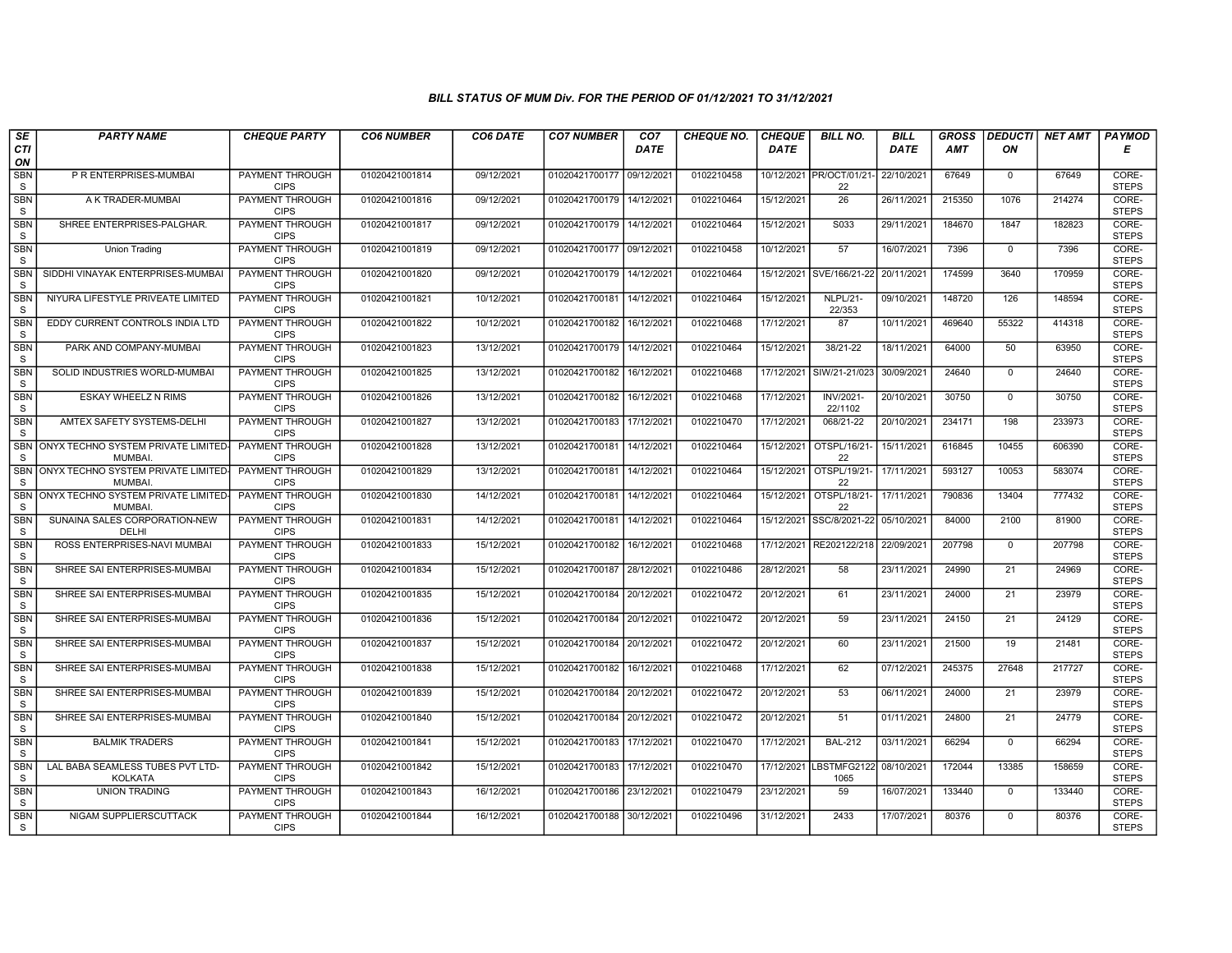| SE                         | <b>PARTY NAME</b>                                       | <b>CHEQUE PARTY</b>                   | <b>CO6 NUMBER</b> | CO6 DATE   | <b>CO7 NUMBER</b>         | CO <sub>7</sub> | <b>CHEQUE NO.</b> | <b>CHEQUE</b> | <b>BILL NO.</b>                | <b>BILL</b> | <b>GROSS</b> |                 | <b>DEDUCTI</b> NET AMT | <b>PAYMOD</b>         |
|----------------------------|---------------------------------------------------------|---------------------------------------|-------------------|------------|---------------------------|-----------------|-------------------|---------------|--------------------------------|-------------|--------------|-----------------|------------------------|-----------------------|
| <b>CTI</b><br>ON           |                                                         |                                       |                   |            |                           | <b>DATE</b>     |                   | <b>DATE</b>   |                                | <b>DATE</b> | <b>AMT</b>   | ON              |                        | Е                     |
| <b>SBN</b><br>S            | P R ENTERPRISES-MUMBAI                                  | PAYMENT THROUGH<br><b>CIPS</b>        | 01020421001814    | 09/12/2021 | 01020421700177 09/12/2021 |                 | 0102210458        |               | 10/12/2021 PR/OCT/01/21-<br>22 | 22/10/2021  | 67649        | $\mathbf{0}$    | 67649                  | CORE-<br><b>STEPS</b> |
| <b>SBN</b><br>$\mathbf S$  | A K TRADER-MUMBAI                                       | PAYMENT THROUGH<br><b>CIPS</b>        | 01020421001816    | 09/12/2021 | 01020421700179 14/12/2021 |                 | 0102210464        | 15/12/2021    | $\overline{26}$                | 26/11/2021  | 215350       | 1076            | 214274                 | CORE-<br><b>STEPS</b> |
| <b>SBN</b><br>S            | SHREE ENTERPRISES-PALGHAR.                              | PAYMENT THROUGH<br><b>CIPS</b>        | 01020421001817    | 09/12/2021 | 01020421700179            | 14/12/2021      | 0102210464        | 15/12/2021    | S033                           | 29/11/2021  | 184670       | 1847            | 182823                 | CORE-<br><b>STEPS</b> |
| <b>SBN</b><br>S            | Union Trading                                           | PAYMENT THROUGH<br><b>CIPS</b>        | 01020421001819    | 09/12/2021 | 01020421700177 09/12/2021 |                 | 0102210458        | 10/12/2021    | 57                             | 16/07/2021  | 7396         | $\mathbf{0}$    | 7396                   | CORE-<br><b>STEPS</b> |
| <b>SBN</b><br><sub>S</sub> | SIDDHI VINAYAK ENTERPRISES-MUMBAI                       | <b>PAYMENT THROUGH</b><br><b>CIPS</b> | 01020421001820    | 09/12/2021 | 01020421700179            | 14/12/2021      | 0102210464        | 15/12/2021    | SVE/166/21-22                  | 20/11/2021  | 174599       | 3640            | 170959                 | CORE-<br><b>STEPS</b> |
| <b>SBN</b><br><sub>S</sub> | NIYURA LIFESTYLE PRIVEATE LIMITED                       | PAYMENT THROUGH<br><b>CIPS</b>        | 01020421001821    | 10/12/2021 | 01020421700181            | 14/12/2021      | 0102210464        | 15/12/2021    | <b>NLPL/21-</b><br>22/353      | 09/10/2021  | 148720       | 126             | 148594                 | CORE-<br><b>STEPS</b> |
| <b>SBN</b><br>S            | EDDY CURRENT CONTROLS INDIA LTD                         | PAYMENT THROUGH<br><b>CIPS</b>        | 01020421001822    | 10/12/2021 | 01020421700182            | 16/12/2021      | 0102210468        | 17/12/2021    | 87                             | 10/11/2021  | 469640       | 55322           | 414318                 | CORE-<br><b>STEPS</b> |
| <b>SBN</b><br>S            | PARK AND COMPANY-MUMBAI                                 | <b>PAYMENT THROUGH</b><br><b>CIPS</b> | 01020421001823    | 13/12/2021 | 01020421700179            | 14/12/2021      | 0102210464        | 15/12/2021    | 38/21-22                       | 18/11/2021  | 64000        | 50              | 63950                  | CORE-<br><b>STEPS</b> |
| <b>SBN</b><br>S            | SOLID INDUSTRIES WORLD-MUMBAI                           | <b>PAYMENT THROUGH</b><br><b>CIPS</b> | 01020421001825    | 13/12/2021 | 01020421700182            | 16/12/2021      | 0102210468        | 17/12/2021    | SIW/21-21/023                  | 30/09/2021  | 24640        | $\mathbf{0}$    | 24640                  | CORE-<br><b>STEPS</b> |
| <b>SBN</b><br>S            | <b>ESKAY WHEELZ N RIMS</b>                              | <b>PAYMENT THROUGH</b><br><b>CIPS</b> | 01020421001826    | 13/12/2021 | 01020421700182 16/12/2021 |                 | 0102210468        | 17/12/2021    | <b>INV/2021-</b><br>22/1102    | 20/10/2021  | 30750        | $\overline{0}$  | 30750                  | CORE-<br><b>STEPS</b> |
| SBN<br>S                   | AMTEX SAFETY SYSTEMS-DELHI                              | PAYMENT THROUGH<br><b>CIPS</b>        | 01020421001827    | 13/12/2021 | 01020421700183            | 17/12/2021      | 0102210470        | 17/12/2021    | 068/21-22                      | 20/10/2021  | 234171       | 198             | 233973                 | CORE-<br><b>STEPS</b> |
| S                          | SBN ONYX TECHNO SYSTEM PRIVATE LIMITED<br><b>MUMBAI</b> | PAYMENT THROUGH<br><b>CIPS</b>        | 01020421001828    | 13/12/2021 | 01020421700181            | 14/12/2021      | 0102210464        | 15/12/2021    | OTSPL/16/21<br>22              | 15/11/2021  | 616845       | 10455           | 606390                 | CORE-<br><b>STEPS</b> |
| <b>SBN</b><br>S            | ONYX TECHNO SYSTEM PRIVATE LIMITED-<br><b>MUMBAI</b>    | PAYMENT THROUGH<br><b>CIPS</b>        | 01020421001829    | 13/12/2021 | 01020421700181 14/12/2021 |                 | 0102210464        | 15/12/2021    | OTSPL/19/21<br>22              | 17/11/2021  | 593127       | 10053           | 583074                 | CORE-<br><b>STEPS</b> |
| <b>SBN</b><br><sub>S</sub> | ONYX TECHNO SYSTEM PRIVATE LIMITED<br><b>MUMBAI</b>     | <b>PAYMENT THROUGH</b><br><b>CIPS</b> | 01020421001830    | 14/12/2021 | 01020421700181            | 14/12/2021      | 0102210464        | 15/12/2021    | OTSPL/18/21-<br>22             | 17/11/2021  | 790836       | 13404           | 777432                 | CORE-<br><b>STEPS</b> |
| <b>SBN</b><br>S            | SUNAINA SALES CORPORATION-NEW<br>DELHI                  | PAYMENT THROUGH<br><b>CIPS</b>        | 01020421001831    | 14/12/2021 | 01020421700181 14/12/2021 |                 | 0102210464        | 15/12/2021    | SSC/8/2021-22                  | 05/10/2021  | 84000        | 2100            | 81900                  | CORE-<br><b>STEPS</b> |
| <b>SBN</b><br>S            | ROSS ENTERPRISES-NAVI MUMBAI                            | PAYMENT THROUGH<br><b>CIPS</b>        | 01020421001833    | 15/12/2021 | 01020421700182            | 16/12/2021      | 0102210468        |               | 17/12/2021 RE202122/218        | 22/09/2021  | 207798       | $\mathbf{0}$    | 207798                 | CORE-<br><b>STEPS</b> |
| <b>SBN</b><br>S            | SHREE SAI ENTERPRISES-MUMBAI                            | PAYMENT THROUGH<br><b>CIPS</b>        | 01020421001834    | 15/12/2021 | 01020421700187            | 28/12/2021      | 0102210486        | 28/12/2021    | 58                             | 23/11/2021  | 24990        | 21              | 24969                  | CORE-<br><b>STEPS</b> |
| <b>SBN</b><br>S            | SHREE SAI ENTERPRISES-MUMBAI                            | <b>PAYMENT THROUGH</b><br><b>CIPS</b> | 01020421001835    | 15/12/2021 | 01020421700184 20/12/2021 |                 | 0102210472        | 20/12/2021    | 61                             | 23/11/2021  | 24000        | $\overline{21}$ | 23979                  | CORE-<br><b>STEPS</b> |
| <b>SBN</b><br>S            | SHREE SAI ENTERPRISES-MUMBAI                            | PAYMENT THROUGH<br><b>CIPS</b>        | 01020421001836    | 15/12/2021 | 01020421700184            | 20/12/2021      | 0102210472        | 20/12/2021    | 59                             | 23/11/2021  | 24150        | $\overline{21}$ | 24129                  | CORE-<br><b>STEPS</b> |
| <b>SBN</b><br>$\mathbb S$  | SHREE SAI ENTERPRISES-MUMBAI                            | PAYMENT THROUGH<br><b>CIPS</b>        | 01020421001837    | 15/12/2021 | 01020421700184 20/12/2021 |                 | 0102210472        | 20/12/2021    | 60                             | 23/11/2021  | 21500        | 19              | 21481                  | CORE-<br><b>STEPS</b> |
| <b>SBN</b><br>S            | SHREE SAI ENTERPRISES-MUMBAI                            | PAYMENT THROUGH<br><b>CIPS</b>        | 01020421001838    | 15/12/2021 | 01020421700182            | 16/12/2021      | 0102210468        | 17/12/2021    | 62                             | 07/12/2021  | 245375       | 27648           | 217727                 | CORE-<br><b>STEPS</b> |
| <b>SBN</b><br>S            | SHREE SAI ENTERPRISES-MUMBAI                            | PAYMENT THROUGH<br><b>CIPS</b>        | 01020421001839    | 15/12/2021 | 01020421700184 20/12/2021 |                 | 0102210472        | 20/12/2021    | 53                             | 06/11/2021  | 24000        | 21              | 23979                  | CORE-<br><b>STEPS</b> |
| SBN<br>S                   | SHREE SAI ENTERPRISES-MUMBAI                            | PAYMENT THROUGH<br><b>CIPS</b>        | 01020421001840    | 15/12/2021 | 01020421700184 20/12/2021 |                 | 0102210472        | 20/12/2021    | 51                             | 01/11/2021  | 24800        | 21              | 24779                  | CORE-<br><b>STEPS</b> |
| <b>SBN</b><br>S            | <b>BALMIK TRADERS</b>                                   | PAYMENT THROUGH<br><b>CIPS</b>        | 01020421001841    | 15/12/2021 | 01020421700183            | 17/12/2021      | 0102210470        | 17/12/2021    | <b>BAL-212</b>                 | 03/11/2021  | 66294        | $\Omega$        | 66294                  | CORE-<br><b>STEPS</b> |
| <b>SBN</b><br>S            | LAL BABA SEAMLESS TUBES PVT LTD-<br><b>KOLKATA</b>      | PAYMENT THROUGH<br><b>CIPS</b>        | 01020421001842    | 15/12/2021 | 01020421700183            | 17/12/2021      | 0102210470        |               | 17/12/2021 LBSTMFG2122<br>1065 | 08/10/2021  | 172044       | 13385           | 158659                 | CORE-<br><b>STEPS</b> |
| <b>SBN</b><br>S            | <b>UNION TRADING</b>                                    | <b>PAYMENT THROUGH</b><br><b>CIPS</b> | 01020421001843    | 16/12/2021 | 01020421700186 23/12/2021 |                 | 0102210479        | 23/12/2021    | 59                             | 16/07/2021  | 133440       | $\mathsf{O}$    | 133440                 | CORE-<br><b>STEPS</b> |
| <b>SBN</b><br>S            | NIGAM SUPPLIERSCUTTACK                                  | PAYMENT THROUGH<br><b>CIPS</b>        | 01020421001844    | 16/12/2021 | 01020421700188 30/12/2021 |                 | 0102210496        | 31/12/2021    | 2433                           | 17/07/2021  | 80376        | $\mathbf{0}$    | 80376                  | CORE-<br><b>STEPS</b> |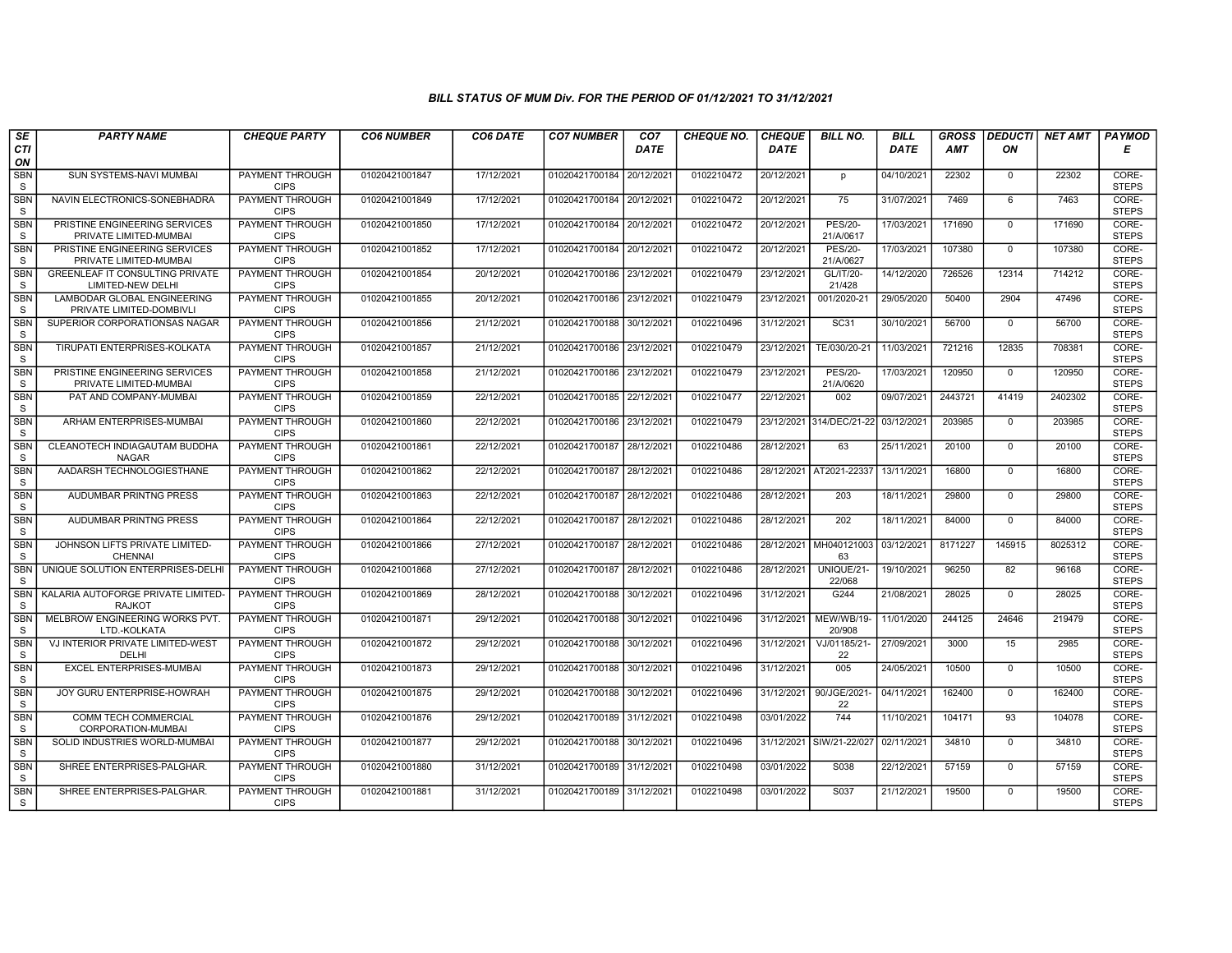| SE                         | <b>PARTY NAME</b>                                           | <b>CHEQUE PARTY</b>                   | <b>CO6 NUMBER</b> | CO6 DATE   | <b>CO7 NUMBER</b>         | CO7         | <b>CHEQUE NO.</b> | <b>CHEQUE</b> | <b>BILL NO.</b>             | <b>BILL</b> | <b>GROSS</b> | <b>DEDUCTI</b> | <b>NET AMT</b> | PAYMOD                |
|----------------------------|-------------------------------------------------------------|---------------------------------------|-------------------|------------|---------------------------|-------------|-------------------|---------------|-----------------------------|-------------|--------------|----------------|----------------|-----------------------|
| CTI<br>ON                  |                                                             |                                       |                   |            |                           | <b>DATE</b> |                   | <b>DATE</b>   |                             | DATE        | <b>AMT</b>   | ΟN             |                | Е                     |
| <b>SBN</b><br>S            | SUN SYSTEMS-NAVI MUMBAI                                     | <b>PAYMENT THROUGH</b><br><b>CIPS</b> | 01020421001847    | 17/12/2021 | 01020421700184            | 20/12/2021  | 0102210472        | 20/12/2021    | p                           | 04/10/2021  | 22302        | $\mathbf 0$    | 22302          | CORE-<br><b>STEPS</b> |
| <b>SBN</b><br><sub>S</sub> | NAVIN ELECTRONICS-SONEBHADRA                                | <b>PAYMENT THROUGH</b><br><b>CIPS</b> | 01020421001849    | 17/12/2021 | 01020421700184 20/12/2021 |             | 0102210472        | 20/12/2021    | 75                          | 31/07/2021  | 7469         | 6              | 7463           | CORE-<br><b>STEPS</b> |
| <b>SBN</b><br>S            | PRISTINE ENGINEERING SERVICES<br>PRIVATE LIMITED-MUMBAI     | PAYMENT THROUGH<br><b>CIPS</b>        | 01020421001850    | 17/12/2021 | 01020421700184            | 20/12/202   | 0102210472        | 20/12/2021    | <b>PES/20-</b><br>21/A/0617 | 17/03/2021  | 171690       | $\mathbf 0$    | 171690         | CORE-<br><b>STEPS</b> |
| <b>SBN</b><br>S            | PRISTINE ENGINEERING SERVICES<br>PRIVATE LIMITED-MUMBAI     | <b>PAYMENT THROUGH</b><br><b>CIPS</b> | 01020421001852    | 17/12/2021 | 01020421700184            | 20/12/2021  | 0102210472        | 20/12/2021    | <b>PES/20-</b><br>21/A/0627 | 17/03/2021  | 107380       | $\overline{0}$ | 107380         | CORE-<br><b>STEPS</b> |
| <b>SBN</b><br><sub>S</sub> | <b>GREENLEAF IT CONSULTING PRIVATE</b><br>LIMITED-NEW DELHI | <b>PAYMENT THROUGH</b><br><b>CIPS</b> | 01020421001854    | 20/12/2021 | 01020421700186 23/12/2021 |             | 0102210479        | 23/12/2021    | GL/IT/20-<br>21/428         | 14/12/2020  | 726526       | 12314          | 714212         | CORE-<br><b>STEPS</b> |
| <b>SBN</b><br>S            | LAMBODAR GLOBAL ENGINEERING<br>PRIVATE LIMITED-DOMBIVLI     | <b>PAYMENT THROUGH</b><br><b>CIPS</b> | 01020421001855    | 20/12/2021 | 01020421700186 23/12/2021 |             | 0102210479        | 23/12/2021    | 001/2020-21                 | 29/05/2020  | 50400        | 2904           | 47496          | CORE-<br><b>STEPS</b> |
| <b>SBN</b><br><sub>S</sub> | SUPERIOR CORPORATIONSAS NAGAR                               | <b>PAYMENT THROUGH</b><br><b>CIPS</b> | 01020421001856    | 21/12/2021 | 01020421700188            | 30/12/2021  | 0102210496        | 31/12/2021    | SC31                        | 30/10/2021  | 56700        | $\mathbf 0$    | 56700          | CORE-<br><b>STEPS</b> |
| <b>SBN</b><br><sub>S</sub> | TIRUPATI ENTERPRISES-KOLKATA                                | PAYMENT THROUGH<br><b>CIPS</b>        | 01020421001857    | 21/12/2021 | 01020421700186            | 23/12/2021  | 0102210479        | 23/12/2021    | TE/030/20-21                | 11/03/2021  | 721216       | 12835          | 708381         | CORE-<br><b>STEPS</b> |
| <b>SBN</b><br><b>S</b>     | PRISTINE ENGINEERING SERVICES<br>PRIVATE LIMITED-MUMBAI     | <b>PAYMENT THROUGH</b><br><b>CIPS</b> | 01020421001858    | 21/12/2021 | 01020421700186 23/12/2021 |             | 0102210479        | 23/12/2021    | <b>PES/20-</b><br>21/A/0620 | 17/03/2021  | 120950       | $\mathbf 0$    | 120950         | CORE-<br><b>STEPS</b> |
| <b>SBN</b><br>S            | PAT AND COMPANY-MUMBAI                                      | <b>PAYMENT THROUGH</b><br><b>CIPS</b> | 01020421001859    | 22/12/2021 | 01020421700185 22/12/202  |             | 0102210477        | 22/12/2021    | 002                         | 09/07/2021  | 2443721      | 41419          | 2402302        | CORE-<br><b>STEPS</b> |
| <b>SBN</b><br>S            | ARHAM ENTERPRISES-MUMBAI                                    | <b>PAYMENT THROUGH</b><br><b>CIPS</b> | 01020421001860    | 22/12/2021 | 01020421700186            | 23/12/2021  | 0102210479        | 23/12/2021    | 314/DEC/21-22               | 03/12/2021  | 203985       | $\mathbf 0$    | 203985         | CORE-<br><b>STEPS</b> |
| <b>SBN</b><br><sub>S</sub> | CLEANOTECH INDIAGAUTAM BUDDHA<br><b>NAGAR</b>               | PAYMENT THROUGH<br><b>CIPS</b>        | 01020421001861    | 22/12/2021 | 01020421700187            | 28/12/2021  | 0102210486        | 28/12/2021    | 63                          | 25/11/2021  | 20100        | $\mathbf 0$    | 20100          | CORE-<br><b>STEPS</b> |
| <b>SBN</b><br>S            | AADARSH TECHNOLOGIESTHANE                                   | <b>PAYMENT THROUGH</b><br><b>CIPS</b> | 01020421001862    | 22/12/2021 | 01020421700187            | 28/12/2021  | 0102210486        |               | 28/12/2021 AT2021-22337     | 13/11/2021  | 16800        | $\Omega$       | 16800          | CORE-<br><b>STEPS</b> |
| <b>SBN</b><br>S            | AUDUMBAR PRINTNG PRESS                                      | <b>PAYMENT THROUGH</b><br><b>CIPS</b> | 01020421001863    | 22/12/2021 | 01020421700187 28/12/2021 |             | 0102210486        | 28/12/2021    | 203                         | 18/11/2021  | 29800        | $\Omega$       | 29800          | CORE-<br><b>STEPS</b> |
| <b>SBN</b><br><sub>S</sub> | AUDUMBAR PRINTNG PRESS                                      | PAYMENT THROUGH<br><b>CIPS</b>        | 01020421001864    | 22/12/2021 | 01020421700187            | 28/12/2021  | 0102210486        | 28/12/2021    | 202                         | 18/11/2021  | 84000        | $\mathbf 0$    | 84000          | CORE-<br><b>STEPS</b> |
| <b>SBN</b><br><sub>S</sub> | JOHNSON LIFTS PRIVATE LIMITED-<br>CHENNAI                   | PAYMENT THROUGH<br><b>CIPS</b>        | 01020421001866    | 27/12/2021 | 01020421700187 28/12/2021 |             | 0102210486        | 28/12/2021    | MH040121003<br>63           | 03/12/2021  | 8171227      | 145915         | 8025312        | CORE-<br><b>STEPS</b> |
| <b>SBN</b><br><sub>S</sub> | UNIQUE SOLUTION ENTERPRISES-DELHI                           | <b>PAYMENT THROUGH</b><br><b>CIPS</b> | 01020421001868    | 27/12/2021 | 01020421700187            | 28/12/2021  | 0102210486        | 28/12/2021    | UNIQUE/21-<br>22/068        | 19/10/2021  | 96250        | 82             | 96168          | CORE-<br><b>STEPS</b> |
| <b>SBN</b><br><sub>S</sub> | KALARIA AUTOFORGE PRIVATE LIMITED-<br><b>RAJKOT</b>         | <b>PAYMENT THROUGH</b><br><b>CIPS</b> | 01020421001869    | 28/12/2021 | 01020421700188            | 30/12/2021  | 0102210496        | 31/12/2021    | G244                        | 21/08/2021  | 28025        | $\overline{0}$ | 28025          | CORE-<br><b>STEPS</b> |
| SBN<br>S                   | MELBROW ENGINEERING WORKS PVT.<br>LTD.-KOLKATA              | PAYMENT THROUGH<br><b>CIPS</b>        | 01020421001871    | 29/12/2021 | 01020421700188            | 30/12/2021  | 0102210496        | 31/12/2021    | MEW/WB/19-<br>20/908        | 11/01/2020  | 244125       | 24646          | 219479         | CORE-<br><b>STEPS</b> |
| <b>SBN</b><br>S            | VJ INTERIOR PRIVATE LIMITED-WEST<br>DELHI                   | <b>PAYMENT THROUGH</b><br><b>CIPS</b> | 01020421001872    | 29/12/2021 | 01020421700188            | 30/12/202   | 0102210496        | 31/12/2021    | VJ/01185/21-<br>22          | 27/09/2021  | 3000         | 15             | 2985           | CORE-<br><b>STEPS</b> |
| <b>SBN</b><br>S            | <b>EXCEL ENTERPRISES-MUMBAI</b>                             | <b>PAYMENT THROUGH</b><br><b>CIPS</b> | 01020421001873    | 29/12/2021 | 01020421700188            | 30/12/2021  | 0102210496        | 31/12/2021    | 005                         | 24/05/2021  | 10500        | $\mathbf 0$    | 10500          | CORE-<br><b>STEPS</b> |
| <b>SBN</b><br>S            | JOY GURU ENTERPRISE-HOWRAH                                  | PAYMENT THROUGH<br><b>CIPS</b>        | 01020421001875    | 29/12/2021 | 01020421700188            | 30/12/202   | 0102210496        | 31/12/2021    | 90/JGE/2021<br>22           | 04/11/2021  | 162400       | $\mathbf 0$    | 162400         | CORE-<br><b>STEPS</b> |
| <b>SBN</b><br>S            | COMM TECH COMMERCIAL<br>CORPORATION-MUMBAI                  | PAYMENT THROUGH<br><b>CIPS</b>        | 01020421001876    | 29/12/2021 | 01020421700189 31/12/2021 |             | 0102210498        | 03/01/2022    | 744                         | 11/10/2021  | 104171       | 93             | 104078         | CORE-<br><b>STEPS</b> |
| SBN<br>S                   | SOLID INDUSTRIES WORLD-MUMBAI                               | PAYMENT THROUGH<br><b>CIPS</b>        | 01020421001877    | 29/12/2021 | 01020421700188            | 30/12/2021  | 0102210496        | 31/12/2021    | SIW/21-22/027               | 02/11/2021  | 34810        | $\mathbf 0$    | 34810          | CORE-<br><b>STEPS</b> |
| <b>SBN</b><br>S            | SHREE ENTERPRISES-PALGHAR.                                  | <b>PAYMENT THROUGH</b><br><b>CIPS</b> | 01020421001880    | 31/12/2021 | 01020421700189 31/12/2021 |             | 0102210498        | 03/01/2022    | S038                        | 22/12/2021  | 57159        | $\mathbf 0$    | 57159          | CORE-<br><b>STEPS</b> |
| <b>SBN</b><br>S.           | SHREE ENTERPRISES-PALGHAR.                                  | <b>PAYMENT THROUGH</b><br><b>CIPS</b> | 01020421001881    | 31/12/2021 | 01020421700189 31/12/2021 |             | 0102210498        | 03/01/2022    | S037                        | 21/12/2021  | 19500        | $\mathbf 0$    | 19500          | CORE-<br><b>STEPS</b> |